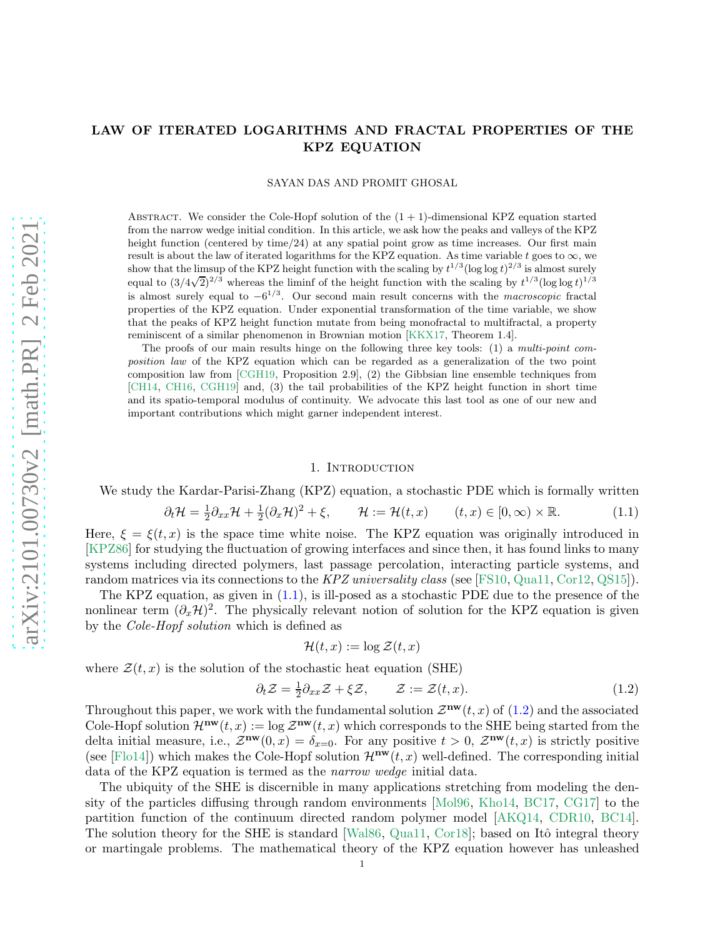# LAW OF ITERATED LOGARITHMS AND FRACTAL PROPERTIES OF THE KPZ EQUATION

SAYAN DAS AND PROMIT GHOSAL

ABSTRACT. We consider the Cole-Hopf solution of the  $(1 + 1)$ -dimensional KPZ equation started from the narrow wedge initial condition. In this article, we ask how the peaks and valleys of the KPZ height function (centered by time/24) at any spatial point grow as time increases. Our first main result is about the law of iterated logarithms for the KPZ equation. As time variable t goes to  $\infty$ , we show that the limsup of the KPZ height function with the scaling by  $t^{1/3}(\log \log t)^{2/3}$  is almost surely equal to  $(3/4\sqrt{2})^{2/3}$  whereas the liminf of the height function with the scaling by  $t^{1/3}(\log \log t)^{1/3}$ is almost surely equal to  $-6^{1/3}$ . Our second main result concerns with the *macroscopic* fractal properties of the KPZ equation. Under exponential transformation of the time variable, we show that the peaks of KPZ height function mutate from being monofractal to multifractal, a property reminiscent of a similar phenomenon in Brownian motion [\[KKX17,](#page-56-0) Theorem 1.4].

The proofs of our main results hinge on the following three key tools: (1) a multi-point composition law of the KPZ equation which can be regarded as a generalization of the two point composition law from [\[CGH19,](#page-54-0) Proposition 2.9], (2) the Gibbsian line ensemble techniques from [\[CH14,](#page-55-0) [CH16,](#page-55-1) [CGH19\]](#page-54-0) and, (3) the tail probabilities of the KPZ height function in short time and its spatio-temporal modulus of continuity. We advocate this last tool as one of our new and important contributions which might garner independent interest.

### <span id="page-0-0"></span>1. Introduction

We study the Kardar-Parisi-Zhang (KPZ) equation, a stochastic PDE which is formally written

$$
\partial_t \mathcal{H} = \frac{1}{2} \partial_{xx} \mathcal{H} + \frac{1}{2} (\partial_x \mathcal{H})^2 + \xi, \qquad \mathcal{H} := \mathcal{H}(t, x) \qquad (t, x) \in [0, \infty) \times \mathbb{R}.
$$
 (1.1)

Here,  $\xi = \xi(t, x)$  is the space time white noise. The KPZ equation was originally introduced in [\[KPZ86\]](#page-56-1) for studying the fluctuation of growing interfaces and since then, it has found links to many systems including directed polymers, last passage percolation, interacting particle systems, and random matrices via its connections to the KPZ universality class (see [\[FS10,](#page-55-2) [Qua11,](#page-56-2) [Cor12,](#page-55-3) [QS15\]](#page-56-3)).

The KPZ equation, as given in  $(1.1)$ , is ill-posed as a stochastic PDE due to the presence of the nonlinear term  $(\partial_x \mathcal{H})^2$ . The physically relevant notion of solution for the KPZ equation is given by the Cole-Hopf solution which is defined as

<span id="page-0-1"></span>
$$
\mathcal{H}(t,x) := \log \mathcal{Z}(t,x)
$$

where  $\mathcal{Z}(t, x)$  is the solution of the stochastic heat equation (SHE)

$$
\partial_t \mathcal{Z} = \frac{1}{2} \partial_{xx} \mathcal{Z} + \xi \mathcal{Z}, \qquad \mathcal{Z} := \mathcal{Z}(t, x). \tag{1.2}
$$

Throughout this paper, we work with the fundamental solution  $\mathcal{Z}^{\mathbf{nw}}(t,x)$  of [\(1.2\)](#page-0-1) and the associated Cole-Hopf solution  $\mathcal{H}^{\mathbf{nw}}(t,x) := \log \mathcal{Z}^{\mathbf{nw}}(t,x)$  which corresponds to the SHE being started from the delta initial measure, i.e.,  $\mathcal{Z}^{\mathbf{nw}}(0,x) = \delta_{x=0}$ . For any positive  $t > 0$ ,  $\mathcal{Z}^{\mathbf{nw}}(t,x)$  is strictly positive (see [\[Flo14\]](#page-55-4)) which makes the Cole-Hopf solution  $\mathcal{H}^{\mathbf{nw}}(t,x)$  well-defined. The corresponding initial data of the KPZ equation is termed as the narrow wedge initial data.

The ubiquity of the SHE is discernible in many applications stretching from modeling the density of the particles diffusing through random environments [\[Mol96,](#page-56-4) [Kho14,](#page-56-5) [BC17,](#page-54-1) [CG17\]](#page-54-2) to the partition function of the continuum directed random polymer model [\[AKQ14,](#page-54-3) [CDR10,](#page-54-4) [BC14\]](#page-54-5). The solution theory for the SHE is standard [\[Wal86,](#page-56-6) [Qua11,](#page-56-2) [Cor18\]](#page-55-5); based on Itô integral theory or martingale problems. The mathematical theory of the KPZ equation however has unleashed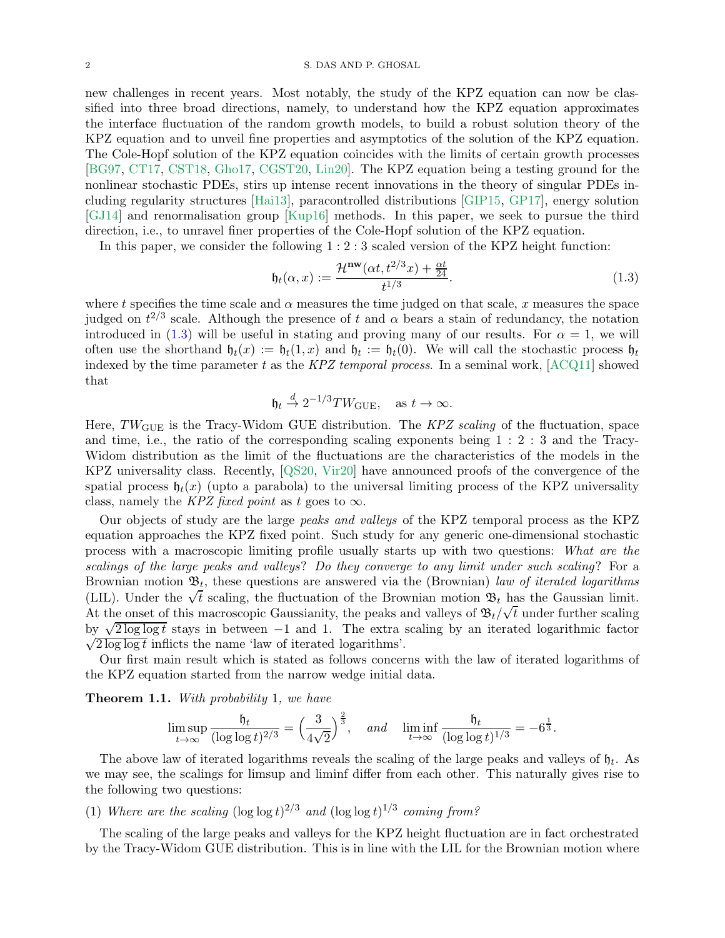#### 2 S. DAS AND P. GHOSAL

new challenges in recent years. Most notably, the study of the KPZ equation can now be classified into three broad directions, namely, to understand how the KPZ equation approximates the interface fluctuation of the random growth models, to build a robust solution theory of the KPZ equation and to unveil fine properties and asymptotics of the solution of the KPZ equation. The Cole-Hopf solution of the KPZ equation coincides with the limits of certain growth processes [\[BG97,](#page-54-6) [CT17,](#page-55-6) [CST18,](#page-55-7) [Gho17,](#page-55-8) [CGST20,](#page-55-9) [Lin20\]](#page-56-7). The KPZ equation being a testing ground for the nonlinear stochastic PDEs, stirs up intense recent innovations in the theory of singular PDEs including regularity structures [\[Hai13\]](#page-55-10), paracontrolled distributions [\[GIP15,](#page-55-11) [GP17\]](#page-55-12), energy solution [\[GJ14\]](#page-55-13) and renormalisation group [\[Kup16\]](#page-56-8) methods. In this paper, we seek to pursue the third direction, i.e., to unravel finer properties of the Cole-Hopf solution of the KPZ equation.

In this paper, we consider the following 1 : 2 : 3 scaled version of the KPZ height function:

<span id="page-1-0"></span>
$$
\mathfrak{h}_t(\alpha, x) := \frac{\mathcal{H}^{\mathbf{nw}}(\alpha t, t^{2/3} x) + \frac{\alpha t}{24}}{t^{1/3}}.
$$
\n(1.3)

where t specifies the time scale and  $\alpha$  measures the time judged on that scale, x measures the space judged on  $t^{2/3}$  scale. Although the presence of t and  $\alpha$  bears a stain of redundancy, the notation introduced in [\(1.3\)](#page-1-0) will be useful in stating and proving many of our results. For  $\alpha = 1$ , we will often use the shorthand  $\mathfrak{h}_t(x) := \mathfrak{h}_t(1,x)$  and  $\mathfrak{h}_t := \mathfrak{h}_t(0)$ . We will call the stochastic process  $\mathfrak{h}_t$ indexed by the time parameter t as the KPZ temporal process. In a seminal work,  $[ACQ11]$  showed that

$$
\mathfrak{h}_t \stackrel{d}{\to} 2^{-1/3}TW_{\text{GUE}}, \quad \text{as } t \to \infty.
$$

Here,  $TW_{GUE}$  is the Tracy-Widom GUE distribution. The KPZ scaling of the fluctuation, space and time, i.e., the ratio of the corresponding scaling exponents being 1 : 2 : 3 and the Tracy-Widom distribution as the limit of the fluctuations are the characteristics of the models in the KPZ universality class. Recently, [\[QS20,](#page-56-9) [Vir20\]](#page-56-10) have announced proofs of the convergence of the spatial process  $\mathfrak{h}_t(x)$  (upto a parabola) to the universal limiting process of the KPZ universality class, namely the KPZ fixed point as t goes to  $\infty$ .

Our objects of study are the large peaks and valleys of the KPZ temporal process as the KPZ equation approaches the KPZ fixed point. Such study for any generic one-dimensional stochastic process with a macroscopic limiting profile usually starts up with two questions: What are the scalings of the large peaks and valleys? Do they converge to any limit under such scaling? For a Brownian motion  $\mathfrak{B}_t$ , these questions are answered via the (Brownian) law of iterated logarithms (LIL). Under the  $\sqrt{t}$  scaling, the fluctuation of the Brownian motion  $\mathfrak{B}_t$  has the Gaussian limit. At the onset of this macroscopic Gaussianity, the peaks and valleys of  $\mathfrak{B}_t/\sqrt{t}$  under further scaling by  $\sqrt{2 \log \log t}$  stays in between −1 and 1. The extra scaling by an iterated logarithmic factor  $\sqrt{2 \log \log t}$  inflicts the name 'law of iterated logarithms'.

Our first main result which is stated as follows concerns with the law of iterated logarithms of the KPZ equation started from the narrow wedge initial data.

<span id="page-1-1"></span>**Theorem 1.1.** With probability 1, we have

$$
\limsup_{t \to \infty} \frac{\mathfrak{h}_t}{(\log \log t)^{2/3}} = \left(\frac{3}{4\sqrt{2}}\right)^{\frac{2}{3}}, \quad \text{and} \quad \liminf_{t \to \infty} \frac{\mathfrak{h}_t}{(\log \log t)^{1/3}} = -6^{\frac{1}{3}}.
$$

The above law of iterated logarithms reveals the scaling of the large peaks and valleys of  $\mathfrak{h}_t$ . As we may see, the scalings for limsup and liminf differ from each other. This naturally gives rise to the following two questions:

# (1) Where are the scaling  $(\log \log t)^{2/3}$  and  $(\log \log t)^{1/3}$  coming from?

The scaling of the large peaks and valleys for the KPZ height fluctuation are in fact orchestrated by the Tracy-Widom GUE distribution. This is in line with the LIL for the Brownian motion where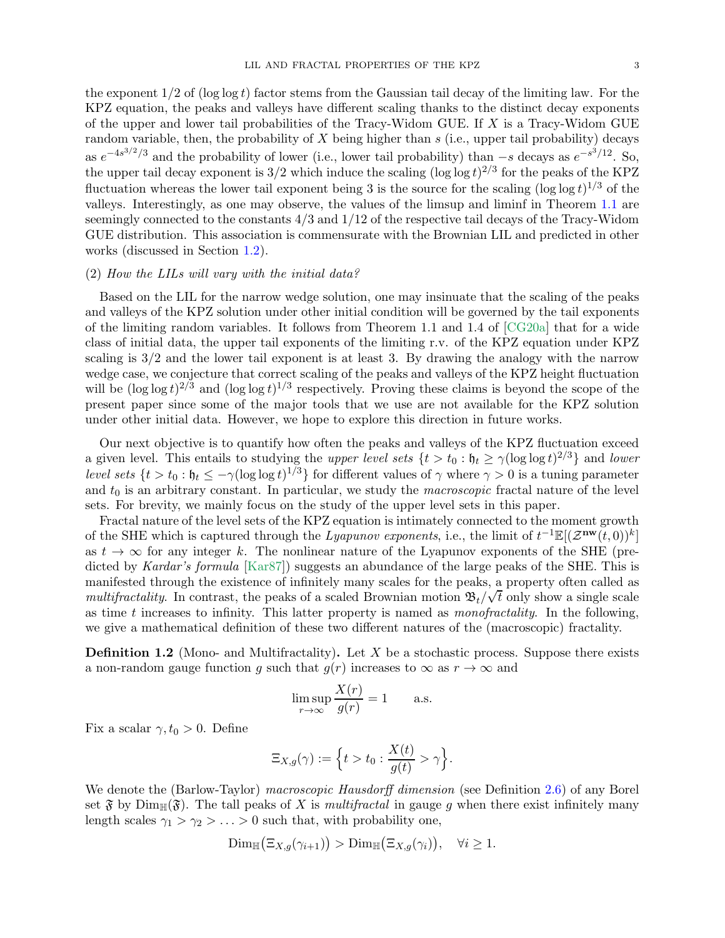the exponent  $1/2$  of (log log t) factor stems from the Gaussian tail decay of the limiting law. For the KPZ equation, the peaks and valleys have different scaling thanks to the distinct decay exponents of the upper and lower tail probabilities of the Tracy-Widom GUE. If X is a Tracy-Widom GUE random variable, then, the probability of  $X$  being higher than  $s$  (i.e., upper tail probability) decays as  $e^{-4s^{3/2}/3}$  and the probability of lower (i.e., lower tail probability) than –s decays as  $e^{-s^{3}/12}$ . So, the upper tail decay exponent is  $3/2$  which induce the scaling  $(\log \log t)^{2/3}$  for the peaks of the KPZ fluctuation whereas the lower tail exponent being 3 is the source for the scaling  $(\log \log t)^{1/3}$  of the valleys. Interestingly, as one may observe, the values of the limsup and liminf in Theorem [1.1](#page-1-1) are seemingly connected to the constants 4/3 and 1/12 of the respective tail decays of the Tracy-Widom GUE distribution. This association is commensurate with the Brownian LIL and predicted in other works (discussed in Section [1.2\)](#page-7-0).

# (2) How the LILs will vary with the initial data?

Based on the LIL for the narrow wedge solution, one may insinuate that the scaling of the peaks and valleys of the KPZ solution under other initial condition will be governed by the tail exponents of the limiting random variables. It follows from Theorem 1.1 and 1.4 of [\[CG20a\]](#page-54-8) that for a wide class of initial data, the upper tail exponents of the limiting r.v. of the KPZ equation under KPZ scaling is  $3/2$  and the lower tail exponent is at least 3. By drawing the analogy with the narrow wedge case, we conjecture that correct scaling of the peaks and valleys of the KPZ height fluctuation will be  $(\log \log t)^{2/3}$  and  $(\log \log t)^{1/3}$  respectively. Proving these claims is beyond the scope of the present paper since some of the major tools that we use are not available for the KPZ solution under other initial data. However, we hope to explore this direction in future works.

Our next objective is to quantify how often the peaks and valleys of the KPZ fluctuation exceed a given level. This entails to studying the upper level sets  $\{t > t_0 : \mathfrak{h}_t \ge \gamma (\log \log t)^{2/3}\}\$ and lower level sets  $\{t > t_0 : \mathfrak{h}_t \leq -\gamma (\log \log t)^{1/3}\}\$  for different values of  $\gamma$  where  $\gamma > 0$  is a tuning parameter and  $t_0$  is an arbitrary constant. In particular, we study the *macroscopic* fractal nature of the level sets. For brevity, we mainly focus on the study of the upper level sets in this paper.

Fractal nature of the level sets of the KPZ equation is intimately connected to the moment growth of the SHE which is captured through the Lyapunov exponents, i.e., the limit of  $t^{-1}\mathbb{E}[(\mathcal{Z}^{\mathbf{nw}}(t,0))^k]$ as  $t \to \infty$  for any integer k. The nonlinear nature of the Lyapunov exponents of the SHE (pre-dicted by Kardar's formula [\[Kar87\]](#page-56-11)) suggests an abundance of the large peaks of the SHE. This is manifested through the existence of infinitely many scales for the peaks, a property often called as multifractality. In contrast, the peaks of a scaled Brownian motion  $\mathfrak{B}_t/\sqrt{t}$  only show a single scale as time t increases to infinity. This latter property is named as *monofractality*. In the following, we give a mathematical definition of these two different natures of the (macroscopic) fractality.

<span id="page-2-0"></span>**Definition 1.2** (Mono- and Multifractality). Let X be a stochastic process. Suppose there exists a non-random gauge function g such that  $g(r)$  increases to  $\infty$  as  $r \to \infty$  and

$$
\limsup_{r \to \infty} \frac{X(r)}{g(r)} = 1
$$
 a.s.

Fix a scalar  $\gamma, t_0 > 0$ . Define

$$
\Xi_{X,g}(\gamma) := \left\{ t > t_0 : \frac{X(t)}{g(t)} > \gamma \right\}.
$$

We denote the (Barlow-Taylor) macroscopic Hausdorff dimension (see Definition [2.6\)](#page-12-0) of any Borel set  $\mathfrak F$  by  $\text{Dim}_{\mathbb H}(\mathfrak F)$ . The tall peaks of X is *multifractal* in gauge g when there exist infinitely many length scales  $\gamma_1 > \gamma_2 > \ldots > 0$  such that, with probability one,

$$
\operatorname{Dim}_{\mathbb{H}}(\Xi_{X,g}(\gamma_{i+1})) > \operatorname{Dim}_{\mathbb{H}}(\Xi_{X,g}(\gamma_i)), \quad \forall i \geq 1.
$$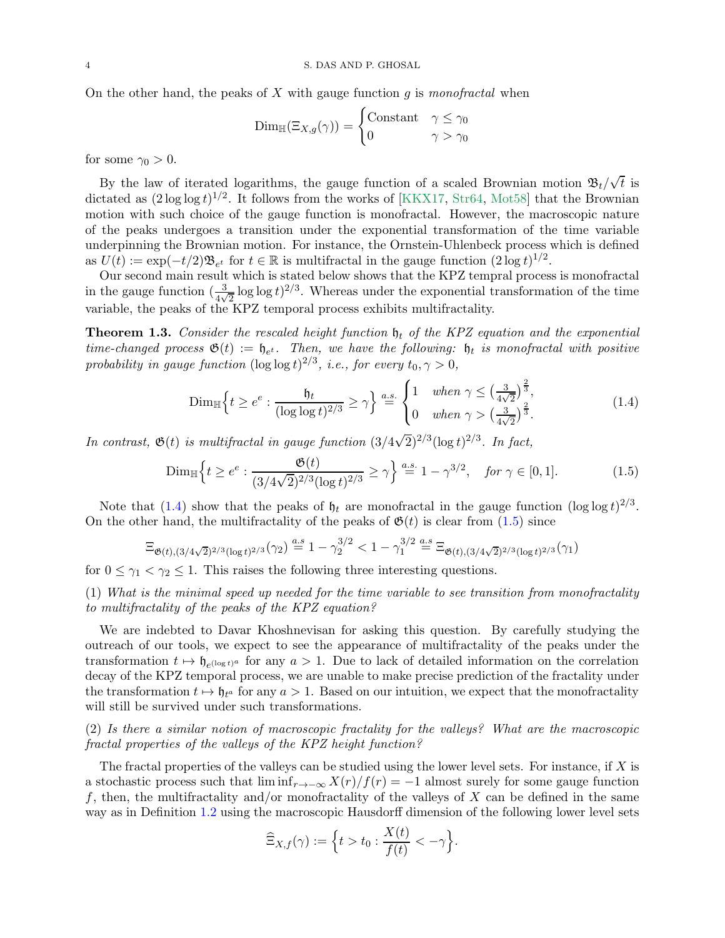On the other hand, the peaks of  $X$  with gauge function  $q$  is monofractal when

$$
\text{Dim}_{\mathbb{H}}(\Xi_{X,g}(\gamma)) = \begin{cases} \text{Constant} & \gamma \le \gamma_0 \\ 0 & \gamma > \gamma_0 \end{cases}
$$

for some  $\gamma_0 > 0$ .

By the law of iterated logarithms, the gauge function of a scaled Brownian motion  $\mathfrak{B}_t/\sqrt{t}$  is dictated as  $(2 \log \log t)^{1/2}$ . It follows from the works of [\[KKX17,](#page-56-0) [Str64,](#page-56-12) [Mot58\]](#page-56-13) that the Brownian motion with such choice of the gauge function is monofractal. However, the macroscopic nature of the peaks undergoes a transition under the exponential transformation of the time variable underpinning the Brownian motion. For instance, the Ornstein-Uhlenbeck process which is defined as  $U(t) := \exp(-t/2) \mathfrak{B}_{e^t}$  for  $t \in \mathbb{R}$  is multifractal in the gauge function  $(2 \log t)^{1/2}$ .

Our second main result which is stated below shows that the KPZ tempral process is monofractal in the gauge function  $(\frac{3}{4\sqrt{2}}\log\log t)^{2/3}$ . Whereas under the exponential transformation of the time variable, the peaks of the KPZ temporal process exhibits multifractality.

<span id="page-3-2"></span>**Theorem 1.3.** Consider the rescaled height function  $\mathfrak{h}_t$  of the KPZ equation and the exponential time-changed process  $\mathfrak{G}(t) := \mathfrak{h}_{e^t}$ . Then, we have the following:  $\mathfrak{h}_t$  is monofractal with positive probability in gauge function  $(\log \log t)^{2/3}$ , i.e., for every  $t_0, \gamma > 0$ ,

<span id="page-3-1"></span><span id="page-3-0"></span>
$$
\text{Dim}_{\mathbb{H}}\Big\{t \geq e^e : \frac{\mathfrak{h}_t}{(\log \log t)^{2/3}} \geq \gamma\Big\} \stackrel{a.s.}{=} \begin{cases} 1 & \text{when } \gamma \leq \left(\frac{3}{4\sqrt{2}}\right)^{\frac{2}{3}},\\ 0 & \text{when } \gamma > \left(\frac{3}{4\sqrt{2}}\right)^{\frac{2}{3}}. \end{cases} \tag{1.4}
$$

In contrast,  $\mathfrak{G}(t)$  is multifractal in gauge function  $(3/4\sqrt{2})^{2/3}(\log t)^{2/3}$ . In fact,

$$
\text{Dim}_{\mathbb{H}}\left\{t \ge e^e : \frac{\mathfrak{G}(t)}{(3/4\sqrt{2})^{2/3}(\log t)^{2/3}} \ge \gamma\right\} \stackrel{a.s.}{=} 1 - \gamma^{3/2}, \quad \text{for } \gamma \in [0, 1].\tag{1.5}
$$

Note that [\(1.4\)](#page-3-0) show that the peaks of  $\mathfrak{h}_t$  are monofractal in the gauge function (log log  $t$ )<sup>2/3</sup>. On the other hand, the multifractality of the peaks of  $\mathfrak{G}(t)$  is clear from  $(1.5)$  since

$$
\Xi_{\mathfrak{G}(t),(3/4\sqrt{2})^{2/3}(\log t)^{2/3}}(\gamma_2) \stackrel{a.s}{=} 1 - \gamma_2^{3/2} < 1 - \gamma_1^{3/2} \stackrel{a.s}{=} \Xi_{\mathfrak{G}(t),(3/4\sqrt{2})^{2/3}(\log t)^{2/3}}(\gamma_1)
$$

for  $0 \leq \gamma_1 < \gamma_2 \leq 1$ . This raises the following three interesting questions.

(1) What is the minimal speed up needed for the time variable to see transition from monofractality to multifractality of the peaks of the KPZ equation?

We are indebted to Davar Khoshnevisan for asking this question. By carefully studying the outreach of our tools, we expect to see the appearance of multifractality of the peaks under the transformation  $t \mapsto \mathfrak{h}_{e^{(\log t)^a}}$  for any  $a > 1$ . Due to lack of detailed information on the correlation decay of the KPZ temporal process, we are unable to make precise prediction of the fractality under the transformation  $t \mapsto \mathfrak{h}_{t^a}$  for any  $a > 1$ . Based on our intuition, we expect that the monofractality will still be survived under such transformations.

(2) Is there a similar notion of macroscopic fractality for the valleys? What are the macroscopic fractal properties of the valleys of the KPZ height function?

The fractal properties of the valleys can be studied using the lower level sets. For instance, if  $X$  is a stochastic process such that  $\liminf_{r\to-\infty} X(r)/f(r) = -1$  almost surely for some gauge function f, then, the multifractality and/or monofractality of the valleys of X can be defined in the same way as in Definition [1.2](#page-2-0) using the macroscopic Hausdorff dimension of the following lower level sets

$$
\widehat{\Xi}_{X,f}(\gamma) := \Big\{ t > t_0 : \frac{X(t)}{f(t)} < -\gamma \Big\}.
$$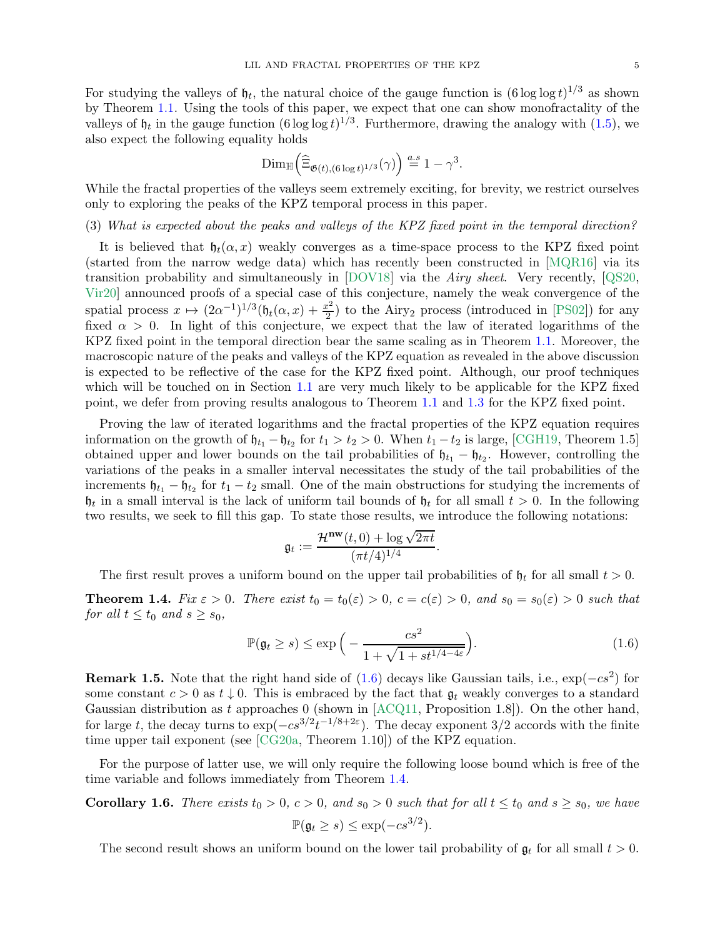For studying the valleys of  $\mathfrak{h}_t$ , the natural choice of the gauge function is  $(6 \log \log t)^{1/3}$  as shown by Theorem [1.1.](#page-1-1) Using the tools of this paper, we expect that one can show monofractality of the valleys of  $\mathfrak{h}_t$  in the gauge function  $(6 \log \log t)^{1/3}$ . Furthermore, drawing the analogy with  $(1.5)$ , we also expect the following equality holds

$$
\mathrm{Dim}_{\mathbb{H}}\Big(\widehat{\Xi}_{\mathfrak{G}(t),(6\log t)^{1/3}}(\gamma)\Big)\overset{a.s}{=}1-\gamma^3.
$$

While the fractal properties of the valleys seem extremely exciting, for brevity, we restrict ourselves only to exploring the peaks of the KPZ temporal process in this paper.

(3) What is expected about the peaks and valleys of the KPZ fixed point in the temporal direction?

It is believed that  $\mathfrak{h}_t(\alpha, x)$  weakly converges as a time-space process to the KPZ fixed point (started from the narrow wedge data) which has recently been constructed in [\[MQR16\]](#page-56-14) via its transition probability and simultaneously in  $[DOV18]$  via the *Airy sheet.* Very recently,  $[QS20,$ [Vir20\]](#page-56-10) announced proofs of a special case of this conjecture, namely the weak convergence of the spatial process  $x \mapsto (2\alpha^{-1})^{1/3} (\mathfrak{h}_t(\alpha, x) + \frac{x^2}{2})$  $\frac{e^2}{2}$  to the Airy<sub>2</sub> process (introduced in [\[PS02\]](#page-56-15)) for any fixed  $\alpha > 0$ . In light of this conjecture, we expect that the law of iterated logarithms of the KPZ fixed point in the temporal direction bear the same scaling as in Theorem [1.1.](#page-1-1) Moreover, the macroscopic nature of the peaks and valleys of the KPZ equation as revealed in the above discussion is expected to be reflective of the case for the KPZ fixed point. Although, our proof techniques which will be touched on in Section [1.1](#page-5-0) are very much likely to be applicable for the KPZ fixed point, we defer from proving results analogous to Theorem [1.1](#page-1-1) and [1.3](#page-3-2) for the KPZ fixed point.

Proving the law of iterated logarithms and the fractal properties of the KPZ equation requires information on the growth of  $\mathfrak{h}_{t_1} - \mathfrak{h}_{t_2}$  for  $t_1 > t_2 > 0$ . When  $t_1 - t_2$  is large, [\[CGH19,](#page-54-0) Theorem 1.5] obtained upper and lower bounds on the tail probabilities of  $\mathfrak{h}_{t_1} - \mathfrak{h}_{t_2}$ . However, controlling the variations of the peaks in a smaller interval necessitates the study of the tail probabilities of the increments  $\mathfrak{h}_{t_1} - \mathfrak{h}_{t_2}$  for  $t_1 - t_2$  small. One of the main obstructions for studying the increments of  $\mathfrak{h}_t$  in a small interval is the lack of uniform tail bounds of  $\mathfrak{h}_t$  for all small  $t > 0$ . In the following two results, we seek to fill this gap. To state those results, we introduce the following notations:

<span id="page-4-0"></span>
$$
\mathfrak{g}_t := \frac{\mathcal{H}^{\mathbf{nw}}(t,0) + \log \sqrt{2\pi t}}{(\pi t/4)^{1/4}}.
$$

The first result proves a uniform bound on the upper tail probabilities of  $\mathfrak{h}_t$  for all small  $t > 0$ .

<span id="page-4-1"></span>**Theorem 1.4.** Fix  $\varepsilon > 0$ . There exist  $t_0 = t_0(\varepsilon) > 0$ ,  $c = c(\varepsilon) > 0$ , and  $s_0 = s_0(\varepsilon) > 0$  such that for all  $t \le t_0$  and  $s \ge s_0$ ,

$$
\mathbb{P}(\mathfrak{g}_t \ge s) \le \exp\Big(-\frac{cs^2}{1 + \sqrt{1 + st^{1/4 - 4\varepsilon}}}\Big). \tag{1.6}
$$

**Remark 1.5.** Note that the right hand side of  $(1.6)$  decays like Gaussian tails, i.e.,  $\exp(-cs^2)$  for some constant  $c > 0$  as  $t \downarrow 0$ . This is embraced by the fact that  $\mathfrak{g}_t$  weakly converges to a standard Gaussian distribution as t approaches 0 (shown in  $[ACQ11,$  Proposition 1.8]). On the other hand, for large t, the decay turns to  $\exp(-cs^{3/2}t^{-1/8+2\varepsilon})$ . The decay exponent 3/2 accords with the finite time upper tail exponent (see [\[CG20a,](#page-54-8) Theorem 1.10]) of the KPZ equation.

For the purpose of latter use, we will only require the following loose bound which is free of the time variable and follows immediately from Theorem [1.4.](#page-4-1)

<span id="page-4-2"></span>**Corollary 1.6.** There exists  $t_0 > 0$ ,  $c > 0$ , and  $s_0 > 0$  such that for all  $t \le t_0$  and  $s \ge s_0$ , we have

$$
\mathbb{P}(\mathfrak{g}_t \ge s) \le \exp(-cs^{3/2}).
$$

The second result shows an uniform bound on the lower tail probability of  $\mathfrak{g}_t$  for all small  $t > 0$ .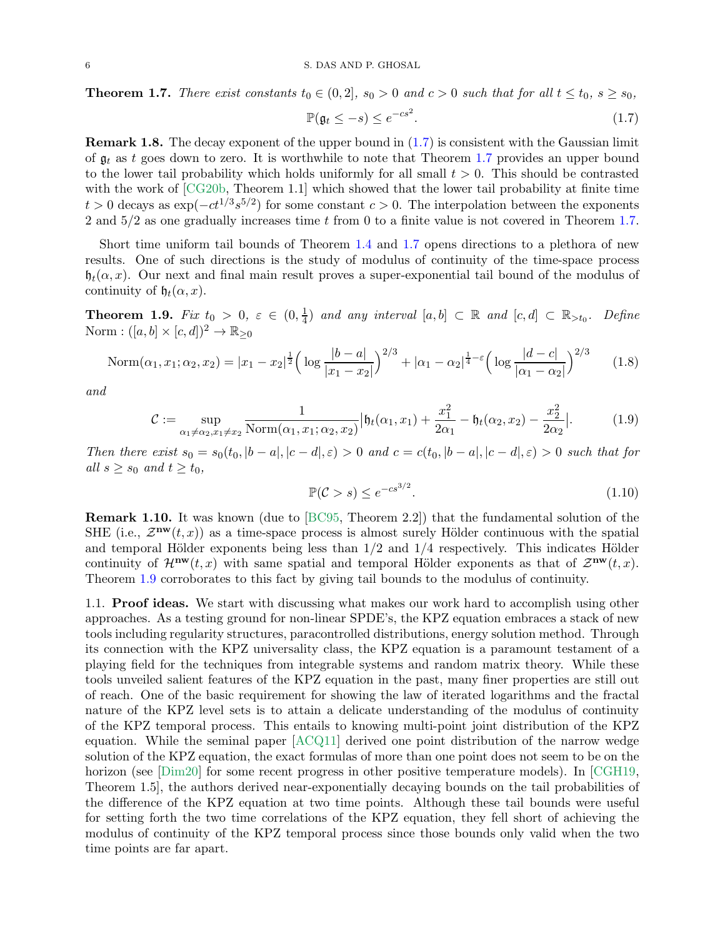<span id="page-5-2"></span>**Theorem 1.7.** There exist constants  $t_0 \in (0, 2]$ ,  $s_0 > 0$  and  $c > 0$  such that for all  $t \le t_0$ ,  $s \ge s_0$ ,

<span id="page-5-1"></span>
$$
\mathbb{P}(\mathfrak{g}_t \le -s) \le e^{-cs^2}.\tag{1.7}
$$

Remark 1.8. The decay exponent of the upper bound in [\(1.7\)](#page-5-1) is consistent with the Gaussian limit of  $\mathfrak{g}_t$  as t goes down to zero. It is worthwhile to note that Theorem [1.7](#page-5-2) provides an upper bound to the lower tail probability which holds uniformly for all small  $t > 0$ . This should be contrasted with the work of [\[CG20b,](#page-54-9) Theorem 1.1] which showed that the lower tail probability at finite time  $t > 0$  decays as  $\exp(-ct^{1/3}s^{5/2})$  for some constant  $c > 0$ . The interpolation between the exponents 2 and  $5/2$  as one gradually increases time t from 0 to a finite value is not covered in Theorem [1.7.](#page-5-2)

Short time uniform tail bounds of Theorem [1.4](#page-4-1) and [1.7](#page-5-2) opens directions to a plethora of new results. One of such directions is the study of modulus of continuity of the time-space process  $\mathfrak{h}_t(\alpha, x)$ . Our next and final main result proves a super-exponential tail bound of the modulus of continuity of  $\mathfrak{h}_t(\alpha, x)$ .

<span id="page-5-3"></span>**Theorem 1.9.** Fix  $t_0 > 0$ ,  $\varepsilon \in (0, \frac{1}{4})$  $\frac{1}{4}$  and any interval  $[a, b] \subset \mathbb{R}$  and  $[c, d] \subset \mathbb{R}_{\geq t_0}$ . Define Norm :  $([a, b] \times [c, d])^2 \rightarrow \mathbb{R}_{\geq 0}$ 

$$
\text{Norm}(\alpha_1, x_1; \alpha_2, x_2) = |x_1 - x_2|^{\frac{1}{2}} \left( \log \frac{|b - a|}{|x_1 - x_2|} \right)^{2/3} + |\alpha_1 - \alpha_2|^{\frac{1}{4} - \varepsilon} \left( \log \frac{|d - c|}{|\alpha_1 - \alpha_2|} \right)^{2/3} \tag{1.8}
$$

and

$$
\mathcal{C} := \sup_{\alpha_1 \neq \alpha_2, x_1 \neq x_2} \frac{1}{\text{Norm}(\alpha_1, x_1; \alpha_2, x_2)} \Big| \mathfrak{h}_t(\alpha_1, x_1) + \frac{x_1^2}{2\alpha_1} - \mathfrak{h}_t(\alpha_2, x_2) - \frac{x_2^2}{2\alpha_2} \Big|.
$$
 (1.9)

Then there exist  $s_0 = s_0(t_0, |b - a|, |c - d|, \varepsilon) > 0$  and  $c = c(t_0, |b - a|, |c - d|, \varepsilon) > 0$  such that for all  $s \geq s_0$  and  $t \geq t_0$ ,

<span id="page-5-6"></span><span id="page-5-5"></span><span id="page-5-4"></span>
$$
\mathbb{P}(\mathcal{C} > s) \le e^{-cs^{3/2}}.\tag{1.10}
$$

Remark 1.10. It was known (due to [\[BC95,](#page-54-10) Theorem 2.2]) that the fundamental solution of the SHE (i.e.,  $\mathcal{Z}^{\mathbf{nw}}(t,x)$ ) as a time-space process is almost surely Hölder continuous with the spatial and temporal Hölder exponents being less than  $1/2$  and  $1/4$  respectively. This indicates Hölder continuity of  $\mathcal{H}^{\mathbf{nw}}(t,x)$  with same spatial and temporal Hölder exponents as that of  $\mathcal{Z}^{\mathbf{nw}}(t,x)$ . Theorem [1.9](#page-5-3) corroborates to this fact by giving tail bounds to the modulus of continuity.

<span id="page-5-0"></span>1.1. Proof ideas. We start with discussing what makes our work hard to accomplish using other approaches. As a testing ground for non-linear SPDE's, the KPZ equation embraces a stack of new tools including regularity structures, paracontrolled distributions, energy solution method. Through its connection with the KPZ universality class, the KPZ equation is a paramount testament of a playing field for the techniques from integrable systems and random matrix theory. While these tools unveiled salient features of the KPZ equation in the past, many finer properties are still out of reach. One of the basic requirement for showing the law of iterated logarithms and the fractal nature of the KPZ level sets is to attain a delicate understanding of the modulus of continuity of the KPZ temporal process. This entails to knowing multi-point joint distribution of the KPZ equation. While the seminal paper [\[ACQ11\]](#page-54-7) derived one point distribution of the narrow wedge solution of the KPZ equation, the exact formulas of more than one point does not seem to be on the horizon (see [\[Dim20\]](#page-55-15) for some recent progress in other positive temperature models). In [\[CGH19,](#page-54-0) Theorem 1.5], the authors derived near-exponentially decaying bounds on the tail probabilities of the difference of the KPZ equation at two time points. Although these tail bounds were useful for setting forth the two time correlations of the KPZ equation, they fell short of achieving the modulus of continuity of the KPZ temporal process since those bounds only valid when the two time points are far apart.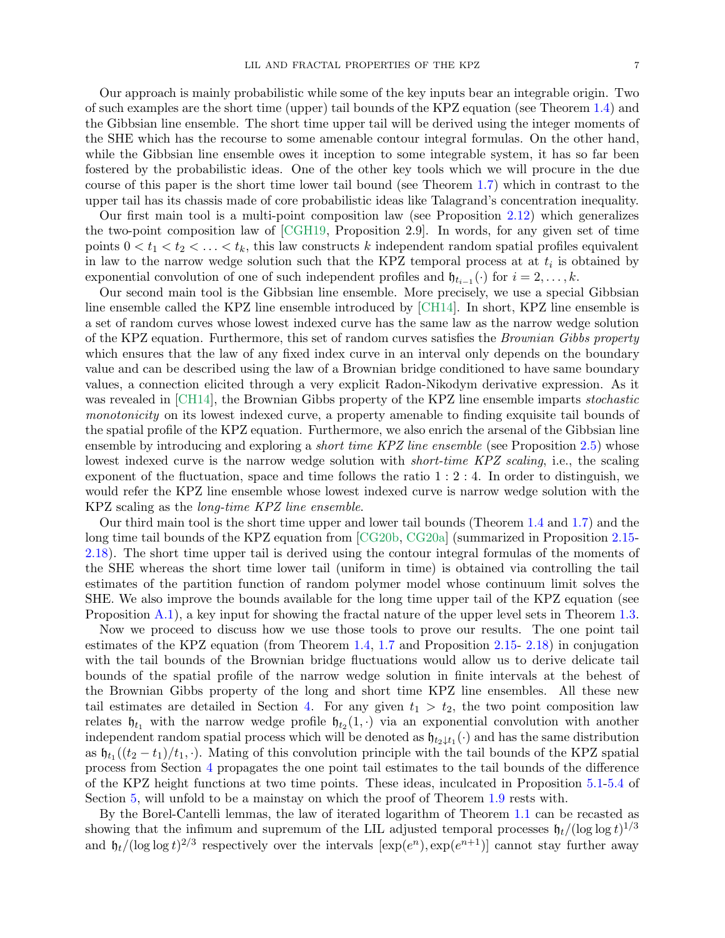Our approach is mainly probabilistic while some of the key inputs bear an integrable origin. Two of such examples are the short time (upper) tail bounds of the KPZ equation (see Theorem [1.4\)](#page-4-1) and the Gibbsian line ensemble. The short time upper tail will be derived using the integer moments of the SHE which has the recourse to some amenable contour integral formulas. On the other hand, while the Gibbsian line ensemble owes it inception to some integrable system, it has so far been fostered by the probabilistic ideas. One of the other key tools which we will procure in the due course of this paper is the short time lower tail bound (see Theorem [1.7\)](#page-5-2) which in contrast to the upper tail has its chassis made of core probabilistic ideas like Talagrand's concentration inequality.

Our first main tool is a multi-point composition law (see Proposition [2.12\)](#page-14-0) which generalizes the two-point composition law of [\[CGH19,](#page-54-0) Proposition 2.9]. In words, for any given set of time points  $0 < t_1 < t_2 < \ldots < t_k$ , this law constructs k independent random spatial profiles equivalent in law to the narrow wedge solution such that the KPZ temporal process at at  $t_i$  is obtained by exponential convolution of one of such independent profiles and  $\mathfrak{h}_{t_{i-1}}(\cdot)$  for  $i = 2, \ldots, k$ .

Our second main tool is the Gibbsian line ensemble. More precisely, we use a special Gibbsian line ensemble called the KPZ line ensemble introduced by [\[CH14\]](#page-55-0). In short, KPZ line ensemble is a set of random curves whose lowest indexed curve has the same law as the narrow wedge solution of the KPZ equation. Furthermore, this set of random curves satisfies the Brownian Gibbs property which ensures that the law of any fixed index curve in an interval only depends on the boundary value and can be described using the law of a Brownian bridge conditioned to have same boundary values, a connection elicited through a very explicit Radon-Nikodym derivative expression. As it was revealed in [\[CH14\]](#page-55-0), the Brownian Gibbs property of the KPZ line ensemble imparts *stochastic* monotonicity on its lowest indexed curve, a property amenable to finding exquisite tail bounds of the spatial profile of the KPZ equation. Furthermore, we also enrich the arsenal of the Gibbsian line ensemble by introducing and exploring a *short time KPZ line ensemble* (see Proposition [2.5\)](#page-12-1) whose lowest indexed curve is the narrow wedge solution with *short-time KPZ scaling*, i.e., the scaling exponent of the fluctuation, space and time follows the ratio  $1:2:4$ . In order to distinguish, we would refer the KPZ line ensemble whose lowest indexed curve is narrow wedge solution with the KPZ scaling as the long-time KPZ line ensemble.

Our third main tool is the short time upper and lower tail bounds (Theorem [1.4](#page-4-1) and [1.7\)](#page-5-2) and the long time tail bounds of the KPZ equation from [\[CG20b,](#page-54-9) [CG20a\]](#page-54-8) (summarized in Proposition [2.15-](#page-16-0) [2.18\)](#page-17-0). The short time upper tail is derived using the contour integral formulas of the moments of the SHE whereas the short time lower tail (uniform in time) is obtained via controlling the tail estimates of the partition function of random polymer model whose continuum limit solves the SHE. We also improve the bounds available for the long time upper tail of the KPZ equation (see Proposition [A.1\)](#page-51-0), a key input for showing the fractal nature of the upper level sets in Theorem [1.3.](#page-3-2)

Now we proceed to discuss how we use those tools to prove our results. The one point tail estimates of the KPZ equation (from Theorem [1.4,](#page-4-1) [1.7](#page-5-2) and Proposition [2.15-](#page-16-0) [2.18\)](#page-17-0) in conjugation with the tail bounds of the Brownian bridge fluctuations would allow us to derive delicate tail bounds of the spatial profile of the narrow wedge solution in finite intervals at the behest of the Brownian Gibbs property of the long and short time KPZ line ensembles. All these new tail estimates are detailed in Section [4.](#page-22-0) For any given  $t_1 > t_2$ , the two point composition law relates  $\mathfrak{h}_{t_1}$  with the narrow wedge profile  $\mathfrak{h}_{t_2}(1, \cdot)$  via an exponential convolution with another independent random spatial process which will be denoted as  $\mathfrak{h}_{t_2 \downarrow t_1}(\cdot)$  and has the same distribution as  $\mathfrak{h}_{t_1}((t_2 - t_1)/t_1, \cdot)$ . Mating of this convolution principle with the tail bounds of the KPZ spatial process from Section [4](#page-22-0) propagates the one point tail estimates to the tail bounds of the difference of the KPZ height functions at two time points. These ideas, inculcated in Proposition [5.1-](#page-28-0)[5.4](#page-29-0) of Section [5,](#page-28-1) will unfold to be a mainstay on which the proof of Theorem [1.9](#page-5-3) rests with.

By the Borel-Cantelli lemmas, the law of iterated logarithm of Theorem [1.1](#page-1-1) can be recasted as showing that the infimum and supremum of the LIL adjusted temporal processes  $\mathfrak{h}_t/(\log \log t)^{1/3}$ and  $\mathfrak{h}_t/(\log \log t)^{2/3}$  respectively over the intervals  $[\exp(e^n), \exp(e^{n+1})]$  cannot stay further away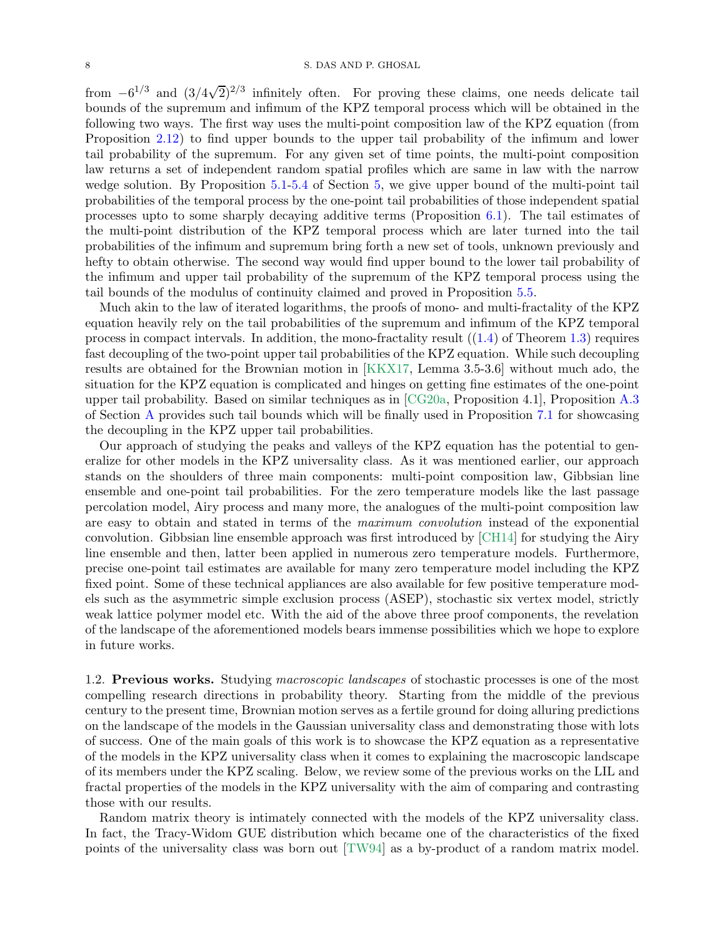from  $-6^{1/3}$  and  $(3/4\sqrt{2})^{2/3}$  infinitely often. For proving these claims, one needs delicate tail bounds of the supremum and infimum of the KPZ temporal process which will be obtained in the following two ways. The first way uses the multi-point composition law of the KPZ equation (from Proposition [2.12\)](#page-14-0) to find upper bounds to the upper tail probability of the infimum and lower tail probability of the supremum. For any given set of time points, the multi-point composition law returns a set of independent random spatial profiles which are same in law with the narrow wedge solution. By Proposition [5.1](#page-28-0)[-5.4](#page-29-0) of Section [5,](#page-28-1) we give upper bound of the multi-point tail probabilities of the temporal process by the one-point tail probabilities of those independent spatial processes upto to some sharply decaying additive terms (Proposition [6.1\)](#page-38-0). The tail estimates of the multi-point distribution of the KPZ temporal process which are later turned into the tail probabilities of the infimum and supremum bring forth a new set of tools, unknown previously and hefty to obtain otherwise. The second way would find upper bound to the lower tail probability of the infimum and upper tail probability of the supremum of the KPZ temporal process using the tail bounds of the modulus of continuity claimed and proved in Proposition [5.5.](#page-29-1)

Much akin to the law of iterated logarithms, the proofs of mono- and multi-fractality of the KPZ equation heavily rely on the tail probabilities of the supremum and infimum of the KPZ temporal process in compact intervals. In addition, the mono-fractality result  $((1.4)$  $((1.4)$  of Theorem [1.3\)](#page-3-2) requires fast decoupling of the two-point upper tail probabilities of the KPZ equation. While such decoupling results are obtained for the Brownian motion in [\[KKX17,](#page-56-0) Lemma 3.5-3.6] without much ado, the situation for the KPZ equation is complicated and hinges on getting fine estimates of the one-point upper tail probability. Based on similar techniques as in [\[CG20a,](#page-54-8) Proposition 4.1], Proposition [A.3](#page-51-1) of Section [A](#page-51-2) provides such tail bounds which will be finally used in Proposition [7.1](#page-44-0) for showcasing the decoupling in the KPZ upper tail probabilities.

Our approach of studying the peaks and valleys of the KPZ equation has the potential to generalize for other models in the KPZ universality class. As it was mentioned earlier, our approach stands on the shoulders of three main components: multi-point composition law, Gibbsian line ensemble and one-point tail probabilities. For the zero temperature models like the last passage percolation model, Airy process and many more, the analogues of the multi-point composition law are easy to obtain and stated in terms of the maximum convolution instead of the exponential convolution. Gibbsian line ensemble approach was first introduced by [\[CH14\]](#page-55-0) for studying the Airy line ensemble and then, latter been applied in numerous zero temperature models. Furthermore, precise one-point tail estimates are available for many zero temperature model including the KPZ fixed point. Some of these technical appliances are also available for few positive temperature models such as the asymmetric simple exclusion process (ASEP), stochastic six vertex model, strictly weak lattice polymer model etc. With the aid of the above three proof components, the revelation of the landscape of the aforementioned models bears immense possibilities which we hope to explore in future works.

<span id="page-7-0"></span>1.2. Previous works. Studying macroscopic landscapes of stochastic processes is one of the most compelling research directions in probability theory. Starting from the middle of the previous century to the present time, Brownian motion serves as a fertile ground for doing alluring predictions on the landscape of the models in the Gaussian universality class and demonstrating those with lots of success. One of the main goals of this work is to showcase the KPZ equation as a representative of the models in the KPZ universality class when it comes to explaining the macroscopic landscape of its members under the KPZ scaling. Below, we review some of the previous works on the LIL and fractal properties of the models in the KPZ universality with the aim of comparing and contrasting those with our results.

Random matrix theory is intimately connected with the models of the KPZ universality class. In fact, the Tracy-Widom GUE distribution which became one of the characteristics of the fixed points of the universality class was born out [\[TW94\]](#page-56-16) as a by-product of a random matrix model.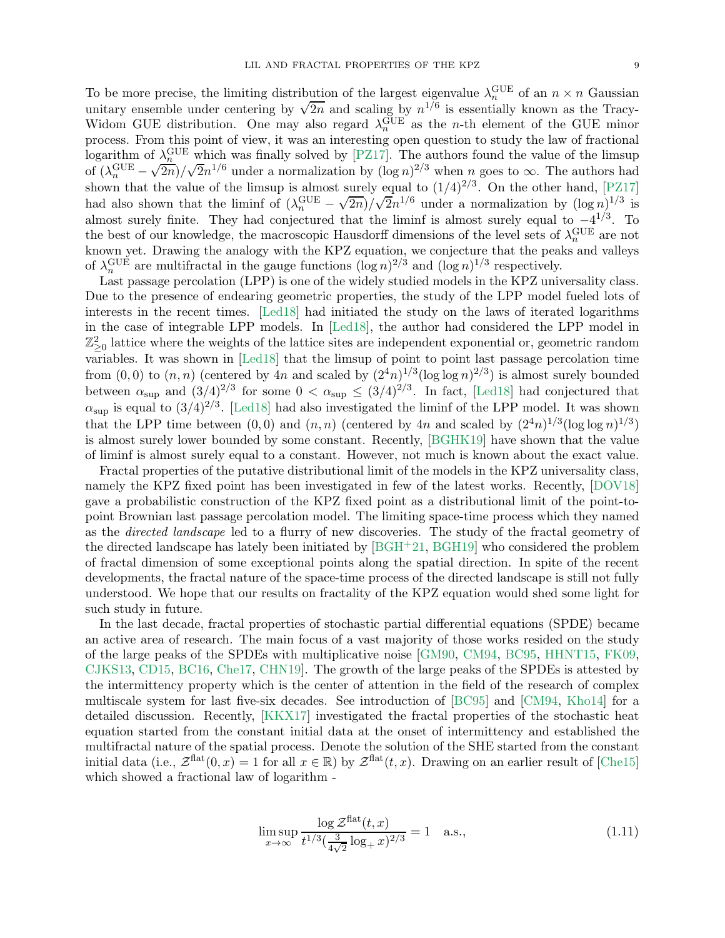To be more precise, the limiting distribution of the largest eigenvalue  $\lambda_n^{\text{GUE}}$  of an  $n \times n$  Gaussian unitary ensemble under centering by  $\sqrt{2n}$  and scaling by  $n^{1/6}$  is essentially known as the Tracy-Widom GUE distribution. One may also regard  $\lambda_n^{\text{GUE}}$  as the *n*-th element of the GUE minor process. From this point of view, it was an interesting open question to study the law of fractional logarithm of  $\lambda_n^{\text{GUE}}$  which was finally solved by [\[PZ17\]](#page-56-17). The authors found the value of the limsup of  $(\lambda_n^{\text{GUE}} \sqrt{\frac{n}{2n}}/\sqrt{2n^{1/6}}$  under a normalization by  $(\log n)^{2/3}$  when n goes to  $\infty$ . The authors had shown that the value of the limsup is almost surely equal to  $(1/4)^{2/3}$ . On the other hand, [\[PZ17\]](#page-56-17) had also shown that the liminf of  $(\lambda_n^{\text{GUE}} \sqrt{2n}$ / $\sqrt{2n^{1/6}}$  under a normalization by  $(\log n)^{1/3}$  is almost surely finite. They had conjectured that the liminf is almost surely equal to  $-4^{1/3}$ . To the best of our knowledge, the macroscopic Hausdorff dimensions of the level sets of  $\lambda_n^{\text{GUE}}$  are not known yet. Drawing the analogy with the KPZ equation, we conjecture that the peaks and valleys of  $\lambda_n^{\text{GUE}}$  are multifractal in the gauge functions  $(\log n)^{2/3}$  and  $(\log n)^{1/3}$  respectively.

Last passage percolation (LPP) is one of the widely studied models in the KPZ universality class. Due to the presence of endearing geometric properties, the study of the LPP model fueled lots of interests in the recent times. [\[Led18\]](#page-56-18) had initiated the study on the laws of iterated logarithms in the case of integrable LPP models. In [\[Led18\]](#page-56-18), the author had considered the LPP model in  $\mathbb{Z}^2_{\geq 0}$  lattice where the weights of the lattice sites are independent exponential or, geometric random variables. It was shown in [\[Led18\]](#page-56-18) that the limsup of point to point last passage percolation time from  $(0,0)$  to  $(n,n)$  (centered by 4n and scaled by  $(2^4n)^{1/3}(\log \log n)^{2/3}$ ) is almost surely bounded between  $\alpha_{\text{sup}}$  and  $(3/4)^{2/3}$  for some  $0 < \alpha_{\text{sup}} \leq (3/4)^{2/3}$ . In fact, [\[Led18\]](#page-56-18) had conjectured that  $\alpha_{\sup}$  is equal to  $(3/4)^{2/3}$ . [\[Led18\]](#page-56-18) had also investigated the liminf of the LPP model. It was shown that the LPP time between  $(0,0)$  and  $(n,n)$  (centered by 4n and scaled by  $(2^4n)^{1/3}(\log \log n)^{1/3}$ ) is almost surely lower bounded by some constant. Recently, [\[BGHK19\]](#page-54-11) have shown that the value of liminf is almost surely equal to a constant. However, not much is known about the exact value.

Fractal properties of the putative distributional limit of the models in the KPZ universality class, namely the KPZ fixed point has been investigated in few of the latest works. Recently, [\[DOV18\]](#page-55-14) gave a probabilistic construction of the KPZ fixed point as a distributional limit of the point-topoint Brownian last passage percolation model. The limiting space-time process which they named as the directed landscape led to a flurry of new discoveries. The study of the fractal geometry of the directed landscape has lately been initiated by [\[BGH](#page-54-12)+21, [BGH19\]](#page-54-13) who considered the problem of fractal dimension of some exceptional points along the spatial direction. In spite of the recent developments, the fractal nature of the space-time process of the directed landscape is still not fully understood. We hope that our results on fractality of the KPZ equation would shed some light for such study in future.

In the last decade, fractal properties of stochastic partial differential equations (SPDE) became an active area of research. The main focus of a vast majority of those works resided on the study of the large peaks of the SPDEs with multiplicative noise [\[GM90,](#page-55-16) [CM94,](#page-55-17) [BC95,](#page-54-10) [HHNT15,](#page-55-18) [FK09,](#page-55-19) [CJKS13,](#page-55-20) [CD15,](#page-54-14) [BC16,](#page-54-15) [Che17,](#page-55-21) [CHN19\]](#page-55-22). The growth of the large peaks of the SPDEs is attested by the intermittency property which is the center of attention in the field of the research of complex multiscale system for last five-six decades. See introduction of [\[BC95\]](#page-54-10) and [\[CM94,](#page-55-17) [Kho14\]](#page-56-5) for a detailed discussion. Recently, [\[KKX17\]](#page-56-0) investigated the fractal properties of the stochastic heat equation started from the constant initial data at the onset of intermittency and established the multifractal nature of the spatial process. Denote the solution of the SHE started from the constant initial data (i.e.,  $\mathcal{Z}^{\text{flat}}(0, x) = 1$  for all  $x \in \mathbb{R}$ ) by  $\mathcal{Z}^{\text{flat}}(t, x)$ . Drawing on an earlier result of [\[Che15\]](#page-55-23) which showed a fractional law of logarithm -

<span id="page-8-0"></span>
$$
\limsup_{x \to \infty} \frac{\log \mathcal{Z}^{\text{flat}}(t, x)}{t^{1/3} (\frac{3}{4\sqrt{2}} \log_+ x)^{2/3}} = 1 \quad \text{a.s.},\tag{1.11}
$$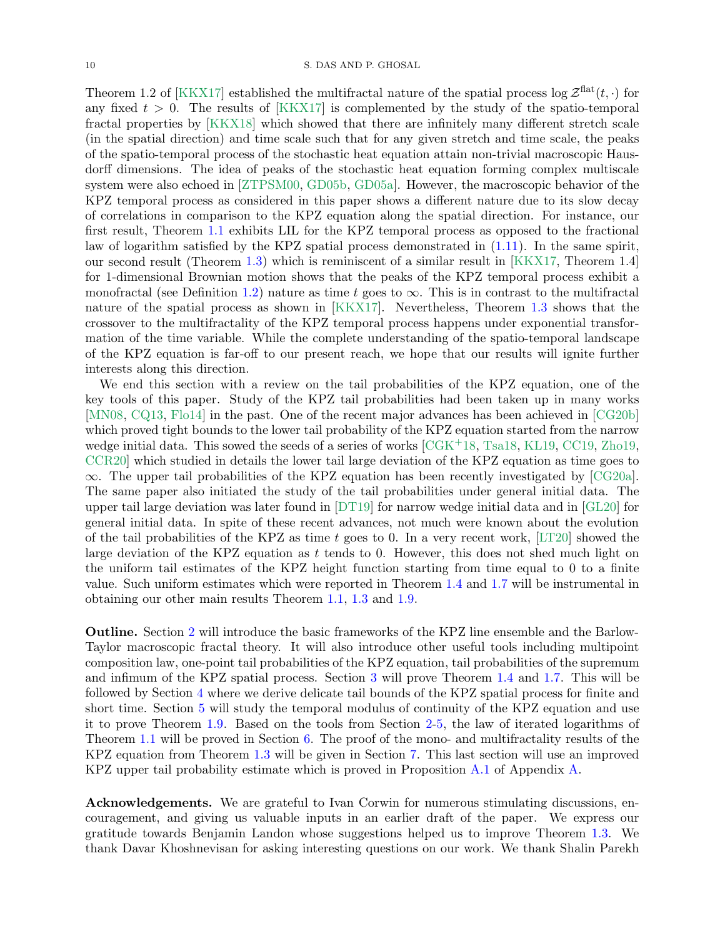Theorem 1.2 of [\[KKX17\]](#page-56-0) established the multifractal nature of the spatial process log  $\mathcal{Z}^{\text{flat}}(t, \cdot)$  for any fixed  $t > 0$ . The results of [\[KKX17\]](#page-56-0) is complemented by the study of the spatio-temporal fractal properties by [\[KKX18\]](#page-56-19) which showed that there are infinitely many different stretch scale (in the spatial direction) and time scale such that for any given stretch and time scale, the peaks of the spatio-temporal process of the stochastic heat equation attain non-trivial macroscopic Hausdorff dimensions. The idea of peaks of the stochastic heat equation forming complex multiscale system were also echoed in [\[ZTPSM00,](#page-56-20) [GD05b,](#page-55-24) [GD05a\]](#page-55-25). However, the macroscopic behavior of the KPZ temporal process as considered in this paper shows a different nature due to its slow decay of correlations in comparison to the KPZ equation along the spatial direction. For instance, our first result, Theorem [1.1](#page-1-1) exhibits LIL for the KPZ temporal process as opposed to the fractional law of logarithm satisfied by the KPZ spatial process demonstrated in [\(1.11\)](#page-8-0). In the same spirit, our second result (Theorem [1.3\)](#page-3-2) which is reminiscent of a similar result in [\[KKX17,](#page-56-0) Theorem 1.4] for 1-dimensional Brownian motion shows that the peaks of the KPZ temporal process exhibit a monofractal (see Definition [1.2\)](#page-2-0) nature as time t goes to  $\infty$ . This is in contrast to the multifractal nature of the spatial process as shown in [\[KKX17\]](#page-56-0). Nevertheless, Theorem [1.3](#page-3-2) shows that the crossover to the multifractality of the KPZ temporal process happens under exponential transformation of the time variable. While the complete understanding of the spatio-temporal landscape of the KPZ equation is far-off to our present reach, we hope that our results will ignite further interests along this direction.

We end this section with a review on the tail probabilities of the KPZ equation, one of the key tools of this paper. Study of the KPZ tail probabilities had been taken up in many works [\[MN08,](#page-56-21) [CQ13,](#page-55-26) [Flo14\]](#page-55-4) in the past. One of the recent major advances has been achieved in [\[CG20b\]](#page-54-9) which proved tight bounds to the lower tail probability of the KPZ equation started from the narrow wedge initial data. This sowed the seeds of a series of works  $[CGK<sup>+</sup>18, Tsa18, KL19, CC19, Zho19,$  $[CGK<sup>+</sup>18, Tsa18, KL19, CC19, Zho19,$  $[CGK<sup>+</sup>18, Tsa18, KL19, CC19, Zho19,$  $[CGK<sup>+</sup>18, Tsa18, KL19, CC19, Zho19,$  $[CGK<sup>+</sup>18, Tsa18, KL19, CC19, Zho19,$  $[CGK<sup>+</sup>18, Tsa18, KL19, CC19, Zho19,$  $[CGK<sup>+</sup>18, Tsa18, KL19, CC19, Zho19,$  $[CGK<sup>+</sup>18, Tsa18, KL19, CC19, Zho19,$ [CCR20\]](#page-54-18) which studied in details the lower tail large deviation of the KPZ equation as time goes to  $\infty$ . The upper tail probabilities of the KPZ equation has been recently investigated by [\[CG20a\]](#page-54-8). The same paper also initiated the study of the tail probabilities under general initial data. The upper tail large deviation was later found in [\[DT19\]](#page-55-27) for narrow wedge initial data and in [\[GL20\]](#page-55-28) for general initial data. In spite of these recent advances, not much were known about the evolution of the tail probabilities of the KPZ as time t goes to 0. In a very recent work,  $[LT20]$  showed the large deviation of the KPZ equation as t tends to 0. However, this does not shed much light on the uniform tail estimates of the KPZ height function starting from time equal to 0 to a finite value. Such uniform estimates which were reported in Theorem [1.4](#page-4-1) and [1.7](#page-5-2) will be instrumental in obtaining our other main results Theorem [1.1,](#page-1-1) [1.3](#page-3-2) and [1.9.](#page-5-3)

Outline. Section [2](#page-10-0) will introduce the basic frameworks of the KPZ line ensemble and the Barlow-Taylor macroscopic fractal theory. It will also introduce other useful tools including multipoint composition law, one-point tail probabilities of the KPZ equation, tail probabilities of the supremum and infimum of the KPZ spatial process. Section [3](#page-17-1) will prove Theorem [1.4](#page-4-1) and [1.7.](#page-5-2) This will be followed by Section [4](#page-22-0) where we derive delicate tail bounds of the KPZ spatial process for finite and short time. Section [5](#page-28-1) will study the temporal modulus of continuity of the KPZ equation and use it to prove Theorem [1.9.](#page-5-3) Based on the tools from Section [2-](#page-10-0)[5,](#page-28-1) the law of iterated logarithms of Theorem [1.1](#page-1-1) will be proved in Section [6.](#page-37-0) The proof of the mono- and multifractality results of the KPZ equation from Theorem [1.3](#page-3-2) will be given in Section [7.](#page-43-0) This last section will use an improved KPZ upper tail probability estimate which is proved in Proposition [A.1](#page-51-0) of Appendix [A.](#page-51-2)

Acknowledgements. We are grateful to Ivan Corwin for numerous stimulating discussions, encouragement, and giving us valuable inputs in an earlier draft of the paper. We express our gratitude towards Benjamin Landon whose suggestions helped us to improve Theorem [1.3.](#page-3-2) We thank Davar Khoshnevisan for asking interesting questions on our work. We thank Shalin Parekh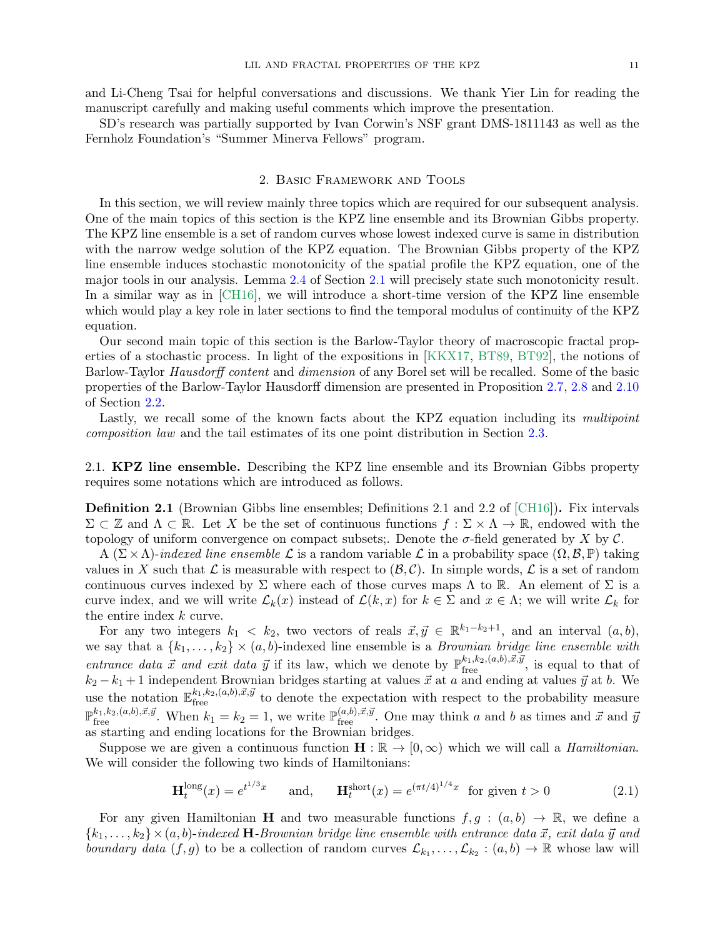and Li-Cheng Tsai for helpful conversations and discussions. We thank Yier Lin for reading the manuscript carefully and making useful comments which improve the presentation.

SD's research was partially supported by Ivan Corwin's NSF grant DMS-1811143 as well as the Fernholz Foundation's "Summer Minerva Fellows" program.

#### 2. Basic Framework and Tools

<span id="page-10-0"></span>In this section, we will review mainly three topics which are required for our subsequent analysis. One of the main topics of this section is the KPZ line ensemble and its Brownian Gibbs property. The KPZ line ensemble is a set of random curves whose lowest indexed curve is same in distribution with the narrow wedge solution of the KPZ equation. The Brownian Gibbs property of the KPZ line ensemble induces stochastic monotonicity of the spatial profile the KPZ equation, one of the major tools in our analysis. Lemma [2.4](#page-11-0) of Section [2.1](#page-10-1) will precisely state such monotonicity result. In a similar way as in [\[CH16\]](#page-55-1), we will introduce a short-time version of the KPZ line ensemble which would play a key role in later sections to find the temporal modulus of continuity of the KPZ equation.

Our second main topic of this section is the Barlow-Taylor theory of macroscopic fractal properties of a stochastic process. In light of the expositions in [\[KKX17,](#page-56-0) [BT89,](#page-54-19) [BT92\]](#page-54-20), the notions of Barlow-Taylor Hausdorff content and dimension of any Borel set will be recalled. Some of the basic properties of the Barlow-Taylor Hausdorff dimension are presented in Proposition [2.7,](#page-13-0) [2.8](#page-13-1) and [2.10](#page-13-2) of Section [2.2.](#page-12-2)

Lastly, we recall some of the known facts about the KPZ equation including its multipoint composition law and the tail estimates of its one point distribution in Section [2.3.](#page-13-3)

<span id="page-10-1"></span>2.1. **KPZ line ensemble.** Describing the KPZ line ensemble and its Brownian Gibbs property requires some notations which are introduced as follows.

Definition 2.1 (Brownian Gibbs line ensembles; Definitions 2.1 and 2.2 of [\[CH16\]](#page-55-1)). Fix intervals  $\Sigma \subset \mathbb{Z}$  and  $\Lambda \subset \mathbb{R}$ . Let X be the set of continuous functions  $f : \Sigma \times \Lambda \to \mathbb{R}$ , endowed with the topology of uniform convergence on compact subsets;. Denote the  $\sigma$ -field generated by X by C.

A  $(\Sigma \times \Lambda)$ -indexed line ensemble  $\mathcal L$  is a random variable  $\mathcal L$  in a probability space  $(\Omega, \mathcal B, \mathbb P)$  taking values in X such that  $\mathcal L$  is measurable with respect to  $(\mathcal B, \mathcal C)$ . In simple words,  $\mathcal L$  is a set of random continuous curves indexed by  $\Sigma$  where each of those curves maps  $\Lambda$  to  $\mathbb R$ . An element of  $\Sigma$  is a curve index, and we will write  $\mathcal{L}_k(x)$  instead of  $\mathcal{L}(k, x)$  for  $k \in \Sigma$  and  $x \in \Lambda$ ; we will write  $\mathcal{L}_k$  for the entire index k curve.

For any two integers  $k_1 < k_2$ , two vectors of reals  $\vec{x}, \vec{y} \in \mathbb{R}^{k_1-k_2+1}$ , and an interval  $(a, b)$ , we say that a  $\{k_1, \ldots, k_2\} \times (a, b)$ -indexed line ensemble is a *Brownian bridge line ensemble with* entrance data  $\vec{x}$  and exit data  $\vec{y}$  if its law, which we denote by  $\mathbb{P}^{k_1,k_2,(a,b),\vec{x},\vec{y}}_{\text{free}}$ , is equal to that of  $k_2 - k_1 + 1$  independent Brownian bridges starting at values  $\vec{x}$  at a and ending at values  $\vec{y}$  at b. We use the notation  $\mathbb{E}_{\text{free}}^{k_1,k_2,(a,b),\vec{x},\vec{y}}$  to denote the expectation with respect to the probability measure  $\mathbb{P}_{\text{free}}^{k_1,k_2,(a,b),\vec{x},\vec{y}}$ . When  $k_1 = k_2 = 1$ , we write  $\mathbb{P}_{\text{free}}^{(a,b),\vec{x},\vec{y}}$ . One may think a and b as times and  $\vec{x}$  and  $\vec{y}$ as starting and ending locations for the Brownian bridges.

Suppose we are given a continuous function  $\mathbf{H} : \mathbb{R} \to [0, \infty)$  which we will call a *Hamiltonian*. We will consider the following two kinds of Hamiltonians:

<span id="page-10-2"></span>
$$
\mathbf{H}_t^{\text{long}}(x) = e^{t^{1/3}x} \quad \text{and,} \quad \mathbf{H}_t^{\text{short}}(x) = e^{(\pi t/4)^{1/4}x} \text{ for given } t > 0 \tag{2.1}
$$

For any given Hamiltonian H and two measurable functions  $f, g : (a, b) \to \mathbb{R}$ , we define a  ${k_1,\ldots,k_2} \times (a, b)$ -indexed **H**-Brownian bridge line ensemble with entrance data  $\vec{x}$ , exit data  $\vec{y}$  and boundary data  $(f, g)$  to be a collection of random curves  $\mathcal{L}_{k_1}, \ldots, \mathcal{L}_{k_2} : (a, b) \to \mathbb{R}$  whose law will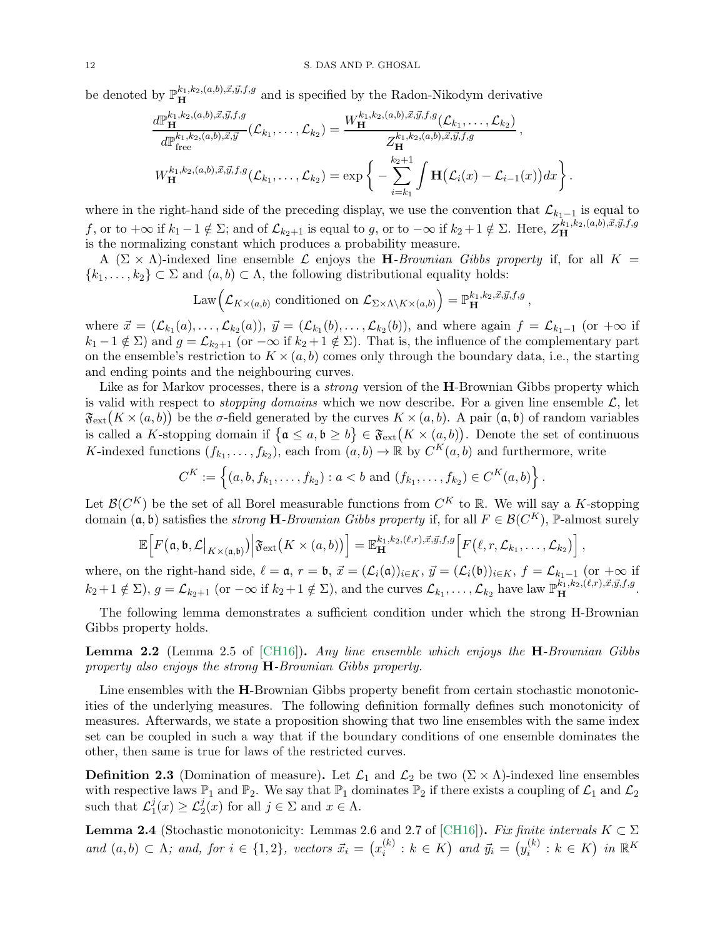be denoted by  $\mathbb{P}^{k_1,k_2,(a,b),\vec{x},\vec{y},f,g}_{\mathbf{H}}$  and is specified by the Radon-Nikodym derivative

$$
\frac{d\mathbb{P}^{k_1,k_2,(a,b),\vec{x},\vec{y},f,g}_{\mathbf{H}}(\mathcal{L}_{k_1},\ldots,\mathcal{L}_{k_2})}{d\mathbb{P}^{k_1,k_2,(a,b),\vec{x},\vec{y}}_{\text{free}}}(\mathcal{L}_{k_1},\ldots,\mathcal{L}_{k_2}) = \frac{W_{\mathbf{H}}^{k_1,k_2,(a,b),\vec{x},\vec{y},f,g}(\mathcal{L}_{k_1},\ldots,\mathcal{L}_{k_2})}{Z_{\mathbf{H}}^{k_1,k_2,(a,b),\vec{x},\vec{y},f,g}} ,
$$
\n
$$
W_{\mathbf{H}}^{k_1,k_2,(a,b),\vec{x},\vec{y},f,g}(\mathcal{L}_{k_1},\ldots,\mathcal{L}_{k_2}) = \exp\left\{-\sum_{i=k_1}^{k_2+1} \int \mathbf{H}\big(\mathcal{L}_i(x) - \mathcal{L}_{i-1}(x)\big)dx\right\}.
$$

where in the right-hand side of the preceding display, we use the convention that  $\mathcal{L}_{k_1-1}$  is equal to f, or to  $+\infty$  if  $k_1 - 1 \notin \Sigma$ ; and of  $\mathcal{L}_{k_2+1}$  is equal to g, or to  $-\infty$  if  $k_2 + 1 \notin \Sigma$ . Here,  $Z_{\mathbf{H}}^{k_1,k_2,(a,b),\vec{x},\vec{y},f,g}$ is the normalizing constant which produces a probability measure.

A ( $\Sigma \times \Lambda$ )-indexed line ensemble L enjoys the H-Brownian Gibbs property if, for all K =  ${k_1, \ldots, k_2} \subset \Sigma$  and  $(a, b) \subset \Lambda$ , the following distributional equality holds:

Law
$$
\left(\mathcal{L}_{K\times(a,b)}
$$
 conditioned on  $\mathcal{L}_{\Sigma\times\Lambda\setminus K\times(a,b)}\right) = \mathbb{P}^{k_1,k_2,\vec{x},\vec{y},f,g}_{\mathbf{H}},$ 

where  $\vec{x} = (\mathcal{L}_{k_1}(a), \dots, \mathcal{L}_{k_2}(a)), \ \vec{y} = (\mathcal{L}_{k_1}(b), \dots, \mathcal{L}_{k_2}(b)),$  and where again  $f = \mathcal{L}_{k_1-1}$  (or  $+\infty$  if  $k_1 - 1 \notin \Sigma$ ) and  $g = \mathcal{L}_{k_2+1}$  (or  $-\infty$  if  $k_2 + 1 \notin \Sigma$ ). That is, the influence of the complementary part on the ensemble's restriction to  $K \times (a, b)$  comes only through the boundary data, i.e., the starting and ending points and the neighbouring curves.

Like as for Markov processes, there is a *strong* version of the **H**-Brownian Gibbs property which is valid with respect to *stopping domains* which we now describe. For a given line ensemble  $\mathcal{L}$ , let  $\mathfrak{F}_{ext}(K \times (a, b))$  be the  $\sigma$ -field generated by the curves  $K \times (a, b)$ . A pair  $(a, b)$  of random variables is called a K-stopping domain if  $\{a \le a, b \ge b\} \in \mathfrak{F}_{ext}(K \times (a, b))$ . Denote the set of continuous K-indexed functions  $(f_{k_1},...,f_{k_2})$ , each from  $(a,b) \to \mathbb{R}$  by  $C^K(a,b)$  and furthermore, write

$$
C^K := \left\{ (a, b, f_{k_1}, \ldots, f_{k_2}) : a < b \text{ and } (f_{k_1}, \ldots, f_{k_2}) \in C^K(a, b) \right\}.
$$

Let  $\mathcal{B}(C^K)$  be the set of all Borel measurable functions from  $C^K$  to R. We will say a K-stopping domain  $(a, b)$  satisfies the *strong* **H**-Brownian Gibbs property if, for all  $F \in \mathcal{B}(C^K)$ , P-almost surely

$$
\mathbb{E}\Big[F\big(\mathfrak{a},\mathfrak{b},\mathcal{L}\big|_{K\times(\mathfrak{a},\mathfrak{b})}\big)\Big|\mathfrak{F}_{\rm ext}\big(K\times(a,b)\big)\Big]=\mathbb{E}_{\mathbf{H}}^{k_1,k_2,(\ell,r),\vec{x},\vec{y},f,g}\Big[F\big(\ell,r,\mathcal{L}_{k_1},\ldots,\mathcal{L}_{k_2}\big)\Big],
$$

where, on the right-hand side,  $\ell = \mathfrak{a}$ ,  $r = \mathfrak{b}$ ,  $\vec{x} = (\mathcal{L}_i(\mathfrak{a}))_{i \in K}$ ,  $\vec{y} = (\mathcal{L}_i(\mathfrak{b}))_{i \in K}$ ,  $f = \mathcal{L}_{k_1-1}$  (or  $+\infty$  if  $k_2 + 1 \notin \Sigma$ ),  $g = \mathcal{L}_{k_2+1}$  (or  $-\infty$  if  $k_2 + 1 \notin \Sigma$ ), and the curves  $\mathcal{L}_{k_1}, \ldots, \mathcal{L}_{k_2}$  have law  $\mathbb{P}^{k_1, k_2, (\ell, r), \vec{x}, \vec{y}, f, g}_{\mathbf{H}}$ .

The following lemma demonstrates a sufficient condition under which the strong H-Brownian Gibbs property holds.

**Lemma 2.2** (Lemma 2.5 of  $[CH16]$ ). Any line ensemble which enjoys the  $H$ -Brownian Gibbs property also enjoys the strong H-Brownian Gibbs property.

Line ensembles with the **H**-Brownian Gibbs property benefit from certain stochastic monotonicities of the underlying measures. The following definition formally defines such monotonicity of measures. Afterwards, we state a proposition showing that two line ensembles with the same index set can be coupled in such a way that if the boundary conditions of one ensemble dominates the other, then same is true for laws of the restricted curves.

**Definition 2.3** (Domination of measure). Let  $\mathcal{L}_1$  and  $\mathcal{L}_2$  be two  $(\Sigma \times \Lambda)$ -indexed line ensembles with respective laws  $\mathbb{P}_1$  and  $\mathbb{P}_2$ . We say that  $\mathbb{P}_1$  dominates  $\mathbb{P}_2$  if there exists a coupling of  $\mathcal{L}_1$  and  $\mathcal{L}_2$ such that  $\mathcal{L}_1^j$  $\mathcal{L}_1^j(x) \geq \mathcal{L}_2^j(x)$  for all  $j \in \Sigma$  and  $x \in \Lambda$ .

<span id="page-11-0"></span>**Lemma 2.4** (Stochastic monotonicity: Lemmas 2.6 and 2.7 of [\[CH16\]](#page-55-1)). Fix finite intervals  $K \subset \Sigma$ and  $(a, b) \subset \Lambda$ ; and, for  $i \in \{1, 2\}$ , vectors  $\vec{x}_i = (x_i^{(k)})$  $i^{(k)}$  :  $k \in K$ ) and  $\vec{y}_i = (y_i^{(k)})$  $i^{(k)}: k \in K$  in  $\mathbb{R}^K$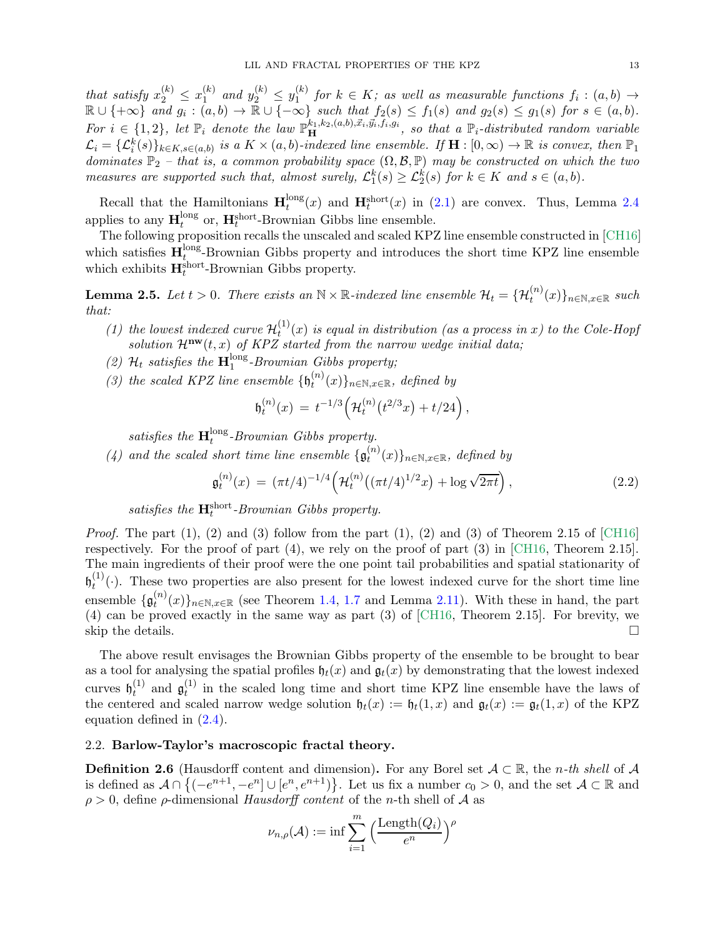that satisfy  $x_2^{(k)} \n\t\leq x_1^{(k)}$  $\sum_{1}^{(k)}$  and  $y_{2}^{(k)} \leq y_{1}^{(k)}$  $f_1^{(k)}$  for  $k \in K$ ; as well as measurable functions  $f_i : (a, b) \rightarrow$  $\mathbb{R} \cup \{+\infty\}$  and  $g_i : (a, b) \to \overline{\mathbb{R}} \cup \{-\infty\}$  such that  $f_2(s) \leq f_1(s)$  and  $g_2(s) \leq g_1(s)$  for  $s \in (a, b)$ . For  $i \in \{1,2\}$ , let  $\mathbb{P}_i$  denote the law  $\mathbb{P}^{k_1,k_2,(a,b),\vec{x}_i,\vec{y}_i,f_i,g_i}_{\text{H}}$ , so that a  $\mathbb{P}_i$ -distributed random variable  $\mathcal{L}_i = {\{\mathcal{L}_i^k(s)\}_{k \in K, s \in (a,b)}}$  is a  $K \times (a, b)$ -indexed line ensemble. If  $\mathbf{H} : [0, \infty) \to \mathbb{R}$  is convex, then  $\mathbb{P}_1$ dominates  $\mathbb{P}_2$  – that is, a common probability space  $(\Omega, \mathcal{B}, \mathbb{P})$  may be constructed on which the two measures are supported such that, almost surely,  $\mathcal{L}_1^k(s) \geq \mathcal{L}_2^k(s)$  for  $k \in K$  and  $s \in (a, b)$ .

Recall that the Hamiltonians  $\mathbf{H}_t^{\text{long}}$  $t_t^{\text{long}}(x)$  and  $\mathbf{H}_t^{\text{short}}(x)$  in [\(2.1\)](#page-10-2) are convex. Thus, Lemma [2.4](#page-11-0) applies to any  $\mathbf{H}_t^{\text{long}}$  $t_t^{\text{long}}$  or,  $\mathbf{H}_t^{\text{short}}$ -Brownian Gibbs line ensemble.

The following proposition recalls the unscaled and scaled KPZ line ensemble constructed in [\[CH16\]](#page-55-1) which satisfies  $\mathbf{H}_t^{\text{long}}$  $t_1^{\text{long}}$ -Brownian Gibbs property and introduces the short time KPZ line ensemble which exhibits  $\mathbf{H}^{\text{short}}_t$ -Brownian Gibbs property.

<span id="page-12-1"></span>**Lemma 2.5.** Let  $t > 0$ . There exists an  $N \times \mathbb{R}$ -indexed line ensemble  $\mathcal{H}_t = {\mathcal{H}_t^{(n)}(x)}_{n \in \mathbb{N}, x \in \mathbb{R}}$  such that:

- (1) the lowest indexed curve  $\mathcal{H}_t^{(1)}$  $t^{(1)}(x)$  is equal in distribution (as a process in x) to the Cole-Hopf solution  $\mathcal{H}^{\mathbf{nw}}(t,x)$  of KPZ started from the narrow wedge initial data;
- (2)  $\mathcal{H}_t$  satisfies the  $\mathbf{H}_1^{\text{long}}$  $_{1}^{\text{long}}$ -Brownian Gibbs property;
- (3) the scaled KPZ line ensemble  $\{\mathfrak{h}_t^{(n)}\}$  $t^{(n)}(x)\}_{n\in\mathbb{N},x\in\mathbb{R}}$ , defined by

<span id="page-12-3"></span>
$$
\mathfrak{h}_t^{(n)}(x) \, = \, t^{-1/3} \Big( \mathcal{H}_t^{(n)} \big( t^{2/3} x \big) + t/24 \Big) \, ,
$$

satisfies the  $\mathbf{H}^{\text{long}}_t$  $t_t^{\text{long}}$ -Brownian Gibbs property.

(4) and the scaled short time line ensemble  $\{\mathfrak{g}^{(n)}_t\}$  $t^{(n)}(x)\}_{n\in\mathbb{N},x\in\mathbb{R}}$ , defined by

$$
\mathfrak{g}_t^{(n)}(x) = (\pi t/4)^{-1/4} \left( \mathcal{H}_t^{(n)} \left( (\pi t/4)^{1/2} x \right) + \log \sqrt{2\pi t} \right),\tag{2.2}
$$

satisfies the  $\mathbf{H}_t^{\text{short}}$ -Brownian Gibbs property.

*Proof.* The part  $(1)$ ,  $(2)$  and  $(3)$  follow from the part  $(1)$ ,  $(2)$  and  $(3)$  of Theorem 2.15 of  $\lbrack \text{CH16} \rbrack$ respectively. For the proof of part (4), we rely on the proof of part (3) in [\[CH16,](#page-55-1) Theorem 2.15]. The main ingredients of their proof were the one point tail probabilities and spatial stationarity of  $\mathfrak{h}_t^{(1)}$  $t^{(1)}(.)$ . These two properties are also present for the lowest indexed curve for the short time line ensemble  $\{\mathfrak{g}_t^{(n)}\}$  $\{u^{(n)}(x)\}_{n\in\mathbb{N},x\in\mathbb{R}}$  (see Theorem [1.4,](#page-4-1) [1.7](#page-5-2) and Lemma [2.11\)](#page-14-1). With these in hand, the part (4) can be proved exactly in the same way as part (3) of [\[CH16,](#page-55-1) Theorem 2.15]. For brevity, we skip the details.

The above result envisages the Brownian Gibbs property of the ensemble to be brought to bear as a tool for analysing the spatial profiles  $\mathfrak{h}_t(x)$  and  $\mathfrak{g}_t(x)$  by demonstrating that the lowest indexed curves  $\mathfrak{h}_t^{(1)}$  $t^{(1)}$  and  $\mathfrak{g}^{(1)}_t$  $t<sup>(1)</sup>$  in the scaled long time and short time KPZ line ensemble have the laws of the centered and scaled narrow wedge solution  $\mathfrak{h}_t(x) := \mathfrak{h}_t(1,x)$  and  $\mathfrak{g}_t(x) := \mathfrak{g}_t(1,x)$  of the KPZ equation defined in [\(2.4\)](#page-13-4).

## <span id="page-12-2"></span>2.2. Barlow-Taylor's macroscopic fractal theory.

<span id="page-12-0"></span>**Definition 2.6** (Hausdorff content and dimension). For any Borel set  $A \subset \mathbb{R}$ , the *n*-th shell of A is defined as  $\mathcal{A} \cap \{(-e^{n+1}, -e^n] \cup [e^n, e^{n+1})\}$ . Let us fix a number  $c_0 > 0$ , and the set  $\mathcal{A} \subset \mathbb{R}$  and  $\rho > 0$ , define  $\rho$ -dimensional Hausdorff content of the n-th shell of A as

$$
\nu_{n,\rho}(\mathcal{A}) := \inf \sum_{i=1}^m \Big(\frac{\text{Length}(Q_i)}{e^n}\Big)^{\rho}
$$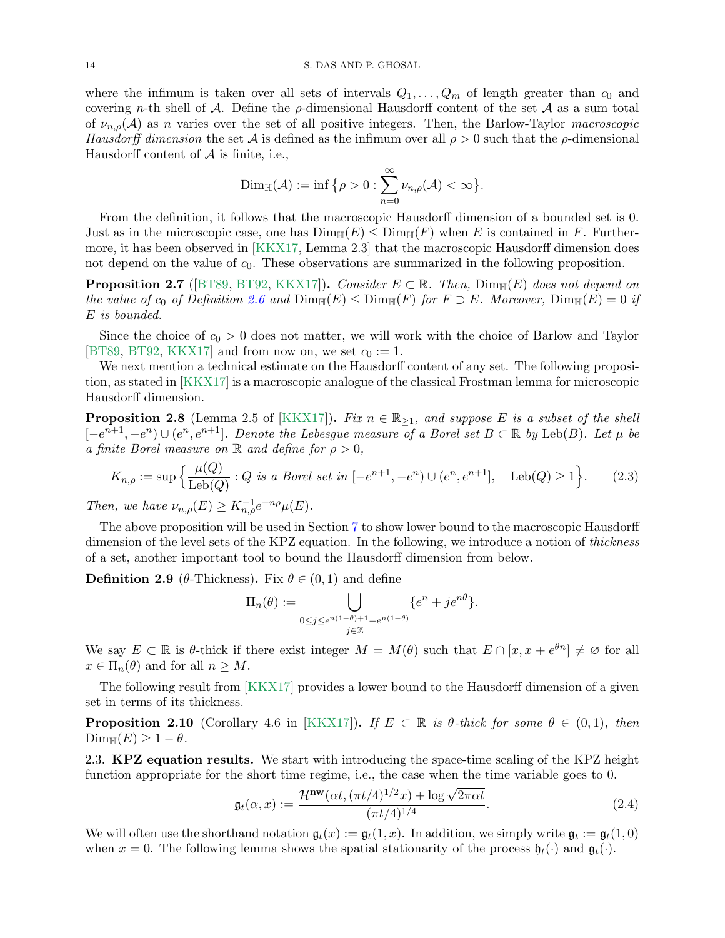where the infimum is taken over all sets of intervals  $Q_1, \ldots, Q_m$  of length greater than  $c_0$  and covering n-th shell of A. Define the  $\rho$ -dimensional Hausdorff content of the set A as a sum total of  $\nu_{n,\rho}(\mathcal{A})$  as n varies over the set of all positive integers. Then, the Barlow-Taylor macroscopic Hausdorff dimension the set A is defined as the infimum over all  $\rho > 0$  such that the  $\rho$ -dimensional Hausdorff content of  $A$  is finite, i.e.,

$$
\text{Dim}_{\mathbb{H}}(\mathcal{A}) := \inf \big\{ \rho > 0 : \sum_{n=0}^{\infty} \nu_{n,\rho}(\mathcal{A}) < \infty \big\}.
$$

From the definition, it follows that the macroscopic Hausdorff dimension of a bounded set is 0. Just as in the microscopic case, one has  $\text{Dim}_{\mathbb{H}}(E) \leq \text{Dim}_{\mathbb{H}}(F)$  when E is contained in F. Furthermore, it has been observed in [\[KKX17,](#page-56-0) Lemma 2.3] that the macroscopic Hausdorff dimension does not depend on the value of  $c_0$ . These observations are summarized in the following proposition.

<span id="page-13-0"></span>**Proposition 2.7** ([\[BT89,](#page-54-19) [BT92,](#page-54-20) [KKX17\]](#page-56-0)). Consider  $E \subset \mathbb{R}$ . Then,  $Dim_{\mathbb{H}}(E)$  does not depend on the value of  $c_0$  of Definition [2.6](#page-12-0) and  $Dim_{\mathbb{H}}(E) \leq Dim_{\mathbb{H}}(F)$  for  $F \supset E$ . Moreover,  $Dim_{\mathbb{H}}(E) = 0$  if E is bounded.

Since the choice of  $c_0 > 0$  does not matter, we will work with the choice of Barlow and Taylor [\[BT89,](#page-54-19) [BT92,](#page-54-20) [KKX17\]](#page-56-0) and from now on, we set  $c_0 := 1$ .

We next mention a technical estimate on the Hausdorff content of any set. The following proposition, as stated in [\[KKX17\]](#page-56-0) is a macroscopic analogue of the classical Frostman lemma for microscopic Hausdorff dimension.

<span id="page-13-1"></span>**Proposition 2.8** (Lemma 2.5 of [\[KKX17\]](#page-56-0)). Fix  $n \in \mathbb{R}_{\geq 1}$ , and suppose E is a subset of the shell  $[-e^{n+1}, -e^n] \cup (e^n, e^{n+1}]$ . Denote the Lebesgue measure of a Borel set  $B \subset \mathbb{R}$  by Leb(B). Let  $\mu$  be a finite Borel measure on  $\mathbb R$  and define for  $\rho > 0$ ,

$$
K_{n,\rho} := \sup \left\{ \frac{\mu(Q)}{\text{Leb}(Q)} : Q \text{ is a Borel set in } [-e^{n+1}, -e^n) \cup (e^n, e^{n+1}], \quad \text{Leb}(Q) \ge 1 \right\}. \tag{2.3}
$$

Then, we have  $\nu_{n,\rho}(E) \geq K_{n,\rho}^{-1} e^{-n\rho} \mu(E)$ .

The above proposition will be used in Section [7](#page-43-0) to show lower bound to the macroscopic Hausdorff dimension of the level sets of the KPZ equation. In the following, we introduce a notion of *thickness* of a set, another important tool to bound the Hausdorff dimension from below.

<span id="page-13-6"></span>**Definition 2.9** ( $\theta$ -Thickness). Fix  $\theta \in (0,1)$  and define

<span id="page-13-5"></span>
$$
\Pi_n(\theta) := \bigcup_{\substack{0 \le j \le e^{n(1-\theta)+1} - e^{n(1-\theta)}}} \{e^n + je^{n\theta}\}.
$$

We say  $E \subset \mathbb{R}$  is  $\theta$ -thick if there exist integer  $M = M(\theta)$  such that  $E \cap [x, x + e^{\theta n}] \neq \emptyset$  for all  $x \in \Pi_n(\theta)$  and for all  $n \geq M$ .

The following result from [\[KKX17\]](#page-56-0) provides a lower bound to the Hausdorff dimension of a given set in terms of its thickness.

<span id="page-13-2"></span>**Proposition 2.10** (Corollary 4.6 in [\[KKX17\]](#page-56-0)). If  $E \subset \mathbb{R}$  is  $\theta$ -thick for some  $\theta \in (0,1)$ , then  $\text{Dim}_{\mathbb{H}}(E) \geq 1 - \theta$ .

<span id="page-13-3"></span>2.3. **KPZ equation results.** We start with introducing the space-time scaling of the KPZ height function appropriate for the short time regime, i.e., the case when the time variable goes to 0.

<span id="page-13-4"></span>
$$
\mathfrak{g}_t(\alpha, x) := \frac{\mathcal{H}^{\mathbf{nw}}(\alpha t, (\pi t/4)^{1/2} x) + \log \sqrt{2\pi \alpha t}}{(\pi t/4)^{1/4}}.
$$
\n(2.4)

We will often use the shorthand notation  $\mathfrak{g}_t(x) := \mathfrak{g}_t(1,x)$ . In addition, we simply write  $\mathfrak{g}_t := \mathfrak{g}_t(1,0)$ when  $x = 0$ . The following lemma shows the spatial stationarity of the process  $\mathfrak{h}_t(\cdot)$  and  $\mathfrak{g}_t(\cdot)$ .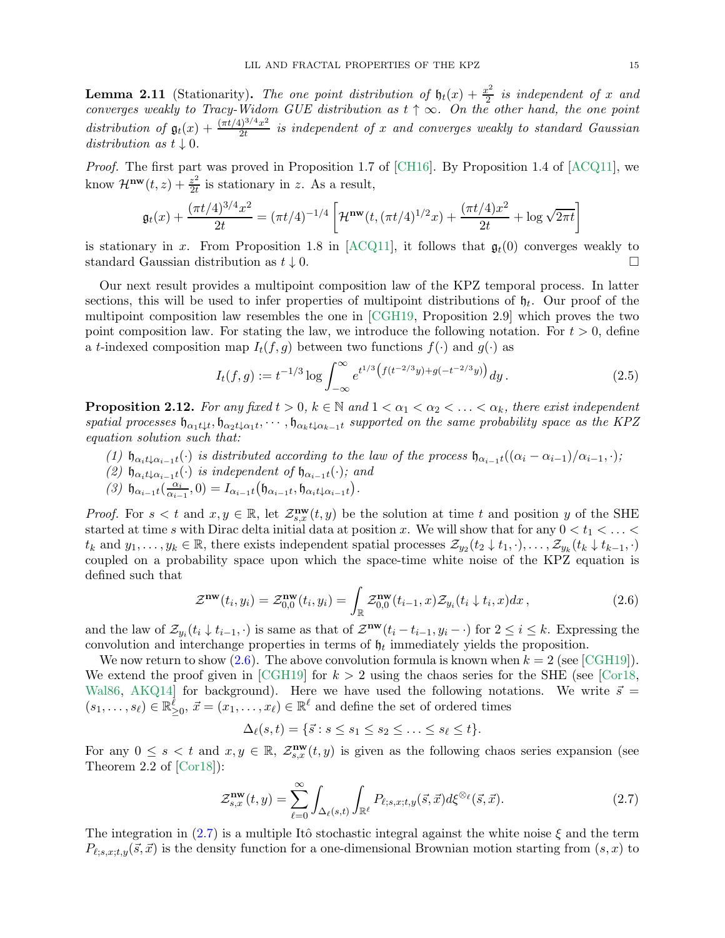<span id="page-14-1"></span>**Lemma 2.11** (Stationarity). The one point distribution of  $\mathfrak{h}_t(x) + \frac{x^2}{2}$  $\frac{c^2}{2}$  is independent of x and converges weakly to Tracy-Widom GUE distribution as  $t \uparrow \infty$ . On the other hand, the one point distribution of  $\mathfrak{g}_t(x) + \frac{(\pi t/4)^{3/4}x^2}{2t}$  $\frac{1}{2t}$  is independent of x and converges weakly to standard Gaussian distribution as  $t \downarrow 0$ .

Proof. The first part was proved in Proposition 1.7 of [\[CH16\]](#page-55-1). By Proposition 1.4 of [\[ACQ11\]](#page-54-7), we know  $\mathcal{H}^{\mathbf{nw}}(t,z)+\frac{z^2}{2t}$  $\frac{z^2}{2t}$  is stationary in z. As a result,

$$
\mathfrak{g}_t(x) + \frac{(\pi t/4)^{3/4}x^2}{2t} = (\pi t/4)^{-1/4} \left[ \mathcal{H}^{\mathbf{nw}}(t, (\pi t/4)^{1/2}x) + \frac{(\pi t/4)x^2}{2t} + \log \sqrt{2\pi t} \right]
$$

is stationary in x. From Proposition 1.8 in [\[ACQ11\]](#page-54-7), it follows that  $\mathfrak{g}_t(0)$  converges weakly to standard Gaussian distribution as  $t \downarrow 0$ .

Our next result provides a multipoint composition law of the KPZ temporal process. In latter sections, this will be used to infer properties of multipoint distributions of  $\mathfrak{h}_t$ . Our proof of the multipoint composition law resembles the one in [\[CGH19,](#page-54-0) Proposition 2.9] which proves the two point composition law. For stating the law, we introduce the following notation. For  $t > 0$ , define a t-indexed composition map  $I_t(f,g)$  between two functions  $f(\cdot)$  and  $g(\cdot)$  as

<span id="page-14-4"></span>
$$
I_t(f,g) := t^{-1/3} \log \int_{-\infty}^{\infty} e^{t^{1/3} \left( f(t^{-2/3}y) + g(-t^{-2/3}y) \right)} dy.
$$
 (2.5)

<span id="page-14-0"></span>**Proposition 2.12.** For any fixed  $t > 0$ ,  $k \in \mathbb{N}$  and  $1 < \alpha_1 < \alpha_2 < \ldots < \alpha_k$ , there exist independent spatial processes  $\mathfrak{h}_{\alpha_1 t\downarrow t}$ ,  $\mathfrak{h}_{\alpha_2 t\downarrow \alpha_1 t}$ ,  $\cdots$ ,  $\mathfrak{h}_{\alpha_k t\downarrow \alpha_{k-1} t}$  supported on the same probability space as the KPZ equation solution such that:

- (1)  $\mathfrak{h}_{\alpha_i t \downarrow \alpha_{i-1} t}(\cdot)$  is distributed according to the law of the process  $\mathfrak{h}_{\alpha_{i-1} t}((\alpha_i \alpha_{i-1})/\alpha_{i-1}, \cdot);$
- (2)  $\mathfrak{h}_{\alpha_i t \downarrow \alpha_{i-1} t}(\cdot)$  is independent of  $\mathfrak{h}_{\alpha_{i-1} t}(\cdot)$ ; and
- (3)  $\mathfrak{h}_{\alpha_{i-1}t}(\frac{\alpha_i}{\alpha_i-1})$  $\frac{\alpha_i}{\alpha_{i-1}}, 0) = I_{\alpha_{i-1}t}(\mathfrak{h}_{\alpha_{i-1}t}, \mathfrak{h}_{\alpha_i t\downarrow \alpha_{i-1}t}).$

*Proof.* For  $s < t$  and  $x, y \in \mathbb{R}$ , let  $\mathcal{Z}_{s,x}^{\mathbf{nw}}(t, y)$  be the solution at time t and position y of the SHE started at time s with Dirac delta initial data at position x. We will show that for any  $0 < t_1 < \ldots <$  $t_k$  and  $y_1, \ldots, y_k \in \mathbb{R}$ , there exists independent spatial processes  $\mathcal{Z}_{y_2}(t_2 \downarrow t_1, \cdot), \ldots, \mathcal{Z}_{y_k}(t_k \downarrow t_{k-1}, \cdot)$ coupled on a probability space upon which the space-time white noise of the KPZ equation is defined such that

$$
\mathcal{Z}^{\mathbf{nw}}(t_i, y_i) = \mathcal{Z}_{0,0}^{\mathbf{nw}}(t_i, y_i) = \int_{\mathbb{R}} \mathcal{Z}_{0,0}^{\mathbf{nw}}(t_{i-1}, x) \mathcal{Z}_{y_i}(t_i \downarrow t_i, x) dx , \qquad (2.6)
$$

and the law of  $\mathcal{Z}_{y_i}(t_i \downarrow t_{i-1},\cdot)$  is same as that of  $\mathcal{Z}^{\mathbf{nw}}(t_i - t_{i-1}, y_i - \cdot)$  for  $2 \leq i \leq k$ . Expressing the convolution and interchange properties in terms of  $\mathfrak{h}_t$  immediately yields the proposition.

We now return to show  $(2.6)$ . The above convolution formula is known when  $k = 2$  (see [\[CGH19\]](#page-54-0)). We extend the proof given in [\[CGH19\]](#page-54-0) for  $k > 2$  using the chaos series for the SHE (see [\[Cor18,](#page-55-5) [Wal86,](#page-56-6) AKQ14 for background). Here we have used the following notations. We write  $\vec{s}$  =  $(s_1,\ldots,s_\ell)\in\mathbb{R}^{\tilde{\ell}}_{\geq 0},\ \vec{x}=(x_1,\ldots,x_\ell)\in\mathbb{R}^\ell$  and define the set of ordered times

<span id="page-14-3"></span><span id="page-14-2"></span>
$$
\Delta_{\ell}(s,t) = \{\vec{s} : s \leq s_1 \leq s_2 \leq \ldots \leq s_{\ell} \leq t\}.
$$

For any  $0 \leq s \leq t$  and  $x, y \in \mathbb{R}$ ,  $\mathcal{Z}_{s,x}^{\mathbf{nw}}(t,y)$  is given as the following chaos series expansion (see Theorem 2.2 of [\[Cor18\]](#page-55-5)):

$$
\mathcal{Z}_{s,x}^{\mathbf{nw}}(t,y) = \sum_{\ell=0}^{\infty} \int_{\Delta_{\ell}(s,t)} \int_{\mathbb{R}^{\ell}} P_{\ell;s,x;t,y}(\vec{s},\vec{x}) d\xi^{\otimes_{\ell}}(\vec{s},\vec{x}). \tag{2.7}
$$

The integration in [\(2.7\)](#page-14-3) is a multiple Itô stochastic integral against the white noise  $\xi$  and the term  $P_{\ell,s,x;t,y}(\vec{s},\vec{x})$  is the density function for a one-dimensional Brownian motion starting from  $(s,x)$  to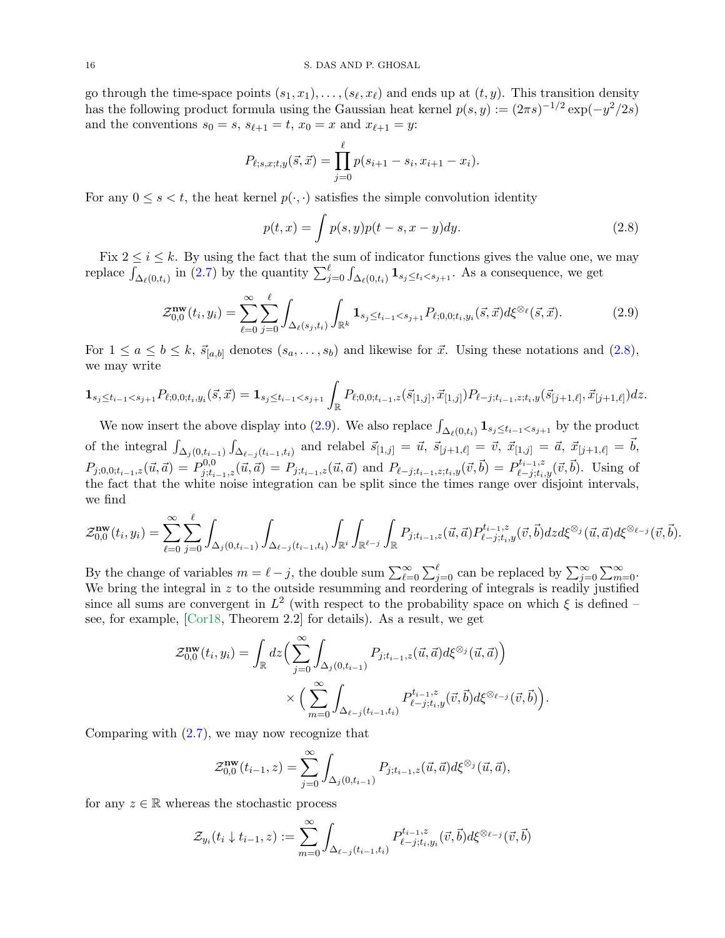go through the time-space points  $(s_1, x_1), \ldots, (s_\ell, x_\ell)$  and ends up at  $(t, y)$ . This transition density has the following product formula using the Gaussian heat kernel  $p(s, y) := (2\pi s)^{-1/2} \exp(-y^2/2s)$ and the conventions  $s_0 = s$ ,  $s_{\ell+1} = t$ ,  $x_0 = x$  and  $x_{\ell+1} = y$ :

$$
P_{\ell;s,x;t,y}(\vec{s},\vec{x}) = \prod_{j=0}^{\ell} p(s_{i+1} - s_i, x_{i+1} - x_i).
$$

For any  $0 \leq s \leq t$ , the heat kernel  $p(\cdot, \cdot)$  satisfies the simple convolution identity

<span id="page-15-1"></span><span id="page-15-0"></span>
$$
p(t,x) = \int p(s,y)p(t-s,x-y)dy.
$$
\n(2.8)

Fix  $2 \leq i \leq k$ . By using the fact that the sum of indicator functions gives the value one, we may replace  $\int_{\Delta_{\ell}(0,t_i)}$  in [\(2.7\)](#page-14-3) by the quantity  $\sum_{j=0}^{\ell} \int_{\Delta_{\ell}(0,t_i)} \mathbf{1}_{s_j \leq t_i < s_{j+1}}$ . As a consequence, we get

$$
\mathcal{Z}_{0,0}^{\mathbf{nw}}(t_i, y_i) = \sum_{\ell=0}^{\infty} \sum_{j=0}^{\ell} \int_{\Delta_{\ell}(s_j, t_i)} \int_{\mathbb{R}^k} \mathbf{1}_{s_j \le t_{i-1} < s_{j+1}} P_{\ell;0,0; t_i, y_i}(\vec{s}, \vec{x}) d\xi^{\otimes_{\ell}}(\vec{s}, \vec{x}). \tag{2.9}
$$

For  $1 \le a \le b \le k$ ,  $\vec{s}_{[a,b]}$  denotes  $(s_a, \ldots, s_b)$  and likewise for  $\vec{x}$ . Using these notations and  $(2.8)$ , we may write

$$
\mathbf{1}_{s_j \leq t_{i-1} < s_{j+1}} P_{\ell;0,0;t_i,y_i}(\vec{s},\vec{x}) = \mathbf{1}_{s_j \leq t_{i-1} < s_{j+1}} \int_{\mathbb{R}} P_{\ell;0,0;t_{i-1},z}(\vec{s}_{[1,j]},\vec{x}_{[1,j]}) P_{\ell-j;t_{i-1},z;t_i,y}(\vec{s}_{[j+1,\ell]},\vec{x}_{[j+1,\ell]}) dz.
$$

We now insert the above display into [\(2.9\)](#page-15-1). We also replace  $\int_{\Delta_{\ell}(0,t_i)} \mathbf{1}_{s_j \leq t_{i-1} < s_{j+1}}$  by the product of the integral  $\int_{\Delta_j(0,t_{i-1})} \int_{\Delta_{\ell-j}(t_{i-1},t_i)}$  and relabel  $\vec{s}_{[1,j]} = \vec{u}, \ \vec{s}_{[j+1,\ell]} = \vec{v}, \ \vec{x}_{[1,j]} = \vec{a}, \ \vec{x}_{[j+1,\ell]} = \vec{b},$  $P_{j,0,0,t_{i-1},z}(\vec{u},\vec{a}) = P_{j,t_{i-1},z}^{0,0}(\vec{u},\vec{a}) = P_{j,t_{i-1},z}(\vec{u},\vec{a})$  and  $P_{\ell-j,t_{i-1},z;t_i,y}(\vec{v},\vec{b}) = P_{\ell-j,t_i,y}^{t_{i-1},z}(\vec{v},\vec{b})$ . Using of the fact that the white noise integration can be split since the times range over disjoint intervals, we find

$$
\mathcal{Z}_{0,0}^{\mathbf{nw}}(t_i, y_i) = \sum_{\ell=0}^{\infty} \sum_{j=0}^{\ell} \int_{\Delta_j(0, t_{i-1})} \int_{\Delta_{\ell-j}(t_{i-1}, t_i)} \int_{\mathbb{R}^i} \int_{\mathbb{R}^{\ell-j}} \int_{\mathbb{R}} P_{j; t_{i-1}, z}(\vec{u}, \vec{a}) P_{\ell-j; t_i, y}^{t_{i-1}, z}(\vec{v}, \vec{b}) dz d\xi^{\otimes j}(\vec{u}, \vec{a}) d\xi^{\otimes \ell-j}(\vec{v}, \vec{b}).
$$

By the change of variables  $m = \ell - j$ , the double sum  $\sum_{\ell=0}^{\infty} \sum_{j=0}^{\ell}$  can be replaced by  $\sum_{j=0}^{\infty} \sum_{m=0}^{\infty}$ . We bring the integral in  $z$  to the outside resumming and reordering of integrals is readily justified since all sums are convergent in  $L^2$  (with respect to the probability space on which  $\xi$  is defined – see, for example, [\[Cor18,](#page-55-5) Theorem 2.2] for details). As a result, we get

$$
\mathcal{Z}_{0,0}^{\mathbf{nw}}(t_i, y_i) = \int_{\mathbb{R}} dz \Big( \sum_{j=0}^{\infty} \int_{\Delta_j(0, t_{i-1})} P_{j; t_{i-1}, z}(\vec{u}, \vec{a}) d\xi^{\otimes_j}(\vec{u}, \vec{a}) \Big) \times \Big( \sum_{m=0}^{\infty} \int_{\Delta_{\ell-j}(t_{i-1}, t_i)} P_{\ell-j; t_i, y}^{t_{i-1}, z}(\vec{v}, \vec{b}) d\xi^{\otimes_{\ell-j}}(\vec{v}, \vec{b}) \Big).
$$

Comparing with  $(2.7)$ , we may now recognize that

$$
\mathcal{Z}_{0,0}^{\mathbf{nw}}(t_{i-1},z) = \sum_{j=0}^{\infty} \int_{\Delta_j(0,t_{i-1})} P_{j;t_{i-1},z}(\vec{u},\vec{a}) d\xi^{\otimes_j}(\vec{u},\vec{a}),
$$

for any  $z \in \mathbb{R}$  whereas the stochastic process

$$
\mathcal{Z}_{y_i}(t_i \downarrow t_{i-1}, z) := \sum_{m=0}^{\infty} \int_{\Delta_{\ell-j}(t_{i-1}, t_i)} P_{\ell-j;t_i,y_i}^{t_{i-1},z}(\vec{v}, \vec{b}) d\xi^{\otimes_{\ell-j}}(\vec{v}, \vec{b})
$$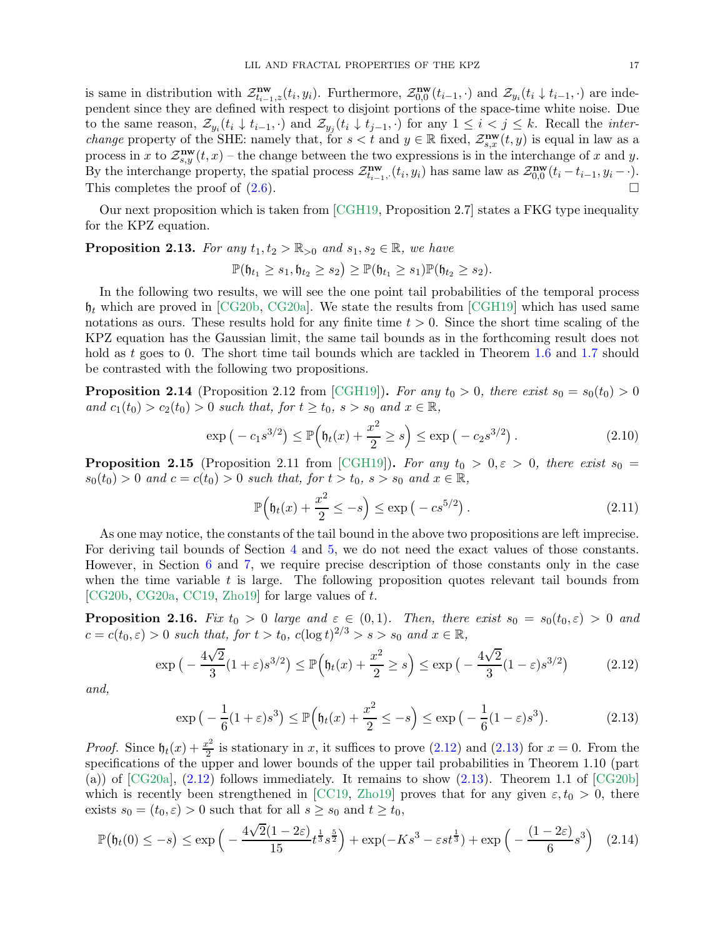is same in distribution with  $\mathcal{Z}_{t_{i-1},z}^{\mathbf{nw}}(t_i,y_i)$ . Furthermore,  $\mathcal{Z}_{0,0}^{\mathbf{nw}}$  $\lim_{0,0}(t_{i-1},\cdot)$  and  $\mathcal{Z}_{y_i}(t_i \downarrow t_{i-1},\cdot)$  are independent since they are defined with respect to disjoint portions of the space-time white noise. Due to the same reason,  $\mathcal{Z}_{y_i}(t_i \downarrow t_{i-1}, \cdot)$  and  $\mathcal{Z}_{y_j}(t_i \downarrow t_{j-1}, \cdot)$  for any  $1 \leq i < j \leq k$ . Recall the *interchange* property of the SHE: namely that, for  $s < t$  and  $y \in \mathbb{R}$  fixed,  $\mathcal{Z}_{s,x}^{\mathbf{nw}}(t,y)$  is equal in law as a process in x to  $\mathcal{Z}_{s,y}^{\mathbf{nw}}(t,x)$  – the change between the two expressions is in the interchange of x and y. By the interchange property, the spatial process  $\mathcal{Z}^{\mathbf{nw}}_{t_{i-1}}$  $\max_{t_{i-1},(t_i,y_i)}$  has same law as  $\mathcal{Z}_{0,0}^{\text{nw}}$  $\lim_{0,0}(t_i-t_{i-1},y_i-\cdot).$ This completes the proof of  $(2.6)$ .

Our next proposition which is taken from [\[CGH19,](#page-54-0) Proposition 2.7] states a FKG type inequality for the KPZ equation.

<span id="page-16-8"></span>**Proposition 2.13.** For any  $t_1, t_2 > \mathbb{R}_{>0}$  and  $s_1, s_2 \in \mathbb{R}$ , we have

$$
\mathbb{P}(\mathfrak{h}_{t_1}\geq s_1, \mathfrak{h}_{t_2}\geq s_2)\geq \mathbb{P}(\mathfrak{h}_{t_1}\geq s_1)\mathbb{P}(\mathfrak{h}_{t_2}\geq s_2).
$$

In the following two results, we will see the one point tail probabilities of the temporal process  $\mathfrak{h}_t$  which are proved in [\[CG20b,](#page-54-9) [CG20a\]](#page-54-8). We state the results from [\[CGH19\]](#page-54-0) which has used same notations as ours. These results hold for any finite time  $t > 0$ . Since the short time scaling of the KPZ equation has the Gaussian limit, the same tail bounds as in the forthcoming result does not hold as t goes to 0. The short time tail bounds which are tackled in Theorem [1.6](#page-4-2) and [1.7](#page-5-2) should be contrasted with the following two propositions.

<span id="page-16-6"></span>**Proposition 2.14** (Proposition 2.12 from [\[CGH19\]](#page-54-0)). For any  $t_0 > 0$ , there exist  $s_0 = s_0(t_0) > 0$ and  $c_1(t_0) > c_2(t_0) > 0$  such that, for  $t \ge t_0$ ,  $s > s_0$  and  $x \in \mathbb{R}$ ,

$$
\exp(-c_1 s^{3/2}) \le \mathbb{P}\Big(\mathfrak{h}_t(x) + \frac{x^2}{2} \ge s\Big) \le \exp(-c_2 s^{3/2}).\tag{2.10}
$$

<span id="page-16-0"></span>**Proposition 2.15** (Proposition 2.11 from [\[CGH19\]](#page-54-0)). For any  $t_0 > 0, \varepsilon > 0$ , there exist  $s_0 =$  $s_0(t_0) > 0$  and  $c = c(t_0) > 0$  such that, for  $t > t_0$ ,  $s > s_0$  and  $x \in \mathbb{R}$ ,

<span id="page-16-5"></span><span id="page-16-4"></span><span id="page-16-2"></span><span id="page-16-1"></span>
$$
\mathbb{P}\left(\mathfrak{h}_t(x) + \frac{x^2}{2} \le -s\right) \le \exp\left(-cs^{5/2}\right). \tag{2.11}
$$

As one may notice, the constants of the tail bound in the above two propositions are left imprecise. For deriving tail bounds of Section [4](#page-22-0) and [5,](#page-28-1) we do not need the exact values of those constants. However, in Section [6](#page-37-0) and [7,](#page-43-0) we require precise description of those constants only in the case when the time variable  $t$  is large. The following proposition quotes relevant tail bounds from [\[CG20b,](#page-54-9) [CG20a,](#page-54-8) [CC19,](#page-54-17) [Zho19\]](#page-56-24) for large values of t.

<span id="page-16-7"></span>**Proposition 2.16.** Fix  $t_0 > 0$  large and  $\varepsilon \in (0,1)$ . Then, there exist  $s_0 = s_0(t_0, \varepsilon) > 0$  and  $c = c(t_0, \varepsilon) > 0$  such that, for  $t > t_0$ ,  $c(\log t)^{2/3} > s > s_0$  and  $x \in \mathbb{R}$ ,

$$
\exp\left(-\frac{4\sqrt{2}}{3}(1+\varepsilon)s^{3/2}\right) \le \mathbb{P}\left(\mathfrak{h}_t(x) + \frac{x^2}{2} \ge s\right) \le \exp\left(-\frac{4\sqrt{2}}{3}(1-\varepsilon)s^{3/2}\right) \tag{2.12}
$$

and,

<span id="page-16-3"></span>
$$
\exp\left(-\frac{1}{6}(1+\varepsilon)s^3\right) \le \mathbb{P}\left(\mathfrak{h}_t(x) + \frac{x^2}{2} \le -s\right) \le \exp\left(-\frac{1}{6}(1-\varepsilon)s^3\right). \tag{2.13}
$$

*Proof.* Since  $\mathfrak{h}_t(x) + \frac{x^2}{2}$  $\frac{e^2}{2}$  is stationary in x, it suffices to prove  $(2.12)$  and  $(2.13)$  for  $x = 0$ . From the specifications of the upper and lower bounds of the upper tail probabilities in Theorem 1.10 (part (a)) of  $[CG20a]$ ,  $(2.12)$  follows immediately. It remains to show  $(2.13)$ . Theorem 1.1 of  $[CG20b]$ which is recently been strengthened in [\[CC19,](#page-54-17) [Zho19\]](#page-56-24) proves that for any given  $\varepsilon, t_0 > 0$ , there exists  $s_0 = (t_0, \varepsilon) > 0$  such that for all  $s \geq s_0$  and  $t \geq t_0$ ,

$$
\mathbb{P}(\mathfrak{h}_t(0) \le -s) \le \exp\left(-\frac{4\sqrt{2}(1-2\varepsilon)}{15}t^{\frac{1}{3}}s^{\frac{5}{2}}\right) + \exp(-Ks^3 - \varepsilon st^{\frac{1}{3}}) + \exp\left(-\frac{(1-2\varepsilon)}{6}s^3\right) \tag{2.14}
$$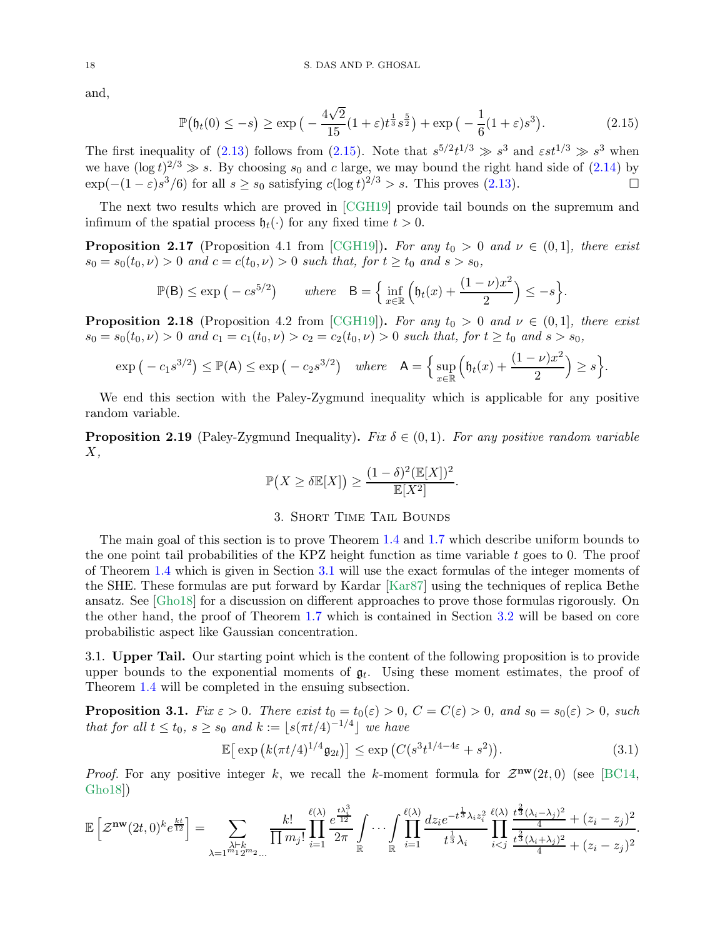and,

<span id="page-17-2"></span>
$$
\mathbb{P}(\mathfrak{h}_t(0) \le -s) \ge \exp\left(-\frac{4\sqrt{2}}{15}(1+\varepsilon)t^{\frac{1}{3}}s^{\frac{5}{2}}\right) + \exp\left(-\frac{1}{6}(1+\varepsilon)s^3\right). \tag{2.15}
$$

The first inequality of [\(2.13\)](#page-16-2) follows from [\(2.15\)](#page-17-2). Note that  $s^{5/2}t^{1/3} \gg s^3$  and  $\epsilon s t^{1/3} \gg s^3$  when we have  $(\log t)^{2/3} \gg s$ . By choosing  $s_0$  and c large, we may bound the right hand side of [\(2.14\)](#page-16-3) by  $\exp(-(1-\varepsilon)s^3/6)$  for all  $s \ge s_0$  satisfying  $c(\log t)^{2/3} > s$ . This proves [\(2.13\)](#page-16-2).

The next two results which are proved in [\[CGH19\]](#page-54-0) provide tail bounds on the supremum and infimum of the spatial process  $\mathfrak{h}_t(\cdot)$  for any fixed time  $t > 0$ .

<span id="page-17-6"></span>**Proposition 2.17** (Proposition 4.1 from [\[CGH19\]](#page-54-0)). For any  $t_0 > 0$  and  $\nu \in (0, 1]$ , there exist  $s_0 = s_0(t_0, \nu) > 0$  and  $c = c(t_0, \nu) > 0$  such that, for  $t \ge t_0$  and  $s > s_0$ ,

$$
\mathbb{P}(\mathsf{B}) \le \exp\left(-cs^{5/2}\right) \qquad \text{where} \quad \mathsf{B} = \left\{\inf_{x \in \mathbb{R}} \left(\mathfrak{h}_t(x) + \frac{(1-\nu)x^2}{2}\right) \le -s\right\}.
$$

<span id="page-17-0"></span>**Proposition 2.18** (Proposition 4.2 from [\[CGH19\]](#page-54-0)). For any  $t_0 > 0$  and  $\nu \in (0, 1]$ , there exist  $s_0 = s_0(t_0, \nu) > 0$  and  $c_1 = c_1(t_0, \nu) > c_2 = c_2(t_0, \nu) > 0$  such that, for  $t \ge t_0$  and  $s > s_0$ ,

$$
\exp\left(-c_1s^{3/2}\right) \leq \mathbb{P}(\mathsf{A}) \leq \exp\left(-c_2s^{3/2}\right) \quad \text{where} \quad \mathsf{A} = \left\{\sup_{x \in \mathbb{R}} \left(\mathfrak{h}_t(x) + \frac{(1-\nu)x^2}{2}\right) \geq s\right\}.
$$

We end this section with the Paley-Zygmund inequality which is applicable for any positive random variable.

<span id="page-17-7"></span>**Proposition 2.19** (Paley-Zygmund Inequality). Fix  $\delta \in (0,1)$ . For any positive random variable  $X,$ 

$$
\mathbb{P}(X \ge \delta \mathbb{E}[X]) \ge \frac{(1-\delta)^2 (\mathbb{E}[X])^2}{\mathbb{E}[X^2]}.
$$

### 3. Short Time Tail Bounds

<span id="page-17-1"></span>The main goal of this section is to prove Theorem [1.4](#page-4-1) and [1.7](#page-5-2) which describe uniform bounds to the one point tail probabilities of the KPZ height function as time variable t goes to 0. The proof of Theorem [1.4](#page-4-1) which is given in Section [3.1](#page-17-3) will use the exact formulas of the integer moments of the SHE. These formulas are put forward by Kardar [\[Kar87\]](#page-56-11) using the techniques of replica Bethe ansatz. See [\[Gho18\]](#page-55-29) for a discussion on different approaches to prove those formulas rigorously. On the other hand, the proof of Theorem [1.7](#page-5-2) which is contained in Section [3.2](#page-19-0) will be based on core probabilistic aspect like Gaussian concentration.

<span id="page-17-3"></span>3.1. Upper Tail. Our starting point which is the content of the following proposition is to provide upper bounds to the exponential moments of  $\mathfrak{g}_t$ . Using these moment estimates, the proof of Theorem [1.4](#page-4-1) will be completed in the ensuing subsection.

<span id="page-17-5"></span>**Proposition 3.1.** Fix  $\varepsilon > 0$ . There exist  $t_0 = t_0(\varepsilon) > 0$ ,  $C = C(\varepsilon) > 0$ , and  $s_0 = s_0(\varepsilon) > 0$ , such that for all  $t \le t_0$ ,  $s \ge s_0$  and  $k := \lfloor s(\pi t/4)^{-1/4} \rfloor$  we have

<span id="page-17-4"></span>
$$
\mathbb{E}\left[\exp\left(k(\pi t/4)^{1/4}\mathfrak{g}_{2t}\right)\right] \leq \exp\left(C(s^3 t^{1/4-4\varepsilon} + s^2)\right). \tag{3.1}
$$

*Proof.* For any positive integer k, we recall the k-moment formula for  $\mathcal{Z}^{\mathbf{nw}}(2t,0)$  (see [\[BC14,](#page-54-5) [Gho18\]](#page-55-29))

$$
\mathbb{E}\left[\mathcal{Z}^{\mathbf{nw}}(2t,0)^{k}e^{\frac{kt}{12}}\right] = \sum_{\substack{\lambda \vdash k \\ \lambda = 1^{m_1}2^{m_2}...}}\frac{k!}{\prod m_j!}\prod_{i=1}^{\ell(\lambda)}\frac{e^{\frac{t\lambda_i^3}{12}}}{2\pi}\int\cdots\int_{\mathbb{R}}\prod_{i=1}^{\ell(\lambda)}\frac{dz_i e^{-t\frac{1}{3}}\lambda_iz_i^2}{t^{\frac{1}{3}}\lambda_i}\prod_{i
$$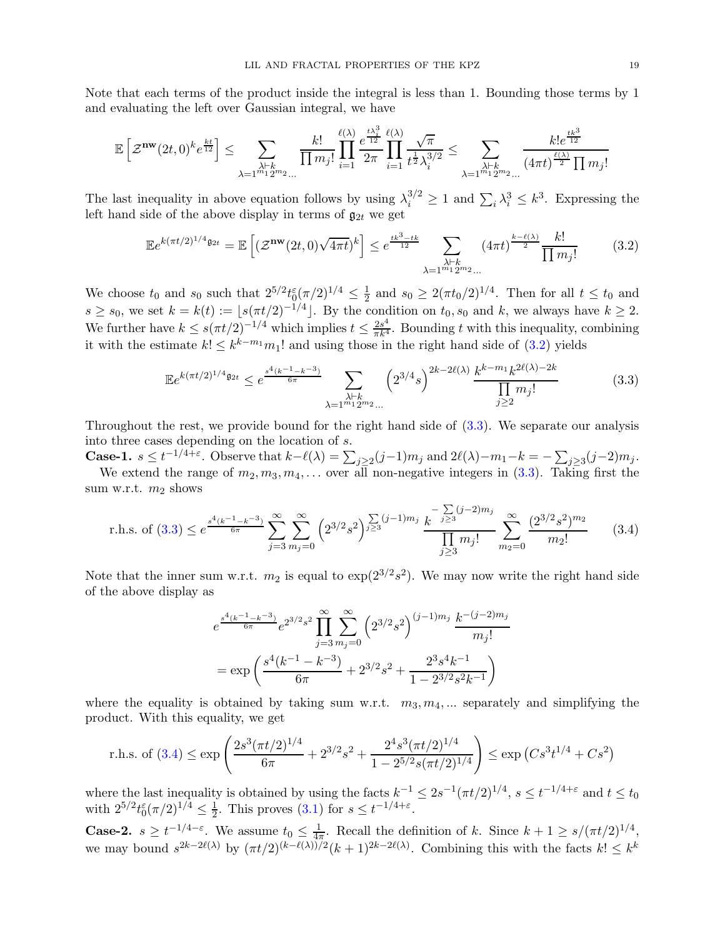Note that each terms of the product inside the integral is less than 1. Bounding those terms by 1 and evaluating the left over Gaussian integral, we have

$$
\mathbb{E}\left[\mathcal{Z}^{\mathbf{nw}}(2t,0)^k e^{\frac{kt}{12}}\right] \leq \sum_{\substack{\lambda \vdash k \\ \lambda = 1^{m_1} 2^{m_2} \ldots}} \frac{k!}{\prod m_j!} \prod_{i=1}^{\ell(\lambda)} \frac{e^{\frac{t \lambda_i^3}{12}}}{2 \pi} \prod_{i=1}^{\ell(\lambda)} \frac{\sqrt{\pi}}{t^{\frac{1}{2}} \lambda_i^{3/2}} \leq \sum_{\substack{\lambda \vdash k \\ \lambda = 1^{m_1} 2^{m_2} \ldots}} \frac{k! e^{\frac{tk^3}{12}}}{(4 \pi t)^{\frac{\ell(\lambda)}{2}} \prod m_j!}
$$

The last inequality in above equation follows by using  $\lambda_i^{3/2} \ge 1$  and  $\sum_i \lambda_i^3 \le k^3$ . Expressing the left hand side of the above display in terms of  $\mathfrak{g}_{2t}$  we get

<span id="page-18-0"></span>
$$
\mathbb{E}e^{k(\pi t/2)^{1/4}\mathfrak{g}_{2t}} = \mathbb{E}\left[ (\mathcal{Z}^{\mathbf{nw}}(2t,0)\sqrt{4\pi t})^k \right] \leq e^{\frac{tk^3 - tk}{12}} \sum_{\substack{\lambda \vdash k \\ \lambda = 1^{m_1} 2^{m_2} \dots}} (4\pi t)^{\frac{k - \ell(\lambda)}{2}} \frac{k!}{\prod m_j!} \tag{3.2}
$$

We choose  $t_0$  and  $s_0$  such that  $2^{5/2} t_0^{\varepsilon} (\pi/2)^{1/4} \leq \frac{1}{2}$  $\frac{1}{2}$  and  $s_0 \geq 2(\pi t_0/2)^{1/4}$ . Then for all  $t \leq t_0$  and  $s \geq s_0$ , we set  $k = k(t) := \lfloor s(\pi t/2)^{-1/4} \rfloor$ . By the condition on  $t_0, s_0$  and k, we always have  $k \geq 2$ . We further have  $k \leq s(\pi t/2)^{-1/4}$  which implies  $t \leq \frac{2s^4}{\pi k^4}$ . Bounding t with this inequality, combining it with the estimate  $k! \leq k^{k-m_1} m_1!$  and using those in the right hand side of [\(3.2\)](#page-18-0) yields

<span id="page-18-1"></span>
$$
\mathbb{E}e^{k(\pi t/2)^{1/4}\mathfrak{g}_{2t}} \le e^{\frac{s^4(k^{-1}-k^{-3})}{6\pi}} \sum_{\substack{\lambda \vdash k \\ \lambda = 1^{m_1}2^{m_2} \dots}} \left(2^{3/4}s\right)^{2k-2\ell(\lambda)} \frac{k^{k-m_1}k^{2\ell(\lambda)-2k}}{\prod\limits_{j\ge 2}m_j!}
$$
(3.3)

Throughout the rest, we provide bound for the right hand side of [\(3.3\)](#page-18-1). We separate our analysis into three cases depending on the location of s.

**Case-1.**  $s \le t^{-1/4+\varepsilon}$ . Observe that  $k-\ell(\lambda) = \sum_{j\ge 2} (j-1)m_j$  and  $2\ell(\lambda)-m_1-k = -\sum_{j\ge 3} (j-2)m_j$ . We extend the range of  $m_2, m_3, m_4, \ldots$  over all non-negative integers in [\(3.3\)](#page-18-1). Taking first the

sum w.r.t.  $m_2$  shows

r.h.s. of (3.3) 
$$
\leq e^{\frac{s^4(k^{-1}-k^{-3})}{6\pi}} \sum_{j=3}^{\infty} \sum_{m_j=0}^{\infty} \left(2^{3/2}s^2\right)^{\sum\limits_{j\geq 3} (j-1)m_j} \frac{k^{-\sum\limits_{j\geq 3} (j-2)m_j}}{\prod\limits_{j\geq 3} m_j!} \sum_{m_2=0}^{\infty} \frac{(2^{3/2}s^2)^{m_2}}{m_2!}
$$
 (3.4)

Note that the inner sum w.r.t.  $m_2$  is equal to  $\exp(2^{3/2}s^2)$ . We may now write the right hand side of the above display as

<span id="page-18-2"></span>
$$
e^{\frac{s^4(k^{-1}-k^{-3})}{6\pi}}e^{2^{3/2}s^2}\prod_{j=3}^{\infty}\sum_{m_j=0}^{\infty} (2^{3/2}s^2)^{(j-1)m_j}\frac{k^{-(j-2)m_j}}{m_j!}
$$
  
= exp $\left(\frac{s^4(k^{-1}-k^{-3})}{6\pi}+2^{3/2}s^2+\frac{2^{3}s^4k^{-1}}{1-2^{3/2}s^2k^{-1}}\right)$ 

where the equality is obtained by taking sum w.r.t.  $m_3, m_4, ...$  separately and simplifying the product. With this equality, we get

r.h.s. of (3.4) 
$$
\leq \exp\left(\frac{2s^3(\pi t/2)^{1/4}}{6\pi} + 2^{3/2}s^2 + \frac{2^4s^3(\pi t/2)^{1/4}}{1 - 2^{5/2}s(\pi t/2)^{1/4}}\right) \leq \exp(Cs^3t^{1/4} + Cs^2)
$$

where the last inequality is obtained by using the facts  $k^{-1} \leq 2s^{-1} (\pi t/2)^{1/4}$ ,  $s \leq t^{-1/4+\epsilon}$  and  $t \leq t_0$ with  $2^{5/2}t_0^{\varepsilon}(\pi/2)^{1/4} \leq \frac{1}{2}$  $\frac{1}{2}$ . This proves [\(3.1\)](#page-17-4) for  $s \leq t^{-1/4+\epsilon}$ .

**Case-2.**  $s \ge t^{-1/4-\epsilon}$ . We assume  $t_0 \le \frac{1}{4\pi}$  $\frac{1}{4\pi}$ . Recall the definition of k. Since  $k + 1 \geq s/(\pi t/2)^{1/4}$ , we may bound  $s^{2k-2\ell(\lambda)}$  by  $(\pi t/2)^{(k-\ell(\lambda))/2}(k+1)^{2k-2\ell(\lambda)}$ . Combining this with the facts  $k! \leq k^k$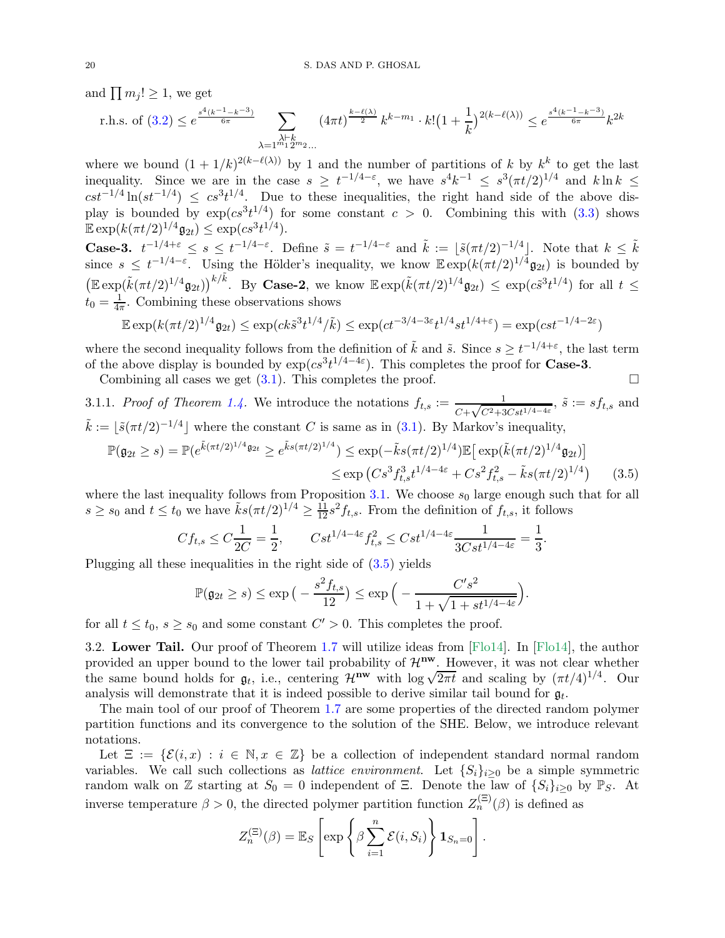and  $\prod m_j! \geq 1$ , we get

r.h.s. of (3.2) 
$$
\leq e^{\frac{s^4(k^{-1}-k^{-3})}{6\pi}} \sum_{\substack{\lambda \vdash k \\ \lambda = 1^{m_1}2^{m_2} \dots}} (4\pi t)^{\frac{k-\ell(\lambda)}{2}} k^{k-m_1} \cdot k! (1+\frac{1}{k})^{2(k-\ell(\lambda))} \leq e^{\frac{s^4(k^{-1}-k^{-3})}{6\pi}} k^{2k}
$$

where we bound  $(1+1/k)^{2(k-\ell(\lambda))}$  by 1 and the number of partitions of k by  $k^k$  to get the last inequality. Since we are in the case  $s \geq t^{-1/4-\epsilon}$ , we have  $s^4k^{-1} \leq s^3(\pi t/2)^{1/4}$  and  $k \ln k \leq$  $cst^{-1/4}\ln(st^{-1/4}) \leq cs^3t^{1/4}$ . Due to these inequalities, the right hand side of the above display is bounded by  $\exp(c s^3 t^{1/4})$  for some constant  $c > 0$ . Combining this with  $(3.3)$  shows  $\mathbb{E} \exp(k(\pi t/2)^{1/4} \mathfrak{g}_{2t}) \leq \exp(c s^3 t^{1/4}).$ 

**Case-3.**  $t^{-1/4+\epsilon} \leq s \leq t^{-1/4-\epsilon}$ . Define  $\tilde{s} = t^{-1/4-\epsilon}$  and  $\tilde{k} := \lfloor \tilde{s}(\pi t/2)^{-1/4} \rfloor$ . Note that  $k \leq \tilde{k}$ since  $s \leq t^{-1/4-\varepsilon}$ . Using the Hölder's inequality, we know  $\mathbb{E} \exp(k(\pi t/2)^{1/4} \mathfrak{g}_{2t})$  is bounded by  $\left(\mathbb{E}\exp(\tilde{k}(\pi t/2)^{1/4}\mathfrak{g}_{2t})\right)^{k/\tilde{k}}$ . By **Case-2**, we know  $\mathbb{E}\exp(\tilde{k}(\pi t/2)^{1/4}\mathfrak{g}_{2t}) \leq \exp(c\tilde{s}^{3}t^{1/4})$  for all  $t \leq$  $t_0 = \frac{1}{4\pi}$  $\frac{1}{4\pi}$ . Combining these observations shows

$$
\mathbb{E} \exp(k(\pi t/2)^{1/4} \mathfrak{g}_{2t}) \le \exp(ck\tilde{s}^{3}t^{1/4}/\tilde{k}) \le \exp(ct^{-3/4-3\varepsilon}t^{1/4}st^{1/4+\varepsilon}) = \exp(ct^{1/4-2\varepsilon})
$$

where the second inequality follows from the definition of  $\tilde{k}$  and  $\tilde{s}$ . Since  $s \geq t^{-1/4+\varepsilon}$ , the last term of the above display is bounded by  $\exp(c s^3 t^{1/4-4\varepsilon})$ . This completes the proof for **Case-3**.

Combining all cases we get  $(3.1)$ . This completes the proof.

3.1.1. Proof of Theorem [1.4.](#page-4-1) We introduce the notations  $f_{t,s} := \frac{1}{C + \sqrt{C^2 + 3Cst^{1/4 - 4\varepsilon}}}, \tilde{s} := s f_{t,s}$  and  $\tilde{k} := \lfloor \tilde{s}(\pi t/2)^{-1/4} \rfloor$  where the constant C is same as in [\(3.1\)](#page-17-4). By Markov's inequality,  $\mathbb{P}(\mathfrak{g}_{2t} \geq s) = \mathbb{P}(e^{\tilde{k}(\pi t/2)^{1/4}} 9^{2t} \geq e^{\tilde{k}s(\pi t/2)^{1/4}}) \leq \exp(-\tilde{k}s(\pi t/2)^{1/4})\mathbb{E}[\exp(\tilde{k}(\pi t/2)^{1/4} \mathfrak{g}_{2t})]$  $\leq \exp\left( Cs^3 f_{t,s}^3 t^{1/4-4\varepsilon} + Cs^2 f_{t,s}^2 - \tilde{k}s(\pi t/2)^{1/4}\right)$ 

where the last inequality follows from Proposition 3.1. We choose 
$$
s_0
$$
 large enough such that for all  $s \ge s_0$  and  $t \le t_0$  we have  $\tilde{k}s(\pi t/2)^{1/4} \ge \frac{11}{12}s^2 f_{t,s}$ . From the definition of  $f_{t,s}$ , it follows

<span id="page-19-1"></span>(3.5)

$$
C f_{t,s} \le C \frac{1}{2C} = \frac{1}{2}, \qquad Cst^{1/4 - 4\varepsilon} f_{t,s}^2 \le Cst^{1/4 - 4\varepsilon} \frac{1}{3Cst^{1/4 - 4\varepsilon}} = \frac{1}{3}.
$$

Plugging all these inequalities in the right side of [\(3.5\)](#page-19-1) yields

$$
\mathbb{P}(\mathfrak{g}_{2t} \geq s) \leq \exp\big(-\frac{s^2 f_{t,s}}{12}\big) \leq \exp\Big(-\frac{C's^2}{1 + \sqrt{1 + st^{1/4 - 4\varepsilon}}}\Big).
$$

<span id="page-19-0"></span>for all  $t \leq t_0$ ,  $s \geq s_0$  and some constant  $C' > 0$ . This completes the proof.

3.2. Lower Tail. Our proof of Theorem [1.7](#page-5-2) will utilize ideas from [\[Flo14\]](#page-55-4). In [\[Flo14\]](#page-55-4), the author provided an upper bound to the lower tail probability of  $\mathcal{H}^{nw}$ . However, it was not clear whether the same bound holds for  $\mathfrak{g}_t$ , i.e., centering  $\mathcal{H}^{\mathbf{nw}}$  with  $\log \sqrt{2\pi t}$  and scaling by  $(\pi t/4)^{1/4}$ . Our analysis will demonstrate that it is indeed possible to derive similar tail bound for  $\mathfrak{g}_t$ .

The main tool of our proof of Theorem [1.7](#page-5-2) are some properties of the directed random polymer partition functions and its convergence to the solution of the SHE. Below, we introduce relevant notations.

Let  $\Xi := \{ \mathcal{E}(i, x) : i \in \mathbb{N}, x \in \mathbb{Z} \}$  be a collection of independent standard normal random variables. We call such collections as *lattice environment*. Let  $\{S_i\}_{i>0}$  be a simple symmetric random walk on Z starting at  $S_0 = 0$  independent of Ξ. Denote the law of  $\{S_i\}_{i>0}$  by  $\mathbb{P}_S$ . At inverse temperature  $\beta > 0$ , the directed polymer partition function  $Z_n^{(\Xi)}(\beta)$  is defined as

$$
Z_n^{(\Xi)}(\beta) = \mathbb{E}_S \left[ \exp \left\{ \beta \sum_{i=1}^n \mathcal{E}(i, S_i) \right\} \mathbf{1}_{S_n = 0} \right]
$$

.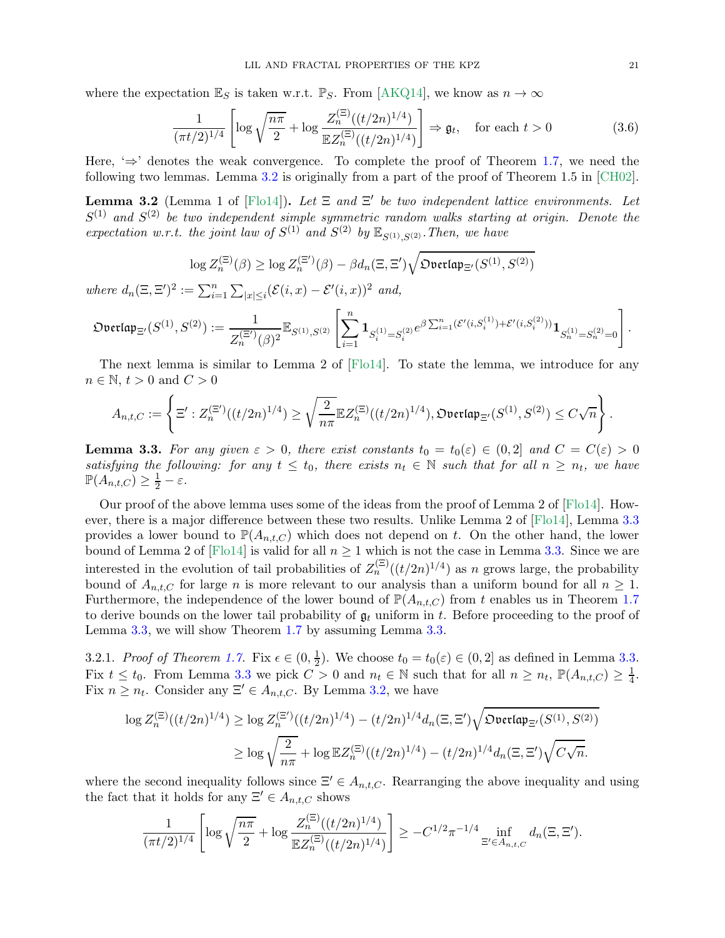where the expectation  $\mathbb{E}_S$  is taken w.r.t.  $\mathbb{P}_S$ . From [\[AKQ14\]](#page-54-3), we know as  $n \to \infty$ 

<span id="page-20-2"></span>
$$
\frac{1}{(\pi t/2)^{1/4}} \left[ \log \sqrt{\frac{n\pi}{2}} + \log \frac{Z_n^{(\Xi)}((t/2n)^{1/4})}{\mathbb{E}Z_n^{(\Xi)}((t/2n)^{1/4})} \right] \Rightarrow \mathfrak{g}_t, \quad \text{for each } t > 0 \tag{3.6}
$$

Here,  $\Rightarrow$  denotes the weak convergence. To complete the proof of Theorem [1.7,](#page-5-2) we need the following two lemmas. Lemma [3.2](#page-20-0) is originally from a part of the proof of Theorem 1.5 in [\[CH02\]](#page-55-30).

<span id="page-20-0"></span>**Lemma 3.2** (Lemma 1 of [\[Flo14\]](#page-55-4)). Let  $\Xi$  and  $\Xi'$  be two independent lattice environments. Let  $S^{(1)}$  and  $S^{(2)}$  be two independent simple symmetric random walks starting at origin. Denote the expectation w.r.t. the joint law of  $S^{(1)}$  and  $S^{(2)}$  by  $\mathbb{E}_{S^{(1)},S^{(2)}}$ . Then, we have

$$
\log Z_n^{(\Xi)}(\beta) \geq \log Z_n^{(\Xi')}(\beta) - \beta d_n(\Xi, \Xi')\sqrt{{\mathfrak{Dverlap}}_{\Xi'}(S^{(1)},S^{(2)})}
$$

where  $d_n(\Xi, \Xi')^2 := \sum_{i=1}^n \sum_{|x| \leq i} (\mathcal{E}(i, x) - \mathcal{E}'(i, x))^2$  and,

$$
\mathfrak{Dverlap}_{\Xi'}(S^{(1)},S^{(2)}):=\frac{1}{Z_n^{(\Xi')}(\beta)^2}\mathbb{E}_{S^{(1)},S^{(2)}}\left[\sum_{i=1}^n\mathbf{1}_{S_i^{(1)}=S_i^{(2)}}e^{\beta\sum_{i=1}^n(\mathcal{E}'(i,S_i^{(1)})+\mathcal{E}'(i,S_i^{(2)}))}\mathbf{1}_{S_n^{(1)}=S_n^{(2)}=0}\right].
$$

The next lemma is similar to Lemma 2 of [\[Flo14\]](#page-55-4). To state the lemma, we introduce for any  $n \in \mathbb{N}, t > 0$  and  $C > 0$ 

$$
A_{n,t,C}:=\left\{\Xi':Z_n^{(\Xi')}((t/2n)^{1/4})\geq \sqrt{\frac{2}{n\pi}}\mathbb{E} Z_n^{(\Xi)}((t/2n)^{1/4}),\mathfrak{Overlap}_{\Xi'}(S^{(1)},S^{(2)})\leq C\sqrt{n}\right\}.
$$

<span id="page-20-1"></span>**Lemma 3.3.** For any given  $\varepsilon > 0$ , there exist constants  $t_0 = t_0(\varepsilon) \in (0, 2]$  and  $C = C(\varepsilon) > 0$ satisfying the following: for any  $t \leq t_0$ , there exists  $n_t \in \mathbb{N}$  such that for all  $n \geq n_t$ , we have  $\mathbb{P}(A_{n,t,C}) \geq \frac{1}{2} - \varepsilon.$ 

Our proof of the above lemma uses some of the ideas from the proof of Lemma 2 of [\[Flo14\]](#page-55-4). How-ever, there is a major difference between these two results. Unlike Lemma 2 of [\[Flo14\]](#page-55-4), Lemma [3.3](#page-20-1) provides a lower bound to  $\mathbb{P}(A_{n,t,C})$  which does not depend on t. On the other hand, the lower bound of Lemma 2 of [\[Flo14\]](#page-55-4) is valid for all  $n \geq 1$  which is not the case in Lemma [3.3.](#page-20-1) Since we are interested in the evolution of tail probabilities of  $Z_n^{(\Xi)}((t/2n)^{1/4})$  as n grows large, the probability bound of  $A_{n,t,C}$  for large n is more relevant to our analysis than a uniform bound for all  $n \geq 1$ . Furthermore, the independence of the lower bound of  $\mathbb{P}(A_{n,t,C})$  from t enables us in Theorem [1.7](#page-5-2) to derive bounds on the lower tail probability of  $\mathfrak{g}_t$  uniform in t. Before proceeding to the proof of Lemma [3.3,](#page-20-1) we will show Theorem [1.7](#page-5-2) by assuming Lemma [3.3.](#page-20-1)

3.2.1. *Proof of Theorem [1.7.](#page-5-2)* Fix  $\epsilon \in (0, \frac{1}{2})$  $\frac{1}{2}$ ). We choose  $t_0 = t_0(\varepsilon) \in (0, 2]$  as defined in Lemma [3.3.](#page-20-1) Fix  $t \leq t_0$ . From Lemma [3.3](#page-20-1) we pick  $C > 0$  and  $n_t \in \mathbb{N}$  such that for all  $n \geq n_t$ ,  $\mathbb{P}(A_{n,t,C}) \geq \frac{1}{4}$  $\frac{1}{4}$ . Fix  $n \geq n_t$ . Consider any  $\Xi' \in A_{n,t,C}$ . By Lemma [3.2,](#page-20-0) we have

$$
\log Z_n^{(\Xi)}((t/2n)^{1/4}) \ge \log Z_n^{(\Xi')}((t/2n)^{1/4}) - (t/2n)^{1/4} d_n(\Xi, \Xi') \sqrt{\mathfrak{D} \text{vertap}_{\Xi'}(S^{(1)}, S^{(2)})}
$$
  

$$
\ge \log \sqrt{\frac{2}{n\pi}} + \log \mathbb{E} Z_n^{(\Xi)}((t/2n)^{1/4}) - (t/2n)^{1/4} d_n(\Xi, \Xi') \sqrt{C\sqrt{n}}.
$$

where the second inequality follows since  $\Xi' \in A_{n,t,C}$ . Rearranging the above inequality and using the fact that it holds for any  $\Xi' \in A_{n,t,C}$  shows

$$
\frac{1}{(\pi t/2)^{1/4}} \left[ \log \sqrt{\frac{n\pi}{2}} + \log \frac{Z_n^{(\Xi)}((t/2n)^{1/4})}{\mathbb{E}Z_n^{(\Xi)}((t/2n)^{1/4})} \right] \geq -C^{1/2} \pi^{-1/4} \inf_{\Xi' \in A_{n,t,C}} d_n(\Xi, \Xi').
$$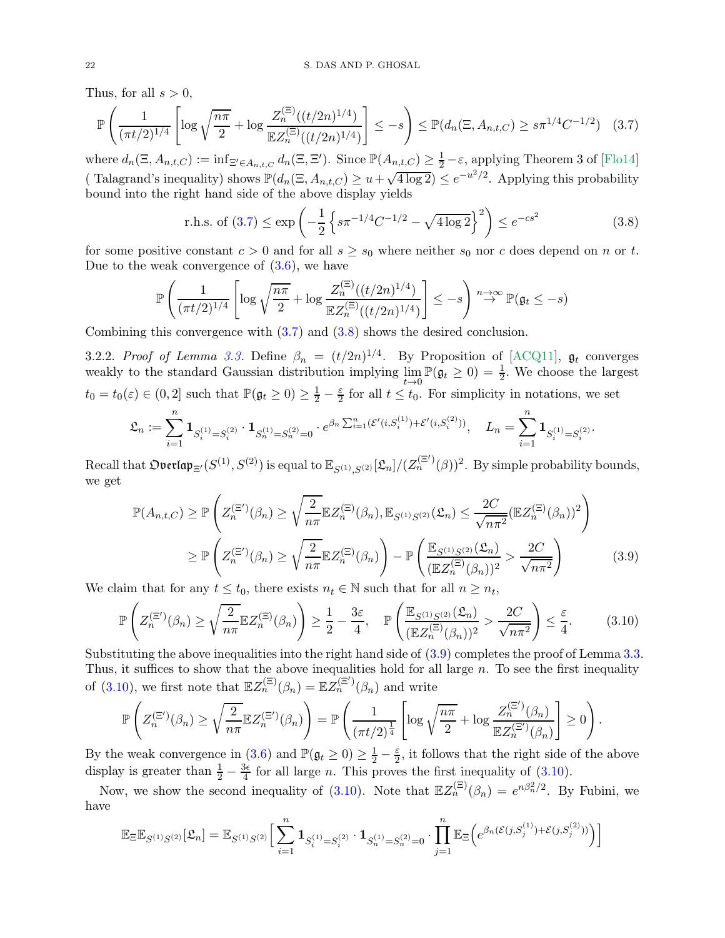Thus, for all  $s > 0$ ,

$$
\mathbb{P}\left(\frac{1}{(\pi t/2)^{1/4}} \left[\log\sqrt{\frac{n\pi}{2}} + \log\frac{Z_n^{(\Xi)}((t/2n)^{1/4})}{\mathbb{E}Z_n^{(\Xi)}((t/2n)^{1/4})}\right] \le -s\right) \le \mathbb{P}(d_n(\Xi, A_{n,t,C}) \ge s\pi^{1/4}C^{-1/2}) \quad (3.7)
$$

where  $d_n(\Xi, A_{n,t,C}) := \inf_{\Xi' \in A_{n,t,C}} d_n(\Xi, \Xi')$ . Since  $\mathbb{P}(A_{n,t,C}) \geq \frac{1}{2} - \varepsilon$ , applying Theorem 3 of [\[Flo14\]](#page-55-4) (Talagrand's inequality) shows  $\mathbb{P}(d_n(\Xi, A_{n,t,C}) \geq u + \sqrt{4 \log 2}) \leq e^{-u^2/2}$ . Applying this probability bound into the right hand side of the above display yields

<span id="page-21-1"></span><span id="page-21-0"></span>r.h.s. of (3.7) 
$$
\leq \exp\left(-\frac{1}{2}\left\{s\pi^{-1/4}C^{-1/2} - \sqrt{4\log 2}\right\}^2\right) \leq e^{-cs^2}
$$
 (3.8)

for some positive constant  $c > 0$  and for all  $s \geq s_0$  where neither  $s_0$  nor c does depend on n or t. Due to the weak convergence of  $(3.6)$ , we have

$$
\mathbb{P}\left(\frac{1}{(\pi t/2)^{1/4}}\left[\log\sqrt{\frac{n\pi}{2}}+\log\frac{Z_n^{(\Xi)}((t/2n)^{1/4})}{\mathbb{E}Z_n^{(\Xi)}((t/2n)^{1/4})}\right]\le-s\right)\stackrel{n\to\infty}{\to}\mathbb{P}(\mathfrak{g}_t\le-s)
$$

Combining this convergence with [\(3.7\)](#page-21-0) and [\(3.8\)](#page-21-1) shows the desired conclusion.

3.2.2. Proof of Lemma [3.3.](#page-20-1) Define  $\beta_n = (t/2n)^{1/4}$ . By Proposition of [\[ACQ11\]](#page-54-7),  $\mathfrak{g}_t$  converges weakly to the standard Gaussian distribution implying lim  $\lim_{t\to 0} \mathbb{P}(\mathfrak{g}_t \geq 0) = \frac{1}{2}$ . We choose the largest  $t_0 = t_0(\varepsilon) \in (0, 2]$  such that  $\mathbb{P}(\mathfrak{g}_t \geq 0) \geq \frac{1}{2} - \frac{\varepsilon}{2}$  $\frac{\varepsilon}{2}$  for all  $t \le t_0$ . For simplicity in notations, we set

$$
\mathfrak{L}_n := \sum_{i=1}^n \mathbf{1}_{S_i^{(1)} = S_i^{(2)}} \cdot \mathbf{1}_{S_n^{(1)} = S_n^{(2)} = 0} \cdot e^{\beta_n \sum_{i=1}^n (\mathcal{E}'(i, S_i^{(1)}) + \mathcal{E}'(i, S_i^{(2)}))}, \quad L_n = \sum_{i=1}^n \mathbf{1}_{S_i^{(1)} = S_i^{(2)}}.
$$

 ${\rm Recall~that}~{\rm Dverlap}_{\Xi'}(S^{(1)},S^{(2)})~{\rm is~equal~to}~\mathbb{E}_{S^{(1)},S^{(2)}}[\mathfrak{L}_n]/(Z^{(\Xi')}_n(\beta))^2.~{\rm By~simple~probability~bounds,}$ we get

<span id="page-21-3"></span><span id="page-21-2"></span>
$$
\mathbb{P}(A_{n,t,C}) \geq \mathbb{P}\left(Z_n^{(\Xi')}(\beta_n) \geq \sqrt{\frac{2}{n\pi}} \mathbb{E}Z_n^{(\Xi)}(\beta_n), \mathbb{E}_{S^{(1)}S^{(2)}}(\mathfrak{L}_n) \leq \frac{2C}{\sqrt{n\pi^2}} (\mathbb{E}Z_n^{(\Xi)}(\beta_n))^2\right)
$$

$$
\geq \mathbb{P}\left(Z_n^{(\Xi')}(\beta_n) \geq \sqrt{\frac{2}{n\pi}} \mathbb{E}Z_n^{(\Xi)}(\beta_n)\right) - \mathbb{P}\left(\frac{\mathbb{E}_{S^{(1)}S^{(2)}}(\mathfrak{L}_n)}{(\mathbb{E}Z_n^{(\Xi)}(\beta_n))^2} > \frac{2C}{\sqrt{n\pi^2}}\right)
$$
(3.9)

We claim that for any  $t \leq t_0$ , there exists  $n_t \in \mathbb{N}$  such that for all  $n \geq n_t$ ,

$$
\mathbb{P}\left(Z_n^{(\Xi')}(\beta_n) \ge \sqrt{\frac{2}{n\pi}} \mathbb{E}Z_n^{(\Xi)}(\beta_n)\right) \ge \frac{1}{2} - \frac{3\varepsilon}{4}, \quad \mathbb{P}\left(\frac{\mathbb{E}_{S^{(1)}S^{(2)}}(\mathcal{L}_n)}{(\mathbb{E}Z_n^{(\Xi)}(\beta_n))^2} > \frac{2C}{\sqrt{n\pi^2}}\right) \le \frac{\varepsilon}{4}.
$$
\n(3.10)

Substituting the above inequalities into the right hand side of  $(3.9)$  completes the proof of Lemma [3.3.](#page-20-1) Thus, it suffices to show that the above inequalities hold for all large  $n$ . To see the first inequality of [\(3.10\)](#page-21-3), we first note that  $\mathbb{E}Z_n^{(\Xi)}(\beta_n) = \mathbb{E}Z_n^{(\Xi')}(\beta_n)$  and write

$$
\mathbb{P}\left(Z_n^{(\Xi')}(\beta_n) \geq \sqrt{\frac{2}{n\pi}}\mathbb{E}Z_n^{(\Xi')}(\beta_n)\right) = \mathbb{P}\left(\frac{1}{(\pi t/2)^{\frac{1}{4}}}\left[\log\sqrt{\frac{n\pi}{2}}+\log\frac{Z_n^{(\Xi')}(\beta_n)}{\mathbb{E}Z_n^{(\Xi')}(\beta_n)}\right] \geq 0\right).
$$

By the weak convergence in  $(3.6)$  and  $\mathbb{P}(\mathfrak{g}_t \geq 0) \geq \frac{1}{2} - \frac{\varepsilon}{2}$ , it follows that the right side of the above display is greater than  $\frac{1}{2} - \frac{3\epsilon}{4}$  $\frac{36}{4}$  for all large *n*. This proves the first inequality of [\(3.10\)](#page-21-3).

Now, we show the second inequality of [\(3.10\)](#page-21-3). Note that  $\mathbb{E}Z_n^{(\Xi)}(\beta_n) = e^{n\beta_n^2/2}$ . By Fubini, we have

$$
\mathbb{E}_{\Xi}\mathbb{E}_{S^{(1)}S^{(2)}}[\mathfrak{L}_n] = \mathbb{E}_{S^{(1)}S^{(2)}}\Big[\sum_{i=1}^n \mathbf{1}_{S_i^{(1)}=S_i^{(2)}}\cdot \mathbf{1}_{S_n^{(1)}=S_n^{(2)}=0}\cdot \prod_{j=1}^n \mathbb{E}_{\Xi}\Big(e^{\beta_n(\mathcal{E}(j,S_j^{(1)})+\mathcal{E}(j,S_j^{(2)}))}\Big)\Big]
$$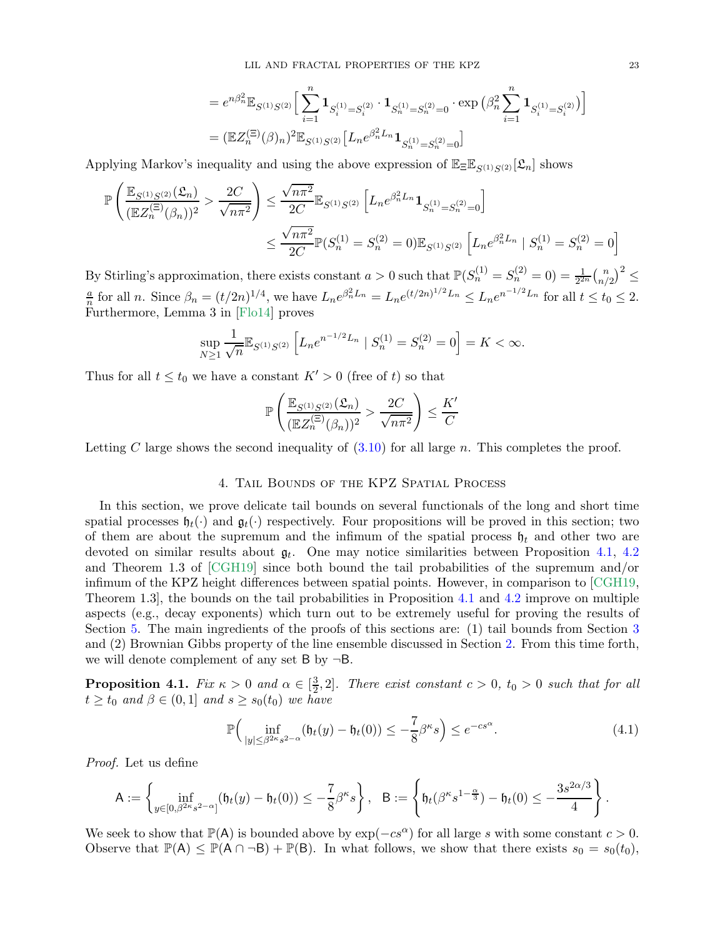$$
\begin{aligned} &=e^{n\beta_n^2}\mathbb{E}_{S^{(1)}S^{(2)}}\Big[\sum_{i=1}^n\mathbf{1}_{S_i^{(1)}=S_i^{(2)}}\cdot\mathbf{1}_{S_n^{(1)}=S_n^{(2)}=0}\cdot\exp\big(\beta_n^2\sum_{i=1}^n\mathbf{1}_{S_i^{(1)}=S_i^{(2)}}\big)\Big]\\ &=\big(\mathbb{E}Z_n^{(\Xi)}(\beta)_n\big)^2\mathbb{E}_{S^{(1)}S^{(2)}}\big[L_ne^{\beta_n^2L_n}\mathbf{1}_{S_n^{(1)}=S_n^{(2)}=0}\big] \end{aligned}
$$

Applying Markov's inequality and using the above expression of  $\mathbb{E}_{\Xi}\mathbb{E}_{S(1),S(2)}[\mathfrak{L}_n]$  shows

$$
\mathbb{P}\left(\frac{\mathbb{E}_{S^{(1)}S^{(2)}}(\mathcal{L}_n)}{(\mathbb{E}Z_n^{(\Xi)}(\beta_n))^2} > \frac{2C}{\sqrt{n\pi^2}}\right) \le \frac{\sqrt{n\pi^2}}{2C} \mathbb{E}_{S^{(1)}S^{(2)}} \left[L_n e^{\beta_n^2 L_n} \mathbf{1}_{S_n^{(1)} = S_n^{(2)} = 0}\right]
$$
  

$$
\le \frac{\sqrt{n\pi^2}}{2C} \mathbb{P}(S_n^{(1)} = S_n^{(2)} = 0) \mathbb{E}_{S^{(1)}S^{(2)}} \left[L_n e^{\beta_n^2 L_n} \mid S_n^{(1)} = S_n^{(2)} = 0\right]
$$

By Stirling's approximation, there exists constant  $a > 0$  such that  $\mathbb{P}(S_n^{(1)} = S_n^{(2)} = 0) = \frac{1}{2^{2n}} {n \choose n}$  $\binom{n}{n/2}^2 \leq$ a  $\frac{a}{n}$  for all n. Since  $\beta_n = (t/2n)^{1/4}$ , we have  $L_n e^{\beta_n^2 L_n} = L_n e^{(t/2n)^{1/2} L_n} \le L_n e^{n^{-1/2} L_n}$  for all  $t \le t_0 \le 2$ . Furthermore, Lemma 3 in [\[Flo14\]](#page-55-4) proves

$$
\sup_{N\geq 1} \frac{1}{\sqrt{n}} \mathbb{E}_{S^{(1)}S^{(2)}} \left[ L_n e^{n^{-1/2}L_n} \mid S_n^{(1)} = S_n^{(2)} = 0 \right] = K < \infty.
$$

Thus for all  $t \leq t_0$  we have a constant  $K' > 0$  (free of t) so that

$$
\mathbb{P}\left(\frac{\mathbb{E}_{S^{(1)}S^{(2)}}(\mathfrak{L}_n)}{(\mathbb{E}Z_n^{(\Xi)}(\beta_n))^2} > \frac{2C}{\sqrt{n\pi^2}}\right) \le \frac{K'}{C}
$$

<span id="page-22-0"></span>Letting C large shows the second inequality of  $(3.10)$  for all large n. This completes the proof.

## 4. Tail Bounds of the KPZ Spatial Process

In this section, we prove delicate tail bounds on several functionals of the long and short time spatial processes  $\mathfrak{h}_t(\cdot)$  and  $\mathfrak{g}_t(\cdot)$  respectively. Four propositions will be proved in this section; two of them are about the supremum and the infimum of the spatial process  $\mathfrak{h}_t$  and other two are devoted on similar results about  $\mathfrak{g}_t$ . One may notice similarities between Proposition [4.1,](#page-22-1) [4.2](#page-24-0) and Theorem 1.3 of [\[CGH19\]](#page-54-0) since both bound the tail probabilities of the supremum and/or infimum of the KPZ height differences between spatial points. However, in comparison to [\[CGH19,](#page-54-0) Theorem 1.3], the bounds on the tail probabilities in Proposition [4.1](#page-22-1) and [4.2](#page-24-0) improve on multiple aspects (e.g., decay exponents) which turn out to be extremely useful for proving the results of Section [5.](#page-28-1) The main ingredients of the proofs of this sections are: (1) tail bounds from Section [3](#page-17-1) and (2) Brownian Gibbs property of the line ensemble discussed in Section [2.](#page-10-0) From this time forth, we will denote complement of any set  $B$  by  $\neg B$ .

<span id="page-22-1"></span>**Proposition 4.1.** Fix  $\kappa > 0$  and  $\alpha \in \left[\frac{3}{2}\right]$  $\frac{3}{2}$ , 2]. There exist constant  $c > 0$ ,  $t_0 > 0$  such that for all  $t \geq t_0$  and  $\beta \in (0,1]$  and  $s \geq s_0(t_0)$  we have

<span id="page-22-2"></span>
$$
\mathbb{P}\Big(\inf_{|y| \le \beta^{2\kappa}s^{2-\alpha}}(\mathfrak{h}_t(y) - \mathfrak{h}_t(0)) \le -\frac{7}{8}\beta^{\kappa}s\Big) \le e^{-cs^{\alpha}}.\tag{4.1}
$$

Proof. Let us define

$$
\mathsf{A}:=\left\{\inf_{y\in[0,\beta^{2\kappa}s^{2-\alpha}]}(\mathfrak{h}_t(y)-\mathfrak{h}_t(0))\leq -\frac{7}{8}\beta^{\kappa}s\right\},\quad \mathsf{B}:=\left\{\mathfrak{h}_t(\beta^{\kappa}s^{1-\frac{\alpha}{3}})-\mathfrak{h}_t(0)\leq -\frac{3s^{2\alpha/3}}{4}\right\}.
$$

We seek to show that  $\mathbb{P}(A)$  is bounded above by  $\exp(-cs^{\alpha})$  for all large s with some constant  $c > 0$ . Observe that  $\mathbb{P}(\mathsf{A}) \leq \mathbb{P}(\mathsf{A} \cap \neg \mathsf{B}) + \mathbb{P}(\mathsf{B})$ . In what follows, we show that there exists  $s_0 = s_0(t_0)$ ,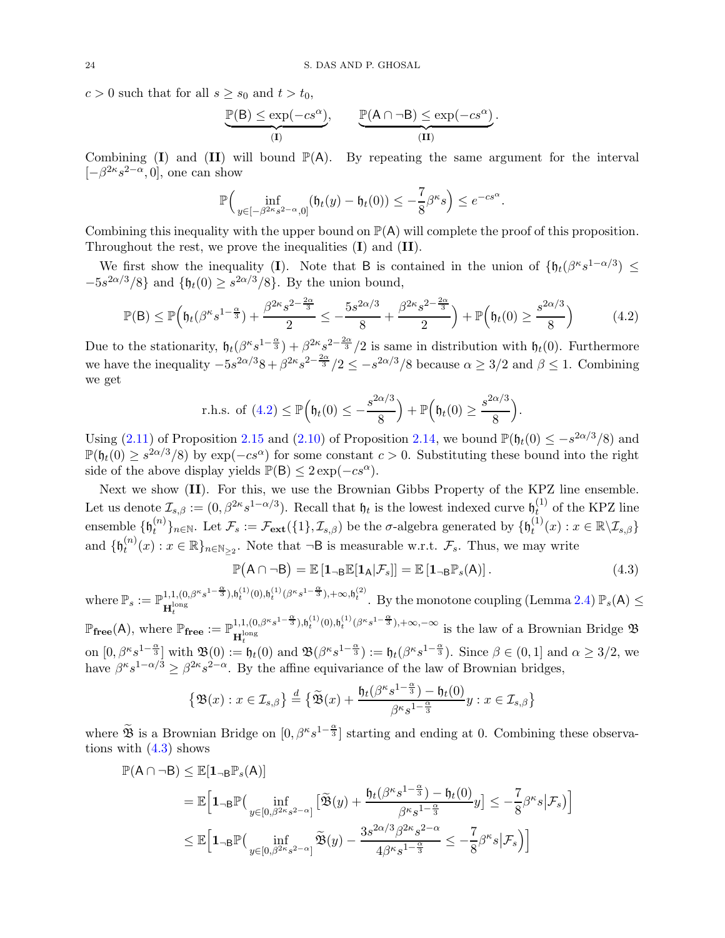$c > 0$  such that for all  $s \geq s_0$  and  $t > t_0$ ,

$$
\underbrace{\mathbb{P}(B) \le \exp(-cs^{\alpha})}_{(I)}, \qquad \underbrace{\mathbb{P}(A \cap \neg B) \le \exp(-cs^{\alpha})}_{(II)}
$$

<span id="page-23-0"></span>.

Combining  $(I)$  and  $(II)$  will bound  $\mathbb{P}(A)$ . By repeating the same argument for the interval  $[-\beta^{2\kappa}s^{2-\alpha},0]$ , one can show

$$
\mathbb{P}\Big(\inf_{y\in[-\beta^{2\kappa}s^{2-\alpha},0]}(\mathfrak{h}_t(y)-\mathfrak{h}_t(0))\leq-\frac{7}{8}\beta^{\kappa}s\Big)\leq e^{-cs^{\alpha}}.
$$

Combining this inequality with the upper bound on  $P(A)$  will complete the proof of this proposition. Throughout the rest, we prove the inequalities (I) and (II).

We first show the inequality (I). Note that B is contained in the union of  $\{\mathfrak{h}_t(\beta^{\kappa}s^{1-\alpha/3}) \leq$  $-5s^{2\alpha/3}/8$ } and  $\{\mathfrak{h}_t(0) \geq s^{2\alpha/3}/8\}$ . By the union bound,

$$
\mathbb{P}(\mathsf{B}) \le \mathbb{P}\Big(\mathfrak{h}_t(\beta^{\kappa}s^{1-\frac{\alpha}{3}}) + \frac{\beta^{2\kappa}s^{2-\frac{2\alpha}{3}}}{2} \le -\frac{5s^{2\alpha/3}}{8} + \frac{\beta^{2\kappa}s^{2-\frac{2\alpha}{3}}}{2}\Big) + \mathbb{P}\Big(\mathfrak{h}_t(0) \ge \frac{s^{2\alpha/3}}{8}\Big) \tag{4.2}
$$

Due to the stationarity,  $\mathfrak{h}_t(\beta^{\kappa} s^{1-\frac{\alpha}{3}}) + \beta^{2\kappa} s^{2-\frac{2\alpha}{3}}/2$  is same in distribution with  $\mathfrak{h}_t(0)$ . Furthermore we have the inequality  $-5s^{2\alpha/3}8 + \beta^{2\kappa}s^{2-\frac{2\alpha}{3}}/2 \le -s^{2\alpha/3}/8$  because  $\alpha \ge 3/2$  and  $\beta \le 1$ . Combining we get

$$
\text{r.h.s. of } (4.2) \le \mathbb{P}\Big(\mathfrak{h}_t(0) \le -\frac{s^{2\alpha/3}}{8}\Big) + \mathbb{P}\Big(\mathfrak{h}_t(0) \ge \frac{s^{2\alpha/3}}{8}\Big).
$$

Using [\(2.11\)](#page-16-4) of Proposition [2.15](#page-16-0) and [\(2.10\)](#page-16-5) of Proposition [2.14,](#page-16-6) we bound  $\mathbb{P}(\mathfrak{h}_t(0) \leq -s^{2\alpha/3}/8)$  and  $\mathbb{P}(\mathfrak{h}_t(0) \geq s^{2\alpha/3}/8)$  by  $\exp(-cs^{\alpha})$  for some constant  $c > 0$ . Substituting these bound into the right side of the above display yields  $\mathbb{P}(B) \leq 2 \exp(-cs^{\alpha})$ .

Next we show (II). For this, we use the Brownian Gibbs Property of the KPZ line ensemble. Let us denote  $\mathcal{I}_{s,\beta} := (0, \beta^{2\kappa} s^{1-\alpha/3})$ . Recall that  $\mathfrak{h}_t$  is the lowest indexed curve  $\mathfrak{h}_t^{(1)}$  $t^{(1)}$  of the KPZ line ensemble  $\{\mathfrak{h}_t^{(n)}\}$  $\{\theta_t^{(n)}\}_{n\in\mathbb{N}}$ . Let  $\mathcal{F}_s := \mathcal{F}_{ext}(\{1\}, \mathcal{I}_{s,\beta})$  be the  $\sigma$ -algebra generated by  $\{\mathfrak{h}_t^{(1)}\}$  $t^{(1)}(x): x \in \mathbb{R} \backslash \mathcal{I}_{s,\beta}\}$ and  $\{\mathfrak{h}_t^{(n)}\}$  $t^{(n)}(x): x \in \mathbb{R} \}_{n \in \mathbb{N}_{\geq 2}}$ . Note that  $\neg B$  is measurable w.r.t.  $\mathcal{F}_s$ . Thus, we may write

<span id="page-23-1"></span>
$$
\mathbb{P}(\mathsf{A} \cap \neg \mathsf{B}) = \mathbb{E}\left[\mathbf{1}_{\neg \mathsf{B}}\mathbb{E}[\mathbf{1}_{\mathsf{A}}|\mathcal{F}_s]\right] = \mathbb{E}\left[\mathbf{1}_{\neg \mathsf{B}}\mathbb{P}_s(\mathsf{A})\right].\tag{4.3}
$$

where  $\mathbb{P}_s := \mathbb{P}^{1,1,(0,\beta^{\kappa}s^{1-\frac{\alpha}{3}}),\mathfrak{h}_t^{(1)}(0),\mathfrak{h}_t^{(1)}(\beta^{\kappa}s^{1-\frac{\alpha}{3}}),+\infty,\mathfrak{h}_t^{(2)}}$ . By the monotone coupling (Lemma [2.4\)](#page-11-0)  $\mathbb{P}_s(A) \le$ 

 $\mathbb{P}_{\text{free}}(A)$ , where  $\mathbb{P}_{\text{free}} := \mathbb{P}^{1,1,(0,\beta^{\kappa}s^{1-\frac{\alpha}{3}}),\mathfrak{h}_t^{(1)}(0),\mathfrak{h}_t^{(1)}(\beta^{\kappa}s^{1-\frac{\alpha}{3}}),+\infty,-\infty}$  is the law of a Brownian Bridge  $\mathfrak{B}$ on  $[0, \beta^{\kappa} s^{1-\frac{\alpha}{3}}]$  with  $\mathfrak{B}(0) := \mathfrak{h}_t(0)$  and  $\mathfrak{B}(\beta^{\kappa} s^{1-\frac{\alpha}{3}}) := \mathfrak{h}_t(\beta^{\kappa} s^{1-\frac{\alpha}{3}})$ . Since  $\beta \in (0,1]$  and  $\alpha \geq 3/2$ , we have  $\beta^{\kappa} s^{1-\alpha/3} \geq \beta^{2\kappa} s^{2-\alpha}$ . By the affine equivariance of the law of Brownian bridges,

$$
\left\{\mathfrak{B}(x): x\in\mathcal{I}_{s,\beta}\right\} \stackrel{d}{=} \big\{\widetilde{\mathfrak{B}}(x)+\frac{\mathfrak{h}_t(\beta^{\kappa}s^{1-\frac{\alpha}{3}})-\mathfrak{h}_t(0)}{\beta^{\kappa}s^{1-\frac{\alpha}{3}}}y:x\in\mathcal{I}_{s,\beta}\big\}
$$

where  $\widetilde{\mathfrak{B}}$  is a Brownian Bridge on  $[0, \beta^{\kappa} s^{1-\frac{\alpha}{3}}]$  starting and ending at 0. Combining these observations with  $(4.3)$  shows

$$
\begin{aligned} \mathbb{P}(\mathsf{A}\cap\neg \mathsf{B}) & \leq \mathbb{E}[\mathbf{1}_{\neg \mathsf{B}}\mathbb{P}_s(\mathsf{A})] \\ & = \mathbb{E}\Big[\mathbf{1}_{\neg \mathsf{B}}\mathbb{P}\big(\inf_{y\in[0,\beta^{2\kappa}s^{2-\alpha}]} \big[\widetilde{\mathfrak{B}}(y) + \frac{\mathfrak{h}_t(\beta^{\kappa}s^{1-\frac{\alpha}{3}})-\mathfrak{h}_t(0)}{\beta^{\kappa}s^{1-\frac{\alpha}{3}}}y\big] \leq -\frac{7}{8}\beta^{\kappa}s\big|\mathcal{F}_s\big)\Big] \\ & \leq \mathbb{E}\Big[\mathbf{1}_{\neg \mathsf{B}}\mathbb{P}\big(\inf_{y\in[0,\beta^{2\kappa}s^{2-\alpha}]}\widetilde{\mathfrak{B}}(y) - \frac{3s^{2\alpha/3}\beta^{2\kappa}s^{2-\alpha}}{4\beta^{\kappa}s^{1-\frac{\alpha}{3}}} \leq -\frac{7}{8}\beta^{\kappa}s\big|\mathcal{F}_s\big)\Big] \end{aligned}
$$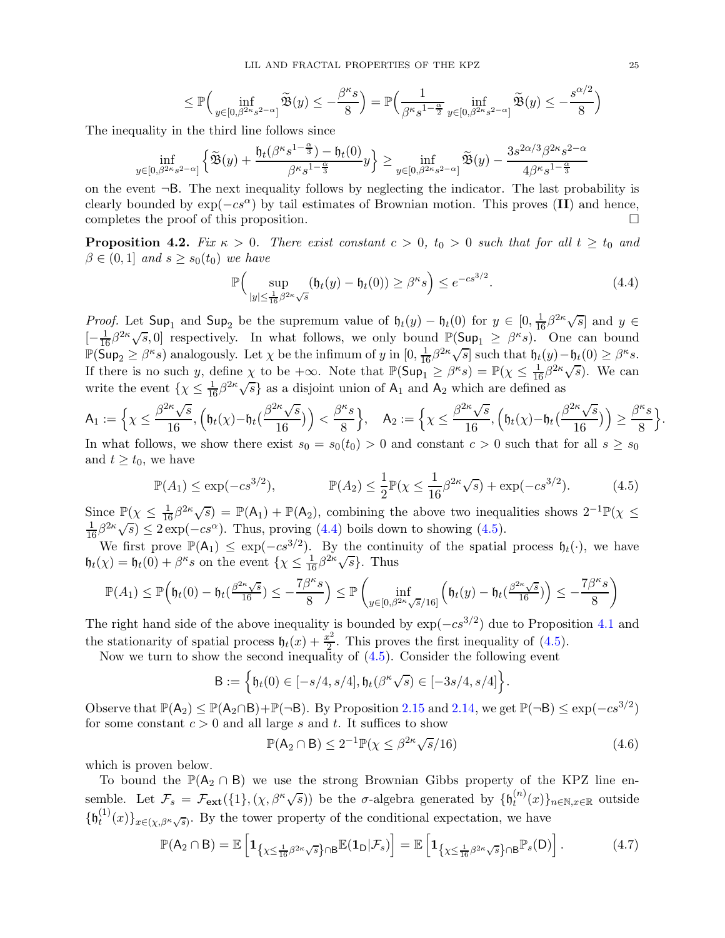$$
\leq \mathbb{P}\Big(\inf_{y\in[0,\beta^{2\kappa}s^{2-\alpha}]}\widetilde{\mathfrak{B}}(y)\leq -\frac{\beta^{\kappa}s}{8}\Big)=\mathbb{P}\Big(\frac{1}{\beta^{\kappa}s^{1-\frac{\alpha}{2}}}\inf_{y\in[0,\beta^{2\kappa}s^{2-\alpha}]}\widetilde{\mathfrak{B}}(y)\leq -\frac{s^{\alpha/2}}{8}\Big)
$$

The inequality in the third line follows since

$$
\inf_{y \in [0,\beta^{2\kappa}s^{2-\alpha}]} \left\{ \widetilde{\mathfrak{B}}(y) + \frac{\mathfrak{h}_t(\beta^{\kappa}s^{1-\frac{\alpha}{3}})-\mathfrak{h}_t(0)}{\beta^{\kappa}s^{1-\frac{\alpha}{3}}}y \right\} \ge \inf_{y \in [0,\beta^{2\kappa}s^{2-\alpha}]} \widetilde{\mathfrak{B}}(y) - \frac{3s^{2\alpha/3}\beta^{2\kappa}s^{2-\alpha}}{4\beta^{\kappa}s^{1-\frac{\alpha}{3}}}
$$

on the event  $\neg B$ . The next inequality follows by neglecting the indicator. The last probability is clearly bounded by  $\exp(-cs^{\alpha})$  by tail estimates of Brownian motion. This proves (II) and hence, completes the proof of this proposition. completes the proof of this proposition.

<span id="page-24-0"></span>**Proposition 4.2.** Fix  $\kappa > 0$ . There exist constant  $c > 0$ ,  $t_0 > 0$  such that for all  $t \ge t_0$  and  $\beta \in (0,1]$  and  $s \geq s_0(t_0)$  we have

<span id="page-24-2"></span><span id="page-24-1"></span>
$$
\mathbb{P}\Big(\sup_{|y| \le \frac{1}{16}\beta^{2\kappa}\sqrt{s}} (\mathfrak{h}_t(y) - \mathfrak{h}_t(0)) \ge \beta^{\kappa} s\Big) \le e^{-cs^{3/2}}.
$$
\n(4.4)

Proof. Let  $\textsf{Sup}_1$  and  $\textsf{Sup}_2$  be the supremum value of  $\mathfrak{h}_t(y) - \mathfrak{h}_t(0)$  for  $y \in [0, \frac{1}{16}\beta^{2\kappa}\sqrt{s}]$  and  $y \in$  $[-\frac{1}{16}\beta^{2\kappa}\sqrt{s},0]$  respectively. In what follows, we only bound  $\mathbb{P}(\mathsf{Sup}_{1} \geq \beta^{\kappa}s)$ . One can bound  $\mathbb{P}(\mathsf{Sup}_2 \geq \beta^k s)$  analogously. Let  $\chi$  be the infimum of y in  $[0, \frac{1}{16}\beta^{2k}\sqrt{s}]$  such that  $\mathfrak{h}_t(y) - \mathfrak{h}_t(0) \geq \beta^k s$ . If there is no such y, define  $\chi$  to be  $+\infty$ . Note that  $\mathbb{P}(\text{Sup}_1 \geq \beta^{\kappa} s) = \mathbb{P}(\chi \leq \frac{1}{16}\beta^{2\kappa}\sqrt{s})$ . We can write the event  $\{ \chi \leq \frac{1}{16} \beta^{2\kappa} \sqrt{s} \}$  as a disjoint union of  $A_1$  and  $A_2$  which are defined as

$$
\mathsf{A}_1 := \Big\{ \chi \leq \frac{\beta^{2\kappa}\sqrt{s}}{16}, \Big( \mathfrak{h}_t(\chi) - \mathfrak{h}_t\left(\frac{\beta^{2\kappa}\sqrt{s}}{16}\right) \Big) < \frac{\beta^{\kappa}s}{8} \Big\}, \quad \mathsf{A}_2 := \Big\{ \chi \leq \frac{\beta^{2\kappa}\sqrt{s}}{16}, \Big( \mathfrak{h}_t(\chi) - \mathfrak{h}_t\left(\frac{\beta^{2\kappa}\sqrt{s}}{16}\right) \Big) \geq \frac{\beta^{\kappa}s}{8} \Big\}.
$$
\nIn what follows, we show there exist  $s_2 = s_2(t_2) > 0$  and constant  $c > 0$  such that for all  $s > s_2$ .

In what follows, we show there exist  $s_0 = s_0(t_0) > 0$  and constant  $c > 0$  such that for all  $s \geq s_0$ and  $t \geq t_0$ , we have

$$
\mathbb{P}(A_1) \le \exp(-cs^{3/2}), \qquad \mathbb{P}(A_2) \le \frac{1}{2}\mathbb{P}(\chi \le \frac{1}{16}\beta^{2\kappa}\sqrt{s}) + \exp(-cs^{3/2}). \tag{4.5}
$$

Since  $\mathbb{P}(\chi \leq \frac{1}{16}\beta^{2\kappa}\sqrt{s}) = \mathbb{P}(\mathsf{A}_1) + \mathbb{P}(\mathsf{A}_2)$ , combining the above two inequalities shows  $2^{-1}\mathbb{P}(\chi \leq \mathsf{A}_1)$  $\frac{1}{16}\beta^{2\kappa}\sqrt{s}$   $\leq$  2 exp( $-cs^{\alpha}$ ). Thus, proving [\(4.4\)](#page-24-1) boils down to showing [\(4.5\)](#page-24-2).

We first prove  $\mathbb{P}(A_1) \leq \exp(-cs^{3/2})$ . By the continuity of the spatial process  $\mathfrak{h}_t(\cdot)$ , we have  $\mathfrak{h}_t(\chi) = \mathfrak{h}_t(0) + \beta^{\kappa} s$  on the event  $\{\chi \leq \frac{1}{16} \beta^{2\kappa} \sqrt{s}\}.$  Thus

$$
\mathbb{P}(A_1) \le \mathbb{P}\Big(\mathfrak{h}_t(0) - \mathfrak{h}_t(\frac{\beta^{2\kappa}\sqrt{s}}{16}) \le -\frac{7\beta^{\kappa}s}{8}\Big) \le \mathbb{P}\left(\inf_{y \in [0,\beta^{2\kappa}\sqrt{s}/16]} \left(\mathfrak{h}_t(y) - \mathfrak{h}_t(\frac{\beta^{2\kappa}\sqrt{s}}{16})\right) \le -\frac{7\beta^{\kappa}s}{8}\right)
$$

The right hand side of the above inequality is bounded by  $\exp(-cs^{3/2})$  due to Proposition [4.1](#page-22-1) and the stationarity of spatial process  $\mathfrak{h}_t(x) + \frac{x^2}{2}$  $\frac{e^2}{2}$ . This proves the first inequality of  $(4.5)$ .

Now we turn to show the second inequality of [\(4.5\)](#page-24-2). Consider the following event

$$
\mathsf{B}:=\Big\{\mathfrak{h}_t(0)\in [-s/4,s/4], \mathfrak{h}_t(\beta^{\kappa}\sqrt{s})\in [-3s/4,s/4]\Big\}.
$$

Observe that  $\mathbb{P}(A_2) \leq \mathbb{P}(A_2 \cap B) + \mathbb{P}(\neg B)$ . By Proposition [2.15](#page-16-0) and [2.14,](#page-16-6) we get  $\mathbb{P}(\neg B) \leq \exp(-cs^{3/2})$ for some constant  $c > 0$  and all large s and t. It suffices to show

<span id="page-24-4"></span><span id="page-24-3"></span>
$$
\mathbb{P}(\mathsf{A}_2 \cap \mathsf{B}) \le 2^{-1} \mathbb{P}(\chi \le \beta^{2\kappa} \sqrt{s}/16) \tag{4.6}
$$

which is proven below.

To bound the  $\mathbb{P}(A_2 \cap B)$  we use the strong Brownian Gibbs property of the KPZ line ensemble. Let  $\mathcal{F}_s = \mathcal{F}_{ext}(\{1\}, (\chi, \beta^{\kappa}\sqrt{s}))$  be the  $\sigma$ -algebra generated by  $\{\mathfrak{h}_t^{(n)}\}$  $t^{(n)}(x)\}_{n\in\mathbb{N},x\in\mathbb{R}}$  outside  $\{\mathfrak{h}_t^{(1)}\}$  $\{f^{(1)}(x)\}_{x\in (\chi,\beta^{\kappa}\sqrt{s})}$ . By the tower property of the conditional expectation, we have

$$
\mathbb{P}(\mathsf{A}_2 \cap \mathsf{B}) = \mathbb{E}\left[\mathbf{1}_{\left\{\chi \leq \frac{1}{16}\beta^{2\kappa}\sqrt{s}\right\} \cap \mathsf{B}} \mathbb{E}(\mathbf{1}_D|\mathcal{F}_s)\right] = \mathbb{E}\left[\mathbf{1}_{\left\{\chi \leq \frac{1}{16}\beta^{2\kappa}\sqrt{s}\right\} \cap \mathsf{B}} \mathbb{P}_s(\mathsf{D})\right].\tag{4.7}
$$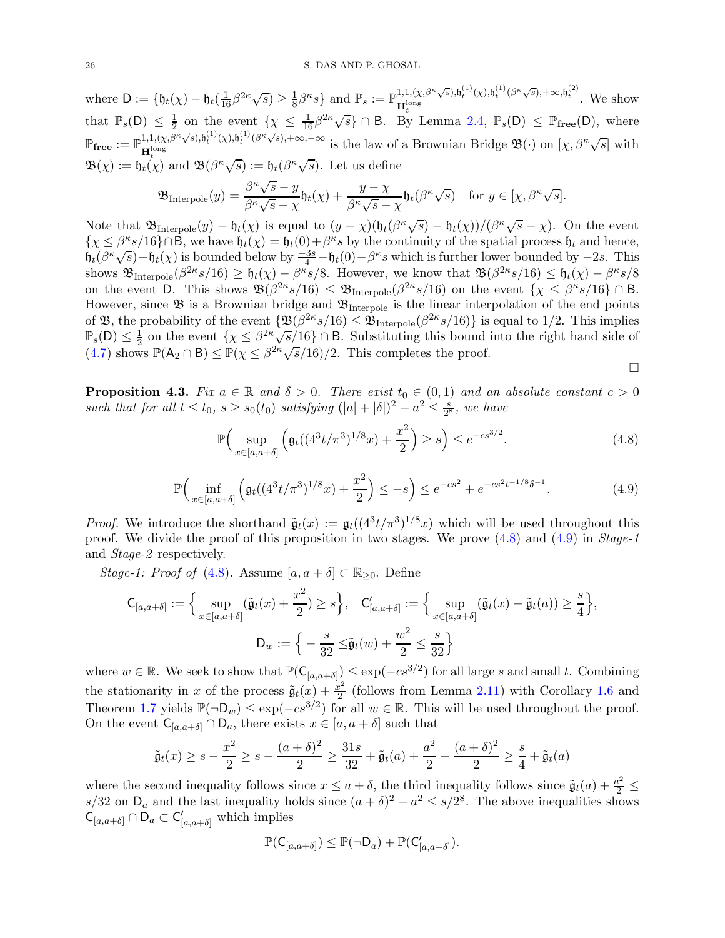where  $D := \{ \mathfrak{h}_t(\chi) - \mathfrak{h}_t(\frac{1}{16}\beta^{2\kappa}\sqrt{s}) \geq \frac{1}{8} \}$  $\frac{1}{8}\beta^{\kappa}s\}$  and  $\mathbb{P}_s := \mathbb{P}^{1,1,(\chi,\beta^{\kappa}\sqrt{s}),\mathfrak{h}_t^{(1)}(\chi),\mathfrak{h}_t^{(1)}(\beta^{\kappa}\sqrt{s}),+\infty,\mathfrak{h}_t^{(2)}}$ . We show that  $\mathbb{P}_s(D) \leq \frac{1}{2}$  $\frac{1}{2}$  on the event  $\{\chi \leq \frac{1}{16}\beta^{2\kappa}\sqrt{s}\}\cap B$ . By Lemma [2.4,](#page-11-0)  $\mathbb{P}_s(D) \leq \mathbb{P}_{\text{free}}(D)$ , where  $\mathbb{P}_{\text{free}} := \mathbb{P}^{1,1,(\chi,\beta^{\kappa}\sqrt{s}),\mathfrak{h}_t^{(1)}(\chi),\mathfrak{h}_t^{(1)}(\beta^{\kappa}\sqrt{s}),+\infty,-\infty}$  is the law of a Brownian Bridge  $\mathfrak{B}(\cdot)$  on  $[\chi,\beta^{\kappa}\sqrt{s}]$  with  $\mathfrak{B}(\chi) := \mathfrak{h}_t(\chi)$  and  $\mathfrak{B}(\beta^{\kappa}\sqrt{s}) := \mathfrak{h}_t(\beta^{\kappa}\sqrt{s})$ . Let us define

$$
\mathfrak{B}_{\mathrm{Interpole}}(y) = \frac{\beta^{\kappa}\sqrt{s} - y}{\beta^{\kappa}\sqrt{s} - \chi} \mathfrak{h}_t(\chi) + \frac{y - \chi}{\beta^{\kappa}\sqrt{s} - \chi} \mathfrak{h}_t(\beta^{\kappa}\sqrt{s}) \quad \text{for } y \in [\chi, \beta^{\kappa}\sqrt{s}].
$$

Note that  $\mathfrak{B}_{\text{Interpole}}(y) - \mathfrak{h}_t(\chi)$  is equal to  $(y - \chi)(\mathfrak{h}_t(\beta^{\kappa}\sqrt{s}) - \mathfrak{h}_t(\chi))/(\beta^{\kappa}\sqrt{s} - \chi)$ . On the event  $\{\chi \leq \beta^{\kappa} s/16\} \cap \mathsf{B}$ , we have  $\mathfrak{h}_t(\chi) = \mathfrak{h}_t(0) + \beta^{\kappa} s$  by the continuity of the spatial process  $\mathfrak{h}_t$  and hence,  $h_t(\beta^k\sqrt{s}) - h_t(\chi)$  is bounded below by  $\frac{-3s}{4} - h_t(0) - \beta^k s$  which is further lower bounded by  $-2s$ . This shows  $\mathfrak{B}_{\text{Interpole}}(\beta^{2\kappa}s/16) \geq \mathfrak{h}_t(\chi) - \beta^{\kappa}s/8$ . However, we know that  $\mathfrak{B}(\beta^{2\kappa}s/16) \leq \mathfrak{h}_t(\chi) - \beta^{\kappa}s/8$ on the event D. This shows  $\mathfrak{B}(\beta^{2\kappa}s/16) \leq \mathfrak{B}_{\text{Interpole}}(\beta^{2\kappa}s/16)$  on the event  $\{\chi \leq \beta^{\kappa}s/16\} \cap B$ . However, since  $\mathfrak{B}$  is a Brownian bridge and  $\mathfrak{B}_{\text{Interpole}}$  is the linear interpolation of the end points of B, the probability of the event  $\{\mathfrak{B}(\beta^{2\kappa}s/16)\leq \mathfrak{B}_{\text{Interpole}}(\beta^{2\kappa}s/16)\}\$ is equal to 1/2. This implies  $\mathbb{P}_s(D) \leq \frac{1}{2}$  on the event  $\{\chi \leq \beta^{2\kappa} \sqrt{s/16}\}\cap B$ . Substituting this bound into the right hand side of  $(4.7)$  shows  $\mathbb{P}(\mathsf{A}_2 \cap \mathsf{B}) \leq \mathbb{P}(\chi \leq \beta^{2\kappa} \sqrt{s}/16)/2$ . This completes the proof.

<span id="page-25-1"></span><span id="page-25-0"></span> $\Box$ 

<span id="page-25-2"></span>**Proposition 4.3.** Fix  $a \in \mathbb{R}$  and  $\delta > 0$ . There exist  $t_0 \in (0,1)$  and an absolute constant  $c > 0$ such that for all  $t \le t_0$ ,  $s \ge s_0(t_0)$  satisfying  $(|a| + |\delta|)^2 - a^2 \le \frac{s}{2^8}$  $\frac{s}{2^8}$ , we have

$$
\mathbb{P}\Big(\sup_{x \in [a,a+\delta]} \left( \mathfrak{g}_t((4^3t/\pi^3)^{1/8}x) + \frac{x^2}{2} \right) \ge s \Big) \le e^{-cs^{3/2}}.
$$
 (4.8)

$$
\mathbb{P}\Big(\inf_{x \in [a,a+\delta]} \left(\mathfrak{g}_t((4^3t/\pi^3)^{1/8}x) + \frac{x^2}{2}\right) \le -s\Big) \le e^{-cs^2} + e^{-cs^2t^{-1/8}\delta^{-1}}.\tag{4.9}
$$

*Proof.* We introduce the shorthand  $\tilde{\mathfrak{g}}_t(x) := \mathfrak{g}_t((4^3t/\pi^3)^{1/8}x)$  which will be used throughout this proof. We divide the proof of this proposition in two stages. We prove  $(4.8)$  and  $(4.9)$  in *Stage-1* and Stage-2 respectively.

Stage-1: Proof of [\(4.8\)](#page-25-0). Assume  $[a, a + \delta] \subset \mathbb{R}_{\geq 0}$ . Define

$$
\mathsf{C}_{[a,a+\delta]} := \Big\{ \sup_{x \in [a,a+\delta]} (\tilde{\mathfrak{g}}_t(x) + \frac{x^2}{2}) \ge s \Big\}, \quad \mathsf{C}'_{[a,a+\delta]} := \Big\{ \sup_{x \in [a,a+\delta]} (\tilde{\mathfrak{g}}_t(x) - \tilde{\mathfrak{g}}_t(a)) \ge \frac{s}{4} \Big\},\
$$

$$
\mathsf{D}_w := \Big\{ -\frac{s}{32} \le \tilde{\mathfrak{g}}_t(w) + \frac{w^2}{2} \le \frac{s}{32} \Big\}
$$

where  $w \in \mathbb{R}$ . We seek to show that  $\mathbb{P}(\mathsf{C}_{[a,a+\delta]}) \leq \exp(-cs^{3/2})$  for all large s and small t. Combining the stationarity in x of the process  $\tilde{\mathfrak{g}}_t(x) + \frac{x^2}{2}$  $\frac{e^2}{2}$  (follows from Lemma [2.11\)](#page-14-1) with Corollary [1.6](#page-4-2) and Theorem [1.7](#page-5-2) yields  $\mathbb{P}(\neg D_w) \leq \exp(-cs^{3/2})$  for all  $w \in \mathbb{R}$ . This will be used throughout the proof. On the event  $C_{[a,a+\delta]} \cap D_a$ , there exists  $x \in [a, a+\delta]$  such that

$$
\tilde{\mathfrak{g}}_t(x) \ge s - \frac{x^2}{2} \ge s - \frac{(a+\delta)^2}{2} \ge \frac{31s}{32} + \tilde{\mathfrak{g}}_t(a) + \frac{a^2}{2} - \frac{(a+\delta)^2}{2} \ge \frac{s}{4} + \tilde{\mathfrak{g}}_t(a)
$$

where the second inequality follows since  $x \le a + \delta$ , the third inequality follows since  $\tilde{\mathfrak{g}}_t(a) + \frac{a^2}{2} \le$  $s/32$  on  $D_a$  and the last inequality holds since  $(a + \delta)^2 - a^2 \le s/2^8$ . The above inequalities shows  $\mathsf{C}_{[a,a+\delta]} \cap \mathsf{D}_a \subset \mathsf{C}'_{[a,a+\delta]}$  which implies

$$
\mathbb{P}(\mathsf{C}_{[a,a+\delta]}) \leq \mathbb{P}(\neg \mathsf{D}_a) + \mathbb{P}(\mathsf{C}'_{[a,a+\delta]}).
$$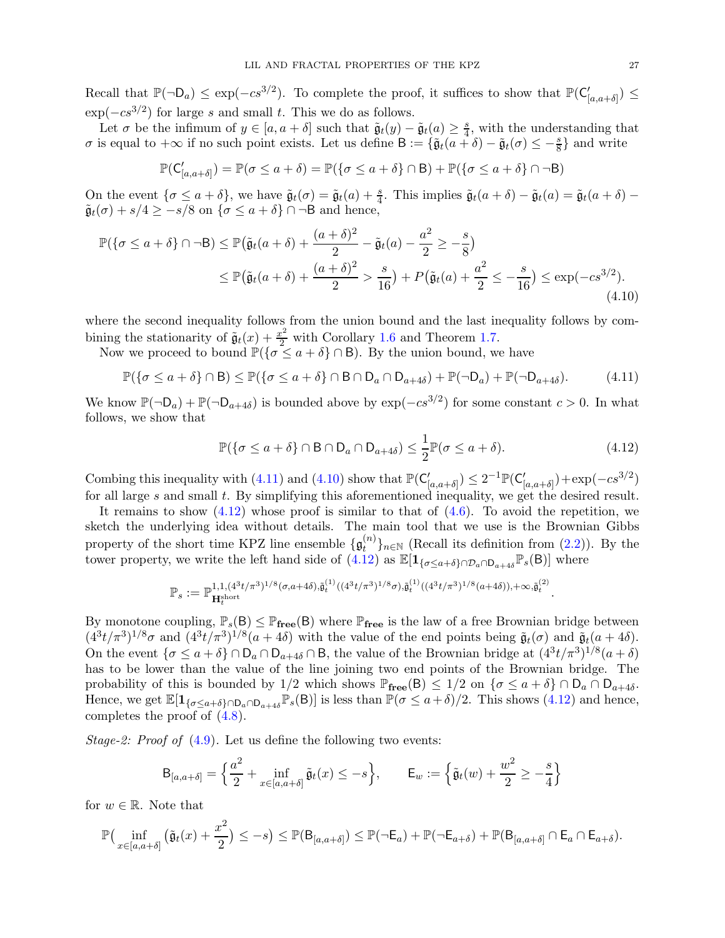Recall that  $\mathbb{P}(\neg \mathsf{D}_a) \leq \exp(-cs^{3/2})$ . To complete the proof, it suffices to show that  $\mathbb{P}(\mathsf{C}_{[a,a+\delta]}') \leq$  $\exp(-cs^{3/2})$  for large s and small t. This we do as follows.

Let  $\sigma$  be the infimum of  $y \in [a, a + \delta]$  such that  $\tilde{\mathfrak{g}}_t(y) - \tilde{\mathfrak{g}}_t(a) \geq \frac{s}{4}$  $\frac{s}{4}$ , with the understanding that  $\sigma$  is equal to  $+\infty$  if no such point exists. Let us define  $B := {\{\tilde{g}_t(a + \delta) - \tilde{g}_t(\sigma) \le -\frac{s}{8}\}}$  and write

$$
\mathbb{P}(\mathsf{C}'_{[a,a+\delta]}) = \mathbb{P}(\sigma \le a+\delta) = \mathbb{P}(\{\sigma \le a+\delta\} \cap \mathsf{B}) + \mathbb{P}(\{\sigma \le a+\delta\} \cap \neg \mathsf{B})
$$

On the event  $\{\sigma \leq a + \delta\}$ , we have  $\tilde{\mathfrak{g}}_t(\sigma) = \tilde{\mathfrak{g}}_t(a) + \frac{s}{4}$ . This implies  $\tilde{\mathfrak{g}}_t(a + \delta) - \tilde{\mathfrak{g}}_t(a) = \tilde{\mathfrak{g}}_t(a + \delta)$  $\tilde{\mathfrak{g}}_t(\sigma) + s/4 \geq -s/8$  on  $\{\sigma \leq a+\delta\} \cap \neg \mathsf{B}$  and hence,

$$
\mathbb{P}(\{\sigma \le a + \delta\} \cap \neg B) \le \mathbb{P}(\tilde{\mathfrak{g}}_t(a + \delta) + \frac{(a + \delta)^2}{2} - \tilde{\mathfrak{g}}_t(a) - \frac{a^2}{2} \ge -\frac{s}{8})
$$
  
 
$$
\le \mathbb{P}(\tilde{\mathfrak{g}}_t(a + \delta) + \frac{(a + \delta)^2}{2} > \frac{s}{16}) + P(\tilde{\mathfrak{g}}_t(a) + \frac{a^2}{2} \le -\frac{s}{16}) \le \exp(-cs^{3/2}).
$$
\n(4.10)

where the second inequality follows from the union bound and the last inequality follows by combining the stationarity of  $\tilde{\mathfrak{g}}_t(x) + \frac{x^2}{2}$  with Corollary [1.6](#page-4-2) and Theorem [1.7.](#page-5-2)

Now we proceed to bound  $\mathbb{P}(\{\sigma \le a + \delta\} \cap B)$ . By the union bound, we have

<span id="page-26-0"></span>
$$
\mathbb{P}(\{\sigma \le a + \delta\} \cap \mathsf{B}) \le \mathbb{P}(\{\sigma \le a + \delta\} \cap \mathsf{B} \cap \mathsf{D}_a \cap \mathsf{D}_{a+4\delta}) + \mathbb{P}(\neg \mathsf{D}_a) + \mathbb{P}(\neg \mathsf{D}_{a+4\delta}).\tag{4.11}
$$

We know  $\mathbb{P}(\neg \mathsf{D}_a) + \mathbb{P}(\neg \mathsf{D}_{a+4\delta})$  is bounded above by  $\exp(-cs^{3/2})$  for some constant  $c > 0$ . In what follows, we show that

$$
\mathbb{P}(\{\sigma \le a + \delta\} \cap \mathsf{B} \cap \mathsf{D}_a \cap \mathsf{D}_{a+4\delta}) \le \frac{1}{2} \mathbb{P}(\sigma \le a + \delta). \tag{4.12}
$$

<span id="page-26-2"></span><span id="page-26-1"></span>.

Combing this inequality with [\(4.11\)](#page-26-0) and [\(4.10\)](#page-26-1) show that  $\mathbb{P}(\mathsf{C}'_{[a,a+\delta]}) \leq 2^{-1}\mathbb{P}(\mathsf{C}'_{[a,a+\delta]}) + \exp(-cs^{3/2})$ for all large s and small t. By simplifying this aforementioned inequality, we get the desired result.

It remains to show  $(4.12)$  whose proof is similar to that of  $(4.6)$ . To avoid the repetition, we sketch the underlying idea without details. The main tool that we use is the Brownian Gibbs property of the short time KPZ line ensemble  $\{\mathfrak{g}^{(n)}_t\}$  $\binom{n}{t}_{n\in\mathbb{N}}$  (Recall its definition from  $(2.2)$ ). By the tower property, we write the left hand side of  $(4.12)$  as  $\mathbb{E}[1_{\{\sigma \leq a+\delta\} \cap \mathcal{D}_a \cap D_{a+4\delta}} \mathbb{P}_s(B)]$  where

$$
\mathbb{P}_s := \mathbb{P}^{1,1,(4^3t/\pi^3)^{1/8}(\sigma,a+4\delta),\tilde{\mathfrak{g}}^{(1)}_t((4^3t/\pi^3)^{1/8}\sigma),\tilde{\mathfrak{g}}^{(1)}_t((4^3t/\pi^3)^{1/8}(a+4\delta)),+\infty,\tilde{\mathfrak{g}}^{(2)}_t}
$$

By monotone coupling,  $\mathbb{P}_s(\mathsf{B}) \leq \mathbb{P}_{\text{free}}(\mathsf{B})$  where  $\mathbb{P}_{\text{free}}$  is the law of a free Brownian bridge between  $(4^3t/\pi^3)^{1/8}\sigma$  and  $(4^3t/\pi^3)^{1/8}(a+4\delta)$  with the value of the end points being  $\tilde{\mathfrak{g}}_t(\sigma)$  and  $\tilde{\mathfrak{g}}_t(a+4\delta)$ . On the event  $\{\sigma \le a + \delta\} \cap D_a \cap D_{a+4\delta} \cap B$ , the value of the Brownian bridge at  $(4^3t/\pi^3)^{1/8}(a+\delta)$ has to be lower than the value of the line joining two end points of the Brownian bridge. The probability of this is bounded by 1/2 which shows  $\mathbb{P}_{\text{free}}(\mathsf{B}) \leq 1/2$  on  $\{\sigma \leq a+\delta\} \cap \mathsf{D}_a \cap \mathsf{D}_{a+4\delta}$ . Hence, we get  $\mathbb{E}[\mathbf{1}_{\{\sigma \leq a+\delta\} \cap \mathsf{D}_{a} \cap \mathsf{D}_{a+4\delta}} \mathbb{P}_s(\mathsf{B})]$  is less than  $\mathbb{P}(\sigma \leq a+\delta)/2$ . This shows [\(4.12\)](#page-26-2) and hence, completes the proof of [\(4.8\)](#page-25-0).

*Stage-2: Proof of*  $(4.9)$ . Let us define the following two events:

$$
\mathsf{B}_{[a,a+\delta]} = \left\{ \frac{a^2}{2} + \inf_{x \in [a,a+\delta]} \tilde{\mathfrak{g}}_t(x) \le -s \right\}, \qquad \mathsf{E}_w := \left\{ \tilde{\mathfrak{g}}_t(w) + \frac{w^2}{2} \ge -\frac{s}{4} \right\}
$$

for  $w \in \mathbb{R}$ . Note that

$$
\mathbb{P}\big(\inf_{x\in[a,a+\delta]} \big(\tilde{\mathfrak{g}}_t(x)+\frac{x^2}{2}\big)\leq -s\big)\leq \mathbb{P}(\mathsf{B}_{[a,a+\delta]})\leq \mathbb{P}(\neg \mathsf{E}_a)+\mathbb{P}(\neg \mathsf{E}_{a+\delta})+\mathbb{P}(\mathsf{B}_{[a,a+\delta]}\cap \mathsf{E}_a\cap \mathsf{E}_{a+\delta}).
$$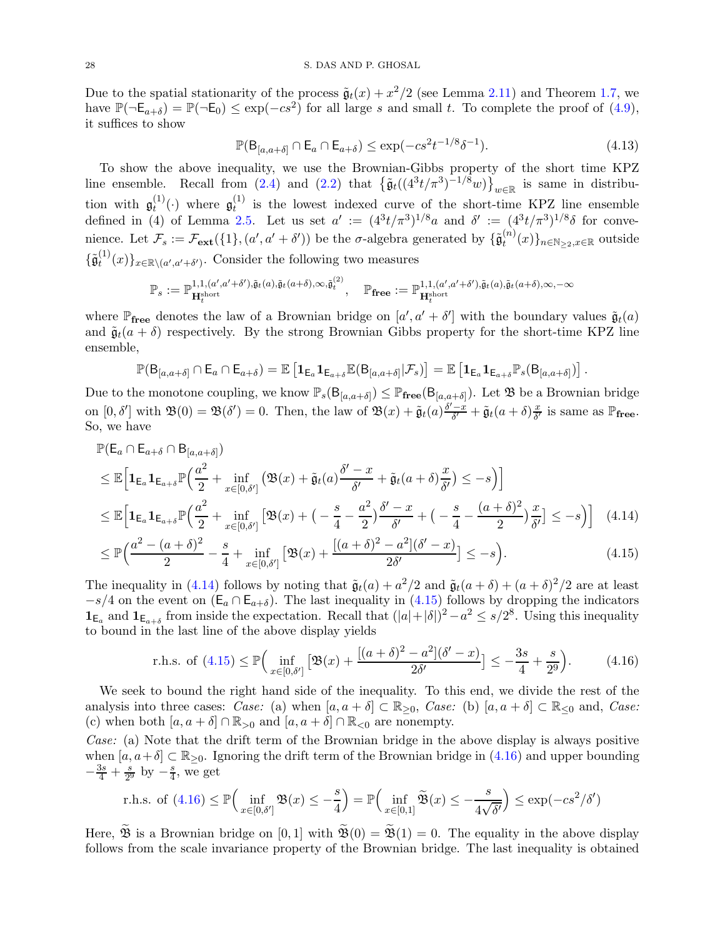Due to the spatial stationarity of the process  $\tilde{\mathfrak{g}}_t(x) + x^2/2$  (see Lemma [2.11\)](#page-14-1) and Theorem [1.7,](#page-5-2) we have  $\mathbb{P}(\neg \mathsf{E}_{a+\delta}) = \mathbb{P}(\neg \mathsf{E}_0) \le \exp(-cs^2)$  for all large s and small t. To complete the proof of [\(4.9\)](#page-25-1), it suffices to show

$$
\mathbb{P}(\mathsf{B}_{[a,a+\delta]}\cap\mathsf{E}_a\cap\mathsf{E}_{a+\delta})\leq\exp(-cs^2t^{-1/8}\delta^{-1}).\tag{4.13}
$$

<span id="page-27-3"></span><span id="page-27-2"></span><span id="page-27-1"></span><span id="page-27-0"></span>.

To show the above inequality, we use the Brownian-Gibbs property of the short time KPZ line ensemble. Recall from [\(2.4\)](#page-13-4) and [\(2.2\)](#page-12-3) that  $\left\{\tilde{\mathfrak{g}}_t((4^3t/\pi^3)^{-1/8}w)\right\}_{w\in\mathbb{R}}$  is same in distribution with  $\mathfrak{g}^{(1)}_t$  $\mathfrak{g}_t^{(1)}(\cdot)$  where  $\mathfrak{g}_t^{(1)}$  $t_t^{(1)}$  is the lowest indexed curve of the short-time KPZ line ensemble defined in (4) of Lemma [2.5.](#page-12-1) Let us set  $a' := (4^3t/\pi^3)^{1/8}a$  and  $\delta' := (4^3t/\pi^3)^{1/8}\delta$  for convenience. Let  $\mathcal{F}_s := \mathcal{F}_{ext}(\{1\}, (a', a' + \delta'))$  be the  $\sigma$ -algebra generated by  $\{\tilde{\mathfrak{g}}_t^{(n)}\}$  $t^{(n)}(x)\}_{n\in\mathbb{N}_{\geq 2}, x\in\mathbb{R}}$  outside  $\{\tilde{\mathfrak{g}}_t^{(1)}$  $\{u^{(1)}(x)\}_{x\in\mathbb{R}\setminus(a',a'+\delta')}$ . Consider the following two measures

$$
\mathbb{P}_s := \mathbb{P}^{1,1,(a',a'+\delta'),\tilde{\mathfrak{g}}_t(a),\tilde{\mathfrak{g}}_t(a+\delta),\infty,\tilde{\mathfrak{g}}_t^{(2)}}, \quad \mathbb{P}_{\textbf{free}} := \mathbb{P}^{1,1,(a',a'+\delta'),\tilde{\mathfrak{g}}_t(a),\tilde{\mathfrak{g}}_t(a+\delta),\infty,-\infty}_{\textbf{H}_t^{\text{short}}}
$$

where  $\mathbb{P}_{\text{free}}$  denotes the law of a Brownian bridge on  $[a', a' + \delta']$  with the boundary values  $\tilde{\mathfrak{g}}_t(a)$ and  $\tilde{\mathfrak{g}}_t(a + \delta)$  respectively. By the strong Brownian Gibbs property for the short-time KPZ line ensemble,

$$
\mathbb{P}(B_{[a,a+\delta]}\cap E_a\cap E_{a+\delta})=\mathbb{E}\left[\mathbf{1}_{E_a}\mathbf{1}_{E_{a+\delta}}\mathbb{E}(B_{[a,a+\delta]}|\mathcal{F}_s)\right]=\mathbb{E}\left[\mathbf{1}_{E_a}\mathbf{1}_{E_{a+\delta}}\mathbb{P}_s(B_{[a,a+\delta]})\right]
$$

Due to the monotone coupling, we know  $\mathbb{P}_s(\mathsf{B}_{[a,a+\delta]}) \leq \mathbb{P}_{\mathbf{free}}(\mathsf{B}_{[a,a+\delta]})$ . Let  $\mathfrak{B}$  be a Brownian bridge on  $[0, \delta']$  with  $\mathfrak{B}(0) = \mathfrak{B}(\delta') = 0$ . Then, the law of  $\mathfrak{B}(x) + \tilde{\mathfrak{g}}_t(a) \frac{\delta' - x}{\delta'} + \tilde{\mathfrak{g}}_t(a + \delta) \frac{x}{\delta'}$  $\frac{x}{\delta'}$  is same as  $\mathbb{P}_{\text{free}}$ . So, we have

$$
\mathbb{P}(\mathsf{E}_{a} \cap \mathsf{E}_{a+\delta} \cap \mathsf{B}_{[a,a+\delta]})
$$
\n
$$
\leq \mathbb{E}\Big[\mathbf{1}_{\mathsf{E}_{a}}\mathbf{1}_{\mathsf{E}_{a+\delta}}\mathbb{P}\Big(\frac{a^{2}}{2} + \inf_{x \in [0,\delta']} \left( \mathfrak{B}(x) + \tilde{\mathfrak{g}}_{t}(a) \frac{\delta' - x}{\delta'} + \tilde{\mathfrak{g}}_{t}(a+\delta) \frac{x}{\delta'} \right) \leq -s \Big)\Big] \leq \mathbb{E}\Big[\mathbf{1}_{\mathsf{E}_{a}}\mathbf{1}_{\mathsf{E}_{a+\delta}}\mathbb{P}\Big(\frac{a^{2}}{2} + \inf_{x \in [0,\delta']} \left[ \mathfrak{B}(x) + \left( -\frac{s}{4} - \frac{a^{2}}{2} \right) \frac{\delta' - x}{\delta'} + \left( -\frac{s}{4} - \frac{(a+\delta)^{2}}{2} \right) \frac{x}{\delta'} \right] \leq -s \Big)\Big] \quad (4.14)
$$
\n
$$
\leq \mathbb{P}\Big(\frac{a^{2} - (a+\delta)^{2}}{2} - \frac{s}{4} + \inf_{x \in [0,\delta']} \left[ \mathfrak{B}(x) + \frac{[(a+\delta)^{2} - a^{2}](\delta' - x)}{2\delta'} \right] \leq -s \Big). \tag{4.15}
$$

The inequality in [\(4.14\)](#page-27-0) follows by noting that  $\tilde{\mathfrak{g}}_t(a) + a^2/2$  and  $\tilde{\mathfrak{g}}_t(a+\delta) + (a+\delta)^2/2$  are at least  $-s/4$  on the event on  $(E_a \cap E_{a+\delta})$ . The last inequality in [\(4.15\)](#page-27-1) follows by dropping the indicators  $\mathbf{1}_{\mathsf{E}_a}$  and  $\mathbf{1}_{\mathsf{E}_{a+\delta}}$  from inside the expectation. Recall that  $(|a|+|\delta|)^2 - a^2 \leq s/2^8$ . Using this inequality to bound in the last line of the above display yields

r.h.s. of (4.15) 
$$
\leq \mathbb{P}\left(\inf_{x \in [0,\delta']} \left[\mathfrak{B}(x) + \frac{[(a+\delta)^2 - a^2](\delta'-x)}{2\delta'}\right] \leq -\frac{3s}{4} + \frac{s}{2^9}\right).
$$
 (4.16)

We seek to bound the right hand side of the inequality. To this end, we divide the rest of the analysis into three cases: Case: (a) when  $[a, a + \delta] \subset \mathbb{R}_{\geq 0}$ , Case: (b)  $[a, a + \delta] \subset \mathbb{R}_{\leq 0}$  and, Case: (c) when both  $[a, a + \delta] \cap \mathbb{R}_{>0}$  and  $[a, a + \delta] \cap \mathbb{R}_{<0}$  are nonempty.

Case: (a) Note that the drift term of the Brownian bridge in the above display is always positive when  $[a, a+\delta] \subset \mathbb{R}_{\geq 0}$ . Ignoring the drift term of the Brownian bridge in [\(4.16\)](#page-27-2) and upper bounding  $-\frac{3s}{4}+\frac{s}{2^8}$  $rac{s}{2^9}$  by  $-\frac{s}{4}$  $\frac{s}{4}$ , we get

r.h.s. of (4.16) 
$$
\leq \mathbb{P}\left(\inf_{x \in [0,\delta']} \mathfrak{B}(x) \leq -\frac{s}{4}\right) = \mathbb{P}\left(\inf_{x \in [0,1]} \widetilde{\mathfrak{B}}(x) \leq -\frac{s}{4\sqrt{\delta'}}\right) \leq \exp(-cs^2/\delta')
$$

Here,  $\widetilde{\mathfrak{B}}$  is a Brownian bridge on [0, 1] with  $\widetilde{\mathfrak{B}}(0) = \widetilde{\mathfrak{B}}(1) = 0$ . The equality in the above display follows from the scale invariance property of the Brownian bridge. The last inequality is obtained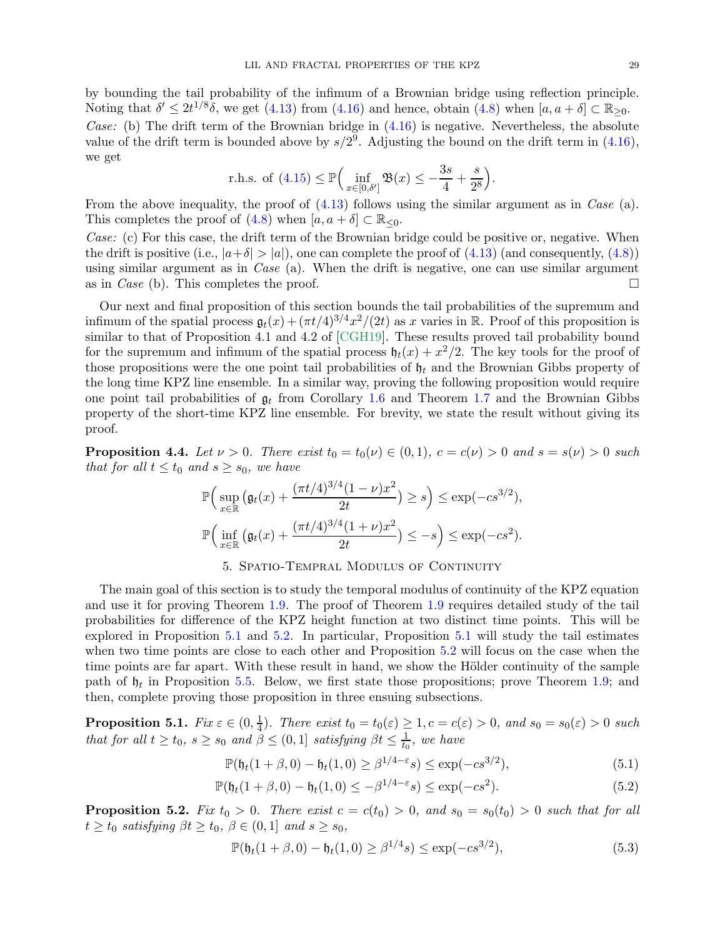by bounding the tail probability of the infimum of a Brownian bridge using reflection principle. Noting that  $\delta' \leq 2t^{1/8}\delta$ , we get [\(4.13\)](#page-27-3) from [\(4.16\)](#page-27-2) and hence, obtain [\(4.8\)](#page-25-0) when  $[a, a + \delta] \subset \mathbb{R}_{\geq 0}$ . Case: (b) The drift term of the Brownian bridge in  $(4.16)$  is negative. Nevertheless, the absolute value of the drift term is bounded above by  $s/2^9$ . Adjusting the bound on the drift term in [\(4.16\)](#page-27-2),

r.h.s. of (4.15) 
$$
\leq \mathbb{P}\left(\inf_{x \in [0,\delta']} \mathfrak{B}(x) \leq -\frac{3s}{4} + \frac{s}{2^8}\right).
$$

we get

From the above inequality, the proof of  $(4.13)$  follows using the similar argument as in *Case* (a). This completes the proof of  $(4.8)$  when  $[a, a + \delta] \subset \mathbb{R}_{\leq 0}$ .

Case: (c) For this case, the drift term of the Brownian bridge could be positive or, negative. When the drift is positive (i.e.,  $|a+\delta| > |a|$ ), one can complete the proof of [\(4.13\)](#page-27-3) (and consequently, [\(4.8\)](#page-25-0)) using similar argument as in *Case* (a). When the drift is negative, one can use similar argument as in *Case* (b). This completes the proof.

Our next and final proposition of this section bounds the tail probabilities of the supremum and infimum of the spatial process  $\mathfrak{g}_t(x) + (\pi t/4)^{3/4} x^2/(2t)$  as x varies in R. Proof of this proposition is similar to that of Proposition 4.1 and 4.2 of [\[CGH19\]](#page-54-0). These results proved tail probability bound for the supremum and infimum of the spatial process  $\mathfrak{h}_t(x) + x^2/2$ . The key tools for the proof of those propositions were the one point tail probabilities of  $\mathfrak{h}_t$  and the Brownian Gibbs property of the long time KPZ line ensemble. In a similar way, proving the following proposition would require one point tail probabilities of  $\mathfrak{g}_t$  from Corollary [1.6](#page-4-2) and Theorem [1.7](#page-5-2) and the Brownian Gibbs property of the short-time KPZ line ensemble. For brevity, we state the result without giving its proof.

<span id="page-28-6"></span>**Proposition 4.4.** Let  $\nu > 0$ . There exist  $t_0 = t_0(\nu) \in (0,1)$ ,  $c = c(\nu) > 0$  and  $s = s(\nu) > 0$  such that for all  $t \le t_0$  and  $s \ge s_0$ , we have

$$
\mathbb{P}\Big(\sup_{x \in \mathbb{R}}\big(\mathfrak{g}_t(x) + \frac{(\pi t/4)^{3/4}(1-\nu)x^2}{2t}\big) \ge s\Big) \le \exp(-cs^{3/2}),
$$
  

$$
\mathbb{P}\Big(\inf_{x \in \mathbb{R}}\big(\mathfrak{g}_t(x) + \frac{(\pi t/4)^{3/4}(1+\nu)x^2}{2t}\big) \le -s\Big) \le \exp(-cs^2).
$$

# 5. Spatio-Tempral Modulus of Continuity

<span id="page-28-1"></span>The main goal of this section is to study the temporal modulus of continuity of the KPZ equation and use it for proving Theorem [1.9.](#page-5-3) The proof of Theorem [1.9](#page-5-3) requires detailed study of the tail probabilities for difference of the KPZ height function at two distinct time points. This will be explored in Proposition [5.1](#page-28-0) and [5.2.](#page-28-2) In particular, Proposition [5.1](#page-28-0) will study the tail estimates when two time points are close to each other and Proposition [5.2](#page-28-2) will focus on the case when the time points are far apart. With these result in hand, we show the Hölder continuity of the sample path of  $\mathfrak{h}_t$  in Proposition [5.5.](#page-29-1) Below, we first state those propositions; prove Theorem [1.9;](#page-5-3) and then, complete proving those proposition in three ensuing subsections.

<span id="page-28-0"></span> $\textbf{Proposition 5.1.} \ \textit{Fix} \ \varepsilon \in (0,\frac{1}{4})$  $\frac{1}{4}$ ). There exist  $t_0 = t_0(\varepsilon) \geq 1, c = c(\varepsilon) > 0$ , and  $s_0 = s_0(\varepsilon) > 0$  such that for all  $t \ge t_0$ ,  $s \ge s_0$  and  $\beta \le (0,1]$  satisfying  $\beta t \le \frac{1}{t_0}$  $\frac{1}{t_0}$ , we have

<span id="page-28-5"></span><span id="page-28-4"></span>
$$
\mathbb{P}(\mathfrak{h}_t(1+\beta,0) - \mathfrak{h}_t(1,0) \ge \beta^{1/4-\varepsilon}s) \le \exp(-cs^{3/2}),\tag{5.1}
$$

$$
\mathbb{P}(\mathfrak{h}_t(1+\beta,0) - \mathfrak{h}_t(1,0) \le -\beta^{1/4-\epsilon}s) \le \exp(-cs^2). \tag{5.2}
$$

<span id="page-28-2"></span>**Proposition 5.2.** Fix  $t_0 > 0$ . There exist  $c = c(t_0) > 0$ , and  $s_0 = s_0(t_0) > 0$  such that for all  $t \ge t_0$  satisfying  $\beta t \ge t_0$ ,  $\beta \in (0,1]$  and  $s \ge s_0$ ,

<span id="page-28-3"></span>
$$
\mathbb{P}(\mathfrak{h}_t(1+\beta,0) - \mathfrak{h}_t(1,0) \ge \beta^{1/4}s) \le \exp(-cs^{3/2}),\tag{5.3}
$$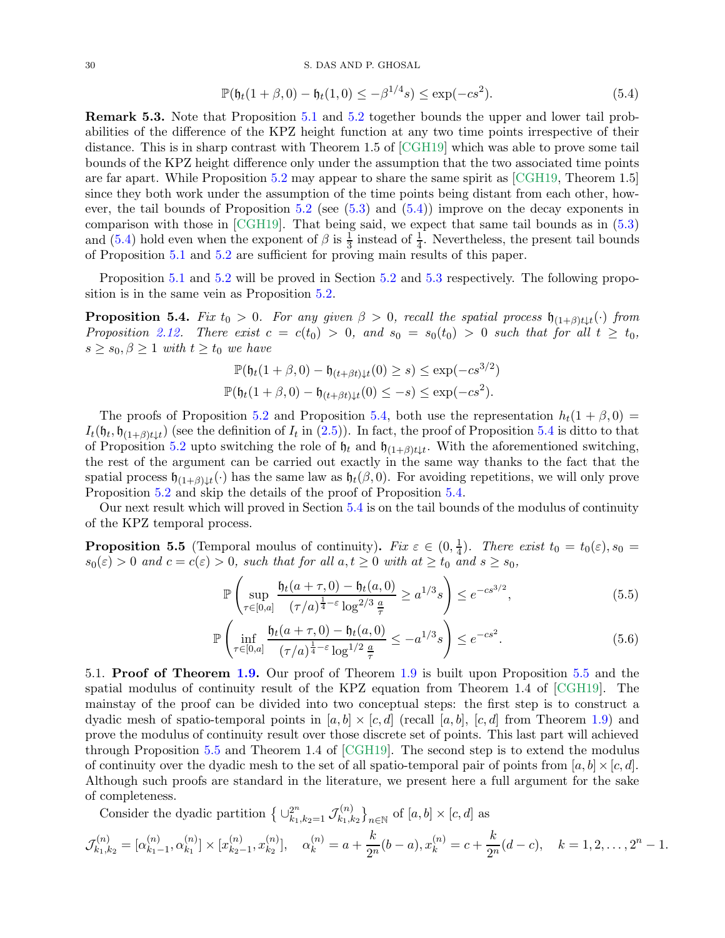#### 30 S. DAS AND P. GHOSAL

<span id="page-29-2"></span>
$$
\mathbb{P}(\mathfrak{h}_t(1+\beta,0) - \mathfrak{h}_t(1,0) \le -\beta^{1/4}s) \le \exp(-cs^2). \tag{5.4}
$$

Remark 5.3. Note that Proposition [5.1](#page-28-0) and [5.2](#page-28-2) together bounds the upper and lower tail probabilities of the difference of the KPZ height function at any two time points irrespective of their distance. This is in sharp contrast with Theorem 1.5 of [\[CGH19\]](#page-54-0) which was able to prove some tail bounds of the KPZ height difference only under the assumption that the two associated time points are far apart. While Proposition [5.2](#page-28-2) may appear to share the same spirit as [\[CGH19,](#page-54-0) Theorem 1.5] since they both work under the assumption of the time points being distant from each other, how-ever, the tail bounds of Proposition [5.2](#page-28-2) (see  $(5.3)$  and  $(5.4)$ ) improve on the decay exponents in comparison with those in [\[CGH19\]](#page-54-0). That being said, we expect that same tail bounds as in [\(5.3\)](#page-28-3) and [\(5.4\)](#page-29-2) hold even when the exponent of  $\beta$  is  $\frac{1}{3}$  instead of  $\frac{1}{4}$ . Nevertheless, the present tail bounds of Proposition [5.1](#page-28-0) and [5.2](#page-28-2) are sufficient for proving main results of this paper.

Proposition [5.1](#page-28-0) and [5.2](#page-28-2) will be proved in Section [5.2](#page-31-0) and [5.3](#page-35-0) respectively. The following proposition is in the same vein as Proposition [5.2.](#page-28-2)

<span id="page-29-0"></span>**Proposition 5.4.** Fix  $t_0 > 0$ . For any given  $\beta > 0$ , recall the spatial process  $\mathfrak{h}_{(1+\beta)t\downarrow t}(\cdot)$  from Proposition [2.12.](#page-14-0) There exist  $c = c(t_0) > 0$ , and  $s_0 = s_0(t_0) > 0$  such that for all  $t \geq t_0$ ,  $s \geq s_0, \beta \geq 1$  with  $t \geq t_0$  we have

$$
\mathbb{P}(\mathfrak{h}_t(1+\beta,0)-\mathfrak{h}_{(t+\beta t)\downarrow t}(0)\geq s) \leq \exp(-cs^{3/2})
$$

$$
\mathbb{P}(\mathfrak{h}_t(1+\beta,0)-\mathfrak{h}_{(t+\beta t)\downarrow t}(0)\leq -s) \leq \exp(-cs^2).
$$

The proofs of Proposition [5.2](#page-28-2) and Proposition [5.4,](#page-29-0) both use the representation  $h_t(1 + \beta, 0) =$  $I_t(\mathfrak{h}_t, \mathfrak{h}_{(1+\beta)t\downarrow t})$  (see the definition of  $I_t$  in [\(2.5\)](#page-14-4)). In fact, the proof of Proposition [5.4](#page-29-0) is ditto to that of Proposition [5.2](#page-28-2) upto switching the role of  $\mathfrak{h}_t$  and  $\mathfrak{h}_{(1+\beta)t\downarrow t}$ . With the aforementioned switching, the rest of the argument can be carried out exactly in the same way thanks to the fact that the spatial process  $\mathfrak{h}_{(1+\beta)\downarrow t}(\cdot)$  has the same law as  $\mathfrak{h}_t(\beta, 0)$ . For avoiding repetitions, we will only prove Proposition [5.2](#page-28-2) and skip the details of the proof of Proposition [5.4.](#page-29-0)

Our next result which will proved in Section [5.4](#page-36-0) is on the tail bounds of the modulus of continuity of the KPZ temporal process.

<span id="page-29-1"></span>**Proposition 5.5** (Temporal moulus of continuity). Fix  $\varepsilon \in (0, \frac{1}{4})$  $(\frac{1}{4})$ . There exist  $t_0 = t_0(\varepsilon), s_0 =$  $s_0(\varepsilon) > 0$  and  $c = c(\varepsilon) > 0$ , such that for all  $a, t \ge 0$  with  $at \ge t_0$  and  $s \ge s_0$ ,

<span id="page-29-4"></span><span id="page-29-3"></span>
$$
\mathbb{P}\left(\sup_{\tau \in [0,a]} \frac{\mathfrak{h}_t(a+\tau,0) - \mathfrak{h}_t(a,0)}{(\tau/a)^{\frac{1}{4}-\varepsilon} \log^{2/3}\frac{a}{\tau}} \ge a^{1/3}s\right) \le e^{-cs^{3/2}},\tag{5.5}
$$

$$
\mathbb{P}\left(\inf_{\tau \in [0,a]} \frac{\mathfrak{h}_t(a+\tau,0) - \mathfrak{h}_t(a,0)}{(\tau/a)^{\frac{1}{4}-\varepsilon} \log^{1/2}\frac{a}{\tau}} \leq -a^{1/3}s\right) \leq e^{-cs^2}.
$$
\n(5.6)

5.1. Proof of Theorem [1.9.](#page-5-3) Our proof of Theorem [1.9](#page-5-3) is built upon Proposition [5.5](#page-29-1) and the spatial modulus of continuity result of the KPZ equation from Theorem 1.4 of [\[CGH19\]](#page-54-0). The mainstay of the proof can be divided into two conceptual steps: the first step is to construct a dyadic mesh of spatio-temporal points in  $[a, b] \times [c, d]$  (recall  $[a, b]$ ,  $[c, d]$  from Theorem [1.9\)](#page-5-3) and prove the modulus of continuity result over those discrete set of points. This last part will achieved through Proposition [5.5](#page-29-1) and Theorem 1.4 of [\[CGH19\]](#page-54-0). The second step is to extend the modulus of continuity over the dyadic mesh to the set of all spatio-temporal pair of points from  $[a, b] \times [c, d]$ . Although such proofs are standard in the literature, we present here a full argument for the sake of completeness.

Consider the dyadic partition  $\big\{\cup_{k_1,k_2=1}^{2^n} \mathcal{J}_{k_1,k_2}^{(n)}\big\}$  $\binom{n}{k_1,k_2}_{n\in\mathbb{N}}$  of  $[a,b] \times [c,d]$  as

$$
\mathcal{J}_{k_1,k_2}^{(n)} = [\alpha_{k_1-1}^{(n)}, \alpha_{k_1}^{(n)}] \times [x_{k_2-1}^{(n)}, x_{k_2}^{(n)}], \quad \alpha_k^{(n)} = a + \frac{k}{2^n}(b-a), x_k^{(n)} = c + \frac{k}{2^n}(d-c), \quad k = 1, 2, \dots, 2^n - 1.
$$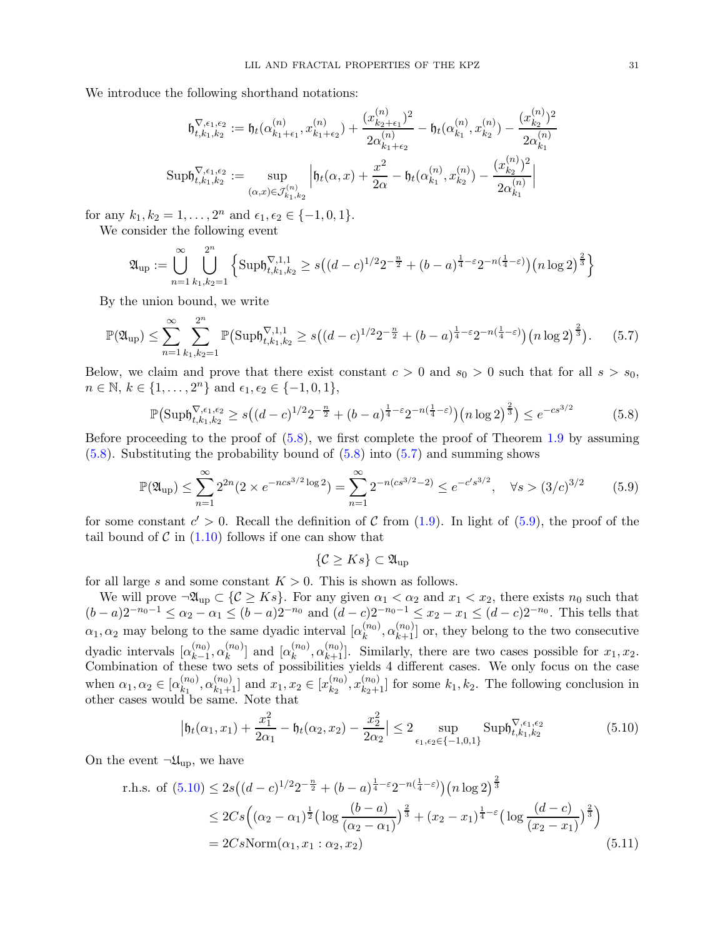<span id="page-30-1"></span> $(1)$ 

We introduce the following shorthand notations:

$$
\mathfrak{h}^{\nabla,\epsilon_1,\epsilon_2}_{t,k_1,k_2} := \mathfrak{h}_t(\alpha^{(n)}_{k_1+\epsilon_1}, x^{(n)}_{k_1+\epsilon_2}) + \frac{(x^{(n)}_{k_2+\epsilon_1})^2}{2\alpha^{(n)}_{k_1+\epsilon_2}} - \mathfrak{h}_t(\alpha^{(n)}_{k_1}, x^{(n)}_{k_2}) - \frac{(x^{(n)}_{k_2})^2}{2\alpha^{(n)}_{k_1}}
$$
  
\n
$$
\text{up}\mathfrak{h}^{\nabla,\epsilon_1,\epsilon_2}_{t,k_1,k_2} := \sup_{(\alpha,x)\in\mathcal{J}^{(n)}_{k_1,k_2}} \left| \mathfrak{h}_t(\alpha,x) + \frac{x^2}{2\alpha} - \mathfrak{h}_t(\alpha^{(n)}_{k_1}, x^{(n)}_{k_2}) - \frac{(x^{(n)}_{k_2})^2}{2\alpha^{(n)}_{k_1}} \right|
$$

for any  $k_1, k_2 = 1, \ldots, 2^n$  and  $\epsilon_1, \epsilon_2 \in \{-1, 0, 1\}.$ We consider the following event

$$
\mathfrak{A}_{\text{up}} := \bigcup_{n=1}^{\infty} \bigcup_{k_1, k_2=1}^{2^n} \left\{ \text{Supb}_{t,k_1,k_2}^{\nabla,1,1} \ge s\big((d-c)^{1/2}2^{-\frac{n}{2}} + (b-a)^{\frac{1}{4}-\varepsilon}2^{-n(\frac{1}{4}-\varepsilon)}\big)\big(n\log 2\big)^{\frac{2}{3}} \right\}
$$

By the union bound, we write

 $S$ 

$$
\mathbb{P}(\mathfrak{A}_{\text{up}}) \leq \sum_{n=1}^{\infty} \sum_{k_1, k_2=1}^{2^n} \mathbb{P}\big(\text{Supb}_{t,k_1,k_2}^{\nabla,1,1} \geq s\big((d-c)^{1/2}2^{-\frac{n}{2}} + (b-a)^{\frac{1}{4}-\varepsilon}2^{-n(\frac{1}{4}-\varepsilon)}\big)\big(n\log 2\big)^{\frac{2}{3}}\big). \tag{5.7}
$$

Below, we claim and prove that there exist constant  $c > 0$  and  $s_0 > 0$  such that for all  $s > s_0$ ,  $n \in \mathbb{N}, k \in \{1, ..., 2^n\}$  and  $\epsilon_1, \epsilon_2 \in \{-1, 0, 1\},$ 

$$
\mathbb{P}\left(\text{Supf}_{t,k_1,k_2}^{\nabla,\epsilon_1,\epsilon_2} \ge s\left((d-c)^{1/2}2^{-\frac{n}{2}} + (b-a)^{\frac{1}{4}-\epsilon}2^{-n(\frac{1}{4}-\epsilon)}\right)\left(n\log 2\right)^{\frac{2}{3}}\right) \le e^{-cs^{3/2}}\tag{5.8}
$$

Before proceeding to the proof of  $(5.8)$ , we first complete the proof of Theorem [1.9](#page-5-3) by assuming [\(5.8\)](#page-30-0). Substituting the probability bound of [\(5.8\)](#page-30-0) into [\(5.7\)](#page-30-1) and summing shows

$$
\mathbb{P}(\mathfrak{A}_{\text{up}}) \le \sum_{n=1}^{\infty} 2^{2n} (2 \times e^{-ncs^{3/2} \log 2}) = \sum_{n=1}^{\infty} 2^{-n (cs^{3/2} - 2)} \le e^{-c's^{3/2}}, \quad \forall s > (3/c)^{3/2} \tag{5.9}
$$

for some constant  $c' > 0$ . Recall the definition of C from [\(1.9\)](#page-5-4). In light of [\(5.9\)](#page-30-2), the proof of the tail bound of  $\mathcal C$  in  $(1.10)$  follows if one can show that

<span id="page-30-4"></span><span id="page-30-3"></span><span id="page-30-2"></span><span id="page-30-0"></span> $\{\mathcal{C} \geq Ks\} \subset \mathfrak{A}_{\text{un}}$ 

for all large s and some constant  $K > 0$ . This is shown as follows.

We will prove  $\neg \mathfrak{A}_{\text{up}} \subset \{ \mathcal{C} \geq Ks \}$ . For any given  $\alpha_1 < \alpha_2$  and  $x_1 < x_2$ , there exists  $n_0$  such that  $(b-a)2^{-n_0-1} \leq \alpha_2 - \alpha_1 \leq (b-a)2^{-n_0}$  and  $(d-c)2^{-n_0-1} \leq x_2 - x_1 \leq (d-c)2^{-n_0}$ . This tells that  $\alpha_1, \alpha_2$  may belong to the same dyadic interval  $\lbrack \alpha_k^{(n_0)} \rbrack$  $\mathbf{R}_k^{(n_0)}, \alpha_{k+1}^{(n_0)}$  or, they belong to the two consecutive dyadic intervals  $\lbrack \alpha_{k-1}^{(n_{0})}]$  $_{k-1}^{(n_0)},\alpha_k^{(n_0)}$  $\left[ \begin{smallmatrix} (n_0) \ k \end{smallmatrix} \right]$  and  $\left[ \alpha_k^{(n_0)} \right]$  $\left(\begin{matrix} (n_0) & (n_0) \\ k+1 \end{matrix}\right)$ . Similarly, there are two cases possible for  $x_1, x_2$ . Combination of these two sets of possibilities yields 4 different cases. We only focus on the case when  $\alpha_1, \alpha_2 \in [\alpha_{k_1}^{(n_0)}]$  $\left[\begin{smallmatrix} (n_0) \ k_1 \end{smallmatrix}\right], \alpha_{k_1+1}^{(n_0)}$  and  $x_1, x_2 \in [x_{k_2}^{(n_0)}]$  $\binom{(n_0)}{k_2}$ ,  $x_{k_2+1}^{(n_0)}$  for some  $k_1, k_2$ . The following conclusion in other cases would be same. Note that

$$
\left|\mathfrak{h}_t(\alpha_1, x_1) + \frac{x_1^2}{2\alpha_1} - \mathfrak{h}_t(\alpha_2, x_2) - \frac{x_2^2}{2\alpha_2}\right| \le 2 \sup_{\epsilon_1, \epsilon_2 \in \{-1, 0, 1\}} \mathrm{Supb}_{t, k_1, k_2}^{\nabla, \epsilon_1, \epsilon_2}
$$
(5.10)

On the event  $\neg \mathfrak{U}_{\text{up}}$ , we have

r.h.s. of 
$$
(5.10) \le 2s((d-c)^{1/2}2^{-\frac{n}{2}} + (b-a)^{\frac{1}{4}-\epsilon}2^{-n(\frac{1}{4}-\epsilon)})(n \log 2)^{\frac{2}{3}}
$$
  
\n
$$
\le 2Cs\Big((\alpha_2 - \alpha_1)^{\frac{1}{2}}\big(\log \frac{(b-a)}{(\alpha_2 - \alpha_1)}\big)^{\frac{2}{3}} + (x_2 - x_1)^{\frac{1}{4}-\epsilon}\big(\log \frac{(d-c)}{(x_2 - x_1)}\big)^{\frac{2}{3}}\Big)
$$
\n
$$
= 2Cs\text{Norm}(\alpha_1, x_1 : \alpha_2, x_2) \tag{5.11}
$$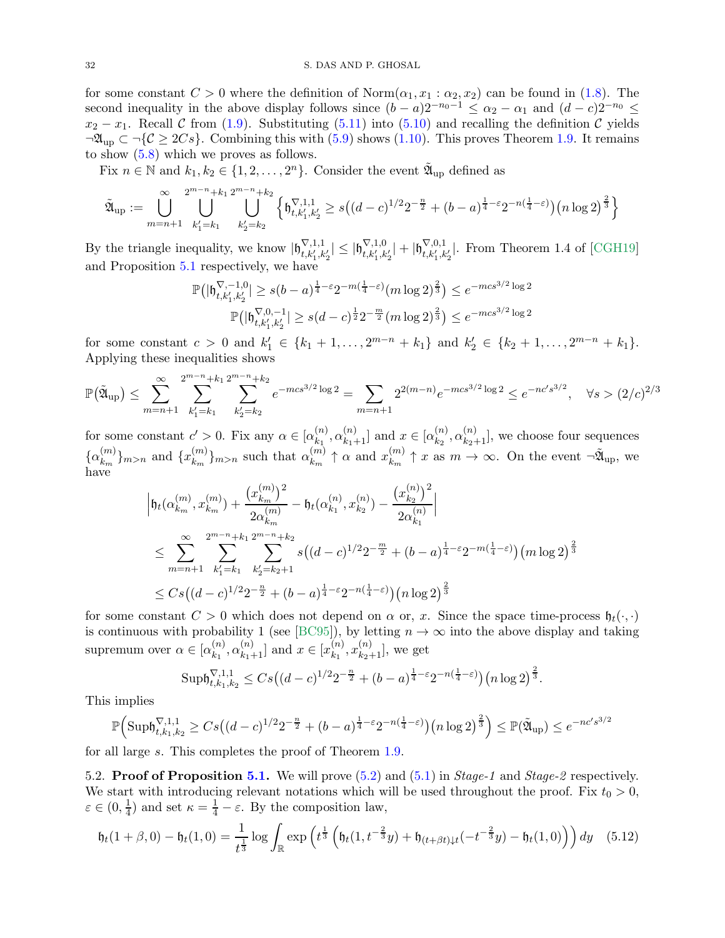for some constant  $C > 0$  where the definition of  $\text{Norm}(\alpha_1, x_1 : \alpha_2, x_2)$  can be found in [\(1.8\)](#page-5-6). The second inequality in the above display follows since  $(b - a)2^{-n_0-1} \leq \alpha_2 - \alpha_1$  and  $(d - c)2^{-n_0} \leq$  $x_2 - x_1$ . Recall C from [\(1.9\)](#page-5-4). Substituting [\(5.11\)](#page-30-4) into [\(5.10\)](#page-30-3) and recalling the definition C yields  $\neg \mathfrak{A}_{\text{up}} \subset \neg \{ \mathcal{C} \geq 2Cs \}.$  Combining this with [\(5.9\)](#page-30-2) shows [\(1.10\)](#page-5-5). This proves Theorem [1.9.](#page-5-3) It remains to show [\(5.8\)](#page-30-0) which we proves as follows.

Fix  $n \in \mathbb{N}$  and  $k_1, k_2 \in \{1, 2, ..., 2^n\}$ . Consider the event  $\tilde{\mathfrak{A}}_{\text{up}}$  defined as

$$
\tilde{\mathfrak{A}}_{\text{up}} := \bigcup_{m=n+1}^{\infty} \bigcup_{k'_1=k_1}^{2^{m-n}+k_1} \bigcup_{k'_2=k_2}^{2^{m-n}+k_2} \left\{ \mathfrak{h}^{\nabla,1,1}_{t,k'_1,k'_2} \ge s\big((d-c)^{1/2}2^{-\frac{n}{2}} + (b-a)^{\frac{1}{4}-\varepsilon}2^{-n(\frac{1}{4}-\varepsilon)}\big) \big(n\log 2\big)^{\frac{2}{3}} \right\}
$$

By the triangle inequality, we know  $|\mathfrak{h}_{t,k'_1,k'_2}^{\nabla,1,1}| \leq |\mathfrak{h}_{t,k'_1,k'_2}^{\nabla,1,0}| + |\mathfrak{h}_{t,k'_1,k'_2}^{\nabla,0,1}|$ . From Theorem 1.4 of [\[CGH19\]](#page-54-0) and Proposition [5.1](#page-28-0) respectively, we have

$$
\mathbb{P}\big(|\mathfrak{h}_{t,k'_1,k'_2}^{\nabla,-1,0}|\geq s(b-a)^{\frac{1}{4}-\varepsilon}2^{-m(\frac{1}{4}-\varepsilon)}(m\log 2)^{\frac{2}{3}}\big)\leq e^{-mcs^{3/2}\log 2}
$$
  

$$
\mathbb{P}\big(|\mathfrak{h}_{t,k'_1,k'_2}^{\nabla,0,-1}|\geq s(d-c)^{\frac{1}{2}}2^{-\frac{m}{2}}(m\log 2)^{\frac{2}{3}}\big)\leq e^{-mcs^{3/2}\log 2}
$$

for some constant  $c > 0$  and  $k'_1 \in \{k_1 + 1, \ldots, 2^{m-n} + k_1\}$  and  $k'_2 \in \{k_2 + 1, \ldots, 2^{m-n} + k_1\}.$ Applying these inequalities shows

$$
\mathbb{P}(\tilde{\mathfrak{A}}_{\text{up}}) \le \sum_{m=n+1}^{\infty} \sum_{k_1'=k_1}^{2^{m-n}+k_1} \sum_{k_2'=k_2}^{2^{m-n}+k_2} e^{-mcs^{3/2}\log 2} = \sum_{m=n+1} 2^{2(m-n)} e^{-mcs^{3/2}\log 2} \le e^{-nc's^{3/2}}, \quad \forall s > (2/c)^{2/3}
$$

for some constant  $c' > 0$ . Fix any  $\alpha \in [\alpha_{k_1}^{(n)}]$  $\binom{n}{k_1}, \alpha_{k_1+1}^{(n)}$  and  $x \in [\alpha_{k_2}^{(n)}]$  $\binom{n}{k_2,\alpha}\binom{n}{k_2+1}$ , we choose four sequences  $\{\alpha_{k_m}^{(m)}\}$  $\binom{m}{k_m}$ <sub>m>n</sub> and  $\{x_{k_m}^{(m)}\}$  $\binom{m}{k_m}$ <sub>m>n</sub> such that  $\alpha_{k_m}^{(m)}$  $\binom{m}{k_m} \uparrow \alpha$  and  $x_{k_m}^{(m)}$  $\binom{m}{k_m} \uparrow x$  as  $m \to \infty$ . On the event  $\neg \mathfrak{A}_{\text{up}}$ , we have

$$
\left| \mathfrak{h}_{t}(\alpha_{k_{m}}^{(m)}, x_{k_{m}}^{(m)}) + \frac{\left(x_{k_{m}}^{(m)}\right)^{2}}{2\alpha_{k_{m}}^{(m)}} - \mathfrak{h}_{t}(\alpha_{k_{1}}^{(n)}, x_{k_{2}}^{(n)}) - \frac{\left(x_{k_{2}}^{(n)}\right)^{2}}{2\alpha_{k_{1}}^{(n)}} \right|
$$
\n
$$
\leq \sum_{m=n+1}^{\infty} \sum_{k_{1}^{\prime}=k_{1}}^{2^{m-n}+k_{1}} \sum_{k_{2}^{\prime}=k_{2}+1}^{2^{m-n}+k_{2}} s\left((d-c)^{1/2}2^{-\frac{m}{2}} + (b-a)^{\frac{1}{4}-\varepsilon}2^{-m(\frac{1}{4}-\varepsilon)}\right)\left(m\log 2\right)^{\frac{2}{3}}
$$
\n
$$
\leq Cs\left((d-c)^{1/2}2^{-\frac{n}{2}} + (b-a)^{\frac{1}{4}-\varepsilon}2^{-n(\frac{1}{4}-\varepsilon)}\right)\left(n\log 2\right)^{\frac{2}{3}}
$$

for some constant  $C > 0$  which does not depend on  $\alpha$  or, x. Since the space time-process  $\mathfrak{h}_t(\cdot,\cdot)$ is continuous with probability 1 (see [\[BC95\]](#page-54-10)), by letting  $n \to \infty$  into the above display and taking supremum over  $\alpha \in [\alpha_{k_1}^{(n)}]$  $\binom{n}{k_1}, \alpha_{k_1+1}^{(n)}$  and  $x \in [x_{k_1}^{(n)}]$  $_{k_{1}}^{(n)},x_{k_{2}+1}^{(n)}],$  we get

<span id="page-31-1"></span>
$$
\mathrm{Supb}^{\nabla,1,1}_{t,k_1,k_2} \leq Cs\big((d-c)^{1/2}2^{-\frac{n}{2}} + (b-a)^{\frac{1}{4}-\varepsilon}2^{-n(\frac{1}{4}-\varepsilon)}\big)\big(n\log 2\big)^{\frac{2}{3}}.
$$

This implies

$$
\mathbb{P}\Big(\text{Supb}_{t,k_1,k_2}^{\nabla,1,1} \ge C s \big((d-c)^{1/2} 2^{-\frac{n}{2}} + (b-a)^{\frac{1}{4}-\varepsilon} 2^{-n(\frac{1}{4}-\varepsilon)}\big) \big(n \log 2\big)^{\frac{2}{3}} \Big) \le \mathbb{P}(\tilde{\mathfrak{A}}_{\text{up}}) \le e^{-nc's^{3/2}}
$$

<span id="page-31-0"></span>for all large s. This completes the proof of Theorem [1.9.](#page-5-3)

5.2. **Proof of Proposition [5.1.](#page-28-0)** We will prove  $(5.2)$  and  $(5.1)$  in *Stage-1* and *Stage-2* respectively. We start with introducing relevant notations which will be used throughout the proof. Fix  $t_0 > 0$ ,  $\varepsilon \in (0, \frac{1}{4})$  $\frac{1}{4}$ ) and set  $\kappa = \frac{1}{4} - \varepsilon$ . By the composition law,

$$
\mathfrak{h}_t(1+\beta,0) - \mathfrak{h}_t(1,0) = \frac{1}{t^{\frac{1}{3}}} \log \int_{\mathbb{R}} \exp\left(t^{\frac{1}{3}} \left(\mathfrak{h}_t(1,t^{-\frac{2}{3}}y) + \mathfrak{h}_{(t+\beta t)\downarrow t}(-t^{-\frac{2}{3}}y) - \mathfrak{h}_t(1,0)\right)\right) dy \quad (5.12)
$$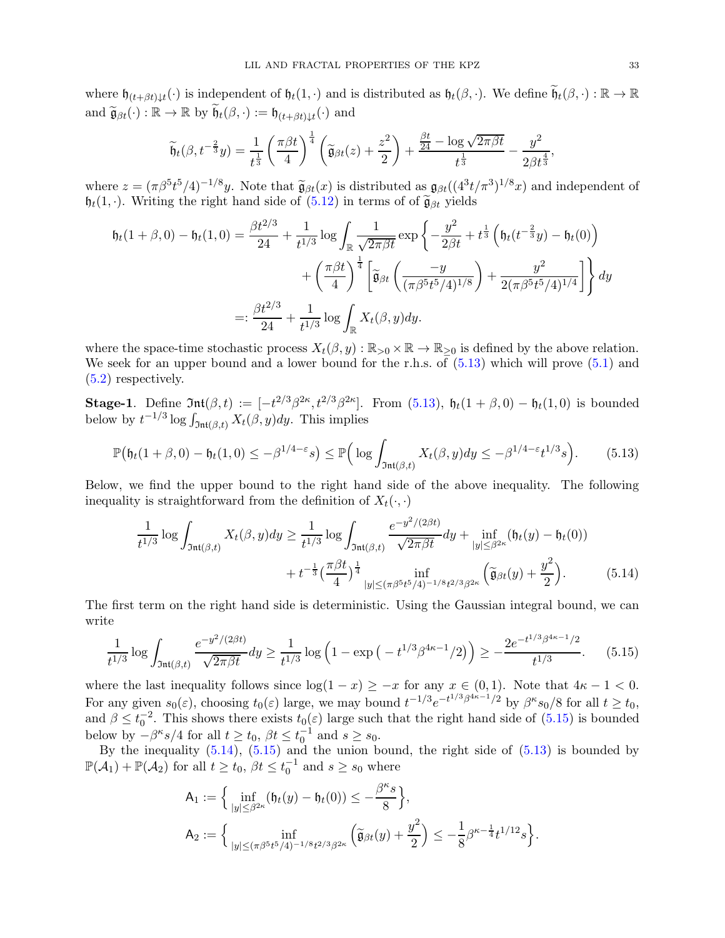where  $\mathfrak{h}_{(t+\beta t)\downarrow t}(\cdot)$  is independent of  $\mathfrak{h}_t(1,\cdot)$  and is distributed as  $\mathfrak{h}_t(\beta,\cdot)$ . We define  $\widetilde{\mathfrak{h}}_t(\beta,\cdot) : \mathbb{R} \to \mathbb{R}$ and  $\widetilde{\mathfrak{g}}_{\beta t}(\cdot) : \mathbb{R} \to \mathbb{R}$  by  $\widetilde{\mathfrak{h}}_t(\beta, \cdot) := \mathfrak{h}_{(t+\beta t)\downarrow t}(\cdot)$  and

$$
\widetilde{\mathfrak{h}}_t(\beta,t^{-\frac{2}{3}}y) = \frac{1}{t^{\frac{1}{3}}} \left(\frac{\pi \beta t}{4}\right)^{\frac{1}{4}} \left(\widetilde{\mathfrak{g}}_{\beta t}(z) + \frac{z^2}{2}\right) + \frac{\frac{\beta t}{24} - \log \sqrt{2\pi \beta t}}{t^{\frac{1}{3}}} - \frac{y^2}{2\beta t^{\frac{4}{3}}},
$$

where  $z = (\pi \beta^5 t^5/4)^{-1/8} y$ . Note that  $\tilde{g}_{\beta t}(x)$  is distributed as  $g_{\beta t}((4^3 t/\pi^3)^{1/8} x)$  and independent of  $\mathfrak{h}_t(1, \cdot)$ . Writing the right hand side of  $(5.12)$  in terms of of  $\widetilde{\mathfrak{g}}_{\beta t}$  yields

$$
\mathfrak{h}_t(1+\beta,0) - \mathfrak{h}_t(1,0) = \frac{\beta t^{2/3}}{24} + \frac{1}{t^{1/3}} \log \int_{\mathbb{R}} \frac{1}{\sqrt{2\pi\beta t}} \exp\left\{-\frac{y^2}{2\beta t} + t^{\frac{1}{3}} \left(\mathfrak{h}_t(t^{-\frac{2}{3}}y) - \mathfrak{h}_t(0)\right) + \left(\frac{\pi\beta t}{4}\right)^{\frac{1}{4}} \left[\tilde{\mathfrak{g}}_{\beta t} \left(\frac{-y}{(\pi\beta^5 t^5/4)^{1/8}}\right) + \frac{y^2}{2(\pi\beta^5 t^5/4)^{1/4}}\right] \right\} dy
$$
  

$$
=:\frac{\beta t^{2/3}}{24} + \frac{1}{t^{1/3}} \log \int_{\mathbb{R}} X_t(\beta, y) dy.
$$

where the space-time stochastic process  $X_t(\beta, y) : \mathbb{R}_{>0} \times \mathbb{R} \to \mathbb{R}_{>0}$  is defined by the above relation. We seek for an upper bound and a lower bound for the r.h.s. of  $(5.13)$  which will prove  $(5.1)$  and [\(5.2\)](#page-28-4) respectively.

**Stage-1.** Define  $\mathfrak{Int}(\beta, t) := \left[-t^{2/3}\beta^{2\kappa}, t^{2/3}\beta^{2\kappa}\right]$ . From [\(5.13\)](#page-32-0),  $\mathfrak{h}_t(1+\beta, 0) - \mathfrak{h}_t(1, 0)$  is bounded below by  $t^{-1/3} \log \int_{\mathfrak{Int}(\beta,t)} X_t(\beta,y) dy$ . This implies

$$
\mathbb{P}\big(\mathfrak{h}_t(1+\beta,0)-\mathfrak{h}_t(1,0)\leq -\beta^{1/4-\varepsilon}s\big)\leq \mathbb{P}\Big(\log\int_{\mathfrak{Int}(\beta,t)}X_t(\beta,y)dy\leq -\beta^{1/4-\varepsilon}t^{1/3}s\Big). \tag{5.13}
$$

Below, we find the upper bound to the right hand side of the above inequality. The following inequality is straightforward from the definition of  $X_t(\cdot, \cdot)$ 

<span id="page-32-2"></span><span id="page-32-0"></span>
$$
\frac{1}{t^{1/3}} \log \int_{\mathfrak{Int}(\beta,t)} X_t(\beta,y) dy \ge \frac{1}{t^{1/3}} \log \int_{\mathfrak{Int}(\beta,t)} \frac{e^{-y^2/(2\beta t)}}{\sqrt{2\pi\beta t}} dy + \inf_{|y| \le \beta^{2\kappa}} (\mathfrak{h}_t(y) - \mathfrak{h}_t(0)) \n+ t^{-\frac{1}{3}} \left(\frac{\pi\beta t}{4}\right)^{\frac{1}{4}} \inf_{|y| \le (\pi\beta^{5}t^5/4)^{-1/8}t^{2/3}\beta^{2\kappa}} \left(\widetilde{\mathfrak{g}}_{\beta t}(y) + \frac{y^2}{2}\right).
$$
\n(5.14)

The first term on the right hand side is deterministic. Using the Gaussian integral bound, we can write

$$
\frac{1}{t^{1/3}} \log \int_{\mathfrak{Int}(\beta,t)} \frac{e^{-y^2/(2\beta t)}}{\sqrt{2\pi\beta t}} dy \ge \frac{1}{t^{1/3}} \log \left(1 - \exp\left(-t^{1/3}\beta^{4\kappa - 1}/2\right)\right) \ge -\frac{2e^{-t^{1/3}\beta^{4\kappa - 1}/2}}{t^{1/3}}.\tag{5.15}
$$

where the last inequality follows since  $\log(1-x) \geq -x$  for any  $x \in (0,1)$ . Note that  $4\kappa - 1 < 0$ . For any given  $s_0(\varepsilon)$ , choosing  $t_0(\varepsilon)$  large, we may bound  $t^{-1/3}e^{-t^{1/3}\beta^{4\kappa-1}/2}$  by  $\beta^{\kappa}s_0/8$  for all  $t \geq t_0$ , and  $\beta \leq t_0^{-2}$ . This shows there exists  $t_0(\varepsilon)$  large such that the right hand side of  $(5.15)$  is bounded below by  $-\beta^{\kappa}s/4$  for all  $t \geq t_0$ ,  $\beta t \leq t_0^{-1}$  and  $s \geq s_0$ .

By the inequality  $(5.14)$ ,  $(5.15)$  and the union bound, the right side of  $(5.13)$  is bounded by  $\mathbb{P}(\mathcal{A}_1) + \mathbb{P}(\mathcal{A}_2)$  for all  $t \ge t_0$ ,  $\beta t \le t_0^{-1}$  and  $s \ge s_0$  where

<span id="page-32-1"></span>
$$
A_1 := \Big\{ \inf_{|y| \le \beta^{2\kappa}} (\mathfrak{h}_t(y) - \mathfrak{h}_t(0)) \le -\frac{\beta^{\kappa} s}{8} \Big\},
$$
  

$$
A_2 := \Big\{ \inf_{|y| \le (\pi \beta^{5} t^{5}/4)^{-1/8} t^{2/3} \beta^{2\kappa}} \left( \widetilde{\mathfrak{g}}_{\beta t}(y) + \frac{y^2}{2} \right) \le -\frac{1}{8} \beta^{\kappa - \frac{1}{4}} t^{1/12} s \Big\}.
$$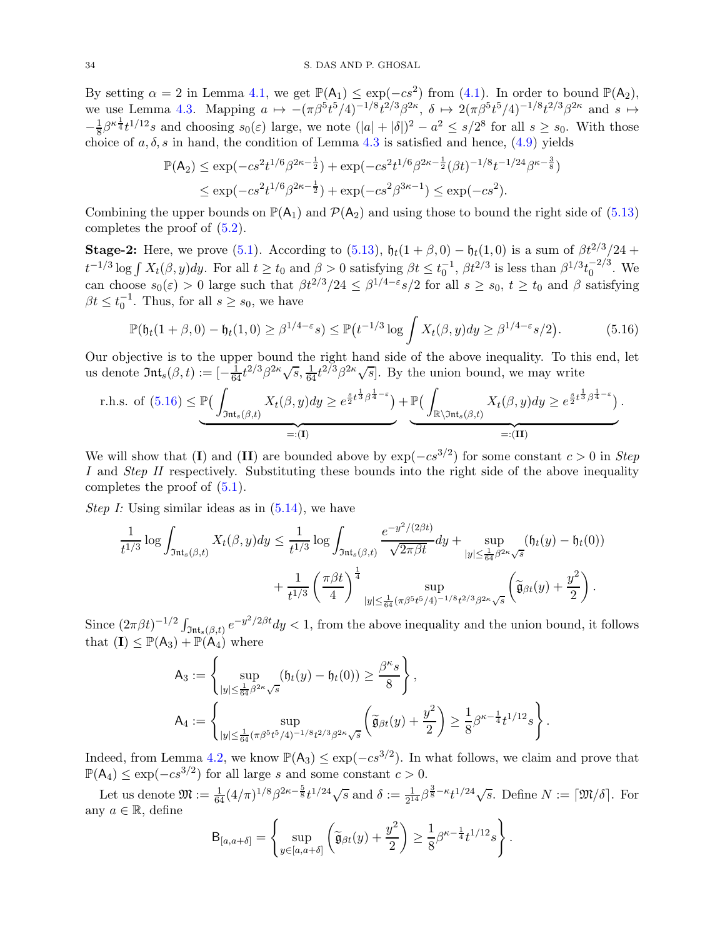By setting  $\alpha = 2$  in Lemma [4.1,](#page-22-1) we get  $\mathbb{P}(A_1) \leq \exp(-cs^2)$  from [\(4.1\)](#page-22-2). In order to bound  $\mathbb{P}(A_2)$ , we use Lemma [4.3.](#page-25-2) Mapping  $a \mapsto -(\pi \beta^5 t^5/4)^{-1/8} t^{2/3} \beta^{2\kappa}, \delta \mapsto 2(\pi \beta^5 t^5/4)^{-1/8} t^{2/3} \beta^{2\kappa}$  and  $s \mapsto$  $-\frac{1}{8}$  $\frac{1}{8}\beta^{\kappa \frac{1}{4}}t^{1/12}s$  and choosing  $s_0(\varepsilon)$  large, we note  $(|a|+|\delta|)^2 - a^2 \leq s/2^8$  for all  $s \geq s_0$ . With those choice of  $a, \delta, s$  in hand, the condition of Lemma [4.3](#page-25-2) is satisfied and hence,  $(4.9)$  yields

<span id="page-33-0"></span>
$$
\mathbb{P}(\mathsf{A}_2) \le \exp(-cs^2 t^{1/6} \beta^{2\kappa - \frac{1}{2}}) + \exp(-cs^2 t^{1/6} \beta^{2\kappa - \frac{1}{2}} (\beta t)^{-1/8} t^{-1/24} \beta^{\kappa - \frac{3}{8}})
$$
  

$$
\le \exp(-cs^2 t^{1/6} \beta^{2\kappa - \frac{1}{2}}) + \exp(-cs^2 \beta^{3\kappa - 1}) \le \exp(-cs^2).
$$

Combining the upper bounds on  $\mathbb{P}(A_1)$  and  $\mathcal{P}(A_2)$  and using those to bound the right side of [\(5.13\)](#page-32-0) completes the proof of [\(5.2\)](#page-28-4).

**Stage-2:** Here, we prove [\(5.1\)](#page-28-5). According to [\(5.13\)](#page-32-0),  $\mathfrak{h}_t(1+\beta,0) - \mathfrak{h}_t(1,0)$  is a sum of  $\beta t^{2/3}/24 +$  $t^{-1/3}\log\int X_t(\beta, y)dy$ . For all  $t \ge t_0$  and  $\beta > 0$  satisfying  $\beta t \le t_0^{-1}$ ,  $\beta t^{2/3}$  is less than  $\beta^{1/3}t_0^{-2/3}$ . We can choose  $s_0(\varepsilon) > 0$  large such that  $\beta t^{2/3}/24 \leq \beta^{1/4-\varepsilon}s/2$  for all  $s \geq s_0, t \geq t_0$  and  $\beta$  satisfying  $\beta t \leq t_0^{-1}$ . Thus, for all  $s \geq s_0$ , we have

$$
\mathbb{P}(\mathfrak{h}_t(1+\beta,0)-\mathfrak{h}_t(1,0)\geq\beta^{1/4-\varepsilon}s)\leq\mathbb{P}\big(t^{-1/3}\log\int X_t(\beta,y)dy\geq\beta^{1/4-\varepsilon}s/2\big). \hspace{1cm} (5.16)
$$

Our objective is to the upper bound the right hand side of the above inequality. To this end, let us denote  $\mathfrak{Int}_s(\beta, t) := \left[-\frac{1}{64}t^{2/3}\beta^{2\kappa}\sqrt{s}, \frac{1}{64}t^{2/3}\beta^{2\kappa}\sqrt{s}\right]$ . By the union bound, we may write

r.h.s. of (5.16) 
$$
\leq \underbrace{\mathbb{P}(\int_{\mathfrak{Int}_s(\beta,t)} X_t(\beta,y) dy \geq e^{\frac{s}{2}t^{\frac{1}{3}}\beta^{\frac{1}{4}-\varepsilon}})}_{=:(\mathbf{I})} + \underbrace{\mathbb{P}(\int_{\mathbb{R}\setminus\mathfrak{Int}_s(\beta,t)} X_t(\beta,y) dy \geq e^{\frac{s}{2}t^{\frac{1}{3}}\beta^{\frac{1}{4}-\varepsilon}})}_{=:(\mathbf{II})}.
$$

We will show that (I) and (II) are bounded above by  $\exp(-cs^{3/2})$  for some constant  $c > 0$  in Step I and Step II respectively. Substituting these bounds into the right side of the above inequality completes the proof of [\(5.1\)](#page-28-5).

*Step I:* Using similar ideas as in  $(5.14)$ , we have

$$
\frac{1}{t^{1/3}} \log \int_{\mathfrak{Int}_{s}(\beta,t)} X_{t}(\beta,y) dy \leq \frac{1}{t^{1/3}} \log \int_{\mathfrak{Int}_{s}(\beta,t)} \frac{e^{-y^{2}/(2\beta t)}}{\sqrt{2\pi\beta t}} dy + \sup_{|y| \leq \frac{1}{64} \beta^{2\kappa} \sqrt{s}} (\mathfrak{h}_{t}(y) - \mathfrak{h}_{t}(0)) + \frac{1}{t^{1/3}} \left(\frac{\pi\beta t}{4}\right)^{\frac{1}{4}} \sup_{|y| \leq \frac{1}{64} (\pi\beta^{5} t^{5}/4)^{-1/8} t^{2/3} \beta^{2\kappa} \sqrt{s}} \left(\widetilde{\mathfrak{g}}_{\beta t}(y) + \frac{y^{2}}{2}\right).
$$

Since  $(2\pi\beta t)^{-1/2} \int_{\mathfrak{Int}_s(\beta,t)} e^{-y^2/2\beta t} dy < 1$ , from the above inequality and the union bound, it follows that  $(I) \leq \mathbb{P}(A_3) + \mathbb{P}(A_4)$  where

$$
A_3 := \left\{ \sup_{|y| \le \frac{1}{64} \beta^{2\kappa} \sqrt{s}} (\mathfrak{h}_t(y) - \mathfrak{h}_t(0)) \ge \frac{\beta^{\kappa} s}{8} \right\},
$$
  

$$
A_4 := \left\{ \sup_{|y| \le \frac{1}{64} (\pi \beta^5 t^5 / 4)^{-1/8} t^{2/3} \beta^{2\kappa} \sqrt{s}} \left( \widetilde{\mathfrak{g}}_{\beta t}(y) + \frac{y^2}{2} \right) \ge \frac{1}{8} \beta^{\kappa - \frac{1}{4}} t^{1/12} s \right\}.
$$

Indeed, from Lemma [4.2,](#page-24-0) we know  $\mathbb{P}(\mathsf{A}_3) \leq \exp(-cs^{3/2})$ . In what follows, we claim and prove that  $\mathbb{P}(\mathsf{A}_4) \le \exp(-cs^{3/2})$  for all large s and some constant  $c > 0$ .

Let us denote  $\mathfrak{M} := \frac{1}{64} (4/\pi)^{1/8} \beta^{2\kappa - \frac{5}{8}} t^{1/24} \sqrt{s}$  and  $\delta := \frac{1}{2^{14}} \beta^{\frac{3}{8} - \kappa} t^{1/24} \sqrt{s}$ . Define  $N := [\mathfrak{M}/\delta]$ . For any  $a \in \mathbb{R}$ , define

$$
\mathsf{B}_{[a,a+\delta]} = \left\{\sup_{y \in [a,a+\delta]} \left( \widetilde{\mathfrak{g}}_{\beta t}(y) + \frac{y^2}{2} \right) \ge \frac{1}{8} \beta^{\kappa - \frac{1}{4}} t^{1/12} s \right\}.
$$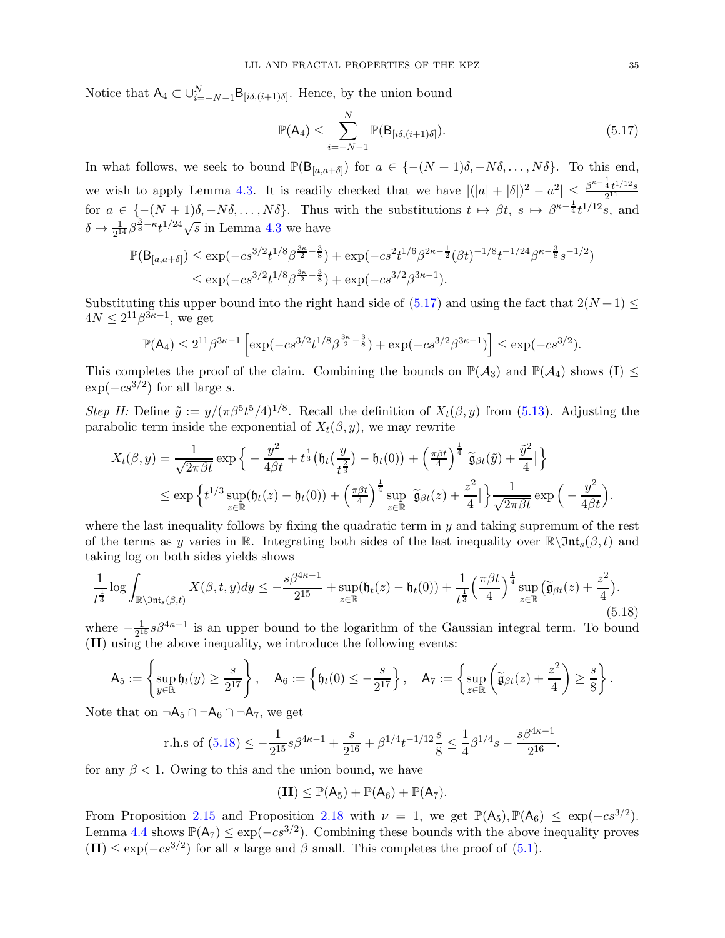Notice that  $A_4 \subset \bigcup_{i=-N-1}^{N} B_{[i\delta,(i+1)\delta]}$ . Hence, by the union bound

<span id="page-34-0"></span>
$$
\mathbb{P}(\mathsf{A}_4) \le \sum_{i=-N-1}^{N} \mathbb{P}(\mathsf{B}_{[i\delta,(i+1)\delta]}).
$$
\n(5.17)

In what follows, we seek to bound  $\mathbb{P}(\mathsf{B}_{[a,a+\delta]})$  for  $a \in \{-(N+1)\delta,-N\delta,\ldots,N\delta\}$ . To this end, we wish to apply Lemma [4.3.](#page-25-2) It is readily checked that we have  $|(|a|+|\delta|)^2 - a^2| \leq \frac{\beta^{\kappa-\frac{1}{4}}t^{1/12}s}{2^{11}}$ 2 11 for  $a \in \{- (N+1)\delta, -N\delta, \ldots, N\delta\}$ . Thus with the substitutions  $t \mapsto \beta t$ ,  $s \mapsto \beta^{\kappa - \frac{1}{4}} t^{1/12} s$ , and  $\delta \mapsto \frac{1}{2^{14}} \beta^{\frac{3}{8} - \kappa} t^{1/24} \sqrt{s}$  in Lemma [4.3](#page-25-2) we have

$$
\mathbb{P}(B_{[a,a+\delta]}) \le \exp(-cs^{3/2}t^{1/8}\beta^{\frac{3\kappa}{2} - \frac{3}{8}}) + \exp(-cs^2t^{1/6}\beta^{2\kappa - \frac{1}{2}}(\beta t)^{-1/8}t^{-1/24}\beta^{\kappa - \frac{3}{8}}s^{-1/2})
$$
  

$$
\le \exp(-cs^{3/2}t^{1/8}\beta^{\frac{3\kappa}{2} - \frac{3}{8}}) + \exp(-cs^{3/2}\beta^{3\kappa - 1}).
$$

Substituting this upper bound into the right hand side of  $(5.17)$  and using the fact that  $2(N+1) \le$  $4N \leq 2^{11}\beta^{3\kappa-1}$ , we get

$$
\mathbb{P}(\mathsf{A}_4) \le 2^{11} \beta^{3\kappa - 1} \left[ \exp(-cs^{3/2} t^{1/8} \beta^{\frac{3\kappa}{2} - \frac{3}{8}}) + \exp(-cs^{3/2} \beta^{3\kappa - 1}) \right] \le \exp(-cs^{3/2}).
$$

This completes the proof of the claim. Combining the bounds on  $\mathbb{P}(\mathcal{A}_3)$  and  $\mathbb{P}(\mathcal{A}_4)$  shows  $(I) \leq$  $\exp(-cs^{3/2})$  for all large s.

Step II: Define  $\tilde{y} := y/(\pi \beta^5 t^5/4)^{1/8}$ . Recall the definition of  $X_t(\beta, y)$  from [\(5.13\)](#page-32-0). Adjusting the parabolic term inside the exponential of  $X_t(\beta, y)$ , we may rewrite

$$
X_t(\beta, y) = \frac{1}{\sqrt{2\pi\beta t}} \exp\left\{-\frac{y^2}{4\beta t} + t^{\frac{1}{3}} \left(\mathfrak{h}_t\left(\frac{y}{t^{\frac{2}{3}}}\right) - \mathfrak{h}_t(0)\right) + \left(\frac{\pi\beta t}{4}\right)^{\frac{1}{4}} \left[\widetilde{\mathfrak{g}}_{\beta t}(\widetilde{y}) + \frac{\widetilde{y}^2}{4}\right]\right\}
$$
  

$$
\leq \exp\left\{t^{1/3} \sup_{z \in \mathbb{R}} (\mathfrak{h}_t(z) - \mathfrak{h}_t(0)) + \left(\frac{\pi\beta t}{4}\right)^{\frac{1}{4}} \sup_{z \in \mathbb{R}} \left[\widetilde{\mathfrak{g}}_{\beta t}(z) + \frac{z^2}{4}\right]\right\} \frac{1}{\sqrt{2\pi\beta t}} \exp\left(-\frac{y^2}{4\beta t}\right).
$$

where the last inequality follows by fixing the quadratic term in  $y$  and taking supremum of the rest of the terms as y varies in R. Integrating both sides of the last inequality over  $\mathbb{R}\setminus\mathfrak{Int}_{s}(\beta,t)$  and taking log on both sides yields shows

<span id="page-34-1"></span>
$$
\frac{1}{t^{\frac{1}{3}}}\log\int_{\mathbb{R}\setminus\mathfrak{Int}_s(\beta,t)}X(\beta,t,y)dy\leq -\frac{s\beta^{4\kappa-1}}{2^{15}}+\sup_{z\in\mathbb{R}}(\mathfrak{h}_t(z)-\mathfrak{h}_t(0))+\frac{1}{t^{\frac{1}{3}}}\left(\frac{\pi\beta t}{4}\right)^{\frac{1}{4}}\sup_{z\in\mathbb{R}}\left(\widetilde{\mathfrak{g}}_{\beta t}(z)+\frac{z^2}{4}\right).
$$
\n(5.18)

where  $-\frac{1}{2^1}$  $\frac{1}{2^{15}}$  s $\beta^{4\kappa-1}$  is an upper bound to the logarithm of the Gaussian integral term. To bound (II) using the above inequality, we introduce the following events:

$$
\mathsf{A}_5:=\left\{\sup_{y\in\mathbb{R}}\mathfrak{h}_t(y)\geq \frac{s}{2^{17}}\right\},\quad \mathsf{A}_6:=\left\{\mathfrak{h}_t(0)\leq -\frac{s}{2^{17}}\right\},\quad \mathsf{A}_7:=\left\{\sup_{z\in\mathbb{R}}\left(\widetilde{\mathfrak{g}}_{\beta t}(z)+\frac{z^2}{4}\right)\geq \frac{s}{8}\right\}.
$$

Note that on  $\neg A_5 \cap \neg A_6 \cap \neg A_7$ , we get

r.h.s of (5.18) 
$$
\le -\frac{1}{2^{15}}s\beta^{4\kappa-1} + \frac{s}{2^{16}} + \beta^{1/4}t^{-1/12}\frac{s}{8} \le \frac{1}{4}\beta^{1/4}s - \frac{s\beta^{4\kappa-1}}{2^{16}}.
$$

for any  $\beta < 1$ . Owing to this and the union bound, we have

$$
(\mathbf{II}) \leq \mathbb{P}(A_5) + \mathbb{P}(A_6) + \mathbb{P}(A_7).
$$

From Proposition [2.15](#page-16-0) and Proposition [2.18](#page-17-0) with  $\nu = 1$ , we get  $\mathbb{P}(\mathsf{A}_5)$ ,  $\mathbb{P}(\mathsf{A}_6) \leq \exp(-cs^{3/2})$ . Lemma [4.4](#page-28-6) shows  $\mathbb{P}(\mathsf{A}_7) \le \exp(-cs^{3/2})$ . Combining these bounds with the above inequality proves  $(III) \le \exp(-cs^{3/2})$  for all s large and  $\beta$  small. This completes the proof of [\(5.1\)](#page-28-5).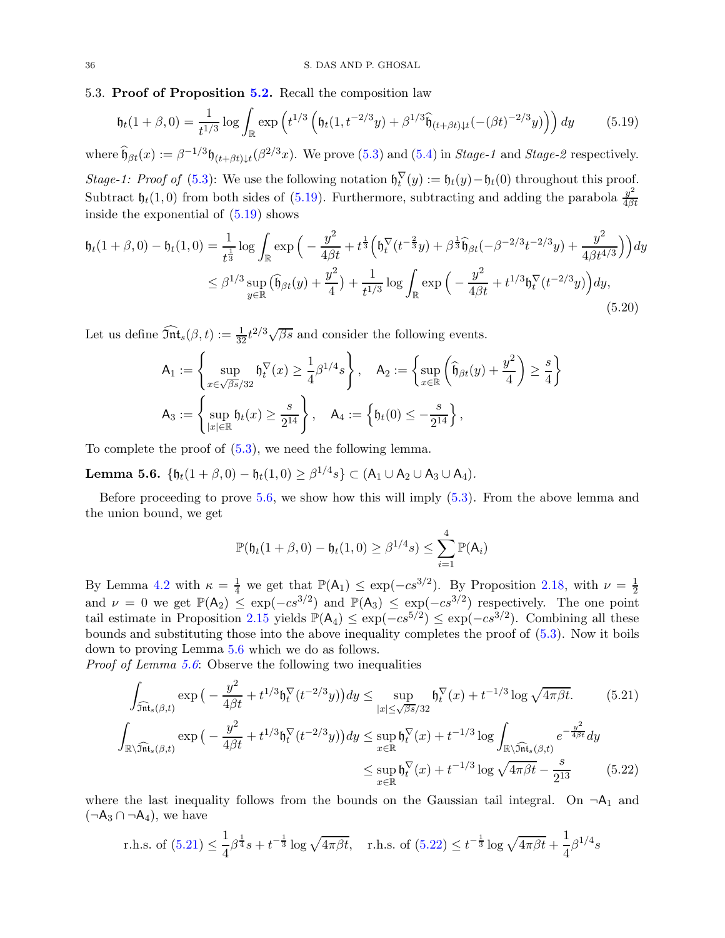#### <span id="page-35-0"></span>5.3. Proof of Proposition [5.2.](#page-28-2) Recall the composition law

<span id="page-35-1"></span>
$$
\mathfrak{h}_t(1+\beta,0) = \frac{1}{t^{1/3}} \log \int_{\mathbb{R}} \exp\left(t^{1/3} \left( \mathfrak{h}_t(1,t^{-2/3}y) + \beta^{1/3} \widehat{\mathfrak{h}}_{(t+\beta t)\downarrow t}(-(\beta t)^{-2/3}y) \right) \right) dy \tag{5.19}
$$

where  $\widehat{\mathfrak{h}}_{\beta t}(x) := \beta^{-1/3} \mathfrak{h}_{(t+\beta t)\downarrow t}(\beta^{2/3}x)$ . We prove [\(5.3\)](#page-28-3) and [\(5.4\)](#page-29-2) in *Stage-1* and *Stage-2* respectively.

Stage-1: Proof of [\(5.3\)](#page-28-3): We use the following notation  $\mathfrak{h}_t^{\vee}(y) := \mathfrak{h}_t(y) - \mathfrak{h}_t(0)$  throughout this proof. Subtract  $\mathfrak{h}_t(1,0)$  from both sides of [\(5.19\)](#page-35-1). Furthermore, subtracting and adding the parabola  $\frac{y^2}{4\beta}$  $_{4\beta t}$ inside the exponential of  $(5.19)$  shows

$$
\mathfrak{h}_t(1+\beta,0) - \mathfrak{h}_t(1,0) = \frac{1}{t^{\frac{1}{3}}} \log \int_{\mathbb{R}} \exp\Big(-\frac{y^2}{4\beta t} + t^{\frac{1}{3}} \Big(\mathfrak{h}_t^{\nabla}(t^{-\frac{2}{3}}y) + \beta^{\frac{1}{3}} \widehat{\mathfrak{h}}_{\beta t}(-\beta^{-2/3}t^{-2/3}y) + \frac{y^2}{4\beta t^{4/3}}\Big)\Big) dy
$$
  

$$
\leq \beta^{1/3} \sup_{y \in \mathbb{R}} \big(\widehat{\mathfrak{h}}_{\beta t}(y) + \frac{y^2}{4}\big) + \frac{1}{t^{1/3}} \log \int_{\mathbb{R}} \exp\Big(-\frac{y^2}{4\beta t} + t^{1/3} \mathfrak{h}_t^{\nabla}(t^{-2/3}y)\Big) dy,
$$
\n(5.20)

Let us define  $\widehat{\mathfrak{Int}}_s(\beta, t) := \frac{1}{32} t^{2/3} \sqrt{\beta s}$  and consider the following events.

$$
\begin{aligned} \mathsf{A}_1&:=\left\{\sup_{x\in \sqrt{\beta s}/32}\mathfrak{h}_t^\nabla(x)\geq \frac{1}{4}\beta^{1/4}s\right\},\quad \mathsf{A}_2:=\left\{\sup_{x\in \mathbb{R}}\left(\widehat{\mathfrak{h}}_{\beta t}(y)+\frac{y^2}{4}\right)\geq \frac{s}{4}\right\}\\ \mathsf{A}_3&:=\left\{\sup_{|x|\in \mathbb{R}}\mathfrak{h}_t(x)\geq \frac{s}{2^{14}}\right\},\quad \mathsf{A}_4:=\left\{\mathfrak{h}_t(0)\leq -\frac{s}{2^{14}}\right\}, \end{aligned}
$$

To complete the proof of [\(5.3\)](#page-28-3), we need the following lemma.

<span id="page-35-2"></span>Lemma 5.6.  $\{\mathfrak{h}_t(1+\beta,0) - \mathfrak{h}_t(1,0) \geq \beta^{1/4}s\} \subset (\mathsf{A}_1 \cup \mathsf{A}_2 \cup \mathsf{A}_3 \cup \mathsf{A}_4).$ 

Before proceeding to prove [5.6,](#page-35-2) we show how this will imply [\(5.3\)](#page-28-3). From the above lemma and the union bound, we get

<span id="page-35-5"></span><span id="page-35-4"></span><span id="page-35-3"></span>
$$
\mathbb{P}(\mathfrak{h}_t(1+\beta,0)-\mathfrak{h}_t(1,0)\geq \beta^{1/4}s)\leq \sum_{i=1}^4\mathbb{P}(\mathsf{A}_i)
$$

By Lemma [4.2](#page-24-0) with  $\kappa = \frac{1}{4}$  we get that  $\mathbb{P}(\mathsf{A}_1) \leq \exp(-cs^{3/2})$ . By Proposition [2.18,](#page-17-0) with  $\nu = \frac{1}{2}$ Lemma 4.2 with  $κ = \frac{π}{4}$  we get that  $\frac{π(π) ≤ exp(−cs^{2})}{(π) ≤ exp(−cs^{3/2})}$ . By 1 respectively. The one point and  $ν = 0$  we get  $\mathbb{P}(A_2) ≤ exp(−cs^{3/2})$  and  $\mathbb{P}(A_3) ≤ exp(−cs^{3/2})$  respectively. The one point tail estimate in Proposition [2.15](#page-16-0) yields  $\mathbb{P}(\mathsf{A}_4) \leq \exp(-cs^{5/2}) \leq \exp(-cs^{3/2})$ . Combining all these bounds and substituting those into the above inequality completes the proof of [\(5.3\)](#page-28-3). Now it boils down to proving Lemma [5.6](#page-35-2) which we do as follows.

Proof of Lemma [5.6](#page-35-2): Observe the following two inequalities

$$
\int_{\widehat{\mathfrak{Int}}_{s}(\beta,t)} \exp\left(-\frac{y^{2}}{4\beta t} + t^{1/3} \mathfrak{h}_{t}^{\nabla}(t^{-2/3}y)\right) dy \leq \sup_{|x| \leq \sqrt{\beta s}/32} \mathfrak{h}_{t}^{\nabla}(x) + t^{-1/3} \log \sqrt{4\pi\beta t}.
$$
\n
$$
\int_{\mathbb{R}\setminus\widehat{\mathfrak{Int}}_{s}(\beta,t)} \exp\left(-\frac{y^{2}}{4\beta t} + t^{1/3} \mathfrak{h}_{t}^{\nabla}(t^{-2/3}y)\right) dy \leq \sup_{x \in \mathbb{R}} \mathfrak{h}_{t}^{\nabla}(x) + t^{-1/3} \log \int_{\mathbb{R}\setminus\widehat{\mathfrak{Int}}_{s}(\beta,t)} e^{-\frac{y^{2}}{4\beta t}} dy
$$
\n
$$
\leq \sup_{x \in \mathbb{R}} \mathfrak{h}_{t}^{\nabla}(x) + t^{-1/3} \log \sqrt{4\pi\beta t} - \frac{s}{2^{13}} \tag{5.22}
$$

where the last inequality follows from the bounds on the Gaussian tail integral. On  $\neg A_1$  and  $(\neg A_3 \cap \neg A_4)$ , we have

r.h.s. of (5.21) 
$$
\leq \frac{1}{4}\beta^{\frac{1}{4}}s + t^{-\frac{1}{3}}\log\sqrt{4\pi\beta t}
$$
, r.h.s. of (5.22)  $\leq t^{-\frac{1}{3}}\log\sqrt{4\pi\beta t} + \frac{1}{4}\beta^{1/4}s$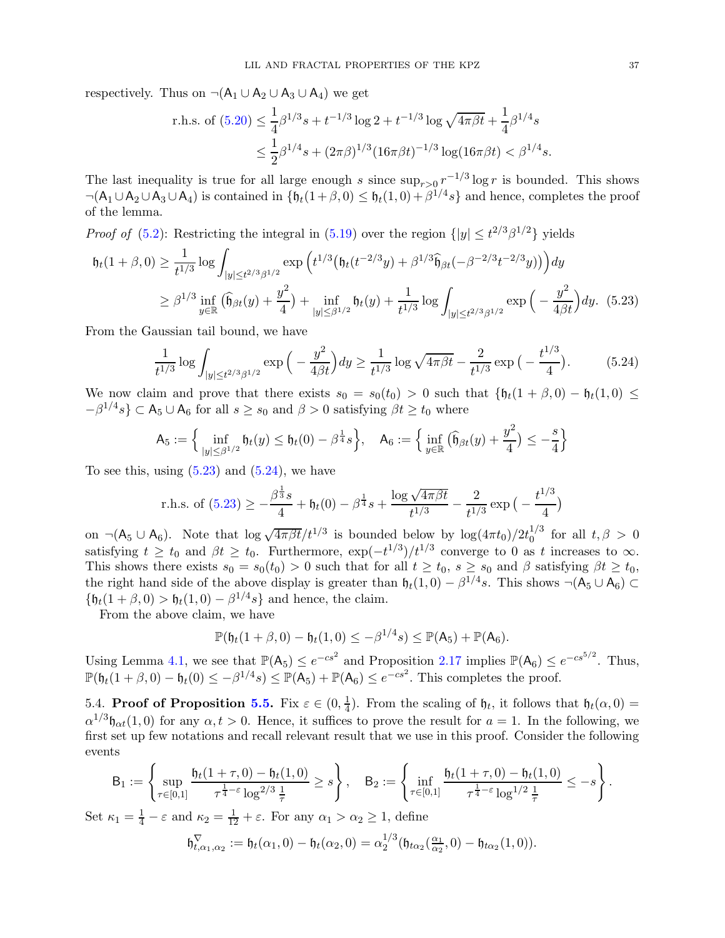respectively. Thus on  $\neg(A_1 \cup A_2 \cup A_3 \cup A_4)$  we get

r.h.s. of (5.20) 
$$
\leq \frac{1}{4}\beta^{1/3}s + t^{-1/3}\log 2 + t^{-1/3}\log \sqrt{4\pi\beta t} + \frac{1}{4}\beta^{1/4}s
$$
  
 $\leq \frac{1}{2}\beta^{1/4}s + (2\pi\beta)^{1/3}(16\pi\beta t)^{-1/3}\log(16\pi\beta t) < \beta^{1/4}s$ .

The last inequality is true for all large enough s since  $\sup_{r>0} r^{-1/3} \log r$  is bounded. This shows  $\neg(A_1 \cup A_2 \cup A_3 \cup A_4)$  is contained in  $\{\mathfrak{h}_t(1+\beta,0) \leq \mathfrak{h}_t(1,0) + \beta^{1/4}s\}$  and hence, completes the proof of the lemma.

*Proof of* [\(5.2\)](#page-28-4): Restricting the integral in [\(5.19\)](#page-35-1) over the region  $\{|y| \le t^{2/3}\beta^{1/2}\}\$  yields

$$
\mathfrak{h}_t(1+\beta,0) \geq \frac{1}{t^{1/3}} \log \int_{|y| \leq t^{2/3}\beta^{1/2}} \exp \left( t^{1/3} \left( \mathfrak{h}_t(t^{-2/3}y) + \beta^{1/3} \widehat{\mathfrak{h}}_{\beta t}(-\beta^{-2/3}t^{-2/3}y) \right) \right) dy
$$
  
 
$$
\geq \beta^{1/3} \inf_{y \in \mathbb{R}} \left( \widehat{\mathfrak{h}}_{\beta t}(y) + \frac{y^2}{4} \right) + \inf_{|y| \leq \beta^{1/2}} \mathfrak{h}_t(y) + \frac{1}{t^{1/3}} \log \int_{|y| \leq t^{2/3}\beta^{1/2}} \exp \left( -\frac{y^2}{4\beta t} \right) dy. \tag{5.23}
$$

From the Gaussian tail bound, we have

<span id="page-36-2"></span><span id="page-36-1"></span>
$$
\frac{1}{t^{1/3}} \log \int_{|y| \le t^{2/3} \beta^{1/2}} \exp\Big(-\frac{y^2}{4\beta t}\Big) dy \ge \frac{1}{t^{1/3}} \log \sqrt{4\pi\beta t} - \frac{2}{t^{1/3}} \exp\Big(-\frac{t^{1/3}}{4}\Big). \tag{5.24}
$$

We now claim and prove that there exists  $s_0 = s_0(t_0) > 0$  such that  $\{\mathfrak{h}_t(1+\beta,0) - \mathfrak{h}_t(1,0) \leq$  $-\beta^{1/4}s$ }  $\subset$  A<sub>5</sub>  $\cup$  A<sub>6</sub> for all  $s \ge s_0$  and  $\beta > 0$  satisfying  $\beta t \ge t_0$  where

$$
\mathsf{A}_5 := \Big\{ \inf_{|y| \le \beta^{1/2}} \mathfrak{h}_t(y) \le \mathfrak{h}_t(0) - \beta^{\frac{1}{4}} s \Big\}, \quad \mathsf{A}_6 := \Big\{ \inf_{y \in \mathbb{R}} \big( \widehat{\mathfrak{h}}_{\beta t}(y) + \frac{y^2}{4} \big) \le -\frac{s}{4} \Big\}
$$

To see this, using  $(5.23)$  and  $(5.24)$ , we have

r.h.s. of (5.23) 
$$
\geq -\frac{\beta^{\frac{1}{3}}s}{4} + \mathfrak{h}_t(0) - \beta^{\frac{1}{4}}s + \frac{\log \sqrt{4\pi\beta t}}{t^{1/3}} - \frac{2}{t^{1/3}}\exp\left(-\frac{t^{1/3}}{4}\right)
$$

on  $\neg(A_5 \cup A_6)$ . Note that  $\log \sqrt{4\pi \beta t}/t^{1/3}$  is bounded below by  $\log(4\pi t_0)/2t_0^{1/3}$  $_0^{1/3}$  for all  $t, \beta > 0$ satisfying  $t \ge t_0$  and  $\beta t \ge t_0$ . Furthermore,  $\exp(-t^{1/3}) / t^{1/3}$  converge to 0 as t increases to  $\infty$ . This shows there exists  $s_0 = s_0(t_0) > 0$  such that for all  $t \ge t_0$ ,  $s \ge s_0$  and  $\beta$  satisfying  $\beta t \ge t_0$ , the right hand side of the above display is greater than  $\mathfrak{h}_t(1,0) - \beta^{1/4}s$ . This shows  $\neg(\mathsf{A}_5 \cup \mathsf{A}_6) \subset$  ${\mathfrak{h}}_t(1+\beta,0) > {\mathfrak{h}}_t(1,0) - \beta^{1/4}s$  and hence, the claim.

From the above claim, we have

$$
\mathbb{P}(\mathfrak{h}_t(1+\beta,0)-\mathfrak{h}_t(1,0)\leq -\beta^{1/4}s)\leq \mathbb{P}(\mathsf{A}_5)+\mathbb{P}(\mathsf{A}_6).
$$

Using Lemma [4.1,](#page-22-1) we see that  $\mathbb{P}(\mathsf{A}_5) \leq e^{-cs^2}$  and Proposition [2.17](#page-17-6) implies  $\mathbb{P}(\mathsf{A}_6) \leq e^{-cs^{5/2}}$ . Thus,  $\mathbb{P}(\mathfrak{h}_t(1+\beta,0)-\mathfrak{h}_t(0)\leq -\beta^{1/4}s)\leq \mathbb{P}(\mathsf{A}_5)+\mathbb{P}(\mathsf{A}_6)\leq e^{-cs^2}.$  This completes the proof.

<span id="page-36-0"></span>5.4. Proof of Proposition [5.5.](#page-29-1) Fix  $\varepsilon \in (0, \frac{1}{4})$  $\frac{1}{4}$ ). From the scaling of  $\mathfrak{h}_t$ , it follows that  $\mathfrak{h}_t(\alpha,0)$  =  $\alpha^{1/3}\mathfrak{h}_{\alpha t}(1,0)$  for any  $\alpha, t > 0$ . Hence, it suffices to prove the result for  $a = 1$ . In the following, we first set up few notations and recall relevant result that we use in this proof. Consider the following events

$$
\mathsf{B}_1:=\left\{\sup_{\tau\in[0,1]}\frac{\mathfrak{h}_t(1+\tau,0)-\mathfrak{h}_t(1,0)}{\tau^{\frac{1}{4}-\varepsilon}\log^{2/3}\frac{1}{\tau}}\geq s\right\},\quad \mathsf{B}_2:=\left\{\inf_{\tau\in[0,1]}\frac{\mathfrak{h}_t(1+\tau,0)-\mathfrak{h}_t(1,0)}{\tau^{\frac{1}{4}-\varepsilon}\log^{1/2}\frac{1}{\tau}}\leq -s\right\}.
$$

Set  $\kappa_1 = \frac{1}{4} - \varepsilon$  and  $\kappa_2 = \frac{1}{12} + \varepsilon$ . For any  $\alpha_1 > \alpha_2 \ge 1$ , define

$$
\mathfrak{h}_{t,\alpha_1,\alpha_2}^{\nabla} := \mathfrak{h}_t(\alpha_1,0) - \mathfrak{h}_t(\alpha_2,0) = \alpha_2^{1/3}(\mathfrak{h}_{t\alpha_2}(\frac{\alpha_1}{\alpha_2},0) - \mathfrak{h}_{t\alpha_2}(1,0)).
$$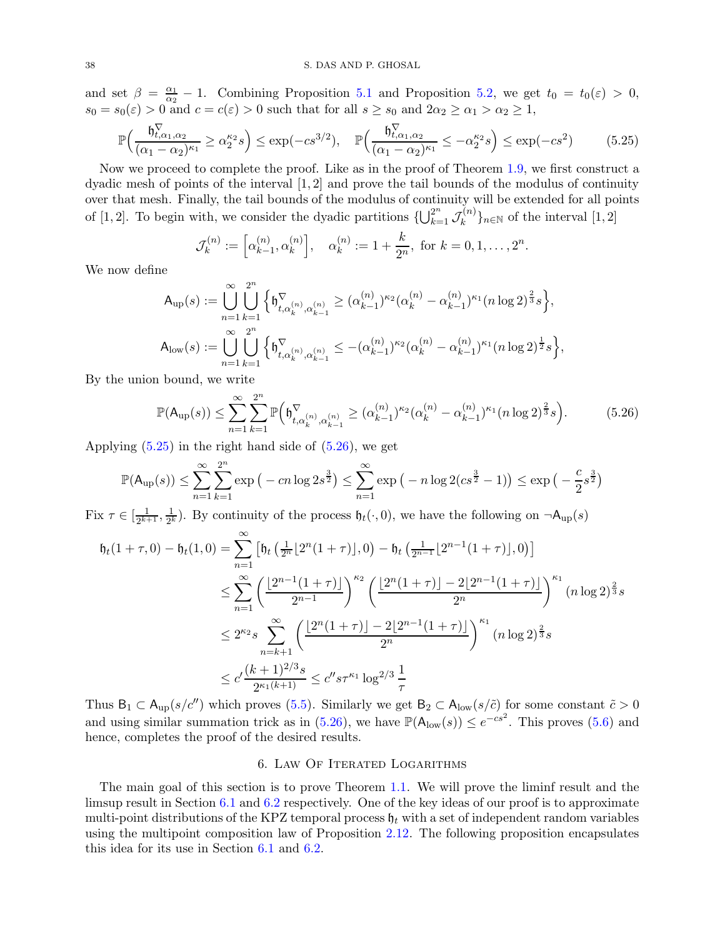and set  $\beta = \frac{\alpha_1}{\alpha_2}$  $\frac{\alpha_1}{\alpha_2} - 1$ . Combining Proposition [5.1](#page-28-0) and Proposition [5.2,](#page-28-2) we get  $t_0 = t_0(\varepsilon) > 0$ ,  $s_0 = s_0(\varepsilon) > 0$  and  $c = c(\varepsilon) > 0$  such that for all  $s \ge s_0$  and  $2\alpha_2 \ge \alpha_1 > \alpha_2 \ge 1$ ,

$$
\mathbb{P}\Big(\frac{\mathfrak{h}_{t,\alpha_1,\alpha_2}^{\nabla}}{(\alpha_1-\alpha_2)^{\kappa_1}} \ge \alpha_2^{\kappa_2}s\Big) \le \exp(-cs^{3/2}), \quad \mathbb{P}\Big(\frac{\mathfrak{h}_{t,\alpha_1,\alpha_2}^{\nabla}}{(\alpha_1-\alpha_2)^{\kappa_1}} \le -\alpha_2^{\kappa_2}s\Big) \le \exp(-cs^2) \tag{5.25}
$$

Now we proceed to complete the proof. Like as in the proof of Theorem [1.9,](#page-5-3) we first construct a dyadic mesh of points of the interval  $[1, 2]$  and prove the tail bounds of the modulus of continuity over that mesh. Finally, the tail bounds of the modulus of continuity will be extended for all points of [1, 2]. To begin with, we consider the dyadic partitions  $\{\bigcup_{k=1}^{2^n} \mathcal{J}_k^{(n)}\}$  $\binom{n}{k}_{k}$ <sub>n∈N</sub> of the interval  $[1, 2]$ 

<span id="page-37-2"></span><span id="page-37-1"></span>
$$
\mathcal{J}_k^{(n)} := \left[\alpha_{k-1}^{(n)}, \alpha_k^{(n)}\right], \quad \alpha_k^{(n)} := 1 + \frac{k}{2^n}, \text{ for } k = 0, 1, \dots, 2^n.
$$

We now define

$$
\begin{aligned} \mathsf{A}_{\text{up}}(s) &:= \bigcup_{n=1}^{\infty} \bigcup_{k=1}^{2^n} \Big\{ \mathfrak{h}^{\nabla}_{t,\alpha_k^{(n)},\alpha_{k-1}^{(n)}} \geq (\alpha_{k-1}^{(n)})^{\kappa_2} (\alpha_k^{(n)} - \alpha_{k-1}^{(n)})^{\kappa_1} (n \log 2)^{\frac{2}{3}} s \Big\},\\ \mathsf{A}_{\text{low}}(s) &:= \bigcup_{n=1}^{\infty} \bigcup_{k=1}^{2^n} \Big\{ \mathfrak{h}^{\nabla}_{t,\alpha_k^{(n)},\alpha_{k-1}^{(n)}} \leq -(\alpha_{k-1}^{(n)})^{\kappa_2} (\alpha_k^{(n)} - \alpha_{k-1}^{(n)})^{\kappa_1} (n \log 2)^{\frac{1}{2}} s \Big\}, \end{aligned}
$$

By the union bound, we write

$$
\mathbb{P}(\mathsf{A}_{\text{up}}(s)) \leq \sum_{n=1}^{\infty} \sum_{k=1}^{2^n} \mathbb{P}\Big(\mathfrak{h}_{t, \alpha_k^{(n)}, \alpha_{k-1}^{(n)}}^{(\Sigma)} \geq (\alpha_{k-1}^{(n)})^{\kappa_2} (\alpha_k^{(n)} - \alpha_{k-1}^{(n)})^{\kappa_1} (n \log 2)^{\frac{2}{3}} s\Big). \tag{5.26}
$$

Applying  $(5.25)$  in the right hand side of  $(5.26)$ , we get

$$
\mathbb{P}(\mathsf{A}_{\text{up}}(s)) \le \sum_{n=1}^{\infty} \sum_{k=1}^{2^n} \exp(-cn \log 2s^{\frac{3}{2}}) \le \sum_{n=1}^{\infty} \exp(-n \log 2(s^{\frac{3}{2}} - 1)) \le \exp(-\frac{c}{2}s^{\frac{3}{2}})
$$

Fix  $\tau \in [\frac{1}{2^{k+1}}]$  $\frac{1}{2^{k+1}}, \frac{1}{2^k}$  $\frac{1}{2^k}$ ). By continuity of the process  $\mathfrak{h}_t(\cdot,0)$ , we have the following on  $\neg \mathsf{A}_{\text{up}}(s)$ 

$$
\begin{split} \mathfrak{h}_t(1+\tau,0) - \mathfrak{h}_t(1,0) &= \sum_{n=1}^{\infty} \left[ \mathfrak{h}_t\left(\frac{1}{2^n} \lfloor 2^n(1+\tau) \rfloor, 0\right) - \mathfrak{h}_t\left(\frac{1}{2^{n-1}} \lfloor 2^{n-1}(1+\tau) \rfloor, 0\right) \right] \\ &\leq \sum_{n=1}^{\infty} \left( \frac{\lfloor 2^{n-1}(1+\tau) \rfloor}{2^{n-1}} \right)^{\kappa_2} \left( \frac{\lfloor 2^n(1+\tau) \rfloor - 2 \lfloor 2^{n-1}(1+\tau) \rfloor}{2^n} \right)^{\kappa_1} (n \log 2)^{\frac{2}{3}} s \\ &\leq 2^{\kappa_2} s \sum_{n=k+1}^{\infty} \left( \frac{\lfloor 2^n(1+\tau) \rfloor - 2 \lfloor 2^{n-1}(1+\tau) \rfloor}{2^n} \right)^{\kappa_1} (n \log 2)^{\frac{2}{3}} s \\ &\leq c' \frac{(k+1)^{2/3} s}{2^{\kappa_1(k+1)}} \leq c'' s \tau^{\kappa_1} \log^{2/3} \frac{1}{\tau} \end{split}
$$

Thus  $B_1 \subset A_{\text{up}}(s/c'')$  which proves [\(5.5\)](#page-29-3). Similarly we get  $B_2 \subset A_{\text{low}}(s/c')$  for some constant  $\tilde{c} > 0$ and using similar summation trick as in  $(5.26)$ , we have  $\mathbb{P}(\mathsf{A}_{\text{low}}(s)) \leq e^{-cs^2}$ . This proves  $(5.6)$  and hence, completes the proof of the desired results.

## 6. Law Of Iterated Logarithms

<span id="page-37-0"></span>The main goal of this section is to prove Theorem [1.1.](#page-1-1) We will prove the liminf result and the limsup result in Section [6.1](#page-38-1) and [6.2](#page-41-0) respectively. One of the key ideas of our proof is to approximate multi-point distributions of the KPZ temporal process  $\mathfrak{h}_t$  with a set of independent random variables using the multipoint composition law of Proposition [2.12.](#page-14-0) The following proposition encapsulates this idea for its use in Section [6.1](#page-38-1) and [6.2.](#page-41-0)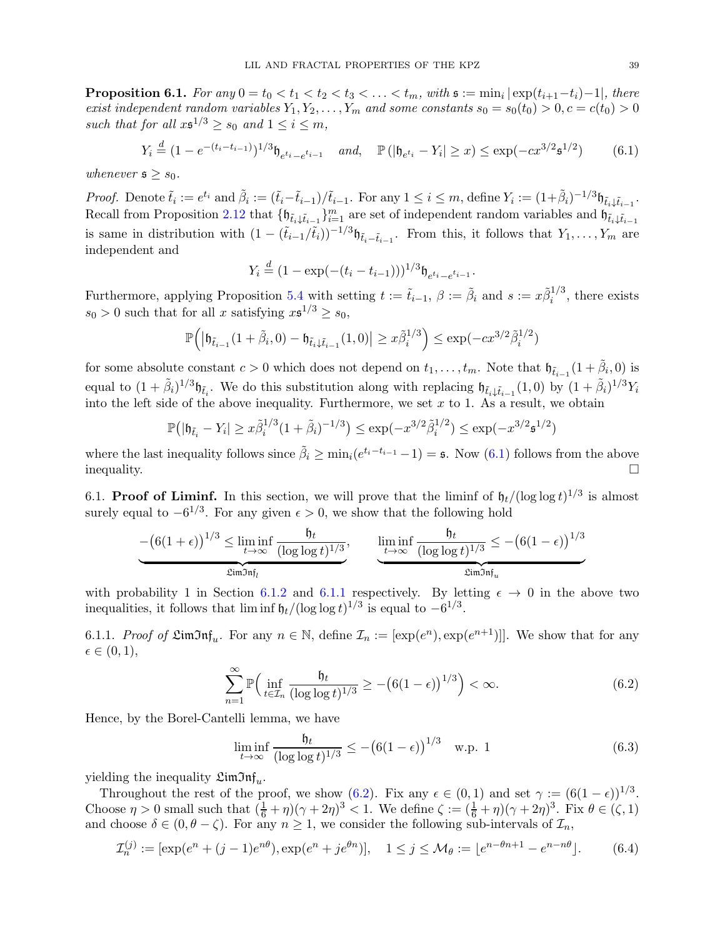<span id="page-38-0"></span> $\textbf{Proposition 6.1.} \ \textit{For any} \ 0=t_0 < t_1 < t_2 < t_3 < \ldots < t_m, \ \textit{with} \ \mathfrak{s} := \min_i |\exp(t_{i+1}-t_i)-1|, \ \textit{there}$ exist independent random variables  $Y_1, Y_2, \ldots, Y_m$  and some constants  $s_0 = s_0(t_0) > 0, c = c(t_0) > 0$ such that for all  $x \cdot s^{1/3} \geq s_0$  and  $1 \leq i \leq m$ ,

$$
Y_i \stackrel{d}{=} (1 - e^{-(t_i - t_{i-1})})^{1/3} \mathfrak{h}_{e^{t_i} - e^{t_{i-1}}} \quad \text{and,} \quad \mathbb{P} \left( |\mathfrak{h}_{e^{t_i}} - Y_i| \ge x \right) \le \exp(-cx^{3/2} \mathfrak{s}^{1/2}) \tag{6.1}
$$

whenever  $s \geq s_0$ .

Proof. Denote  $\tilde{t}_i := e^{t_i}$  and  $\tilde{\beta}_i := (\tilde{t}_i - \tilde{t}_{i-1})/\tilde{t}_{i-1}$ . For any  $1 \leq i \leq m$ , define  $Y_i := (1 + \tilde{\beta}_i)^{-1/3} \mathfrak{h}_{\tilde{t}_i \downarrow \tilde{t}_{i-1}}$ . Recall from Proposition [2.12](#page-14-0) that  $\{\mathfrak{h}_{\tilde{t}_i\downarrow\tilde{t}_{i-1}}\}_{i=1}^m$  are set of independent random variables and  $\mathfrak{h}_{\tilde{t}_i\downarrow\tilde{t}_{i-1}}$ is same in distribution with  $(1 - (\tilde{t}_{i-1}/\tilde{t}_i))^{-1/3}$   $\mathfrak{h}_{\tilde{t}_i - \tilde{t}_{i-1}}$ . From this, it follows that  $Y_1, \ldots, Y_m$  are independent and

<span id="page-38-2"></span>
$$
Y_i \stackrel{d}{=} (1 - \exp(-(t_i - t_{i-1})))^{1/3} \mathfrak{h}_{e^{t_i} - e^{t_{i-1}}}.
$$

Furthermore, applying Proposition [5.4](#page-29-0) with setting  $t := \tilde{t}_{i-1}$ ,  $\beta := \tilde{\beta}_i$  and  $s := x\tilde{\beta}_i^{1/3}$  $i^{1/3}$ , there exists  $s_0 > 0$  such that for all x satisfying  $x \mathfrak{s}^{1/3} \geq s_0$ ,

$$
\mathbb{P}\Big(\big|\mathfrak{h}_{\tilde{t}_{i-1}}(1+\tilde{\beta}_i,0)-\mathfrak{h}_{\tilde{t}_i\downarrow\tilde{t}_{i-1}}(1,0)\big|\geq x\tilde{\beta}_i^{1/3}\Big)\leq \exp(-cx^{3/2}\tilde{\beta}_i^{1/2})
$$

for some absolute constant  $c > 0$  which does not depend on  $t_1, \ldots, t_m$ . Note that  $\mathfrak{h}_{\tilde{t}_{i-1}}(1+\tilde{\beta}_i, 0)$  is equal to  $(1 + \tilde{\beta}_i)^{1/3} \mathfrak{h}_{\tilde{t}_i}$ . We do this substitution along with replacing  $\mathfrak{h}_{\tilde{t}_i \downarrow \tilde{t}_{i-1}}(1,0)$  by  $(1 + \tilde{\beta}_i)^{1/3} Y_i$ into the left side of the above inequality. Furthermore, we set  $x$  to 1. As a result, we obtain

$$
\mathbb{P}(|\mathfrak{h}_{\tilde{t}_i} - Y_i| \ge x\tilde{\beta}_i^{1/3} (1 + \tilde{\beta}_i)^{-1/3}) \le \exp(-x^{3/2} \tilde{\beta}_i^{1/2}) \le \exp(-x^{3/2} \mathfrak{s}^{1/2})
$$

where the last inequality follows since  $\tilde{\beta}_i \ge \min_i(e^{t_i-t_{i-1}}-1) = \mathfrak{s}$ . Now [\(6.1\)](#page-38-2) follows from the above  $\Box$ inequality.

<span id="page-38-1"></span>6.1. **Proof of Liminf.** In this section, we will prove that the liminf of  $\mathfrak{h}_t/(\log \log t)^{1/3}$  is almost surely equal to  $-6^{1/3}$ . For any given  $\epsilon > 0$ , we show that the following hold

$$
-\left(6(1+\epsilon)\right)^{1/3} \le \liminf_{t \to \infty} \frac{\mathfrak{h}_t}{(\log \log t)^{1/3}}, \qquad \liminf_{t \to \infty} \frac{\mathfrak{h}_t}{(\log \log t)^{1/3}} \le -\left(6(1-\epsilon)\right)^{1/3}
$$

$$
\frac{\liminf_{t \to \infty} \frac{\mathfrak{h}_t}{(\log \log t)^{1/3}}}{\liminf_{u \to \infty} \mathfrak{h}_u}
$$

with probability 1 in Section [6.1.2](#page-40-0) and [6.1.1](#page-38-3) respectively. By letting  $\epsilon \to 0$  in the above two inequalities, it follows that  $\liminf \frac{\theta_t}{(\log \log t)^{1/3}}$  is equal to  $-6^{1/3}$ .

<span id="page-38-3"></span>6.1.1. *Proof of*  $\mathfrak{LimInf}_{u}$ . For any  $n \in \mathbb{N}$ , define  $\mathcal{I}_n := [\exp(e^n), \exp(e^{n+1})]$ . We show that for any  $\epsilon \in (0,1),$ 

$$
\sum_{n=1}^{\infty} \mathbb{P}\Big(\inf_{t \in \mathcal{I}_n} \frac{\mathfrak{h}_t}{(\log \log t)^{1/3}} \ge -\big(6(1-\epsilon)\big)^{1/3}\Big) < \infty. \tag{6.2}
$$

Hence, by the Borel-Cantelli lemma, we have

<span id="page-38-5"></span><span id="page-38-4"></span>
$$
\liminf_{t \to \infty} \frac{\mathfrak{h}_t}{(\log \log t)^{1/3}} \le -\big(6(1 - \epsilon)\big)^{1/3} \quad \text{w.p. 1}
$$
 (6.3)

yielding the inequality  $\mathfrak{LimJn}\mathfrak{f}_u$ .

Throughout the rest of the proof, we show [\(6.2\)](#page-38-4). Fix any  $\epsilon \in (0,1)$  and set  $\gamma := (6(1-\epsilon))^{1/3}$ . Choose  $\eta > 0$  small such that  $(\frac{1}{6} + \eta)(\gamma + 2\eta)^3 < 1$ . We define  $\zeta := (\frac{1}{6} + \eta)(\gamma + 2\eta)^3$ . Fix  $\theta \in (\zeta, 1)$ and choose  $\delta \in (0, \theta - \zeta)$ . For any  $n \geq 1$ , we consider the following sub-intervals of  $\mathcal{I}_n$ ,

<span id="page-38-6"></span>
$$
\mathcal{I}_n^{(j)} := [\exp(e^n + (j-1)e^{n\theta}), \exp(e^n + ie^{\theta n})], \quad 1 \le j \le \mathcal{M}_{\theta} := [e^{n-\theta n+1} - e^{n-n\theta}].
$$
 (6.4)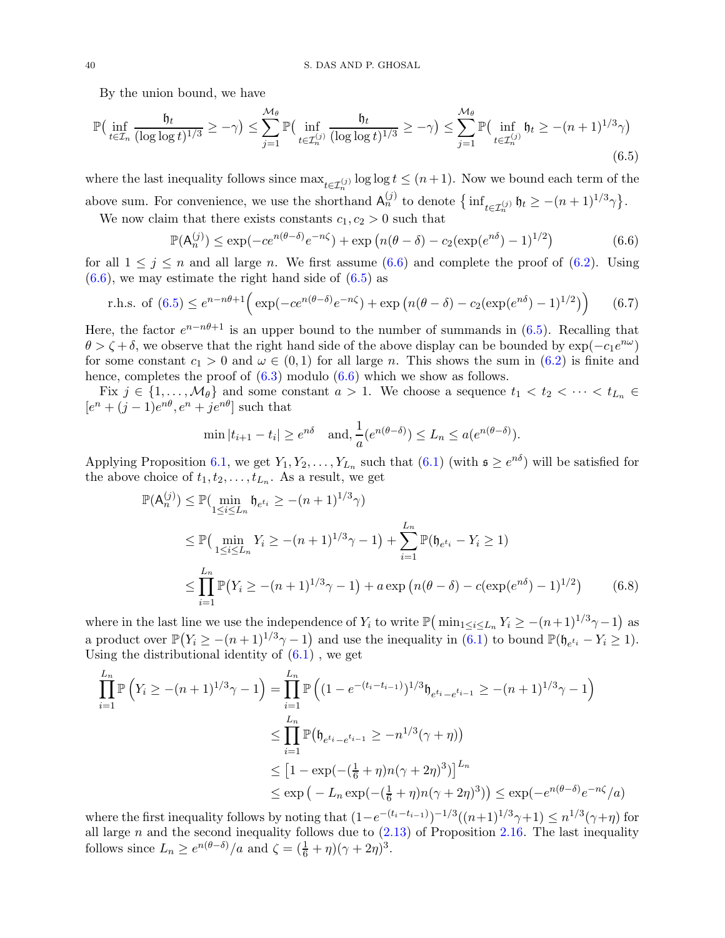By the union bound, we have

$$
\mathbb{P}\left(\inf_{t\in\mathcal{I}_n}\frac{\mathfrak{h}_t}{(\log\log t)^{1/3}}\geq -\gamma\right) \leq \sum_{j=1}^{\mathcal{M}_{\theta}}\mathbb{P}\left(\inf_{t\in\mathcal{I}_n^{(j)}}\frac{\mathfrak{h}_t}{(\log\log t)^{1/3}}\geq -\gamma\right) \leq \sum_{j=1}^{\mathcal{M}_{\theta}}\mathbb{P}\left(\inf_{t\in\mathcal{I}_n^{(j)}}\mathfrak{h}_t\geq -(n+1)^{1/3}\gamma\right) \tag{6.5}
$$

where the last inequality follows since  $\max_{t \in \mathcal{I}_n^{(j)}} \log \log t \leq (n+1)$ . Now we bound each term of the above sum. For convenience, we use the shorthand  $A_n^{(j)}$  to denote  $\{\inf_{t \in \mathcal{I}_n^{(j)}} \mathfrak{h}_t \ge -(n+1)^{1/3}\gamma\}.$ 

We now claim that there exists constants  $c_1, c_2 > 0$  such that

<span id="page-39-1"></span><span id="page-39-0"></span>
$$
\mathbb{P}(\mathsf{A}_n^{(j)}) \le \exp(-ce^{n(\theta-\delta)}e^{-n\zeta}) + \exp\left(n(\theta-\delta) - c_2(\exp(e^{n\delta})-1)^{1/2}\right) \tag{6.6}
$$

for all  $1 \leq j \leq n$  and all large n. We first assume [\(6.6\)](#page-39-0) and complete the proof of [\(6.2\)](#page-38-4). Using  $(6.6)$ , we may estimate the right hand side of  $(6.5)$  as

r.h.s. of (6.5) 
$$
\leq e^{n-n\theta+1} \Big( \exp(-ce^{n(\theta-\delta)}e^{-n\zeta}) + \exp\big(n(\theta-\delta) - c_2(\exp(e^{n\delta})-1)^{1/2}\big) \Big)
$$
 (6.7)

Here, the factor  $e^{n-n\theta+1}$  is an upper bound to the number of summands in [\(6.5\)](#page-39-1). Recalling that  $\theta > \zeta + \delta$ , we observe that the right hand side of the above display can be bounded by  $\exp(-c_1e^{i\omega})$ for some constant  $c_1 > 0$  and  $\omega \in (0,1)$  for all large n. This shows the sum in  $(6.2)$  is finite and hence, completes the proof of  $(6.3)$  modulo  $(6.6)$  which we show as follows.

Fix  $j \in \{1, \ldots, \mathcal{M}_{\theta}\}\$ and some constant  $a > 1$ . We choose a sequence  $t_1 < t_2 < \cdots < t_{L_n} \in$  $[e<sup>n</sup> + (j-1)e<sup>n\theta</sup>, e<sup>n</sup> + j e<sup>n\theta</sup>]$  such that

<span id="page-39-3"></span><span id="page-39-2"></span>
$$
\min |t_{i+1} - t_i| \ge e^{n\delta} \quad \text{and,} \quad \frac{1}{a} (e^{n(\theta - \delta)}) \le L_n \le a(e^{n(\theta - \delta)}).
$$

Applying Proposition [6.1,](#page-38-0) we get  $Y_1, Y_2, \ldots, Y_{L_n}$  such that  $(6.1)$  (with  $\mathfrak{s} \geq e^{n\delta}$ ) will be satisfied for the above choice of  $t_1, t_2, \ldots, t_{L_n}$ . As a result, we get

$$
\mathbb{P}(\mathsf{A}_{n}^{(j)}) \leq \mathbb{P}(\min_{1 \leq i \leq L_{n}} \mathsf{h}_{e^{t_{i}}} \geq -(n+1)^{1/3}\gamma)
$$
\n
$$
\leq \mathbb{P}(\min_{1 \leq i \leq L_{n}} Y_{i} \geq -(n+1)^{1/3}\gamma - 1) + \sum_{i=1}^{L_{n}} \mathbb{P}(\mathsf{h}_{e^{t_{i}}} - Y_{i} \geq 1)
$$
\n
$$
\leq \prod_{i=1}^{L_{n}} \mathbb{P}(Y_{i} \geq -(n+1)^{1/3}\gamma - 1) + a \exp(n(\theta - \delta) - c(\exp(e^{n\delta}) - 1)^{1/2}) \qquad (6.8)
$$

where in the last line we use the independence of  $Y_i$  to write  $\mathbb{P}(\min_{1 \leq i \leq L_n} Y_i \geq -(n+1)^{1/3}\gamma - 1)$  as a product over  $\mathbb{P}(Y_i \ge -(n+1)^{1/3}\gamma - 1)$  and use the inequality in  $(6.1)$  to bound  $\mathbb{P}(\mathfrak{h}_{e^{t_i}} - Y_i \ge 1)$ . Using the distributional identity of  $(6.1)$ , we get

$$
\prod_{i=1}^{L_n} \mathbb{P}\left(Y_i \ge -(n+1)^{1/3}\gamma - 1\right) = \prod_{i=1}^{L_n} \mathbb{P}\left((1 - e^{-(t_i - t_{i-1})})^{1/3} \mathfrak{h}_{e^{t_i} - e^{t_{i-1}}} \ge -(n+1)^{1/3}\gamma - 1\right)
$$
\n
$$
\le \prod_{i=1}^{L_n} \mathbb{P}\left(\mathfrak{h}_{e^{t_i} - e^{t_{i-1}}} \ge -n^{1/3}(\gamma + \eta)\right)
$$
\n
$$
\le \left[1 - \exp(-( \frac{1}{6} + \eta)n(\gamma + 2\eta)^3)\right]^{L_n}
$$
\n
$$
\le \exp\left(-L_n \exp(-( \frac{1}{6} + \eta)n(\gamma + 2\eta)^3)\right) \le \exp(-e^{n(\theta - \delta)}e^{-n\zeta}/a)
$$

where the first inequality follows by noting that  $(1-e^{-(t_i-t_{i-1})})^{-1/3}((n+1)^{1/3}\gamma+1) \leq n^{1/3}(\gamma+\eta)$  for all large n and the second inequality follows due to  $(2.13)$  of Proposition [2.16.](#page-16-7) The last inequality follows since  $L_n \geq e^{n(\theta - \delta)}/a$  and  $\zeta = (\frac{1}{6} + \eta)(\gamma + 2\eta)^3$ .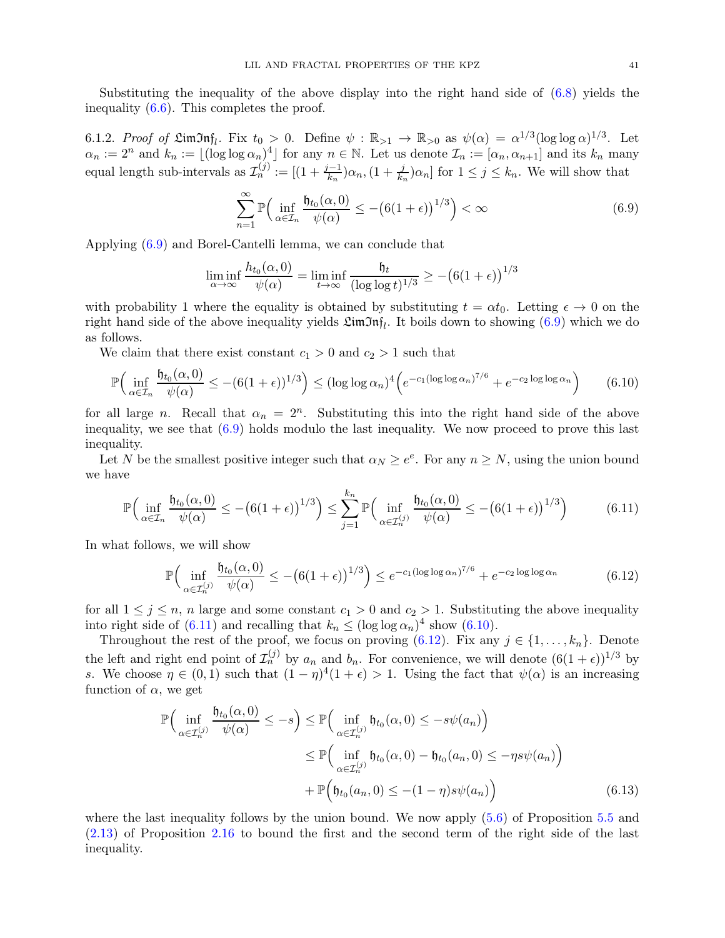Substituting the inequality of the above display into the right hand side of [\(6.8\)](#page-39-2) yields the inequality [\(6.6\)](#page-39-0). This completes the proof.

<span id="page-40-0"></span>6.1.2. Proof of  $\mathfrak{LimJn}\mathfrak{hf}_l$ . Fix  $t_0 > 0$ . Define  $\psi : \mathbb{R}_{>1} \to \mathbb{R}_{>0}$  as  $\psi(\alpha) = \alpha^{1/3} (\log \log \alpha)^{1/3}$ . Let  $\alpha_n := 2^n$  and  $k_n := \lfloor (\log \log \alpha_n)^4 \rfloor$  for any  $n \in \mathbb{N}$ . Let us denote  $\mathcal{I}_n := [\alpha_n, \alpha_{n+1}]$  and its  $k_n$  many equal length sub-intervals as  $\mathcal{I}_n^{(j)} := \left[ (1 + \frac{j-1}{k_n}) \alpha_n, (1 + \frac{j}{k_n}) \alpha_n \right]$  for  $1 \le j \le k_n$ . We will show that

<span id="page-40-3"></span><span id="page-40-1"></span>
$$
\sum_{n=1}^{\infty} \mathbb{P}\Big(\inf_{\alpha \in \mathcal{I}_n} \frac{\mathfrak{h}_{t_0}(\alpha,0)}{\psi(\alpha)} \le -\big(6(1+\epsilon)\big)^{1/3}\Big) < \infty \tag{6.9}
$$

Applying [\(6.9\)](#page-40-1) and Borel-Cantelli lemma, we can conclude that

$$
\liminf_{\alpha \to \infty} \frac{h_{t_0}(\alpha, 0)}{\psi(\alpha)} = \liminf_{t \to \infty} \frac{\mathfrak{h}_t}{(\log \log t)^{1/3}} \ge -\big(6(1+\epsilon)\big)^{1/3}
$$

with probability 1 where the equality is obtained by substituting  $t = \alpha t_0$ . Letting  $\epsilon \to 0$  on the right hand side of the above inequality yields  $\mathfrak{LimJn}\mathfrak{f}_l$ . It boils down to showing [\(6.9\)](#page-40-1) which we do as follows.

We claim that there exist constant  $c_1 > 0$  and  $c_2 > 1$  such that

$$
\mathbb{P}\Big(\inf_{\alpha\in\mathcal{I}_n}\frac{\mathfrak{h}_{t_0}(\alpha,0)}{\psi(\alpha)} \leq -(\mathfrak{6}(1+\epsilon))^{1/3}\Big) \leq (\log\log\alpha_n)^4 \Big(e^{-c_1(\log\log\alpha_n)^{7/6}} + e^{-c_2\log\log\alpha_n}\Big) \qquad (6.10)
$$

for all large *n*. Recall that  $\alpha_n = 2^n$ . Substituting this into the right hand side of the above inequality, we see that [\(6.9\)](#page-40-1) holds modulo the last inequality. We now proceed to prove this last inequality.

Let N be the smallest positive integer such that  $\alpha_N \geq e^e$ . For any  $n \geq N$ , using the union bound we have

$$
\mathbb{P}\Big(\inf_{\alpha\in\mathcal{I}_n}\frac{\mathfrak{h}_{t_0}(\alpha,0)}{\psi(\alpha)} \leq -\big(6(1+\epsilon)\big)^{1/3}\Big) \leq \sum_{j=1}^{k_n}\mathbb{P}\Big(\inf_{\alpha\in\mathcal{I}_n^{(j)}}\frac{\mathfrak{h}_{t_0}(\alpha,0)}{\psi(\alpha)} \leq -\big(6(1+\epsilon)\big)^{1/3}\Big) \tag{6.11}
$$

In what follows, we will show

<span id="page-40-4"></span><span id="page-40-2"></span>
$$
\mathbb{P}\Big(\inf_{\alpha\in\mathcal{I}_n^{(j)}}\frac{\mathfrak{h}_{t_0}(\alpha,0)}{\psi(\alpha)} \leq -\big(6(1+\epsilon)\big)^{1/3}\Big) \leq e^{-c_1(\log\log\alpha_n)^{7/6}} + e^{-c_2\log\log\alpha_n} \tag{6.12}
$$

for all  $1 \leq j \leq n$ , n large and some constant  $c_1 > 0$  and  $c_2 > 1$ . Substituting the above inequality into right side of [\(6.11\)](#page-40-2) and recalling that  $k_n \leq (\log \log \alpha_n)^4$  show [\(6.10\)](#page-40-3).

Throughout the rest of the proof, we focus on proving [\(6.12\)](#page-40-4). Fix any  $j \in \{1, ..., k_n\}$ . Denote the left and right end point of  $\mathcal{I}_n^{(j)}$  by  $a_n$  and  $b_n$ . For convenience, we will denote  $(6(1+\epsilon))^{1/3}$  by s. We choose  $\eta \in (0,1)$  such that  $(1-\eta)^4(1+\epsilon) > 1$ . Using the fact that  $\psi(\alpha)$  is an increasing function of  $\alpha$ , we get

<span id="page-40-5"></span>
$$
\mathbb{P}\Big(\inf_{\alpha \in \mathcal{I}_n^{(j)}} \frac{\mathfrak{h}_{t_0}(\alpha,0)}{\psi(\alpha)} \leq -s\Big) \leq \mathbb{P}\Big(\inf_{\alpha \in \mathcal{I}_n^{(j)}} \mathfrak{h}_{t_0}(\alpha,0) \leq -s\psi(a_n)\Big) \leq \mathbb{P}\Big(\inf_{\alpha \in \mathcal{I}_n^{(j)}} \mathfrak{h}_{t_0}(\alpha,0) - \mathfrak{h}_{t_0}(a_n,0) \leq -\eta s\psi(a_n)\Big) \n+ \mathbb{P}\Big(\mathfrak{h}_{t_0}(a_n,0) \leq -(1-\eta)s\psi(a_n)\Big) \tag{6.13}
$$

where the last inequality follows by the union bound. We now apply  $(5.6)$  of Proposition [5.5](#page-29-1) and [\(2.13\)](#page-16-2) of Proposition [2.16](#page-16-7) to bound the first and the second term of the right side of the last inequality.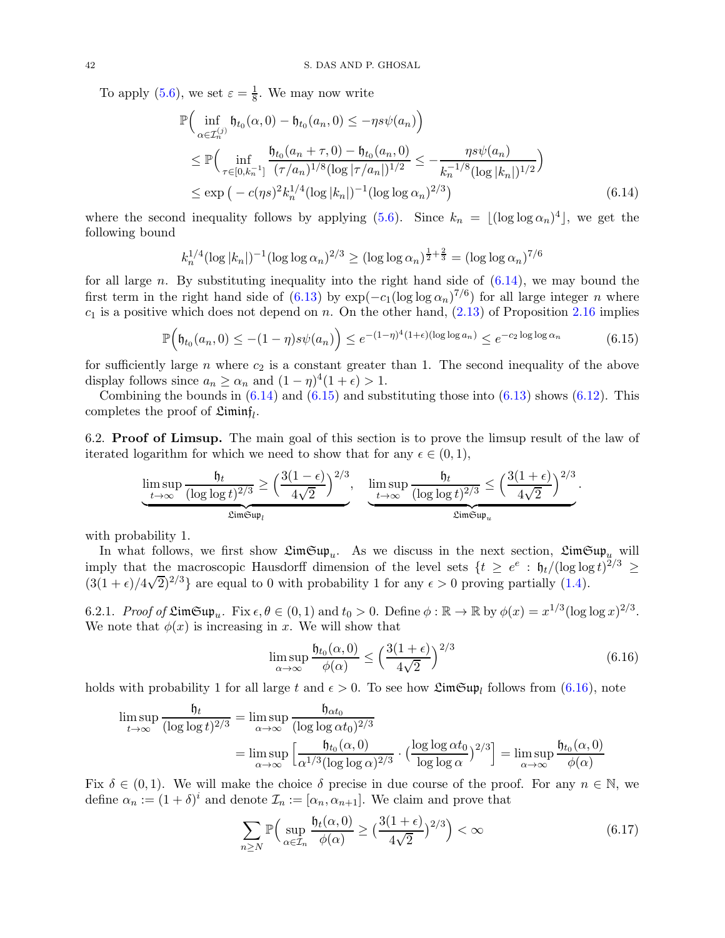To apply [\(5.6\)](#page-29-4), we set  $\varepsilon = \frac{1}{8}$  $\frac{1}{8}$ . We may now write

$$
\mathbb{P}\Big(\inf_{\alpha \in \mathcal{I}_n^{(j)}} \mathfrak{h}_{t_0}(\alpha, 0) - \mathfrak{h}_{t_0}(a_n, 0) \le -\eta s \psi(a_n)\Big) \n\le \mathbb{P}\Big(\inf_{\tau \in [0, k_n^{-1}]} \frac{\mathfrak{h}_{t_0}(a_n + \tau, 0) - \mathfrak{h}_{t_0}(a_n, 0)}{(\tau/a_n)^{1/8}(\log|\tau/a_n|)^{1/2}} \le -\frac{\eta s \psi(a_n)}{k_n^{-1/8}(\log|k_n|)^{1/2}}\Big) \n\le \exp\Big(-c(\eta s)^2 k_n^{1/4}(\log|k_n|)^{-1}(\log\log \alpha_n)^{2/3}\Big)
$$
\n(6.14)

where the second inequality follows by applying  $(5.6)$ . Since  $k_n = \lfloor (\log \log \alpha_n)^4 \rfloor$ , we get the following bound

$$
k_n^{1/4} (\log |k_n|)^{-1} (\log \log \alpha_n)^{2/3} \ge (\log \log \alpha_n)^{\frac{1}{2} + \frac{2}{3}} = (\log \log \alpha_n)^{7/6}
$$

for all large n. By substituting inequality into the right hand side of  $(6.14)$ , we may bound the first term in the right hand side of [\(6.13\)](#page-40-5) by  $\exp(-c_1(\log \log \alpha_n)^{7/6})$  for all large integer *n* where  $c_1$  is a positive which does not depend on n. On the other hand,  $(2.13)$  of Proposition [2.16](#page-16-7) implies

$$
\mathbb{P}\Big(\mathfrak{h}_{t_0}(a_n,0) \le -(1-\eta)s\psi(a_n)\Big) \le e^{-(1-\eta)^4(1+\epsilon)(\log\log a_n)} \le e^{-c_2\log\log\alpha_n} \tag{6.15}
$$

for sufficiently large  $n$  where  $c_2$  is a constant greater than 1. The second inequality of the above display follows since  $a_n \ge \alpha_n$  and  $(1 - \eta)^4 (1 + \epsilon) > 1$ .

Combining the bounds in  $(6.14)$  and  $(6.15)$  and substituting those into  $(6.13)$  shows  $(6.12)$ . This completes the proof of  $\mathfrak{Limit}_l$ .

<span id="page-41-0"></span>6.2. Proof of Limsup. The main goal of this section is to prove the limsup result of the law of iterated logarithm for which we need to show that for any  $\epsilon \in (0,1)$ ,

$$
\underbrace{\limsup_{t \to \infty} \frac{\mathfrak{h}_t}{(\log \log t)^{2/3}}}_{\mathfrak{LimSup}_{t}} \ge \left(\frac{3(1-\epsilon)}{4\sqrt{2}}\right)^{2/3}, \quad \underbrace{\limsup_{t \to \infty} \frac{\mathfrak{h}_t}{(\log \log t)^{2/3}}}_{\mathfrak{LimSup}_{t}} \le \left(\frac{3(1+\epsilon)}{4\sqrt{2}}\right)^{2/3}
$$

with probability 1.

In what follows, we first show  $\mathfrak{LimSup}_{u}$ . As we discuss in the next section,  $\mathfrak{LimSup}_{u}$  will imply that the macroscopic Hausdorff dimension of the level sets  $\{t \geq e^e : \mathfrak{h}_t/(\log \log t)^{2/3} \geq$  $(3(1+\epsilon)/4\sqrt{2})^{2/3}$  are equal to 0 with probability 1 for any  $\epsilon > 0$  proving partially [\(1.4\)](#page-3-0).

6.2.1. Proof of  $\mathfrak{LimSup}_u$ . Fix  $\epsilon, \theta \in (0,1)$  and  $t_0 > 0$ . Define  $\phi : \mathbb{R} \to \mathbb{R}$  by  $\phi(x) = x^{1/3} (\log \log x)^{2/3}$ . We note that  $\phi(x)$  is increasing in x. We will show that

$$
\limsup_{\alpha \to \infty} \frac{\mathfrak{h}_{t_0}(\alpha, 0)}{\phi(\alpha)} \le \left(\frac{3(1+\epsilon)}{4\sqrt{2}}\right)^{2/3} \tag{6.16}
$$

<span id="page-41-4"></span><span id="page-41-3"></span><span id="page-41-2"></span><span id="page-41-1"></span>.

holds with probability 1 for all large t and  $\epsilon > 0$ . To see how  $\mathfrak{LimSup}_{l}$  follows from  $(6.16)$ , note

$$
\limsup_{t \to \infty} \frac{\mathfrak{h}_t}{(\log \log t)^{2/3}} = \limsup_{\alpha \to \infty} \frac{\mathfrak{h}_{\alpha t_0}}{(\log \log \alpha t_0)^{2/3}}
$$

$$
= \limsup_{\alpha \to \infty} \left[ \frac{\mathfrak{h}_{t_0}(\alpha, 0)}{\alpha^{1/3} (\log \log \alpha)^{2/3}} \cdot \left( \frac{\log \log \alpha t_0}{\log \log \alpha} \right)^{2/3} \right] = \limsup_{\alpha \to \infty} \frac{\mathfrak{h}_{t_0}(\alpha, 0)}{\phi(\alpha)}
$$

Fix  $\delta \in (0,1)$ . We will make the choice  $\delta$  precise in due course of the proof. For any  $n \in \mathbb{N}$ , we define  $\alpha_n := (1 + \delta)^i$  and denote  $\mathcal{I}_n := [\alpha_n, \alpha_{n+1}]$ . We claim and prove that

$$
\sum_{n\geq N} \mathbb{P}\Big(\sup_{\alpha \in \mathcal{I}_n} \frac{\mathfrak{h}_t(\alpha,0)}{\phi(\alpha)} \geq \big(\frac{3(1+\epsilon)}{4\sqrt{2}}\big)^{2/3}\Big) < \infty \tag{6.17}
$$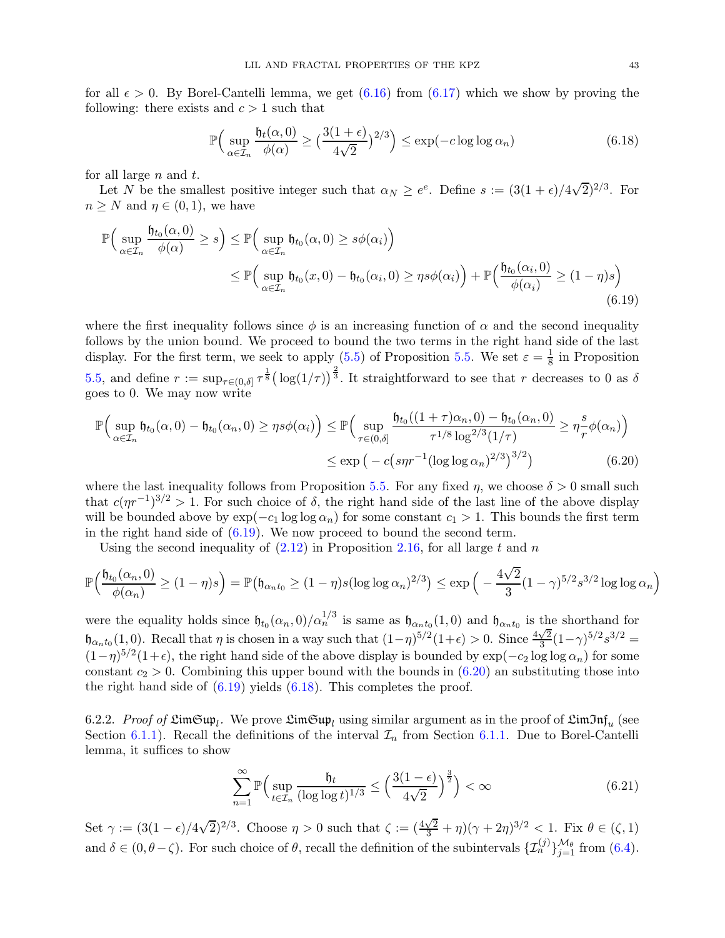for all  $\epsilon > 0$ . By Borel-Cantelli lemma, we get  $(6.16)$  from  $(6.17)$  which we show by proving the following: there exists and  $c > 1$  such that

<span id="page-42-2"></span><span id="page-42-0"></span>
$$
\mathbb{P}\Big(\sup_{\alpha \in \mathcal{I}_n} \frac{\mathfrak{h}_t(\alpha,0)}{\phi(\alpha)} \ge \left(\frac{3(1+\epsilon)}{4\sqrt{2}}\right)^{2/3}\Big) \le \exp(-c\log\log\alpha_n) \tag{6.18}
$$

for all large  $n$  and  $t$ .

Let N be the smallest positive integer such that  $\alpha_N \geq e^e$ . Define  $s := (3(1+\epsilon)/4\sqrt{2})^{2/3}$ . For  $n \geq N$  and  $\eta \in (0,1)$ , we have

$$
\mathbb{P}\Big(\sup_{\alpha\in\mathcal{I}_n}\frac{\mathfrak{h}_{t_0}(\alpha,0)}{\phi(\alpha)}\geq s\Big)\leq \mathbb{P}\Big(\sup_{\alpha\in\mathcal{I}_n}\mathfrak{h}_{t_0}(\alpha,0)\geq s\phi(\alpha_i)\Big)
$$

$$
\leq \mathbb{P}\Big(\sup_{\alpha\in\mathcal{I}_n}\mathfrak{h}_{t_0}(x,0)-\mathfrak{h}_{t_0}(\alpha_i,0)\geq\eta s\phi(\alpha_i)\Big)+\mathbb{P}\Big(\frac{\mathfrak{h}_{t_0}(\alpha_i,0)}{\phi(\alpha_i)}\geq(1-\eta)s\Big)
$$
(6.19)

where the first inequality follows since  $\phi$  is an increasing function of  $\alpha$  and the second inequality follows by the union bound. We proceed to bound the two terms in the right hand side of the last display. For the first term, we seek to apply  $(5.5)$  of Proposition [5.5.](#page-29-1) We set  $\varepsilon = \frac{1}{8}$  $\frac{1}{8}$  in Proposition [5.5,](#page-29-1) and define  $r := \sup_{\tau \in (0,\delta]} \tau^{\frac{1}{8}} (\log(1/\tau))^{\frac{2}{3}}$ . It straightforward to see that r decreases to 0 as  $\delta$ goes to 0. We may now write

$$
\mathbb{P}\Big(\sup_{\alpha \in \mathcal{I}_n} \mathfrak{h}_{t_0}(\alpha, 0) - \mathfrak{h}_{t_0}(\alpha_n, 0) \ge \eta s \phi(\alpha_i)\Big) \le \mathbb{P}\Big(\sup_{\tau \in (0, \delta]} \frac{\mathfrak{h}_{t_0}((1 + \tau)\alpha_n, 0) - \mathfrak{h}_{t_0}(\alpha_n, 0)}{\tau^{1/8} \log^{2/3}(1/\tau)} \ge \eta \frac{s}{r} \phi(\alpha_n)\Big) \le \exp\big(-c\big(\text{snr}^{-1}(\log \log \alpha_n)^{2/3}\big)^{3/2}\big) \tag{6.20}
$$

where the last inequality follows from Proposition [5.5.](#page-29-1) For any fixed  $\eta$ , we choose  $\delta > 0$  small such that  $c(\eta r^{-1})^{3/2} > 1$ . For such choice of  $\delta$ , the right hand side of the last line of the above display will be bounded above by  $\exp(-c_1 \log \log \alpha_n)$  for some constant  $c_1 > 1$ . This bounds the first term in the right hand side of [\(6.19\)](#page-42-0). We now proceed to bound the second term.

Using the second inequality of  $(2.12)$  in Proposition [2.16,](#page-16-7) for all large t and n

$$
\mathbb{P}\Big(\frac{\mathfrak{h}_{t_0}(\alpha_n,0)}{\phi(\alpha_n)} \ge (1-\eta)s\Big) = \mathbb{P}\big(\mathfrak{h}_{\alpha_n t_0} \ge (1-\eta)s(\log\log\alpha_n)^{2/3}\big) \le \exp\Big(-\frac{4\sqrt{2}}{3}(1-\gamma)^{5/2}s^{3/2}\log\log\alpha_n\Big)
$$

were the equality holds since  $\mathfrak{h}_{t_0}(\alpha_n,0)/\alpha_n^{1/3}$  is same as  $\mathfrak{h}_{\alpha_n t_0}(1,0)$  and  $\mathfrak{h}_{\alpha_n t_0}$  is the shorthand for  $\int_{\alpha_n t_0}(1,0)$ . Recall that  $\eta$  is chosen in a way such that  $(1-\eta)^{5/2}(1+\epsilon) > 0$ . Since  $\frac{4\sqrt{2}}{3}$  $\frac{\sqrt{2}}{3}(1-\gamma)^{5/2}s^{3/2}=$  $(1-\eta)^{5/2}(1+\epsilon)$ , the right hand side of the above display is bounded by  $\exp(-c_2 \log \log \alpha_n)$  for some constant  $c_2 > 0$ . Combining this upper bound with the bounds in  $(6.20)$  an substituting those into the right hand side of  $(6.19)$  yields  $(6.18)$ . This completes the proof.

6.2.2. Proof of  $\mathfrak{LimSup}_{l}$ . We prove  $\mathfrak{LimSup}_{l}$  using similar argument as in the proof of  $\mathfrak{LimIn}_{l}$  (see Section [6.1.1\)](#page-38-3). Recall the definitions of the interval  $\mathcal{I}_n$  from Section [6.1.1.](#page-38-3) Due to Borel-Cantelli lemma, it suffices to show

<span id="page-42-3"></span><span id="page-42-1"></span>
$$
\sum_{n=1}^{\infty} \mathbb{P}\Big(\sup_{t \in \mathcal{I}_n} \frac{\mathfrak{h}_t}{(\log \log t)^{1/3}} \le \left(\frac{3(1-\epsilon)}{4\sqrt{2}}\right)^{\frac{3}{2}}\Big) < \infty \tag{6.21}
$$

Set  $\gamma := (3(1-\epsilon)/4\sqrt{2})^{2/3}$ . Choose  $\eta > 0$  such that  $\zeta := (\frac{4\sqrt{2}}{3} + \eta)(\gamma + 2\eta)^{3/2} < 1$ . Fix  $\theta \in (\zeta, 1)$ and  $\delta \in (0, \theta - \zeta)$ . For such choice of  $\theta$ , recall the definition of the subintervals  $\{\mathcal{I}_n^{(j)}\}_{j=1}^{M_{\theta}}$  from  $(6.4)$ .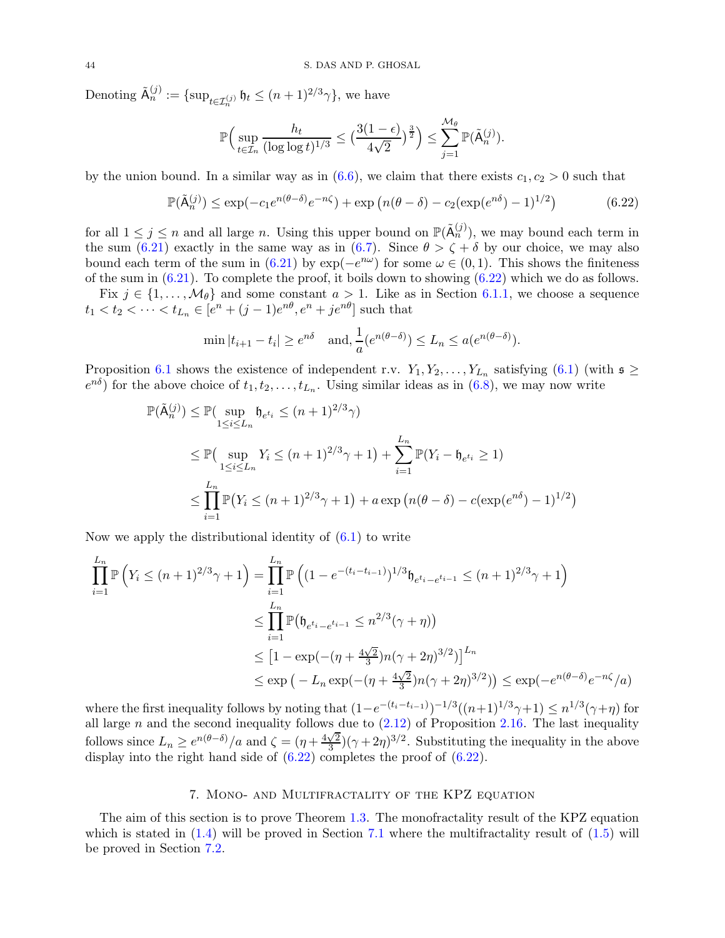Denoting  $\tilde{\mathsf{A}}_n^{(j)} := \{ \sup_{t \in \mathcal{I}_n^{(j)}} \mathfrak{h}_t \leq (n+1)^{2/3} \gamma \},\$  we have

<span id="page-43-1"></span>
$$
\mathbb{P}\Big(\sup_{t\in\mathcal{I}_n}\frac{h_t}{(\log\log t)^{1/3}}\leq \big(\frac{3(1-\epsilon)}{4\sqrt{2}}\big)^{\frac{3}{2}}\Big)\leq \sum_{j=1}^{\mathcal{M}_{\theta}}\mathbb{P}(\tilde{\mathsf{A}}_n^{(j)}).
$$

by the union bound. In a similar way as in [\(6.6\)](#page-39-0), we claim that there exists  $c_1, c_2 > 0$  such that

$$
\mathbb{P}(\tilde{\mathsf{A}}_n^{(j)}) \le \exp(-c_1 e^{n(\theta-\delta)} e^{-n\zeta}) + \exp\left(n(\theta-\delta) - c_2(\exp(e^{n\delta})-1)^{1/2}\right) \tag{6.22}
$$

for all  $1 \leq j \leq n$  and all large n. Using this upper bound on  $\mathbb{P}(\tilde{A}_n^{(j)})$ , we may bound each term in the sum [\(6.21\)](#page-42-3) exactly in the same way as in [\(6.7\)](#page-39-3). Since  $\theta > \zeta + \delta$  by our choice, we may also bound each term of the sum in [\(6.21\)](#page-42-3) by  $\exp(-e^{i\omega})$  for some  $\omega \in (0,1)$ . This shows the finiteness of the sum in  $(6.21)$ . To complete the proof, it boils down to showing  $(6.22)$  which we do as follows.

Fix  $j \in \{1, \ldots, \mathcal{M}_{\theta}\}\$ and some constant  $a > 1$ . Like as in Section [6.1.1,](#page-38-3) we choose a sequence  $t_1 < t_2 < \cdots < t_{L_n} \in [e^n + (j-1)e^{n\theta}, e^n + ie^{n\theta}]$  such that

$$
\min |t_{i+1} - t_i| \ge e^{n\delta} \quad \text{and, } \frac{1}{a}(e^{n(\theta - \delta)}) \le L_n \le a(e^{n(\theta - \delta)}).
$$

Proposition [6.1](#page-38-0) shows the existence of independent r.v.  $Y_1, Y_2, \ldots, Y_{L_n}$  satisfying  $(6.1)$  (with  $\mathfrak{s} \geq$  $e^{n\delta}$ ) for the above choice of  $t_1, t_2, \ldots, t_{L_n}$ . Using similar ideas as in [\(6.8\)](#page-39-2), we may now write

$$
\mathbb{P}(\tilde{\mathsf{A}}_n^{(j)}) \le \mathbb{P}(\sup_{1 \le i \le L_n} \mathfrak{h}_{e^{t_i}} \le (n+1)^{2/3}\gamma)
$$
  
\n
$$
\le \mathbb{P}(\sup_{1 \le i \le L_n} Y_i \le (n+1)^{2/3}\gamma + 1) + \sum_{i=1}^{L_n} \mathbb{P}(Y_i - \mathfrak{h}_{e^{t_i}} \ge 1)
$$
  
\n
$$
\le \prod_{i=1}^{L_n} \mathbb{P}(Y_i \le (n+1)^{2/3}\gamma + 1) + a \exp\left(n(\theta - \delta) - c(\exp(e^{n\delta}) - 1)^{1/2}\right)
$$

Now we apply the distributional identity of  $(6.1)$  to write

$$
\prod_{i=1}^{L_n} \mathbb{P}\left(Y_i \le (n+1)^{2/3}\gamma + 1\right) = \prod_{i=1}^{L_n} \mathbb{P}\left((1 - e^{-(t_i - t_{i-1})})^{1/3} \mathfrak{h}_{e^{t_i} - e^{t_{i-1}}} \le (n+1)^{2/3}\gamma + 1\right)
$$
\n
$$
\le \prod_{i=1}^{L_n} \mathbb{P}\left(\mathfrak{h}_{e^{t_i} - e^{t_{i-1}}} \le n^{2/3}(\gamma + \eta)\right)
$$
\n
$$
\le \left[1 - \exp(-( \eta + \frac{4\sqrt{2}}{3})n(\gamma + 2\eta)^{3/2})\right]^{L_n}
$$
\n
$$
\le \exp\left(-L_n \exp(-( \eta + \frac{4\sqrt{2}}{3})n(\gamma + 2\eta)^{3/2})\right) \le \exp(-e^{n(\theta - \delta)}e^{-n\zeta}/a)
$$

where the first inequality follows by noting that  $(1-e^{-(t_i-t_{i-1})})^{-1/3}((n+1)^{1/3}\gamma+1) \leq n^{1/3}(\gamma+\eta)$  for all large n and the second inequality follows due to  $(2.12)$  of Proposition [2.16.](#page-16-7) The last inequality follows since  $L_n \geq e^{n(\theta-\delta)}/a$  and  $\zeta = (\eta + \frac{4\sqrt{2}}{3})$  $\frac{\sqrt{2}}{3}$  $(\gamma + 2\eta)^{3/2}$ . Substituting the inequality in the above display into the right hand side of  $(6.22)$  completes the proof of  $(6.22)$ .

## 7. Mono- and Multifractality of the KPZ equation

<span id="page-43-0"></span>The aim of this section is to prove Theorem [1.3.](#page-3-2) The monofractality result of the KPZ equation which is stated in  $(1.4)$  will be proved in Section [7.1](#page-44-1) where the multifractality result of  $(1.5)$  will be proved in Section [7.2.](#page-47-0)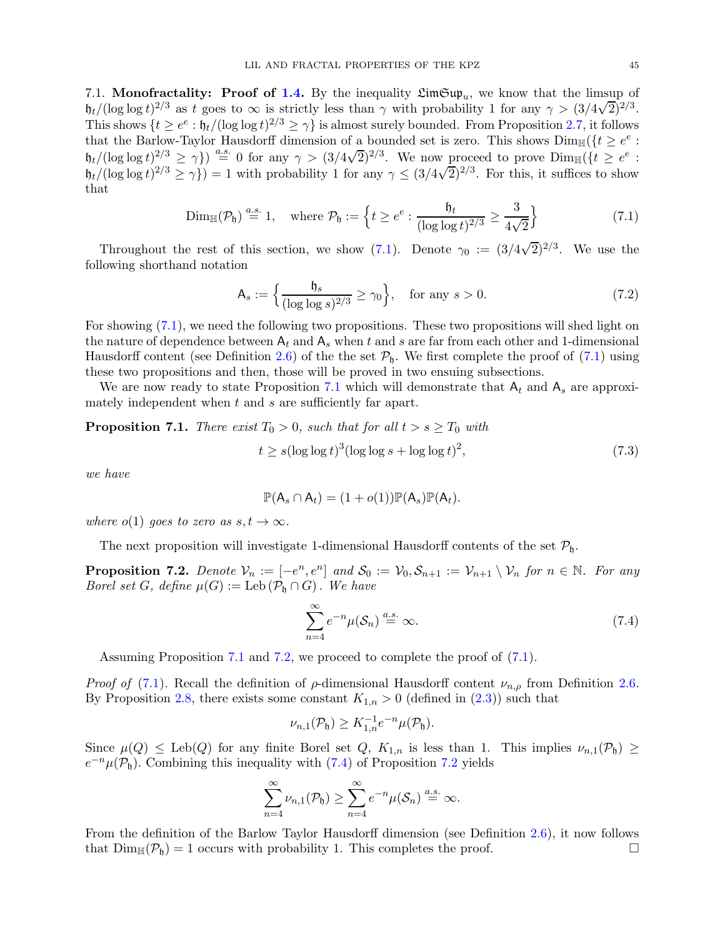<span id="page-44-1"></span>7.1. Monofractality: Proof of [1.4.](#page-3-0) By the inequality  $\mathfrak{LimSup}_{u}$ , we know that the limsup of  $h_t/(\log \log t)^{2/3}$  as t goes to  $\infty$  is strictly less than  $\gamma$  with probability 1 for any  $\gamma > (3/4\sqrt{2})^{2/3}$ . This shows  $\{t \geq e^e : \mathfrak{h}_t/(\log \log t)^{2/3} \geq \gamma\}$  is almost surely bounded. From Proposition [2.7,](#page-13-0) it follows that the Barlow-Taylor Hausdorff dimension of a bounded set is zero. This shows  $\text{Dim}_{\mathbb{H}}(\{t \geq e^e :$  $h_t/(\log \log t)^{2/3} \ge \gamma$ )  $\stackrel{a.s.}{=} 0$  for any  $\gamma > (3/4\sqrt{2})^{2/3}$ . We now proceed to prove  $\lim_{\mathbb{H}}\{(t \ge e^e :$  $h_t/(\log \log t)^{2/3} \ge \gamma\}) = 1$  with probability 1 for any  $\gamma \le (3/4\sqrt{2})^{2/3}$ . For this, it suffices to show that

$$
\text{Dim}_{\mathbb{H}}(\mathcal{P}_{\mathfrak{h}}) \stackrel{a.s.}{=} 1, \quad \text{where } \mathcal{P}_{\mathfrak{h}} := \left\{ t \ge e^e : \frac{\mathfrak{h}_t}{(\log \log t)^{2/3}} \ge \frac{3}{4\sqrt{2}} \right\} \tag{7.1}
$$

Throughout the rest of this section, we show [\(7.1\)](#page-44-2). Denote  $\gamma_0 := (3/4\sqrt{2})^{2/3}$ . We use the following shorthand notation

<span id="page-44-6"></span><span id="page-44-2"></span>
$$
\mathsf{A}_s := \left\{ \frac{\mathfrak{h}_s}{(\log \log s)^{2/3}} \ge \gamma_0 \right\}, \quad \text{for any } s > 0. \tag{7.2}
$$

For showing [\(7.1\)](#page-44-2), we need the following two propositions. These two propositions will shed light on the nature of dependence between  $A_t$  and  $A_s$  when t and s are far from each other and 1-dimensional Hausdorff content (see Definition [2.6\)](#page-12-0) of the the set  $\mathcal{P}_h$ . We first complete the proof of [\(7.1\)](#page-44-2) using these two propositions and then, those will be proved in two ensuing subsections.

We are now ready to state Proposition [7.1](#page-44-0) which will demonstrate that  $A_t$  and  $A_s$  are approximately independent when  $t$  and  $s$  are sufficiently far apart.

<span id="page-44-0"></span>**Proposition 7.1.** There exist  $T_0 > 0$ , such that for all  $t > s \geq T_0$  with

$$
t \ge s(\log \log t)^3 (\log \log s + \log \log t)^2, \tag{7.3}
$$

we have

$$
\mathbb{P}(\mathsf{A}_s \cap \mathsf{A}_t) = (1 + o(1))\mathbb{P}(\mathsf{A}_s)\mathbb{P}(\mathsf{A}_t).
$$

where  $o(1)$  goes to zero as  $s, t \to \infty$ .

The next proposition will investigate 1-dimensional Hausdorff contents of the set  $P_{\mathfrak{h}}$ .

<span id="page-44-3"></span>**Proposition 7.2.** Denote  $V_n := [-e^n, e^n]$  and  $S_0 := V_0, S_{n+1} := V_{n+1} \setminus V_n$  for  $n \in \mathbb{N}$ . For any Borel set G, define  $\mu(G) := \text{Leb}(\mathcal{P}_{\mathfrak{h}} \cap G)$ . We have

<span id="page-44-5"></span><span id="page-44-4"></span>
$$
\sum_{n=4}^{\infty} e^{-n} \mu(S_n) \stackrel{a.s.}{=} \infty.
$$
 (7.4)

Assuming Proposition [7.1](#page-44-0) and [7.2,](#page-44-3) we proceed to complete the proof of [\(7.1\)](#page-44-2).

*Proof of* [\(7.1\)](#page-44-2). Recall the definition of  $\rho$ -dimensional Hausdorff content  $\nu_{n,\rho}$  from Definition [2.6.](#page-12-0) By Proposition [2.8,](#page-13-1) there exists some constant  $K_{1,n} > 0$  (defined in [\(2.3\)](#page-13-5)) such that

$$
\nu_{n,1}(\mathcal{P}_{\mathfrak{h}}) \geq K_{1,n}^{-1} e^{-n} \mu(\mathcal{P}_{\mathfrak{h}}).
$$

Since  $\mu(Q) \le \text{Leb}(Q)$  for any finite Borel set  $Q$ ,  $K_{1,n}$  is less than 1. This implies  $\nu_{n,1}(\mathcal{P}_{\mathfrak{h}}) \ge$  $e^{-n}\mu(\mathcal{P}_{\mathfrak{h}})$ . Combining this inequality with [\(7.4\)](#page-44-4) of Proposition [7.2](#page-44-3) yields

$$
\sum_{n=4}^{\infty} \nu_{n,1}(\mathcal{P}_{\mathfrak{h}}) \geq \sum_{n=4}^{\infty} e^{-n} \mu(\mathcal{S}_n) \stackrel{a.s.}{=} \infty.
$$

From the definition of the Barlow Taylor Hausdorff dimension (see Definition [2.6\)](#page-12-0), it now follows that  $Dim_{\mathbb{H}}(\mathcal{P}_{\mathfrak{h}})=1$  occurs with probability 1. This completes the proof.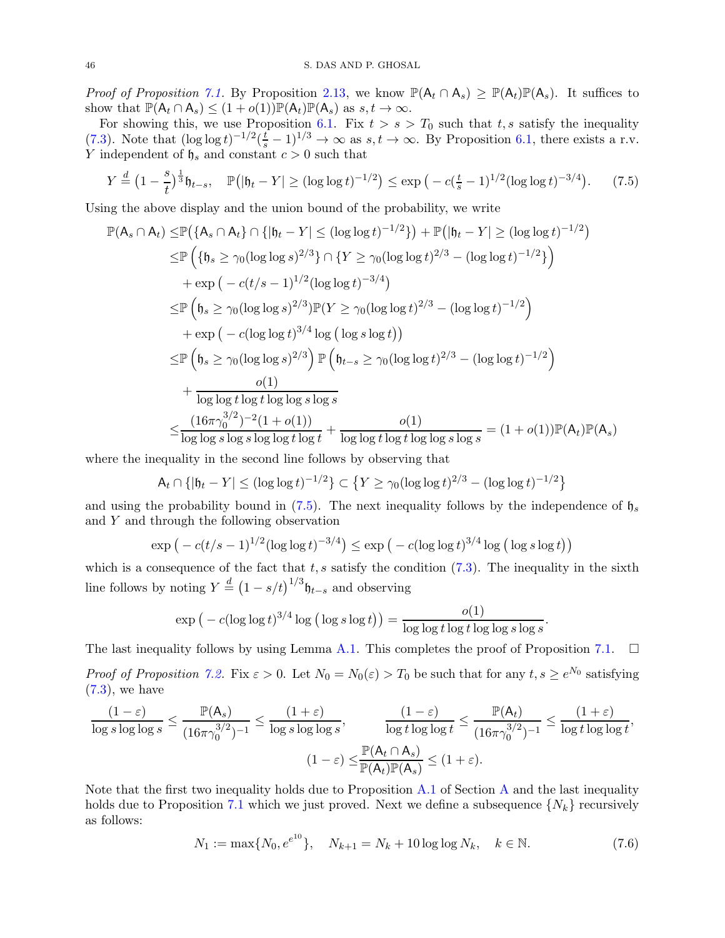*Proof of Proposition [7.1.](#page-44-0)* By Proposition [2.13,](#page-16-8) we know  $\mathbb{P}(\mathsf{A}_t \cap \mathsf{A}_s) \geq \mathbb{P}(\mathsf{A}_t)\mathbb{P}(\mathsf{A}_s)$ . It suffices to show that  $\mathbb{P}(\mathsf{A}_t \cap \mathsf{A}_s) \leq (1+o(1))\mathbb{P}(\mathsf{A}_t)\mathbb{P}(\mathsf{A}_s)$  as  $s, t \to \infty$ .

For showing this, we use Proposition [6.1.](#page-38-0) Fix  $t > s > T_0$  such that t, s satisfy the inequality [\(7.3\)](#page-44-5). Note that  $(\log \log t)^{-1/2}(\frac{t}{s}-1)^{1/3} \to \infty$  as  $s, t \to \infty$ . By Proposition [6.1,](#page-38-0) there exists a r.v. Y independent of  $\mathfrak{h}_s$  and constant  $c > 0$  such that

<span id="page-45-0"></span>
$$
Y \stackrel{d}{=} \left(1 - \frac{s}{t}\right)^{\frac{1}{3}} \mathfrak{h}_{t-s}, \quad \mathbb{P}\big(|\mathfrak{h}_t - Y| \ge (\log \log t)^{-1/2}\big) \le \exp\big(-c(\frac{t}{s} - 1)^{1/2}(\log \log t)^{-3/4}\big). \tag{7.5}
$$

Using the above display and the union bound of the probability, we write

$$
\mathbb{P}(A_s \cap A_t) \leq \mathbb{P}(\{A_s \cap A_t\} \cap \{|b_t - Y| \leq (\log \log t)^{-1/2}\}) + \mathbb{P}(|b_t - Y| \geq (\log \log t)^{-1/2})
$$
\n
$$
\leq \mathbb{P}\left(\{b_s \geq \gamma_0(\log \log s)^{2/3}\} \cap \{Y \geq \gamma_0(\log \log t)^{2/3} - (\log \log t)^{-1/2}\}\right)
$$
\n
$$
+ \exp\left(-c(t/s - 1)^{1/2}(\log \log t)^{-3/4}\right)
$$
\n
$$
\leq \mathbb{P}\left(b_s \geq \gamma_0(\log \log s)^{2/3}\right) \mathbb{P}(Y \geq \gamma_0(\log \log t)^{2/3} - (\log \log t)^{-1/2})
$$
\n
$$
+ \exp\left(-c(\log \log t)^{3/4} \log (\log s \log t)\right)
$$
\n
$$
\leq \mathbb{P}\left(b_s \geq \gamma_0(\log \log s)^{2/3}\right) \mathbb{P}\left(b_{t-s} \geq \gamma_0(\log \log t)^{2/3} - (\log \log t)^{-1/2}\right)
$$
\n
$$
+ \frac{o(1)}{\log \log t \log t \log \log s \log s}
$$
\n
$$
\leq \frac{(16\pi \gamma_0^{3/2})^{-2}(1 + o(1))}{\log \log s \log s \log t \log t \log t \log t \log t \log t \log t \log t \log t \log s \log s} = (1 + o(1)) \mathbb{P}(A_t) \mathbb{P}(A_s)
$$

where the inequality in the second line follows by observing that

$$
\mathsf{A}_{t} \cap \{|\mathfrak{h}_{t} - Y| \leq (\log \log t)^{-1/2}\} \subset \{Y \geq \gamma_{0}(\log \log t)^{2/3} - (\log \log t)^{-1/2}\}
$$

and using the probability bound in [\(7.5\)](#page-45-0). The next inequality follows by the independence of  $\mathfrak{h}_s$ and  $Y$  and through the following observation

$$
\exp\big(-c(t/s-1)^{1/2}(\log\log t)^{-3/4}\big) \le \exp\big(-c(\log\log t)^{3/4}\log\big(\log s\log t\big)\big)
$$

which is a consequence of the fact that  $t, s$  satisfy the condition [\(7.3\)](#page-44-5). The inequality in the sixth line follows by noting  $Y \stackrel{d}{=} (1 - s/t)^{1/3} \mathfrak{h}_{t-s}$  and observing

$$
\exp\big(-c(\log\log t)^{3/4}\log\big(\log s\log t\big)\big)=\frac{o(1)}{\log\log t\log t\log t\log\log s\log s}.
$$

The last inequality follows by using Lemma [A.1.](#page-51-0) This completes the proof of Proposition [7.1.](#page-44-0)  $\Box$ 

Proof of Proposition [7.2.](#page-44-3) Fix  $\varepsilon > 0$ . Let  $N_0 = N_0(\varepsilon) > T_0$  be such that for any  $t, s \ge e^{N_0}$  satisfying  $(7.3)$ , we have

$$
\frac{(1-\varepsilon)}{\log s \log \log s} \le \frac{\mathbb{P}(\mathsf{A}_s)}{(16\pi \gamma_0^{3/2})^{-1}} \le \frac{(1+\varepsilon)}{\log s \log \log s}, \qquad \frac{(1-\varepsilon)}{\log t \log \log t} \le \frac{\mathbb{P}(\mathsf{A}_t)}{(16\pi \gamma_0^{3/2})^{-1}} \le \frac{(1+\varepsilon)}{\log t \log \log t},
$$

$$
(1-\varepsilon) \le \frac{\mathbb{P}(\mathsf{A}_t \cap \mathsf{A}_s)}{\mathbb{P}(\mathsf{A}_t)\mathbb{P}(\mathsf{A}_s)} \le (1+\varepsilon).
$$

Note that the first two inequality holds due to Proposition  $A.1$  of Section [A](#page-51-2) and the last inequality holds due to Proposition [7.1](#page-44-0) which we just proved. Next we define a subsequence  $\{N_k\}$  recursively as follows:

$$
N_1 := \max\{N_0, e^{e^{10}}\}, \quad N_{k+1} = N_k + 10\log\log N_k, \quad k \in \mathbb{N}.\tag{7.6}
$$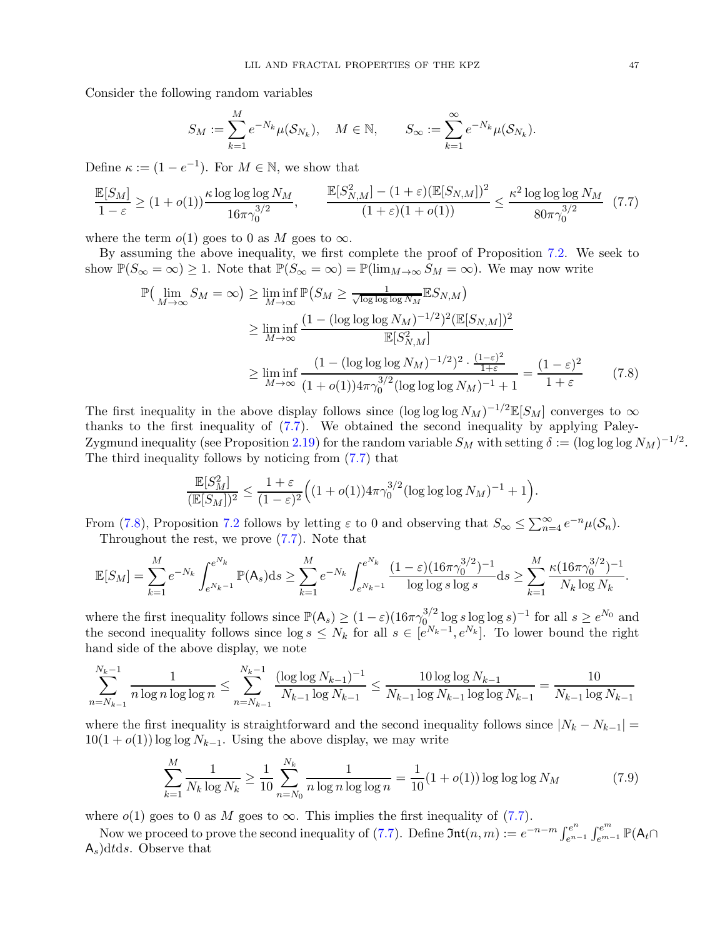Consider the following random variables

<span id="page-46-0"></span>
$$
S_M := \sum_{k=1}^M e^{-N_k} \mu(S_{N_k}), \quad M \in \mathbb{N}, \qquad S_\infty := \sum_{k=1}^\infty e^{-N_k} \mu(S_{N_k}).
$$

Define  $\kappa := (1 - e^{-1})$ . For  $M \in \mathbb{N}$ , we show that

$$
\frac{\mathbb{E}[S_M]}{1-\varepsilon} \ge (1+o(1))\frac{\kappa \log \log \log N_M}{16\pi \gamma_0^{3/2}}, \qquad \frac{\mathbb{E}[S_{N,M}^2] - (1+\varepsilon)(\mathbb{E}[S_{N,M}])^2}{(1+\varepsilon)(1+o(1))} \le \frac{\kappa^2 \log \log \log N_M}{80\pi \gamma_0^{3/2}} \tag{7.7}
$$

where the term  $o(1)$  goes to 0 as M goes to  $\infty$ .

By assuming the above inequality, we first complete the proof of Proposition [7.2.](#page-44-3) We seek to show  $\mathbb{P}(S_{\infty} = \infty) \geq 1$ . Note that  $\mathbb{P}(S_{\infty} = \infty) = \mathbb{P}(\lim_{M \to \infty} S_M = \infty)$ . We may now write

$$
\mathbb{P}\left(\lim_{M\to\infty} S_M = \infty\right) \ge \liminf_{M\to\infty} \mathbb{P}\left(S_M \ge \frac{1}{\sqrt{\log\log\log N_M}} \mathbb{E} S_{N,M}\right)
$$
  
\n
$$
\ge \liminf_{M\to\infty} \frac{(1 - (\log\log\log N_M)^{-1/2})^2 (\mathbb{E}[S_{N,M}])^2}{\mathbb{E}[S_{N,M}^2]}
$$
  
\n
$$
\ge \liminf_{M\to\infty} \frac{(1 - (\log\log\log N_M)^{-1/2})^2 \cdot \frac{(1-\varepsilon)^2}{1+\varepsilon}}{(1 + o(1))4\pi \gamma_0^{3/2} (\log\log\log N_M)^{-1} + 1} = \frac{(1-\varepsilon)^2}{1+\varepsilon}
$$
 (7.8)

The first inequality in the above display follows since  $(\log \log \log N_M)^{-1/2} \mathbb{E}[S_M]$  converges to  $\infty$ thanks to the first inequality of [\(7.7\)](#page-46-0). We obtained the second inequality by applying Paley-Zygmund inequality (see Proposition [2.19\)](#page-17-7) for the random variable  $S_M$  with setting  $\delta := (\log \log \log N_M)^{-1/2}$ . The third inequality follows by noticing from [\(7.7\)](#page-46-0) that

<span id="page-46-1"></span>
$$
\frac{\mathbb{E}[S_M^2]}{(\mathbb{E}[S_M])^2} \le \frac{1+\varepsilon}{(1-\varepsilon)^2} \Big( (1+o(1)) 4\pi \gamma_0^{3/2} (\log \log \log N_M)^{-1} + 1 \Big).
$$

From [\(7.8\)](#page-46-1), Proposition [7.2](#page-44-3) follows by letting  $\varepsilon$  to 0 and observing that  $S_{\infty} \leq \sum_{n=4}^{\infty} e^{-n} \mu(\mathcal{S}_n)$ . Throughout the rest, we prove [\(7.7\)](#page-46-0). Note that

$$
\mathbb{E}[S_M] = \sum_{k=1}^M e^{-N_k} \int_{e^{N_k-1}}^{e^{N_k}} \mathbb{P}(\mathsf{A}_s) \mathrm{d} s \ge \sum_{k=1}^M e^{-N_k} \int_{e^{N_k-1}}^{e^{N_k}} \frac{(1-\varepsilon)(16\pi \gamma_0^{3/2})^{-1}}{\log \log s \log s} \mathrm{d} s \ge \sum_{k=1}^M \frac{\kappa (16\pi \gamma_0^{3/2})^{-1}}{N_k \log N_k}.
$$

where the first inequality follows since  $\mathbb{P}(\mathsf{A}_s) \geq (1-\varepsilon)(16\pi\gamma_{0}^{3/2})$  $\int_{0}^{3/2} \log s \log \log s$ <sup>-1</sup> for all  $s \geq e^{N_0}$  and the second inequality follows since  $\log s \leq N_k$  for all  $s \in [e^{N_k-1}, e^{N_k}]$ . To lower bound the right hand side of the above display, we note

$$
\sum_{n=N_{k-1}}^{N_k-1} \frac{1}{n \log n \log \log n} \le \sum_{n=N_{k-1}}^{N_k-1} \frac{(\log \log N_{k-1})^{-1}}{N_{k-1} \log N_{k-1}} \le \frac{10 \log \log N_{k-1}}{N_{k-1} \log N_{k-1} \log \log N_{k-1}} = \frac{10}{N_{k-1} \log N_{k-1}}
$$

where the first inequality is straightforward and the second inequality follows since  $|N_k - N_{k-1}| =$  $10(1 + o(1)) \log \log N_{k-1}$ . Using the above display, we may write

$$
\sum_{k=1}^{M} \frac{1}{N_k \log N_k} \ge \frac{1}{10} \sum_{n=N_0}^{N_k} \frac{1}{n \log n \log \log n} = \frac{1}{10} (1 + o(1)) \log \log \log N_M \tag{7.9}
$$

where  $o(1)$  goes to 0 as M goes to  $\infty$ . This implies the first inequality of [\(7.7\)](#page-46-0).

Now we proceed to prove the second inequality of [\(7.7\)](#page-46-0). Define  $\mathfrak{Int}(n,m) := e^{-n-m} \int_{e^{n}}^{e^n}$  $e^{n}e^{n}$   $\int_{e^{m-1}}^{e^{m}} \mathbb{P}(\mathsf{A}_{t}\cap$  $A_s$ )dtds. Observe that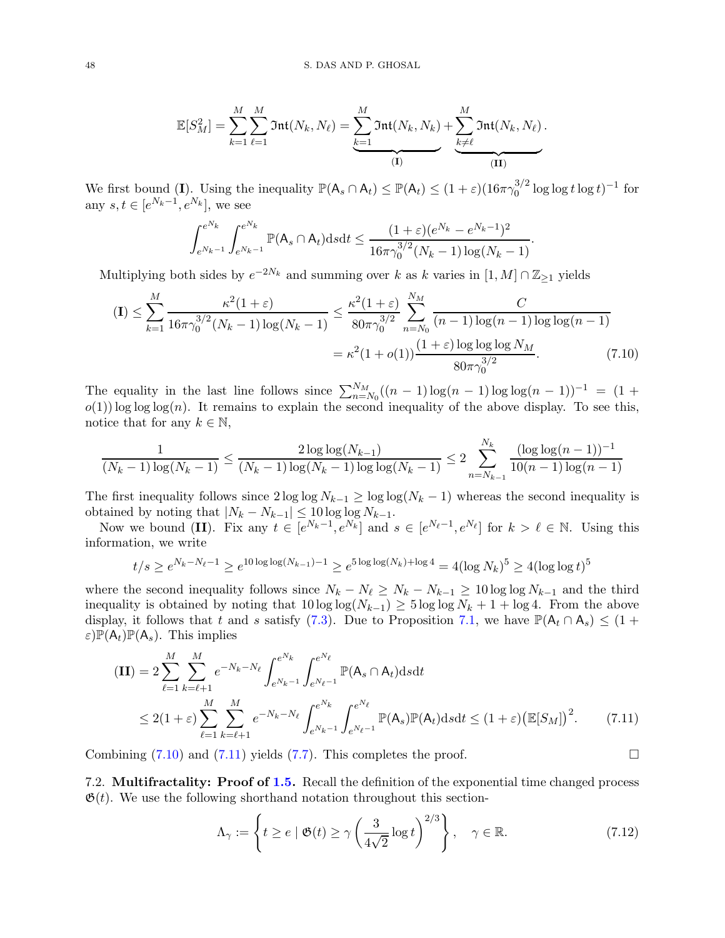$$
\mathbb{E}[S_M^2] = \sum_{k=1}^M \sum_{\ell=1}^M \mathfrak{Int}(N_k, N_\ell) = \underbrace{\sum_{k=1}^M \mathfrak{Int}(N_k, N_k)}_{(\mathbf{I})} + \underbrace{\sum_{k \neq \ell}^M \mathfrak{Int}(N_k, N_\ell)}_{(\mathbf{II})}.
$$

We first bound (I). Using the inequality  $\mathbb{P}(A_s \cap A_t) \leq \mathbb{P}(A_t) \leq (1+\varepsilon)(16\pi\gamma_0^{3/2})$  $\int_0^{3/2} \log \log t \log t$ <sup>-1</sup> for any  $s, t \in [e^{N_k-1}, e^{N_k}],$  we see

$$
\int_{e^{N_k-1}}^{e^{N_k}} \int_{e^{N_k-1}}^{e^{N_k}} \mathbb{P}(A_s \cap A_t) ds dt \leq \frac{(1+\varepsilon)(e^{N_k}-e^{N_k-1})^2}{16\pi \gamma_0^{3/2}(N_k-1)\log(N_k-1)}
$$

<span id="page-47-1"></span>.

Multiplying both sides by  $e^{-2N_k}$  and summing over k as k varies in  $[1, M] \cap \mathbb{Z}_{\geq 1}$  yields

$$
\begin{split} \text{(I)} \leq \sum_{k=1}^{M} \frac{\kappa^2 (1+\varepsilon)}{16\pi \gamma_0^{3/2} (N_k - 1) \log(N_k - 1)} &\leq \frac{\kappa^2 (1+\varepsilon)}{80\pi \gamma_0^{3/2}} \sum_{n=N_0}^{N_M} \frac{C}{(n-1) \log(n-1) \log\log(n-1)} \\ &= \kappa^2 (1+o(1)) \frac{(1+\varepsilon) \log\log\log N_M}{80\pi \gamma_0^{3/2}}. \end{split} \tag{7.10}
$$

The equality in the last line follows since  $\sum_{n=N_0}^{N_M}((n-1)\log(n-1)\log(n-1))^{-1} = (1 +$  $o(1)$ ) log log log(n). It remains to explain the second inequality of the above display. To see this, notice that for any  $k \in \mathbb{N}$ ,

$$
\frac{1}{(N_k-1)\log(N_k-1)} \le \frac{2\log\log(N_{k-1})}{(N_k-1)\log(N_k-1)\log(N_k-1)} \le 2\sum_{n=N_{k-1}}^{N_k} \frac{(\log\log(n-1))^{-1}}{10(n-1)\log(n-1)}
$$

The first inequality follows since  $2 \log \log N_{k-1} \ge \log \log (N_k - 1)$  whereas the second inequality is obtained by noting that  $|N_k - N_{k-1}| \leq 10 \log \log N_{k-1}$ .

Now we bound (II). Fix any  $t \in [e^{N_k-1}, e^{N_k}]$  and  $s \in [e^{N_{\ell}-1}, e^{N_{\ell}}]$  for  $k > \ell \in \mathbb{N}$ . Using this information, we write

$$
t/s \ge e^{N_k - N_{\ell} - 1} \ge e^{10 \log \log(N_{k-1}) - 1} \ge e^{5 \log \log(N_k) + \log 4} = 4(\log N_k)^5 \ge 4(\log \log t)^5
$$

where the second inequality follows since  $N_k - N_\ell \ge N_k - N_{k-1} \ge 10 \log \log N_{k-1}$  and the third inequality is obtained by noting that  $10 \log \log(N_{k-1}) \geq 5 \log \log N_k + 1 + \log 4$ . From the above display, it follows that t and s satisfy [\(7.3\)](#page-44-5). Due to Proposition [7.1,](#page-44-0) we have  $\mathbb{P}(\mathsf{A}_t \cap \mathsf{A}_s) \leq (1 +$  $\varepsilon)\mathbb{P}(A_t)\mathbb{P}(A_s)$ . This implies

$$
\begin{split} (\mathbf{II}) &= 2 \sum_{\ell=1}^{M} \sum_{k=\ell+1}^{M} e^{-N_k - N_\ell} \int_{e^{N_k - 1}}^{e^{N_k}} \int_{e^{N_{\ell-1}}}^{e^{N_\ell}} \mathbb{P}(A_s \cap A_t) \, \mathrm{d} s \, \mathrm{d} t \\ &\le 2(1 + \varepsilon) \sum_{\ell=1}^{M} \sum_{k=\ell+1}^{M} e^{-N_k - N_\ell} \int_{e^{N_k - 1}}^{e^{N_k}} \int_{e^{N_\ell - 1}}^{e^{N_\ell}} \mathbb{P}(A_s) \mathbb{P}(A_t) \, \mathrm{d} s \, \mathrm{d} t \le (1 + \varepsilon) \big(\mathbb{E}[S_M]\big)^2. \end{split} \tag{7.11}
$$

Combining  $(7.10)$  and  $(7.11)$  yields  $(7.7)$ . This completes the proof.

<span id="page-47-0"></span>7.2. **Multifractality: Proof of [1.5.](#page-3-1)** Recall the definition of the exponential time changed process  $\mathfrak{G}(t)$ . We use the following shorthand notation throughout this section-

<span id="page-47-3"></span><span id="page-47-2"></span>
$$
\Lambda_{\gamma} := \left\{ t \ge e \mid \mathfrak{G}(t) \ge \gamma \left( \frac{3}{4\sqrt{2}} \log t \right)^{2/3} \right\}, \quad \gamma \in \mathbb{R}.
$$
 (7.12)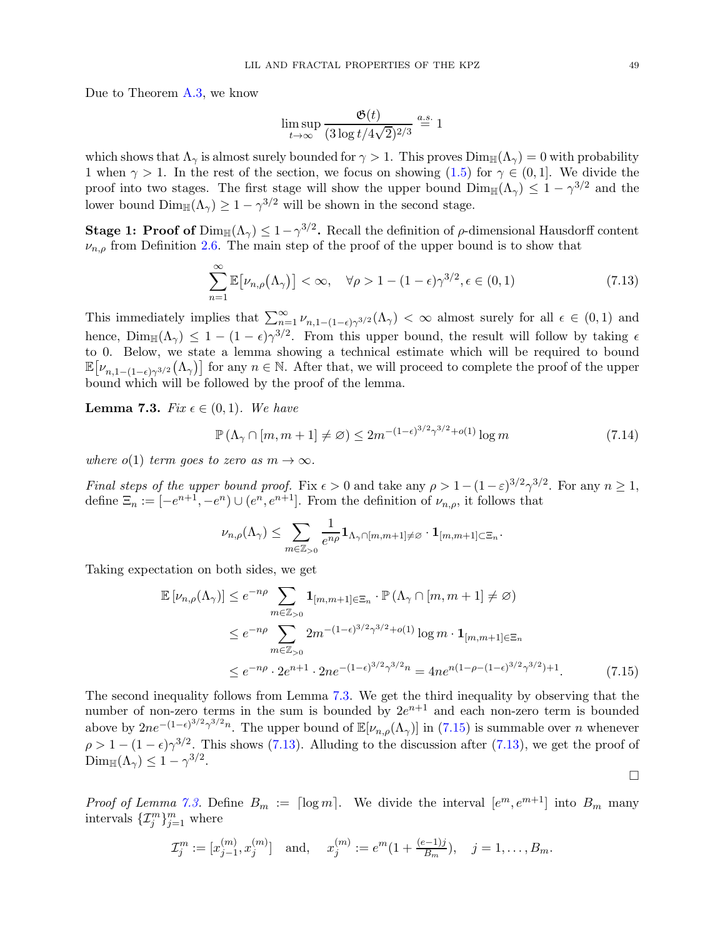Due to Theorem [A.3,](#page-51-1) we know

<span id="page-48-2"></span>
$$
\limsup_{t \to \infty} \frac{\mathfrak{G}(t)}{(3 \log t/4\sqrt{2})^{2/3}} \stackrel{a.s.}{=} 1
$$

which shows that  $\Lambda_{\gamma}$  is almost surely bounded for  $\gamma > 1$ . This proves  $\text{Dim}_{\mathbb{H}}(\Lambda_{\gamma}) = 0$  with probability 1 when  $\gamma > 1$ . In the rest of the section, we focus on showing [\(1.5\)](#page-3-1) for  $\gamma \in (0, 1]$ . We divide the proof into two stages. The first stage will show the upper bound  $\text{Dim}_{\mathbb{H}}(\Lambda_{\gamma}) \leq 1 - \gamma^{3/2}$  and the lower bound  $\text{Dim}_{\mathbb{H}}(\Lambda_{\gamma}) \geq 1 - \gamma^{3/2}$  will be shown in the second stage.

**Stage 1: Proof of**  $Dim_{\mathbb{H}}(\Lambda_{\gamma}) \leq 1 - \gamma^{3/2}$ . Recall the definition of  $\rho$ -dimensional Hausdorff content  $\nu_{n,\rho}$  from Definition [2.6.](#page-12-0) The main step of the proof of the upper bound is to show that

$$
\sum_{n=1}^{\infty} \mathbb{E} \left[ \nu_{n,\rho}(\Lambda_{\gamma}) \right] < \infty, \quad \forall \rho > 1 - (1 - \epsilon) \gamma^{3/2}, \epsilon \in (0,1) \tag{7.13}
$$

This immediately implies that  $\sum_{n=1}^{\infty} \nu_{n,1-(1-\epsilon)\gamma^{3/2}}(\Lambda_{\gamma}) < \infty$  almost surely for all  $\epsilon \in (0,1)$  and hence,  $\lim_{\mathbb{H}}(\Lambda_{\gamma}) \leq 1 - (1 - \epsilon)\gamma^{3/2}$ . From this upper bound, the result will follow by taking  $\epsilon$ to 0. Below, we state a lemma showing a technical estimate which will be required to bound  $\mathbb{E}[\nu_{n,1-(1-\epsilon)\gamma^{3/2}}(\Lambda_{\gamma})]$  for any  $n \in \mathbb{N}$ . After that, we will proceed to complete the proof of the upper bound which will be followed by the proof of the lemma.

<span id="page-48-0"></span>**Lemma 7.3.** Fix  $\epsilon \in (0,1)$ . We have

$$
\mathbb{P}\left(\Lambda_{\gamma}\cap[m,m+1]\neq\varnothing\right) \le 2m^{-(1-\epsilon)^{3/2}\gamma^{3/2}+o(1)}\log m\tag{7.14}
$$

where  $o(1)$  term goes to zero as  $m \to \infty$ .

Final steps of the upper bound proof. Fix  $\epsilon > 0$  and take any  $\rho > 1 - (1 - \epsilon)^{3/2} \gamma^{3/2}$ . For any  $n \ge 1$ , define  $\Xi_n := [-e^{n+1}, -e^n) \cup (e^n, e^{n+1}]$ . From the definition of  $\nu_{n,\rho}$ , it follows that

$$
\nu_{n,\rho}(\Lambda_\gamma) \leq \sum_{m \in \mathbb{Z}_{>0}} \frac{1}{e^{n\rho}} \mathbf{1}_{\Lambda_\gamma \cap [m,m+1] \neq \varnothing} \cdot \mathbf{1}_{[m,m+1] \subset \Xi_n}.
$$

Taking expectation on both sides, we get

$$
\mathbb{E}\left[\nu_{n,\rho}(\Lambda_{\gamma})\right] \leq e^{-n\rho} \sum_{m \in \mathbb{Z}_{>0}} \mathbf{1}_{[m,m+1] \in \Xi_n} \cdot \mathbb{P}\left(\Lambda_{\gamma} \cap [m,m+1] \neq \varnothing\right)
$$
  

$$
\leq e^{-n\rho} \sum_{m \in \mathbb{Z}_{>0}} 2m^{-(1-\epsilon)^{3/2} \gamma^{3/2} + o(1)} \log m \cdot \mathbf{1}_{[m,m+1] \in \Xi_n}
$$
  

$$
\leq e^{-n\rho} \cdot 2e^{n+1} \cdot 2ne^{-(1-\epsilon)^{3/2} \gamma^{3/2}n} = 4ne^{n(1-\rho-(1-\epsilon)^{3/2} \gamma^{3/2})+1}.
$$
 (7.15)

The second inequality follows from Lemma [7.3.](#page-48-0) We get the third inequality by observing that the number of non-zero terms in the sum is bounded by  $2e^{n+1}$  and each non-zero term is bounded above by  $2ne^{-(1-\epsilon)^{3/2}\gamma^{3/2}n}$ . The upper bound of  $\mathbb{E}[\nu_{n,\rho}(\Lambda_{\gamma})]$  in [\(7.15\)](#page-48-1) is summable over *n* whenever  $\rho > 1 - (1 - \epsilon)\gamma^{3/2}$ . This shows [\(7.13\)](#page-48-2). Alluding to the discussion after (7.13), we get the proof of  $\text{Dim}_{\mathbb{H}}(\Lambda_{\gamma}) \leq 1 - \gamma^{3/2}.$ 

*Proof of Lemma [7.3.](#page-48-0)* Define  $B_m := \lceil \log m \rceil$ . We divide the interval  $[e^m, e^{m+1}]$  into  $B_m$  many intervals  $\{\mathcal{I}_j^m\}_{j=1}^m$  where

$$
\mathcal{I}_j^m := [x_{j-1}^{(m)}, x_j^{(m)}] \text{ and, } x_j^{(m)} := e^m (1 + \frac{(e-1)j}{B_m}), \quad j = 1, \dots, B_m.
$$

<span id="page-48-3"></span><span id="page-48-1"></span> $\Box$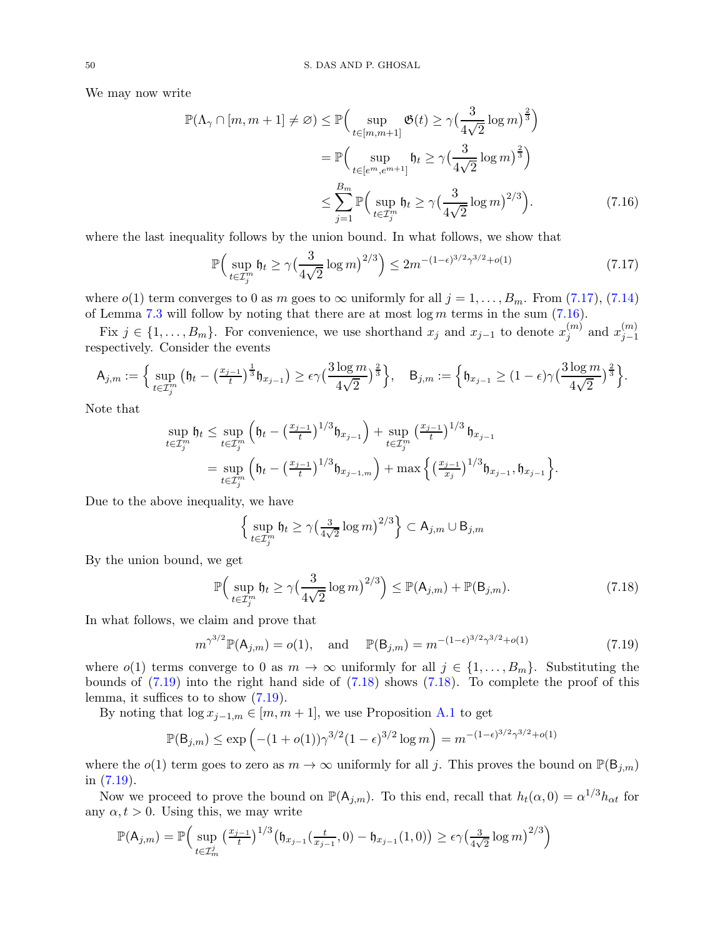We may now write

$$
\mathbb{P}(\Lambda_{\gamma} \cap [m, m+1] \neq \varnothing) \leq \mathbb{P}\Big(\sup_{t \in [m, m+1]} \mathfrak{G}(t) \geq \gamma \big(\frac{3}{4\sqrt{2}} \log m\big)^{\frac{2}{3}}\Big)
$$
  

$$
= \mathbb{P}\Big(\sup_{t \in [e^m, e^{m+1}]} \mathfrak{h}_t \geq \gamma \big(\frac{3}{4\sqrt{2}} \log m\big)^{\frac{2}{3}}\Big)
$$
  

$$
\leq \sum_{j=1}^{B_m} \mathbb{P}\Big(\sup_{t \in \mathcal{I}_j^m} \mathfrak{h}_t \geq \gamma \big(\frac{3}{4\sqrt{2}} \log m\big)^{2/3}\Big).
$$
 (7.16)

where the last inequality follows by the union bound. In what follows, we show that

<span id="page-49-1"></span><span id="page-49-0"></span>
$$
\mathbb{P}\Big(\sup_{t\in\mathcal{I}_j^m} \mathfrak{h}_t \ge \gamma \big(\frac{3}{4\sqrt{2}}\log m\big)^{2/3}\Big) \le 2m^{-(1-\epsilon)^{3/2}\gamma^{3/2} + o(1)}\tag{7.17}
$$

where  $o(1)$  term converges to 0 as m goes to  $\infty$  uniformly for all  $j = 1, \ldots, B_m$ . From [\(7.17\)](#page-49-0), [\(7.14\)](#page-48-3) of Lemma [7.3](#page-48-0) will follow by noting that there are at most  $\log m$  terms in the sum [\(7.16\)](#page-49-1).

Fix  $j \in \{1, \ldots, B_m\}$ . For convenience, we use shorthand  $x_j$  and  $x_{j-1}$  to denote  $x_j^{(m)}$  $j^{(m)}$  and  $x_{j-1}^{(m)}$  $j-1$ respectively. Consider the events

$$
\mathsf{A}_{j,m} := \Big\{ \sup_{t \in \mathcal{I}_j^m} \big( \mathfrak{h}_t - \big( \frac{x_{j-1}}{t} \big)^{\frac{1}{3}} \mathfrak{h}_{x_{j-1}} \big) \geq \epsilon \gamma \big( \frac{3 \log m}{4 \sqrt{2}} \big)^{\frac{2}{3}} \Big\}, \quad \mathsf{B}_{j,m} := \Big\{ \mathfrak{h}_{x_{j-1}} \geq (1 - \epsilon) \gamma \big( \frac{3 \log m}{4 \sqrt{2}} \big)^{\frac{2}{3}} \Big\}.
$$

Note that

$$
\sup_{t \in \mathcal{I}_j^m} \mathfrak{h}_t \leq \sup_{t \in \mathcal{I}_j^m} \left( \mathfrak{h}_t - \left( \frac{x_{j-1}}{t} \right)^{1/3} \mathfrak{h}_{x_{j-1}} \right) + \sup_{t \in \mathcal{I}_j^m} \left( \frac{x_{j-1}}{t} \right)^{1/3} \mathfrak{h}_{x_{j-1}} \n= \sup_{t \in \mathcal{I}_j^m} \left( \mathfrak{h}_t - \left( \frac{x_{j-1}}{t} \right)^{1/3} \mathfrak{h}_{x_{j-1,m}} \right) + \max \left\{ \left( \frac{x_{j-1}}{x_j} \right)^{1/3} \mathfrak{h}_{x_{j-1}}, \mathfrak{h}_{x_{j-1}} \right\}.
$$

Due to the above inequality, we have

<span id="page-49-3"></span><span id="page-49-2"></span>
$$
\left\{\,\sup_{t\in\mathcal{I}_j^m}\mathfrak{h}_t\geq\gamma\big(\tfrac{3}{4\sqrt{2}}\log m\big)^{2/3}\right\}\subset\mathsf{A}_{j,m}\cup\mathsf{B}_{j,m}
$$

By the union bound, we get

$$
\mathbb{P}\Big(\sup_{t\in\mathcal{I}_j^m} \mathfrak{h}_t \ge \gamma \big(\frac{3}{4\sqrt{2}}\log m\big)^{2/3}\Big) \le \mathbb{P}(\mathsf{A}_{j,m}) + \mathbb{P}(\mathsf{B}_{j,m}).\tag{7.18}
$$

In what follows, we claim and prove that

$$
m^{\gamma^{3/2}} \mathbb{P}(\mathsf{A}_{j,m}) = o(1), \text{ and } \mathbb{P}(\mathsf{B}_{j,m}) = m^{-(1-\epsilon)^{3/2}} \gamma^{3/2} + o(1)
$$
 (7.19)

where  $o(1)$  terms converge to 0 as  $m \to \infty$  uniformly for all  $j \in \{1, ..., B_m\}$ . Substituting the bounds of [\(7.19\)](#page-49-2) into the right hand side of [\(7.18\)](#page-49-3) shows [\(7.18\)](#page-49-3). To complete the proof of this lemma, it suffices to to show [\(7.19\)](#page-49-2).

By noting that  $\log x_{j-1,m} \in [m, m+1]$ , we use Proposition [A.1](#page-51-0) to get

$$
\mathbb{P}(\mathsf{B}_{j,m}) \le \exp\left(-(1 + o(1))\gamma^{3/2}(1 - \epsilon)^{3/2}\log m\right) = m^{-(1 - \epsilon)^{3/2}\gamma^{3/2} + o(1)}
$$

where the  $o(1)$  term goes to zero as  $m \to \infty$  uniformly for all j. This proves the bound on  $\mathbb{P}(\mathsf{B}_{j,m})$ in [\(7.19\)](#page-49-2).

Now we proceed to prove the bound on  $\mathbb{P}(\mathsf{A}_{j,m})$ . To this end, recall that  $h_t(\alpha, 0) = \alpha^{1/3} h_{\alpha t}$  for any  $\alpha, t > 0$ . Using this, we may write

$$
\mathbb{P}(\mathsf{A}_{j,m}) = \mathbb{P}\Big(\sup_{t \in \mathcal{I}_m^j} \left(\frac{x_{j-1}}{t}\right)^{1/3} \left(\mathfrak{h}_{x_{j-1}}\left(\frac{t}{x_{j-1}}, 0\right) - \mathfrak{h}_{x_{j-1}}(1,0)\right) \ge \epsilon \gamma \left(\frac{3}{4\sqrt{2}} \log m\right)^{2/3}\Big)
$$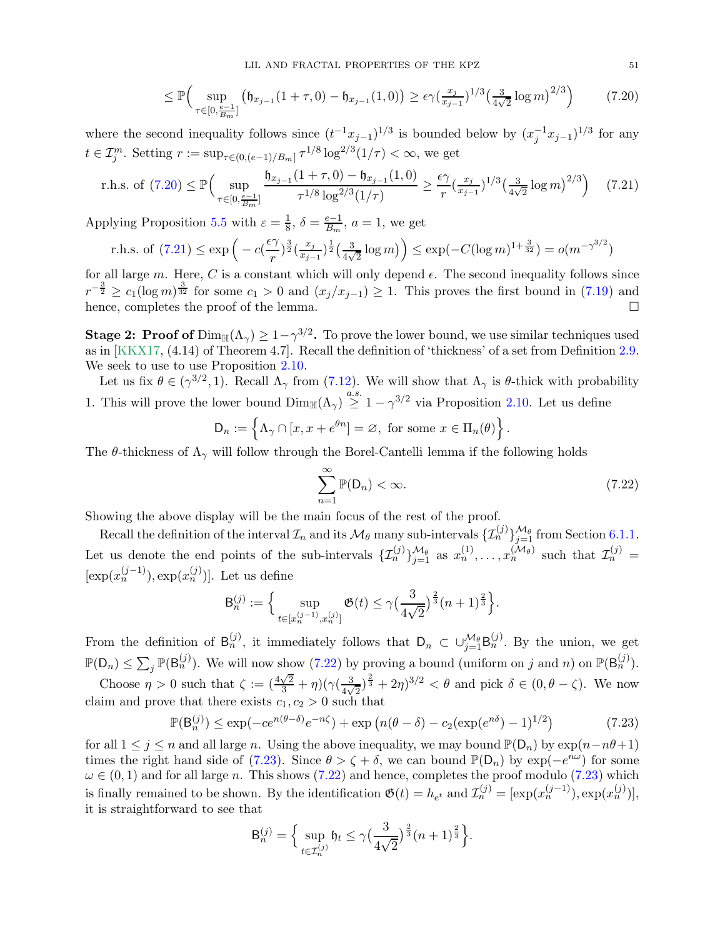<span id="page-50-0"></span>
$$
\leq \mathbb{P}\Big(\sup_{\tau \in [0,\frac{\varepsilon-1}{Bm}]} \big(\mathfrak{h}_{x_{j-1}}(1+\tau,0) - \mathfrak{h}_{x_{j-1}}(1,0)\big) \geq \epsilon \gamma \big(\frac{x_j}{x_{j-1}}\big)^{1/3} \big(\frac{3}{4\sqrt{2}} \log m\big)^{2/3}\Big) \tag{7.20}
$$

where the second inequality follows since  $(t^{-1}x_{j-1})^{1/3}$  is bounded below by  $(x_j^{-1}x_{j-1})^{1/3}$  for any  $t \in \mathcal{I}_{j}^{m}$ . Setting  $r := \sup_{\tau \in (0,(e-1)/B_m]} \tau^{1/8} \log^{2/3}(1/\tau) < \infty$ , we get

r.h.s. of (7.20) 
$$
\leq \mathbb{P}\Big(\sup_{\tau \in [0,\frac{e-1}{B_m}]} \frac{\mathfrak{h}_{x_{j-1}}(1+\tau,0) - \mathfrak{h}_{x_{j-1}}(1,0)}{\tau^{1/8} \log^{2/3}(1/\tau)} \geq \frac{\epsilon \gamma}{r} (\frac{x_j}{x_{j-1}})^{1/3} (\frac{3}{4\sqrt{2}} \log m)^{2/3} \Big)
$$
 (7.21)

Applying Proposition [5.5](#page-29-1) with  $\varepsilon = \frac{1}{8}$  $\frac{1}{8}$ ,  $\delta = \frac{e-1}{B_m}$ ,  $a = 1$ , we get

r.h.s. of (7.21) 
$$
\leq \exp\left(-c(\frac{\epsilon \gamma}{r})^{\frac{3}{2}}(\frac{x_j}{x_{j-1}})^{\frac{1}{2}}(\frac{3}{4\sqrt{2}}\log m)\right) \leq \exp(-C(\log m)^{1+\frac{3}{32}}) = o(m^{-\gamma^{3/2}})
$$

for all large m. Here, C is a constant which will only depend  $\epsilon$ . The second inequality follows since  $r^{-\frac{3}{2}} \geq c_1(\log m)^{\frac{3}{32}}$  for some  $c_1 > 0$  and  $(x_j/x_{j-1}) \geq 1$ . This proves the first bound in [\(7.19\)](#page-49-2) and hence, completes the proof of the lemma.

**Stage 2: Proof of**  $\text{Dim}_{\mathbb{H}}(\Lambda_{\gamma}) \geq 1-\gamma^{3/2}$ . To prove the lower bound, we use similar techniques used as in [\[KKX17,](#page-56-0) (4.14) of Theorem 4.7]. Recall the definition of 'thickness' of a set from Definition [2.9.](#page-13-6) We seek to use to use Proposition [2.10.](#page-13-2)

Let us fix  $\theta \in (\gamma^{3/2}, 1)$ . Recall  $\Lambda_{\gamma}$  from [\(7.12\)](#page-47-3). We will show that  $\Lambda_{\gamma}$  is  $\theta$ -thick with probability 1. This will prove the lower bound  $\text{Dim}_{\mathbb{H}}(\Lambda_{\gamma}) \stackrel{a.s.}{\geq} 1 - \gamma^{3/2}$  via Proposition [2.10.](#page-13-2) Let us define

$$
\mathsf{D}_n := \left\{ \Lambda_{\gamma} \cap [x, x + e^{\theta n}] = \varnothing, \text{ for some } x \in \Pi_n(\theta) \right\}.
$$

The  $\theta$ -thickness of  $\Lambda_{\gamma}$  will follow through the Borel-Cantelli lemma if the following holds

<span id="page-50-2"></span><span id="page-50-1"></span>
$$
\sum_{n=1}^{\infty} \mathbb{P}(\mathsf{D}_n) < \infty. \tag{7.22}
$$

Showing the above display will be the main focus of the rest of the proof.

Recall the definition of the interval  $\mathcal{I}_n$  and its  $\mathcal{M}_{\theta}$  many sub-intervals  $\{\mathcal{I}_n^{(j)}\}_{j=1}^{\mathcal{M}_{\theta}}$  from Section [6.1.1.](#page-38-3) Let us denote the end points of the sub-intervals  $\{\mathcal{I}_n^{(j)}\}_{j=1}^{M_{\theta}}$  as  $x_n^{(1)}, \ldots, x_n^{(M_{\theta})}$  such that  $\mathcal{I}_n^{(j)}$  =  $[\exp(x_n^{(j-1)}), \exp(x_n^{(j)})]$ . Let us define

$$
\mathsf{B}_n^{(j)} := \Big\{ \sup_{t \in [x_n^{(j-1)}, x_n^{(j)}]} \mathfrak{G}(t) \le \gamma \big(\frac{3}{4\sqrt{2}}\big)^{\frac{2}{3}} (n+1)^{\frac{2}{3}} \Big\}.
$$

From the definition of  $B_n^{(j)}$ , it immediately follows that  $D_n \subset \bigcup_{j=1}^{\mathcal{M}_{\theta}} B_n^{(j)}$ . By the union, we get  $\mathbb{P}(\mathsf{D}_n) \leq \sum_j \mathbb{P}(\mathsf{B}_n^{(j)})$ . We will now show [\(7.22\)](#page-50-2) by proving a bound (uniform on j and n) on  $\mathbb{P}(\mathsf{B}_n^{(j)})$ .

Choose  $\eta > 0$  such that  $\zeta := \left(\frac{4\sqrt{2}}{3} + \eta\right) \left(\gamma \left(\frac{3}{4\sqrt{2}}\right)\right)$  $\frac{3}{4\sqrt{2}}\right)^{\frac{2}{3}}+2\eta$ <sup>3/2</sup> <  $\theta$  and pick  $\delta \in (0, \theta-\zeta)$ . We now claim and prove that there exists  $c_1, c_2 > 0$  such that

$$
\mathbb{P}(\mathsf{B}_{n}^{(j)}) \le \exp(-ce^{n(\theta-\delta)}e^{-n\zeta}) + \exp\left(n(\theta-\delta) - c_2(\exp(e^{n\delta})-1)^{1/2}\right) \tag{7.23}
$$

for all  $1 \leq j \leq n$  and all large n. Using the above inequality, we may bound  $\mathbb{P}(\mathsf{D}_n)$  by  $\exp(n-n\theta+1)$ times the right hand side of [\(7.23\)](#page-50-3). Since  $\theta > \zeta + \delta$ , we can bound  $\mathbb{P}(D_n)$  by  $\exp(-e^{n\omega})$  for some  $\omega \in (0,1)$  and for all large n. This shows [\(7.22\)](#page-50-2) and hence, completes the proof modulo [\(7.23\)](#page-50-3) which is finally remained to be shown. By the identification  $\mathfrak{G}(t) = h_{e^t}$  and  $\mathcal{I}_n^{(j)} = [\exp(x_n^{(j-1)}), \exp(x_n^{(j)})],$ it is straightforward to see that

<span id="page-50-3"></span>
$$
\mathsf{B}_n^{(j)} = \Big\{\sup_{t \in \mathcal{I}_n^{(j)}} \mathfrak{h}_t \le \gamma \big(\frac{3}{4\sqrt{2}}\big)^{\frac{2}{3}} (n+1)^{\frac{2}{3}}\Big\}.
$$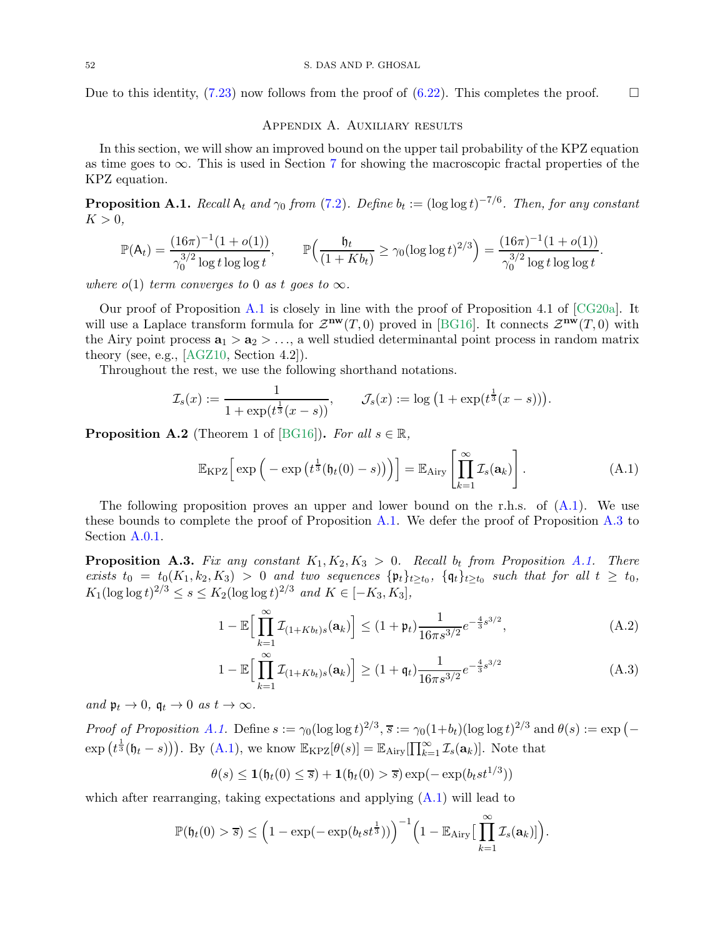<span id="page-51-2"></span>Due to this identity,  $(7.23)$  now follows from the proof of  $(6.22)$ . This completes the proof.

### Appendix A. Auxiliary results

In this section, we will show an improved bound on the upper tail probability of the KPZ equation as time goes to  $\infty$ . This is used in Section [7](#page-43-0) for showing the macroscopic fractal properties of the KPZ equation.

<span id="page-51-0"></span>**Proposition A.1.** Recall  $A_t$  and  $\gamma_0$  from [\(7.2\)](#page-44-6). Define  $b_t := (\log \log t)^{-7/6}$ . Then, for any constant  $K > 0$ ,

$$
\mathbb{P}(\mathsf{A}_t) = \frac{(16\pi)^{-1}(1+o(1))}{\gamma_0^{3/2}\log t \log \log t}, \qquad \mathbb{P}\Big(\frac{\mathfrak{h}_t}{(1+Kb_t)} \ge \gamma_0 (\log \log t)^{2/3}\Big) = \frac{(16\pi)^{-1}(1+o(1))}{\gamma_0^{3/2}\log t \log \log t}.
$$

where  $o(1)$  term converges to 0 as t goes to  $\infty$ .

Our proof of Proposition [A.1](#page-51-0) is closely in line with the proof of Proposition 4.1 of [\[CG20a\]](#page-54-8). It will use a Laplace transform formula for  $\mathcal{Z}^{\mathbf{nw}}(T,0)$  proved in [\[BG16\]](#page-54-21). It connects  $\mathcal{Z}^{\mathbf{nw}}(T,0)$  with the Airy point process  $\mathbf{a}_1 > \mathbf{a}_2 > ...$ , a well studied determinantal point process in random matrix theory (see, e.g., [\[AGZ10,](#page-54-22) Section 4.2]).

Throughout the rest, we use the following shorthand notations.

$$
\mathcal{I}_s(x) := \frac{1}{1 + \exp(t^{\frac{1}{3}}(x - s))}, \qquad \mathcal{J}_s(x) := \log(1 + \exp(t^{\frac{1}{3}}(x - s))).
$$

**Proposition A.2** (Theorem 1 of [\[BG16\]](#page-54-21)). For all  $s \in \mathbb{R}$ ,

<span id="page-51-3"></span>
$$
\mathbb{E}_{\mathrm{KPZ}}\Big[\exp\Big(-\exp\big(t^{\frac{1}{3}}(\mathfrak{h}_t(0)-s)\big)\Big)\Big]=\mathbb{E}_{\mathrm{Airy}}\left[\prod_{k=1}^{\infty}\mathcal{I}_s(\mathbf{a}_k)\right].\tag{A.1}
$$

The following proposition proves an upper and lower bound on the r.h.s. of  $(A.1)$ . We use these bounds to complete the proof of Proposition [A.1.](#page-51-0) We defer the proof of Proposition [A.3](#page-51-1) to Section [A.0.1.](#page-52-0)

<span id="page-51-1"></span>**Proposition A.3.** Fix any constant  $K_1, K_2, K_3 > 0$ . Recall  $b_t$  from Proposition [A.1.](#page-51-0) There exists  $t_0 = t_0(K_1, k_2, K_3) > 0$  and two sequences  $\{\mathfrak{p}_t\}_{t\geq t_0}$ ,  $\{\mathfrak{q}_t\}_{t\geq t_0}$  such that for all  $t \geq t_0$ ,  $K_1(\log \log t)^{2/3} \leq s \leq K_2(\log \log t)^{2/3}$  and  $K \in [-K_3, K_3]$ ,

$$
1 - \mathbb{E}\Big[\prod_{k=1}^{\infty} \mathcal{I}_{(1+Kb_t)s}(\mathbf{a}_k)\Big] \le (1+\mathfrak{p}_t) \frac{1}{16\pi s^{3/2}} e^{-\frac{4}{3}s^{3/2}},\tag{A.2}
$$

<span id="page-51-5"></span><span id="page-51-4"></span>
$$
1 - \mathbb{E}\Big[\prod_{k=1}^{\infty} \mathcal{I}_{(1+Kb_t)s}(\mathbf{a}_k)\Big] \ge (1 + \mathfrak{q}_t) \frac{1}{16\pi s^{3/2}} e^{-\frac{4}{3}s^{3/2}}
$$
(A.3)

and  $\mathfrak{p}_t \to 0$ ,  $\mathfrak{q}_t \to 0$  as  $t \to \infty$ .

Proof of Proposition [A.1.](#page-51-0) Define  $s := \gamma_0(\log \log t)^{2/3}$ ,  $\overline{s} := \gamma_0(1+b_t)(\log \log t)^{2/3}$  and  $\theta(s) := \exp(-\frac{1}{2})$  $\exp(t^{\frac{1}{3}}(\mathfrak{h}_t-s)))$ . By [\(A.1\)](#page-51-3), we know  $\mathbb{E}_{\text{KPZ}}[\theta(s)] = \mathbb{E}_{\text{Airy}}[\prod_{k=1}^{\infty} \mathcal{I}_s(\mathbf{a}_k)]$ . Note that

$$
\theta(s) \le \mathbf{1}(\mathfrak{h}_t(0) \le \overline{s}) + \mathbf{1}(\mathfrak{h}_t(0) > \overline{s}) \exp(-\exp(b_t st^{1/3}))
$$

which after rearranging, taking expectations and applying  $(A.1)$  will lead to

$$
\mathbb{P}(\mathfrak{h}_t(0) > \overline{s}) \leq \left(1 - \exp(-\exp(b_t s t^{\frac{1}{3}}))\right)^{-1} \left(1 - \mathbb{E}_{\text{Airy}}\left[\prod_{k=1}^{\infty} \mathcal{I}_s(\mathbf{a}_k)\right]\right).
$$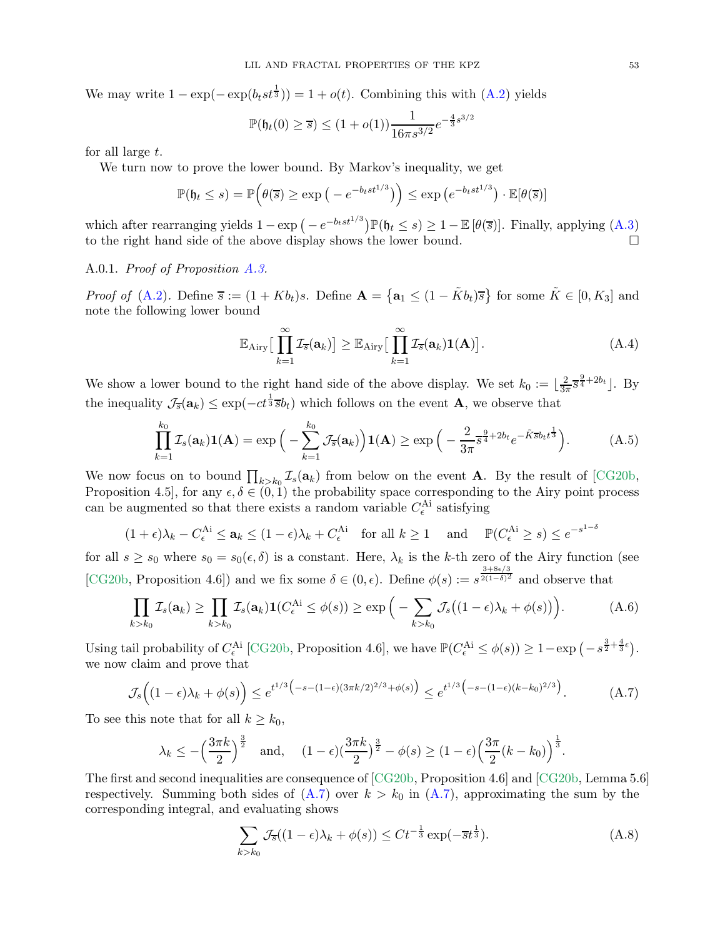We may write  $1 - \exp(-\exp(b_t st^{\frac{1}{3}})) = 1 + o(t)$ . Combining this with  $(A.2)$  yields

$$
\mathbb{P}(\mathfrak{h}_t(0) \ge \overline{s}) \le (1 + o(1)) \frac{1}{16\pi s^{3/2}} e^{-\frac{4}{3}s^{3/2}}
$$

for all large t.

We turn now to prove the lower bound. By Markov's inequality, we get

$$
\mathbb{P}(\mathfrak{h}_t \le s) = \mathbb{P}\Big(\theta(\overline{s}) \ge \exp\big(-e^{-b_t st^{1/3}}\big)\Big) \le \exp\big(e^{-b_t st^{1/3}}\big) \cdot \mathbb{E}[\theta(\overline{s})]
$$

which after rearranging yields  $1 - \exp(-e^{-b_t st^{1/3}}) \mathbb{P}(\mathfrak{h}_t \le s) \ge 1 - \mathbb{E}[\theta(\overline{s})]$ . Finally, applying  $(A.3)$ to the right hand side of the above display shows the lower bound.

#### <span id="page-52-0"></span>A.0.1. Proof of Proposition [A.3.](#page-51-1)

*Proof of* [\(A.2\)](#page-51-4). Define  $\bar{s} := (1 + Kb_t)s$ . Define  $\mathbf{A} = \{ \mathbf{a}_1 \leq (1 - \tilde{K}b_t)\bar{s} \}$  for some  $\tilde{K} \in [0, K_3]$  and note the following lower bound

<span id="page-52-5"></span><span id="page-52-4"></span>
$$
\mathbb{E}_{\mathrm{Airy}}\left[\prod_{k=1}^{\infty} \mathcal{I}_{\overline{s}}(\mathbf{a}_k)\right] \geq \mathbb{E}_{\mathrm{Airy}}\left[\prod_{k=1}^{\infty} \mathcal{I}_{\overline{s}}(\mathbf{a}_k) \mathbf{1}(\mathbf{A})\right].\tag{A.4}
$$

We show a lower bound to the right hand side of the above display. We set  $k_0 := \lfloor \frac{2}{3i} \rfloor$  $\frac{2}{3\pi}$  $\frac{8}{3}$  $+2b$ <sub>t</sub> $\rfloor$ . By the inequality  $\mathcal{J}_{\overline{s}}(\mathbf{a}_k) \leq \exp(-ct^{\frac{1}{3}}\overline{s}b_t)$  which follows on the event **A**, we observe that

$$
\prod_{k=1}^{k_0} \mathcal{I}_s(\mathbf{a}_k) \mathbf{1}(\mathbf{A}) = \exp\Big(-\sum_{k=1}^{k_0} \mathcal{J}_{\overline{s}}(\mathbf{a}_k)\Big) \mathbf{1}(\mathbf{A}) \ge \exp\Big(-\frac{2}{3\pi} \overline{s}^{\frac{9}{4}+2b_t} e^{-\tilde{K}\overline{s}b_t t^{\frac{1}{3}}}\Big). \tag{A.5}
$$

We now focus on to bound  $\prod_{k>k_0} \mathcal{I}_s(\mathbf{a}_k)$  from below on the event **A**. By the result of [\[CG20b,](#page-54-9) Proposition 4.5], for any  $\epsilon, \delta \in (0, 1)$  the probability space corresponding to the Airy point process can be augmented so that there exists a random variable  $C_{\epsilon}^{\text{Ai}}$  satisfying

$$
(1+\epsilon)\lambda_k - C_{\epsilon}^{\mathcal{A}i} \le \mathbf{a}_k \le (1-\epsilon)\lambda_k + C_{\epsilon}^{\mathcal{A}i} \quad \text{for all } k \ge 1 \quad \text{and} \quad \mathbb{P}(C_{\epsilon}^{\mathcal{A}i} \ge s) \le e^{-s^{1-\delta}}
$$

for all  $s \geq s_0$  where  $s_0 = s_0(\epsilon, \delta)$  is a constant. Here,  $\lambda_k$  is the k-th zero of the Airy function (see [\[CG20b,](#page-54-9) Proposition 4.6]) and we fix some  $\delta \in (0, \epsilon)$ . Define  $\phi(s) := s^{\frac{3+8\epsilon/3}{2(1-\delta)^2}}$  and observe that

$$
\prod_{k>k_0} \mathcal{I}_s(\mathbf{a}_k) \ge \prod_{k>k_0} \mathcal{I}_s(\mathbf{a}_k) \mathbf{1}(C_{\epsilon}^{\mathbf{A}i} \le \phi(s)) \ge \exp\Big(-\sum_{k>k_0} \mathcal{J}_s\big((1-\epsilon)\lambda_k + \phi(s)\big)\Big). \tag{A.6}
$$

Using tail probability of  $C_{\epsilon}^{\text{Ai}}$  [\[CG20b,](#page-54-9) Proposition 4.6], we have  $\mathbb{P}(C_{\epsilon}^{\text{Ai}} \leq \phi(s)) \geq 1 - \exp(-s^{\frac{3}{2} + \frac{4}{3}\epsilon})$ . we now claim and prove that

$$
\mathcal{J}_s \Big( (1 - \epsilon) \lambda_k + \phi(s) \Big) \le e^{t^{1/3} \big( -s - (1 - \epsilon)(3\pi k/2)^{2/3} + \phi(s) \big)} \le e^{t^{1/3} \big( -s - (1 - \epsilon)(k - k_0)^{2/3} \big)}.
$$
 (A.7)

To see this note that for all  $k \geq k_0$ ,

$$
\lambda_k \le -\left(\frac{3\pi k}{2}\right)^{\frac{3}{2}}
$$
 and,  $(1-\epsilon)\left(\frac{3\pi k}{2}\right)^{\frac{3}{2}} - \phi(s) \ge (1-\epsilon)\left(\frac{3\pi}{2}(k-k_0)\right)^{\frac{1}{3}}$ .

The first and second inequalities are consequence of [\[CG20b,](#page-54-9) Proposition 4.6] and [\[CG20b,](#page-54-9) Lemma 5.6] respectively. Summing both sides of  $(A.7)$  over  $k > k_0$  in  $(A.7)$ , approximating the sum by the corresponding integral, and evaluating shows

<span id="page-52-3"></span><span id="page-52-2"></span><span id="page-52-1"></span>
$$
\sum_{k>k_0} \mathcal{J}_{\overline{s}}((1-\epsilon)\lambda_k + \phi(s)) \le Ct^{-\frac{1}{3}} \exp(-\overline{s}t^{\frac{1}{3}}). \tag{A.8}
$$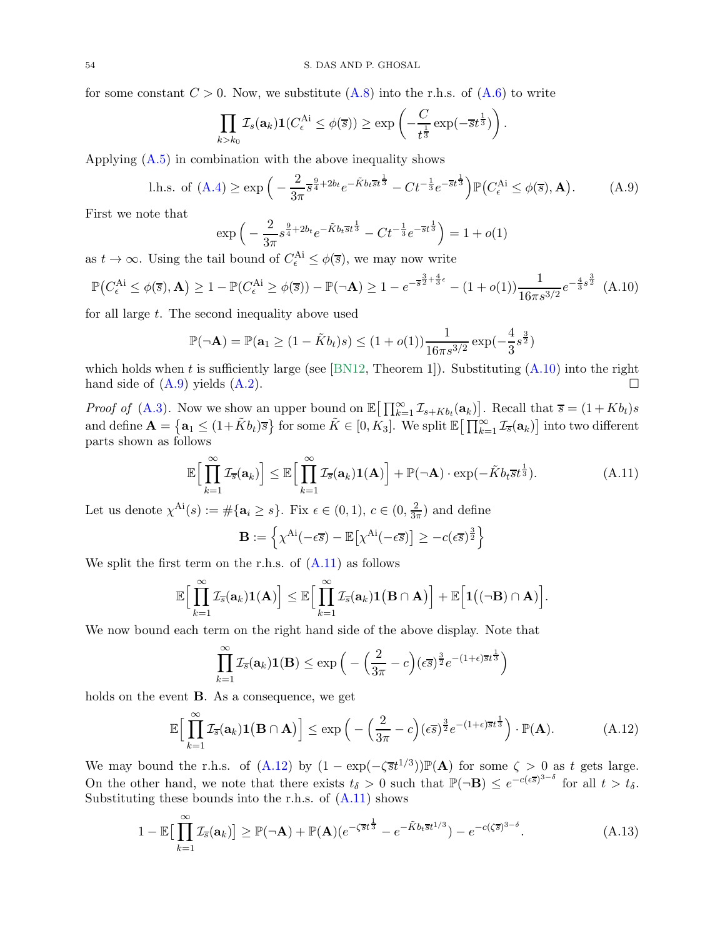for some constant  $C > 0$ . Now, we substitute [\(A.8\)](#page-52-2) into the r.h.s. of [\(A.6\)](#page-52-3) to write

$$
\prod_{k>k_0} \mathcal{I}_s(\mathbf{a}_k) \mathbf{1}(C_{\epsilon}^{\mathrm{Ai}} \leq \phi(\overline{s})) \geq \exp\left(-\frac{C}{t^{\frac{1}{3}}} \exp(-\overline{s}t^{\frac{1}{3}})\right).
$$

Applying  $(A.5)$  in combination with the above inequality shows

<span id="page-53-1"></span>l.h.s. of (A.4) 
$$
\geq \exp\left(-\frac{2}{3\pi} s^{\frac{9}{4}+2b_t} e^{-\tilde{K}b_t \bar{s}t^{\frac{1}{3}}}-Ct^{-\frac{1}{3}}e^{-\bar{s}t^{\frac{1}{3}}}\right) \mathbb{P}(C_{\epsilon}^{\text{Ai}} \leq \phi(\bar{s}), \mathbf{A}).
$$
 (A.9)

First we note that

$$
\exp\left(-\frac{2}{3\pi}s^{\frac{9}{4}+2b_t}e^{-\tilde{K}b_t\overline{s}t^{\frac{1}{3}}}-Ct^{-\frac{1}{3}}e^{-\overline{s}t^{\frac{1}{3}}}\right)=1+o(1)
$$

as  $t \to \infty$ . Using the tail bound of  $C_{\epsilon}^{\mathcal{A}i} \leq \phi(\overline{s})$ , we may now write

<span id="page-53-0"></span>
$$
\mathbb{P}\big(C_{\epsilon}^{\text{Ai}} \le \phi(\overline{s}), \mathbf{A}\big) \ge 1 - \mathbb{P}(C_{\epsilon}^{\text{Ai}} \ge \phi(\overline{s})) - \mathbb{P}(\neg \mathbf{A}) \ge 1 - e^{-\overline{s}^{\frac{3}{2} + \frac{4}{3}\epsilon}} - (1 + o(1))\frac{1}{16\pi s^{3/2}}e^{-\frac{4}{3}s^{\frac{3}{2}}}
$$
(A.10)

for all large  $t$ . The second inequality above used

$$
\mathbb{P}(\neg \mathbf{A}) = \mathbb{P}(\mathbf{a}_1 \ge (1 - \tilde{K}b_t)s) \le (1 + o(1))\frac{1}{16\pi s^{3/2}}\exp(-\frac{4}{3}s^{\frac{3}{2}})
$$

which holds when t is sufficiently large (see [\[BN12,](#page-54-23) Theorem 1]). Substituting  $(A.10)$  into the right hand side of  $(A.9)$  yields  $(A.2)$ .

*Proof of* [\(A.3\)](#page-51-5). Now we show an upper bound on  $\mathbb{E} \big[ \prod_{k=1}^{\infty} \mathcal{I}_{s+Kb_t}(\mathbf{a}_k) \big]$ . Recall that  $\overline{s} = (1+Kb_t)s$ and define  $\mathbf{A} = \{ \mathbf{a}_1 \leq (1 + \tilde{K}b_t)\overline{s} \}$  for some  $\tilde{K} \in [0, K_3]$ . We split  $\mathbb{E} \big[ \prod_{k=1}^{\infty} \mathcal{I}_{\overline{s}}(\mathbf{a}_k) \big]$  into two different parts shown as follows

$$
\mathbb{E}\Big[\prod_{k=1}^{\infty}\mathcal{I}_{\overline{s}}(\mathbf{a}_k)\Big] \leq \mathbb{E}\Big[\prod_{k=1}^{\infty}\mathcal{I}_{\overline{s}}(\mathbf{a}_k)\mathbf{1}(\mathbf{A})\Big] + \mathbb{P}(\neg \mathbf{A}) \cdot \exp(-\tilde{K}b_t\overline{s}t^{\frac{1}{3}}). \tag{A.11}
$$

Let us denote  $\chi^{Ai}(s) := \#\{\mathbf{a}_i \geq s\}$ . Fix  $\epsilon \in (0,1)$ ,  $c \in (0, \frac{2}{3\tau})$  $\frac{2}{3\pi}$ ) and define

<span id="page-53-2"></span>
$$
\mathbf{B} := \left\{ \chi^{\mathrm{Ai}}(-\epsilon \overline{s}) - \mathbb{E}\left[ \chi^{\mathrm{Ai}}(-\epsilon \overline{s}) \right] \ge -c(\epsilon \overline{s})^{\frac{3}{2}} \right\}
$$

We split the first term on the r.h.s. of  $(A.11)$  as follows

$$
\mathbb{E}\Big[\prod_{k=1}^{\infty}\mathcal{I}_{\overline{s}}(\mathbf{a}_k)\mathbf{1}(\mathbf{A})\Big]\leq \mathbb{E}\Big[\prod_{k=1}^{\infty}\mathcal{I}_{\overline{s}}(\mathbf{a}_k)\mathbf{1}\big(\mathbf{B}\cap\mathbf{A}\big)\Big]+\mathbb{E}\Big[\mathbf{1}\big((\neg\mathbf{B})\cap\mathbf{A}\big)\Big].
$$

We now bound each term on the right hand side of the above display. Note that

<span id="page-53-4"></span><span id="page-53-3"></span>
$$
\prod_{k=1}^{\infty} \mathcal{I}_{\overline{s}}(\mathbf{a}_k) \mathbf{1}(\mathbf{B}) \le \exp\left(-\left(\frac{2}{3\pi} - c\right) (\epsilon \overline{s})^{\frac{3}{2}} e^{-(1+\epsilon)\overline{s}t^{\frac{1}{3}}}\right)
$$

holds on the event B. As a consequence, we get

$$
\mathbb{E}\Big[\prod_{k=1}^{\infty}\mathcal{I}_{\overline{s}}(\mathbf{a}_k)\mathbf{1}\big(\mathbf{B}\cap\mathbf{A}\big)\Big]\leq \exp\Big(-\Big(\frac{2}{3\pi}-c\Big)(\epsilon\overline{s})^{\frac{3}{2}}e^{-(1+\epsilon)\overline{s}t^{\frac{1}{3}}}\Big)\cdot\mathbb{P}(\mathbf{A}).\tag{A.12}
$$

We may bound the r.h.s. of  $(A.12)$  by  $(1 - \exp(-\zeta \overline{s}t^{1/3})) \mathbb{P}(A)$  for some  $\zeta > 0$  as t gets large. On the other hand, we note that there exists  $t_{\delta} > 0$  such that  $\mathbb{P}(\neg \mathbf{B}) \leq e^{-c(\epsilon \overline{s})^{3-\delta}}$  for all  $t > t_{\delta}$ . Substituting these bounds into the r.h.s. of  $(A.11)$  shows

$$
1 - \mathbb{E}\big[\prod_{k=1}^{\infty} \mathcal{I}_{\overline{s}}(\mathbf{a}_k)\big] \ge \mathbb{P}(\neg \mathbf{A}) + \mathbb{P}(\mathbf{A})(e^{-\zeta \overline{s}t^{\frac{1}{3}}} - e^{-\tilde{K}b_t \overline{s}t^{1/3}}) - e^{-c(\zeta \overline{s})^{3-\delta}}.
$$
(A.13)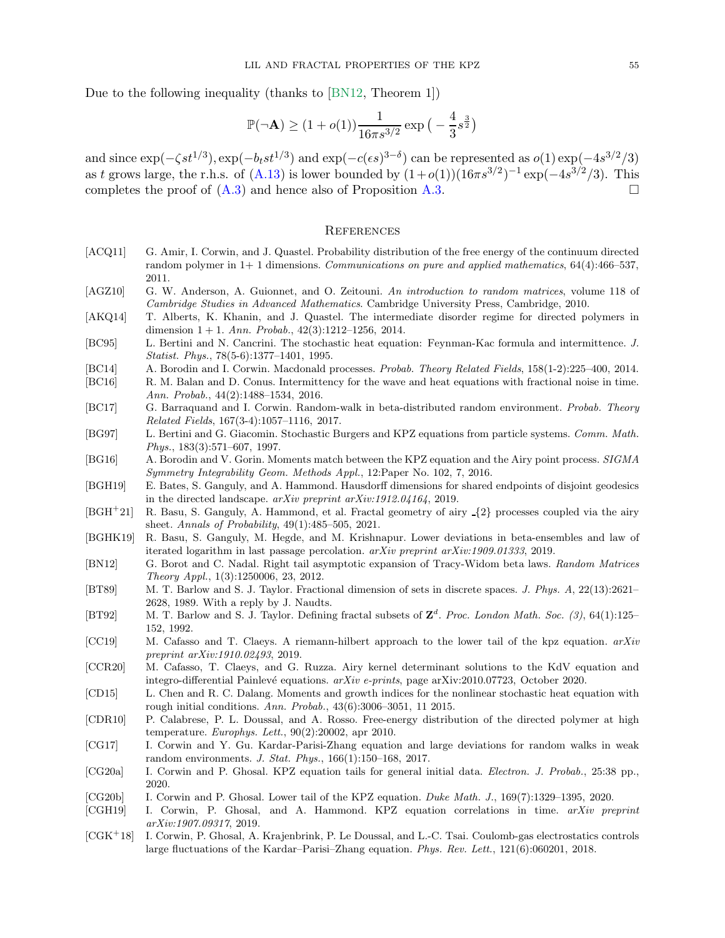Due to the following inequality (thanks to [\[BN12,](#page-54-23) Theorem 1])

$$
\mathbb{P}(\neg \mathbf{A}) \ge (1 + o(1)) \frac{1}{16\pi s^{3/2}} \exp\left(-\frac{4}{3} s^{\frac{3}{2}}\right)
$$

and since  $\exp(-\zeta s t^{1/3})$ ,  $\exp(-b_t s t^{1/3})$  and  $\exp(-c(\epsilon s)^{3-\delta})$  can be represented as  $o(1) \exp(-4s^{3/2}/3)$ as t grows large, the r.h.s. of  $(A.13)$  is lower bounded by  $(1+o(1))(16\pi s^{3/2})^{-1}$  exp $(-4s^{3/2}/3)$ . This completes the proof of  $(A.3)$  and hence also of Proposition  $A.3$ .

#### **REFERENCES**

- <span id="page-54-7"></span>[ACQ11] G. Amir, I. Corwin, and J. Quastel. Probability distribution of the free energy of the continuum directed random polymer in  $1+1$  dimensions. Communications on pure and applied mathematics,  $64(4):466-537$ , 2011.
- <span id="page-54-22"></span>[AGZ10] G. W. Anderson, A. Guionnet, and O. Zeitouni. An introduction to random matrices, volume 118 of Cambridge Studies in Advanced Mathematics. Cambridge University Press, Cambridge, 2010.
- <span id="page-54-3"></span>[AKQ14] T. Alberts, K. Khanin, and J. Quastel. The intermediate disorder regime for directed polymers in dimension  $1 + 1$ . Ann. Probab.,  $42(3):1212-1256$ , 2014.
- <span id="page-54-10"></span>[BC95] L. Bertini and N. Cancrini. The stochastic heat equation: Feynman-Kac formula and intermittence. J. Statist. Phys., 78(5-6):1377–1401, 1995.
- <span id="page-54-5"></span>[BC14] A. Borodin and I. Corwin. Macdonald processes. Probab. Theory Related Fields, 158(1-2):225–400, 2014.
- <span id="page-54-15"></span>[BC16] R. M. Balan and D. Conus. Intermittency for the wave and heat equations with fractional noise in time. Ann. Probab., 44(2):1488–1534, 2016.
- <span id="page-54-1"></span>[BC17] G. Barraquand and I. Corwin. Random-walk in beta-distributed random environment. Probab. Theory Related Fields, 167(3-4):1057–1116, 2017.
- <span id="page-54-6"></span>[BG97] L. Bertini and G. Giacomin. Stochastic Burgers and KPZ equations from particle systems. Comm. Math. Phys., 183(3):571–607, 1997.
- <span id="page-54-21"></span>[BG16] A. Borodin and V. Gorin. Moments match between the KPZ equation and the Airy point process. SIGMA Symmetry Integrability Geom. Methods Appl., 12:Paper No. 102, 7, 2016.
- <span id="page-54-13"></span>[BGH19] E. Bates, S. Ganguly, and A. Hammond. Hausdorff dimensions for shared endpoints of disjoint geodesics in the directed landscape. arXiv preprint arXiv:1912.04164, 2019.
- <span id="page-54-12"></span>[BGH<sup>+</sup>21] R. Basu, S. Ganguly, A. Hammond, et al. Fractal geometry of airy {2} processes coupled via the airy sheet. Annals of Probability, 49(1):485–505, 2021.
- <span id="page-54-11"></span>[BGHK19] R. Basu, S. Ganguly, M. Hegde, and M. Krishnapur. Lower deviations in beta-ensembles and law of iterated logarithm in last passage percolation. arXiv preprint arXiv:1909.01333, 2019.
- <span id="page-54-23"></span>[BN12] G. Borot and C. Nadal. Right tail asymptotic expansion of Tracy-Widom beta laws. Random Matrices Theory Appl., 1(3):1250006, 23, 2012.
- <span id="page-54-19"></span>[BT89] M. T. Barlow and S. J. Taylor. Fractional dimension of sets in discrete spaces. J. Phys. A, 22(13):2621– 2628, 1989. With a reply by J. Naudts.
- <span id="page-54-20"></span>[BT92] M. T. Barlow and S. J. Taylor. Defining fractal subsets of  $\mathbb{Z}^d$ . Proc. London Math. Soc. (3), 64(1):125– 152, 1992.
- <span id="page-54-17"></span>[CC19] M. Cafasso and T. Claeys. A riemann-hilbert approach to the lower tail of the kpz equation. arXiv preprint arXiv:1910.02493, 2019.
- <span id="page-54-18"></span>[CCR20] M. Cafasso, T. Claeys, and G. Ruzza. Airy kernel determinant solutions to the KdV equation and integro-differential Painlevé equations.  $arXiv$  e-prints, page  $arXiv:2010.07723$ , October 2020.
- <span id="page-54-14"></span>[CD15] L. Chen and R. C. Dalang. Moments and growth indices for the nonlinear stochastic heat equation with rough initial conditions. Ann. Probab., 43(6):3006–3051, 11 2015.
- <span id="page-54-4"></span>[CDR10] P. Calabrese, P. L. Doussal, and A. Rosso. Free-energy distribution of the directed polymer at high temperature. Europhys. Lett., 90(2):20002, apr 2010.
- <span id="page-54-2"></span>[CG17] I. Corwin and Y. Gu. Kardar-Parisi-Zhang equation and large deviations for random walks in weak random environments. J. Stat. Phys., 166(1):150–168, 2017.
- <span id="page-54-8"></span>[CG20a] I. Corwin and P. Ghosal. KPZ equation tails for general initial data. Electron. J. Probab., 25:38 pp., 2020.
- <span id="page-54-9"></span>[CG20b] I. Corwin and P. Ghosal. Lower tail of the KPZ equation. Duke Math. J., 169(7):1329–1395, 2020.
- <span id="page-54-0"></span>[CGH19] I. Corwin, P. Ghosal, and A. Hammond. KPZ equation correlations in time. arXiv preprint arXiv:1907.09317, 2019.
- <span id="page-54-16"></span>[CGK<sup>+</sup>18] I. Corwin, P. Ghosal, A. Krajenbrink, P. Le Doussal, and L.-C. Tsai. Coulomb-gas electrostatics controls large fluctuations of the Kardar–Parisi–Zhang equation. Phys. Rev. Lett., 121(6):060201, 2018.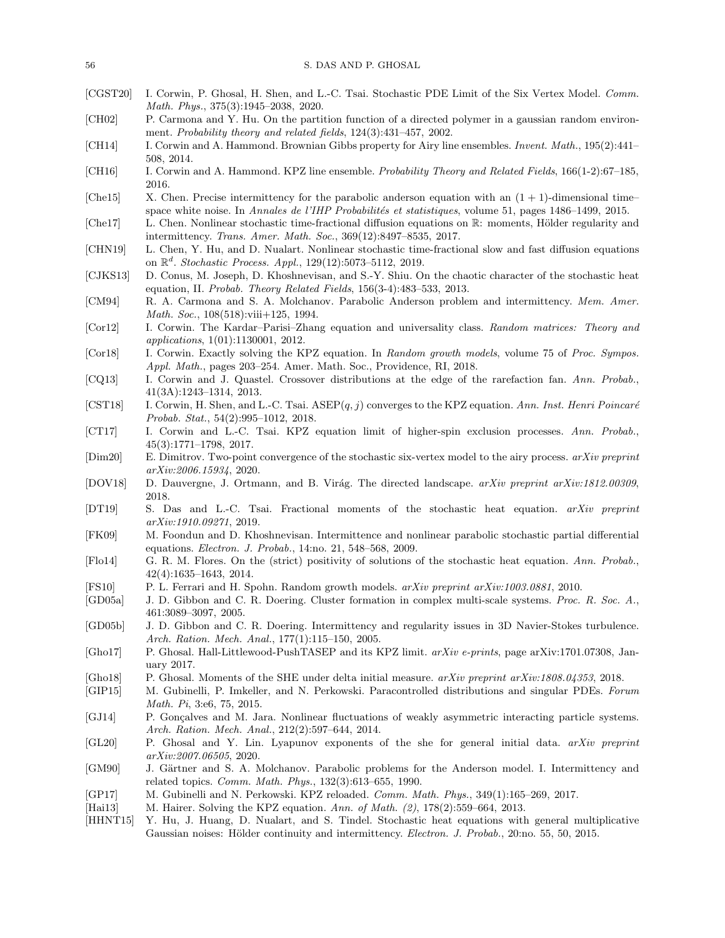- <span id="page-55-9"></span>[CGST20] I. Corwin, P. Ghosal, H. Shen, and L.-C. Tsai. Stochastic PDE Limit of the Six Vertex Model. Comm. Math. Phys., 375(3):1945–2038, 2020.
- <span id="page-55-30"></span>[CH02] P. Carmona and Y. Hu. On the partition function of a directed polymer in a gaussian random environment. Probability theory and related fields, 124(3):431–457, 2002.
- <span id="page-55-0"></span>[CH14] I. Corwin and A. Hammond. Brownian Gibbs property for Airy line ensembles. Invent. Math., 195(2):441– 508, 2014.
- <span id="page-55-1"></span>[CH16] I. Corwin and A. Hammond. KPZ line ensemble. Probability Theory and Related Fields, 166(1-2):67–185, 2016.
- <span id="page-55-23"></span>[Che<sub>15</sub>] X. Chen. Precise intermittency for the parabolic anderson equation with an  $(1 + 1)$ -dimensional time– space white noise. In Annales de l'IHP Probabilités et statistiques, volume 51, pages 1486–1499, 2015.
- <span id="page-55-21"></span>[Che17] L. Chen. Nonlinear stochastic time-fractional diffusion equations on R: moments, Hölder regularity and intermittency. Trans. Amer. Math. Soc., 369(12):8497–8535, 2017.
- <span id="page-55-22"></span>[CHN19] L. Chen, Y. Hu, and D. Nualart. Nonlinear stochastic time-fractional slow and fast diffusion equations on  $\mathbb{R}^d$ . Stochastic Process. Appl., 129(12):5073-5112, 2019.
- <span id="page-55-20"></span>[CJKS13] D. Conus, M. Joseph, D. Khoshnevisan, and S.-Y. Shiu. On the chaotic character of the stochastic heat equation, II. Probab. Theory Related Fields, 156(3-4):483–533, 2013.
- <span id="page-55-17"></span>[CM94] R. A. Carmona and S. A. Molchanov. Parabolic Anderson problem and intermittency. Mem. Amer. Math. Soc., 108(518):viii+125, 1994.
- <span id="page-55-3"></span>[Cor12] I. Corwin. The Kardar–Parisi–Zhang equation and universality class. Random matrices: Theory and applications, 1(01):1130001, 2012.
- <span id="page-55-5"></span>[Cor18] I. Corwin. Exactly solving the KPZ equation. In Random growth models, volume 75 of Proc. Sympos. Appl. Math., pages 203–254. Amer. Math. Soc., Providence, RI, 2018.
- <span id="page-55-26"></span>[CQ13] I. Corwin and J. Quastel. Crossover distributions at the edge of the rarefaction fan. Ann. Probab., 41(3A):1243–1314, 2013.
- <span id="page-55-7"></span>[CST18] I. Corwin, H. Shen, and L.-C. Tsai.  $ASEP(q, j)$  converges to the KPZ equation. Ann. Inst. Henri Poincaré Probab. Stat., 54(2):995–1012, 2018.
- <span id="page-55-6"></span>[CT17] I. Corwin and L.-C. Tsai. KPZ equation limit of higher-spin exclusion processes. Ann. Probab., 45(3):1771–1798, 2017.
- <span id="page-55-15"></span>[Dim20] E. Dimitrov. Two-point convergence of the stochastic six-vertex model to the airy process. arXiv preprint arXiv:2006.15934, 2020.
- <span id="page-55-14"></span>[DOV18] D. Dauvergne, J. Ortmann, and B. Virág. The directed landscape. arXiv preprint arXiv:1812.00309, 2018.
- <span id="page-55-27"></span>[DT19] S. Das and L.-C. Tsai. Fractional moments of the stochastic heat equation. arXiv preprint arXiv:1910.09271, 2019.
- <span id="page-55-19"></span>[FK09] M. Foondun and D. Khoshnevisan. Intermittence and nonlinear parabolic stochastic partial differential equations. Electron. J. Probab., 14:no. 21, 548–568, 2009.
- <span id="page-55-4"></span>[Flo14] G. R. M. Flores. On the (strict) positivity of solutions of the stochastic heat equation. Ann. Probab., 42(4):1635–1643, 2014.
- <span id="page-55-2"></span>[FS10] P. L. Ferrari and H. Spohn. Random growth models. arXiv preprint arXiv:1003.0881, 2010.
- <span id="page-55-25"></span>[GD05a] J. D. Gibbon and C. R. Doering. Cluster formation in complex multi-scale systems. Proc. R. Soc. A., 461:3089–3097, 2005.
- <span id="page-55-24"></span>[GD05b] J. D. Gibbon and C. R. Doering. Intermittency and regularity issues in 3D Navier-Stokes turbulence. Arch. Ration. Mech. Anal., 177(1):115–150, 2005.
- <span id="page-55-8"></span>[Gho17] P. Ghosal. Hall-Littlewood-PushTASEP and its KPZ limit. arXiv e-prints, page arXiv:1701.07308, January 2017.
- <span id="page-55-29"></span>[Gho18] P. Ghosal. Moments of the SHE under delta initial measure. arXiv preprint arXiv:1808.04353, 2018.
- <span id="page-55-11"></span>[GIP15] M. Gubinelli, P. Imkeller, and N. Perkowski. Paracontrolled distributions and singular PDEs. Forum Math. Pi, 3:e6, 75, 2015.
- <span id="page-55-13"></span>[GJ14] P. Gonçalves and M. Jara. Nonlinear fluctuations of weakly asymmetric interacting particle systems. Arch. Ration. Mech. Anal., 212(2):597–644, 2014.
- <span id="page-55-28"></span>[GL20] P. Ghosal and Y. Lin. Lyapunov exponents of the she for general initial data. arXiv preprint arXiv:2007.06505, 2020.
- <span id="page-55-16"></span>[GM90] J. Gärtner and S. A. Molchanov. Parabolic problems for the Anderson model. I. Intermittency and related topics. Comm. Math. Phys., 132(3):613–655, 1990.
- <span id="page-55-12"></span>[GP17] M. Gubinelli and N. Perkowski. KPZ reloaded. Comm. Math. Phys., 349(1):165–269, 2017.
- <span id="page-55-10"></span>[Hai13] M. Hairer. Solving the KPZ equation. Ann. of Math. (2), 178(2):559–664, 2013.
- <span id="page-55-18"></span>[HHNT15] Y. Hu, J. Huang, D. Nualart, and S. Tindel. Stochastic heat equations with general multiplicative Gaussian noises: Hölder continuity and intermittency. *Electron. J. Probab.*, 20:no. 55, 50, 2015.